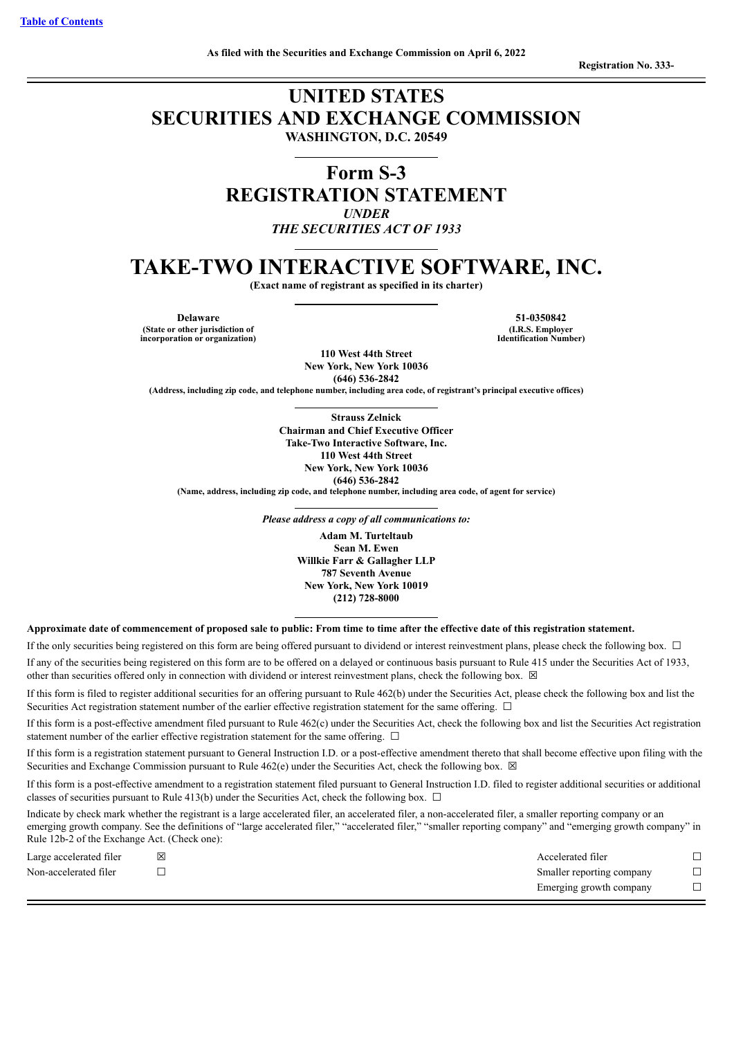**Registration No. 333-**

# **UNITED STATES SECURITIES AND EXCHANGE COMMISSION WASHINGTON, D.C. 20549**

**Form S-3 REGISTRATION STATEMENT** *UNDER THE SECURITIES ACT OF 1933*

# **TAKE-TWO INTERACTIVE SOFTWARE, INC.**

**(Exact name of registrant as specified in its charter)**

**Delaware 51-0350842 (State or other jurisdiction of incorporation or organization)**

**(I.R.S. Employer Identification Number)**

**110 West 44th Street New York, New York 10036 (646) 536-2842**

**(Address, including zip code, and telephone number, including area code, of registrant's principal executive offices)**

**Strauss Zelnick Chairman and Chief Executive Officer Take-Two Interactive Software, Inc. 110 West 44th Street New York, New York 10036 (646) 536-2842 (Name, address, including zip code, and telephone number, including area code, of agent for service)**

*Please address a copy of all communications to:*

**Adam M. Turteltaub Sean M. Ewen Willkie Farr & Gallagher LLP 787 Seventh Avenue New York, New York 10019 (212) 728-8000**

Approximate date of commencement of proposed sale to public: From time to time after the effective date of this registration statement.

If the only securities being registered on this form are being offered pursuant to dividend or interest reinvestment plans, please check the following box. □

If any of the securities being registered on this form are to be offered on a delayed or continuous basis pursuant to Rule 415 under the Securities Act of 1933, other than securities offered only in connection with dividend or interest reinvestment plans, check the following box.  $\boxtimes$ 

If this form is filed to register additional securities for an offering pursuant to Rule 462(b) under the Securities Act, please check the following box and list the Securities Act registration statement number of the earlier effective registration statement for the same offering. □

If this form is a post-effective amendment filed pursuant to Rule 462(c) under the Securities Act, check the following box and list the Securities Act registration statement number of the earlier effective registration statement for the same offering.  $\Box$ 

If this form is a registration statement pursuant to General Instruction I.D. or a post-effective amendment thereto that shall become effective upon filing with the Securities and Exchange Commission pursuant to Rule  $462(e)$  under the Securities Act, check the following box.  $\boxtimes$ 

If this form is a post-effective amendment to a registration statement filed pursuant to General Instruction I.D. filed to register additional securities or additional classes of securities pursuant to Rule 413(b) under the Securities Act, check the following box.  $\Box$ 

Indicate by check mark whether the registrant is a large accelerated filer, an accelerated filer, a non-accelerated filer, a smaller reporting company or an emerging growth company. See the definitions of "large accelerated filer," "accelerated filer," "smaller reporting company" and "emerging growth company" in Rule 12b-2 of the Exchange Act. (Check one):

| Large accelerated filer | Accelerated filer         |  |
|-------------------------|---------------------------|--|
| Non-accelerated filer   | Smaller reporting company |  |
|                         | Emerging growth company   |  |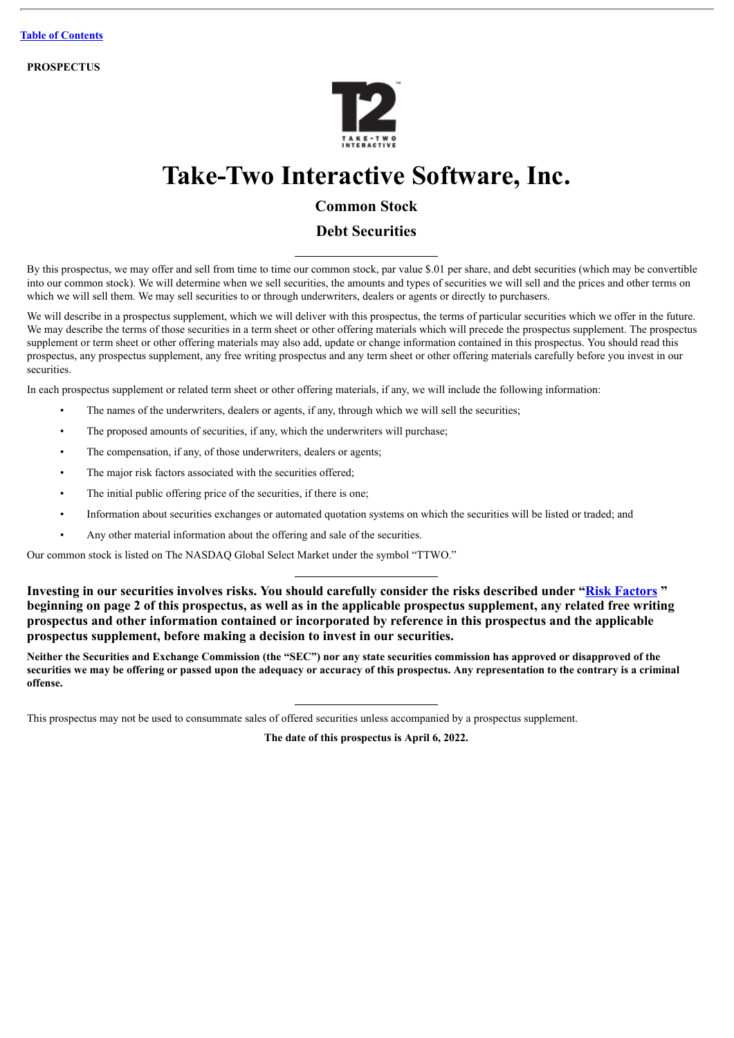**PROSPECTUS**



# **Take-Two Interactive Software, Inc.**

# **Common Stock**

## **Debt Securities**

By this prospectus, we may offer and sell from time to time our common stock, par value \$.01 per share, and debt securities (which may be convertible into our common stock). We will determine when we sell securities, the amounts and types of securities we will sell and the prices and other terms on which we will sell them. We may sell securities to or through underwriters, dealers or agents or directly to purchasers.

We will describe in a prospectus supplement, which we will deliver with this prospectus, the terms of particular securities which we offer in the future. We may describe the terms of those securities in a term sheet or other offering materials which will precede the prospectus supplement. The prospectus supplement or term sheet or other offering materials may also add, update or change information contained in this prospectus. You should read this prospectus, any prospectus supplement, any free writing prospectus and any term sheet or other offering materials carefully before you invest in our securities.

In each prospectus supplement or related term sheet or other offering materials, if any, we will include the following information:

- The names of the underwriters, dealers or agents, if any, through which we will sell the securities;
- The proposed amounts of securities, if any, which the underwriters will purchase;
- The compensation, if any, of those underwriters, dealers or agents;
- The major risk factors associated with the securities offered;
- The initial public offering price of the securities, if there is one;
- Information about securities exchanges or automated quotation systems on which the securities will be listed or traded; and
- Any other material information about the offering and sale of the securities.

Our common stock is listed on The NASDAQ Global Select Market under the symbol "TTWO."

**Investing in our securities involves risks. You should carefully consider the risks described under "[Risk Factors](#page-6-0) " beginning on page 2 of this prospectus, as well as in the applicable prospectus supplement, any related free writing prospectus and other information contained or incorporated by reference in this prospectus and the applicable prospectus supplement, before making a decision to invest in our securities.**

Neither the Securities and Exchange Commission (the "SEC") nor any state securities commission has approved or disapproved of the securities we may be offering or passed upon the adequacy or accuracy of this prospectus. Any representation to the contrary is a criminal **offense.**

This prospectus may not be used to consummate sales of offered securities unless accompanied by a prospectus supplement.

**The date of this prospectus is April 6, 2022.**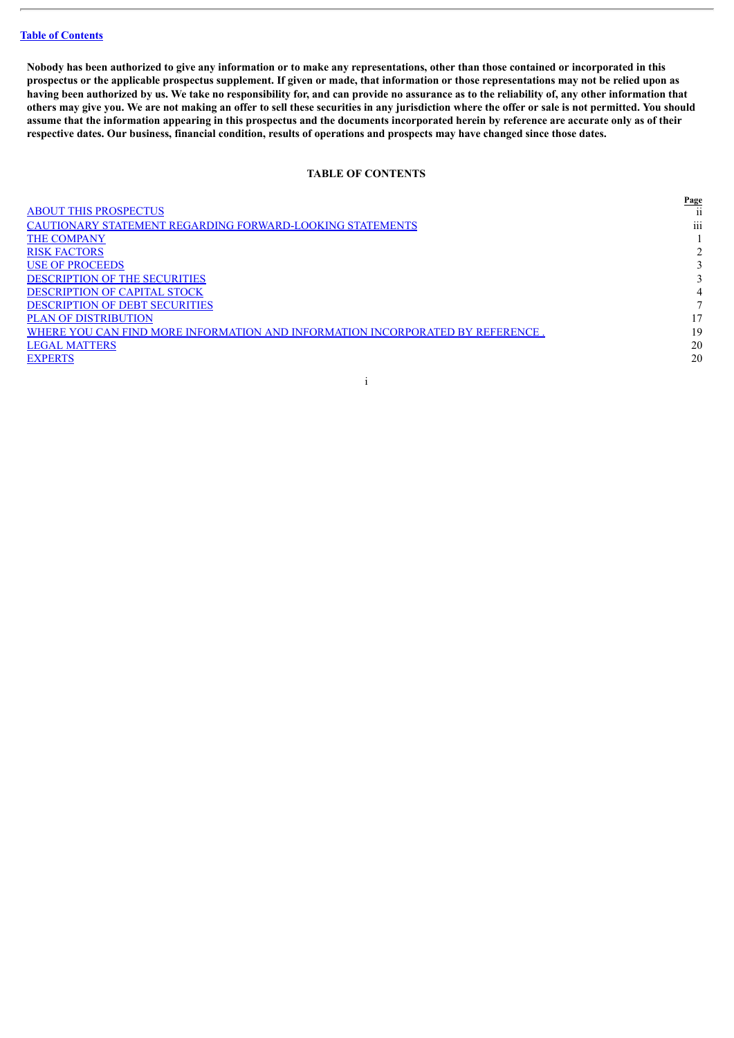Nobody has been authorized to give any information or to make any representations, other than those contained or incorporated in this prospectus or the applicable prospectus supplement. If given or made, that information or those representations may not be relied upon as having been authorized by us. We take no responsibility for, and can provide no assurance as to the reliability of, any other information that others may give you. We are not making an offer to sell these securities in any jurisdiction where the offer or sale is not permitted. You should assume that the information appearing in this prospectus and the documents incorporated herein by reference are accurate only as of their respective dates. Our business, financial condition, results of operations and prospects may have changed since those dates.

#### **TABLE OF CONTENTS**

<span id="page-2-0"></span>

|                                                                                | <u>Page</u>     |
|--------------------------------------------------------------------------------|-----------------|
| <b>ABOUT THIS PROSPECTUS</b>                                                   | 11              |
| CAUTIONARY STATEMENT REGARDING FORWARD-LOOKING STATEMENTS                      | $\cdots$<br>111 |
| <b>THE COMPANY</b>                                                             |                 |
| <b>RISK FACTORS</b>                                                            |                 |
| <b>USE OF PROCEEDS</b>                                                         |                 |
| <b>DESCRIPTION OF THE SECURITIES</b>                                           |                 |
| <b>DESCRIPTION OF CAPITAL STOCK</b>                                            | 4               |
| <b>DESCRIPTION OF DEBT SECURITIES</b>                                          |                 |
| <b>PLAN OF DISTRIBUTION</b>                                                    | 17              |
| WHERE YOU CAN FIND MORE INFORMATION AND INFORMATION INCORPORATED BY REFERENCE. | 19              |
| <b>LEGAL MATTERS</b>                                                           | 20              |
| <b>EXPERTS</b>                                                                 | 20              |
|                                                                                |                 |

i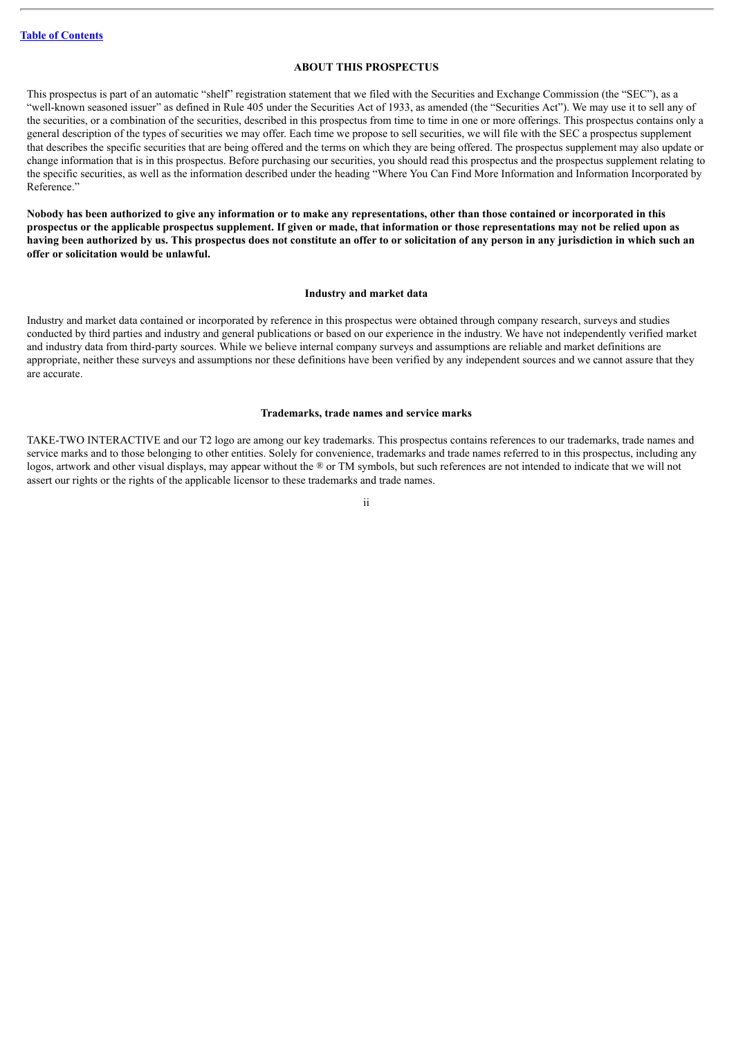#### **ABOUT THIS PROSPECTUS**

<span id="page-3-0"></span>This prospectus is part of an automatic "shelf" registration statement that we filed with the Securities and Exchange Commission (the "SEC"), as a "well-known seasoned issuer" as defined in Rule 405 under the Securities Act of 1933, as amended (the "Securities Act"). We may use it to sell any of the securities, or a combination of the securities, described in this prospectus from time to time in one or more offerings. This prospectus contains only a general description of the types of securities we may offer. Each time we propose to sell securities, we will file with the SEC a prospectus supplement that describes the specific securities that are being offered and the terms on which they are being offered. The prospectus supplement may also update or change information that is in this prospectus. Before purchasing our securities, you should read this prospectus and the prospectus supplement relating to the specific securities, as well as the information described under the heading "Where You Can Find More Information and Information Incorporated by Reference."

Nobody has been authorized to give any information or to make any representations, other than those contained or incorporated in this prospectus or the applicable prospectus supplement. If given or made, that information or those representations may not be relied upon as having been authorized by us. This prospectus does not constitute an offer to or solicitation of any person in any jurisdiction in which such an **offer or solicitation would be unlawful.**

#### **Industry and market data**

Industry and market data contained or incorporated by reference in this prospectus were obtained through company research, surveys and studies conducted by third parties and industry and general publications or based on our experience in the industry. We have not independently verified market and industry data from third-party sources. While we believe internal company surveys and assumptions are reliable and market definitions are appropriate, neither these surveys and assumptions nor these definitions have been verified by any independent sources and we cannot assure that they are accurate.

#### **Trademarks, trade names and service marks**

TAKE-TWO INTERACTIVE and our T2 logo are among our key trademarks. This prospectus contains references to our trademarks, trade names and service marks and to those belonging to other entities. Solely for convenience, trademarks and trade names referred to in this prospectus, including any logos, artwork and other visual displays, may appear without the  $\mathcal{P}$  or TM symbols, but such references are not intended to indicate that we will not assert our rights or the rights of the applicable licensor to these trademarks and trade names.

ii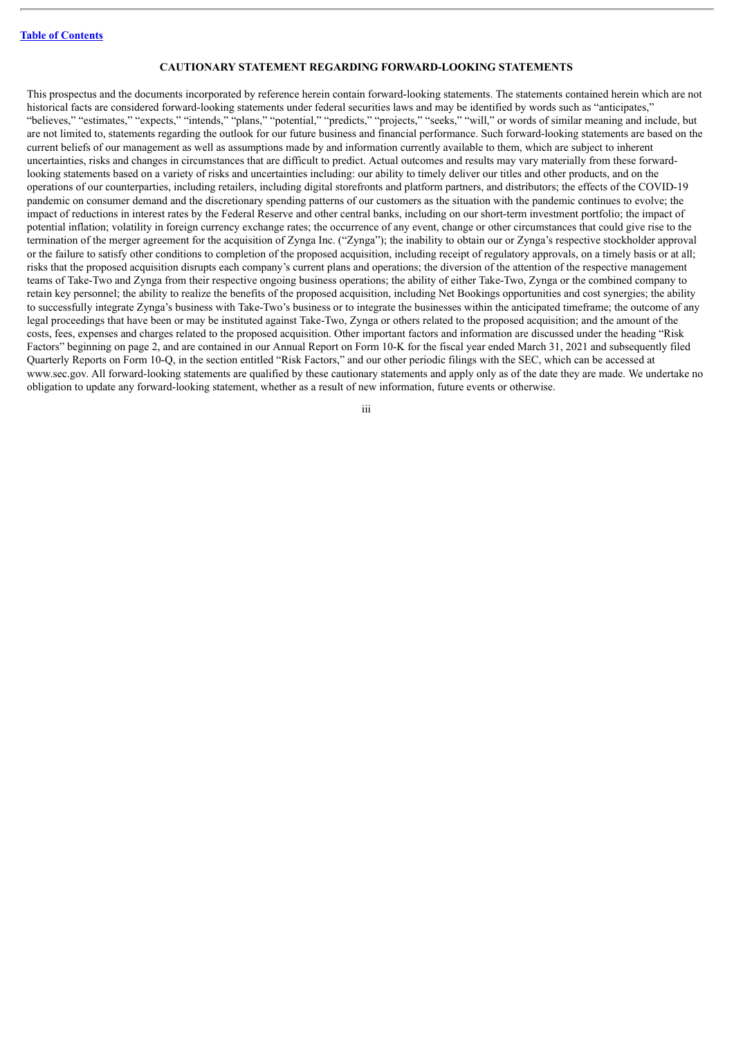#### **CAUTIONARY STATEMENT REGARDING FORWARD-LOOKING STATEMENTS**

<span id="page-4-0"></span>This prospectus and the documents incorporated by reference herein contain forward-looking statements. The statements contained herein which are not historical facts are considered forward-looking statements under federal securities laws and may be identified by words such as "anticipates," "believes," "estimates," "expects," "intends," "plans," "potential," "predicts," "projects," "seeks," "will," or words of similar meaning and include, but are not limited to, statements regarding the outlook for our future business and financial performance. Such forward-looking statements are based on the current beliefs of our management as well as assumptions made by and information currently available to them, which are subject to inherent uncertainties, risks and changes in circumstances that are difficult to predict. Actual outcomes and results may vary materially from these forwardlooking statements based on a variety of risks and uncertainties including: our ability to timely deliver our titles and other products, and on the operations of our counterparties, including retailers, including digital storefronts and platform partners, and distributors; the effects of the COVID-19 pandemic on consumer demand and the discretionary spending patterns of our customers as the situation with the pandemic continues to evolve; the impact of reductions in interest rates by the Federal Reserve and other central banks, including on our short-term investment portfolio; the impact of potential inflation; volatility in foreign currency exchange rates; the occurrence of any event, change or other circumstances that could give rise to the termination of the merger agreement for the acquisition of Zynga Inc. ("Zynga"); the inability to obtain our or Zynga's respective stockholder approval or the failure to satisfy other conditions to completion of the proposed acquisition, including receipt of regulatory approvals, on a timely basis or at all; risks that the proposed acquisition disrupts each company's current plans and operations; the diversion of the attention of the respective management teams of Take-Two and Zynga from their respective ongoing business operations; the ability of either Take-Two, Zynga or the combined company to retain key personnel; the ability to realize the benefits of the proposed acquisition, including Net Bookings opportunities and cost synergies; the ability to successfully integrate Zynga's business with Take-Two's business or to integrate the businesses within the anticipated timeframe; the outcome of any legal proceedings that have been or may be instituted against Take-Two, Zynga or others related to the proposed acquisition; and the amount of the costs, fees, expenses and charges related to the proposed acquisition. Other important factors and information are discussed under the heading "Risk Factors" beginning on page 2, and are contained in our Annual Report on Form 10-K for the fiscal year ended March 31, 2021 and subsequently filed Quarterly Reports on Form 10-Q, in the section entitled "Risk Factors," and our other periodic filings with the SEC, which can be accessed at www.sec.gov. All forward-looking statements are qualified by these cautionary statements and apply only as of the date they are made. We undertake no obligation to update any forward-looking statement, whether as a result of new information, future events or otherwise.

iii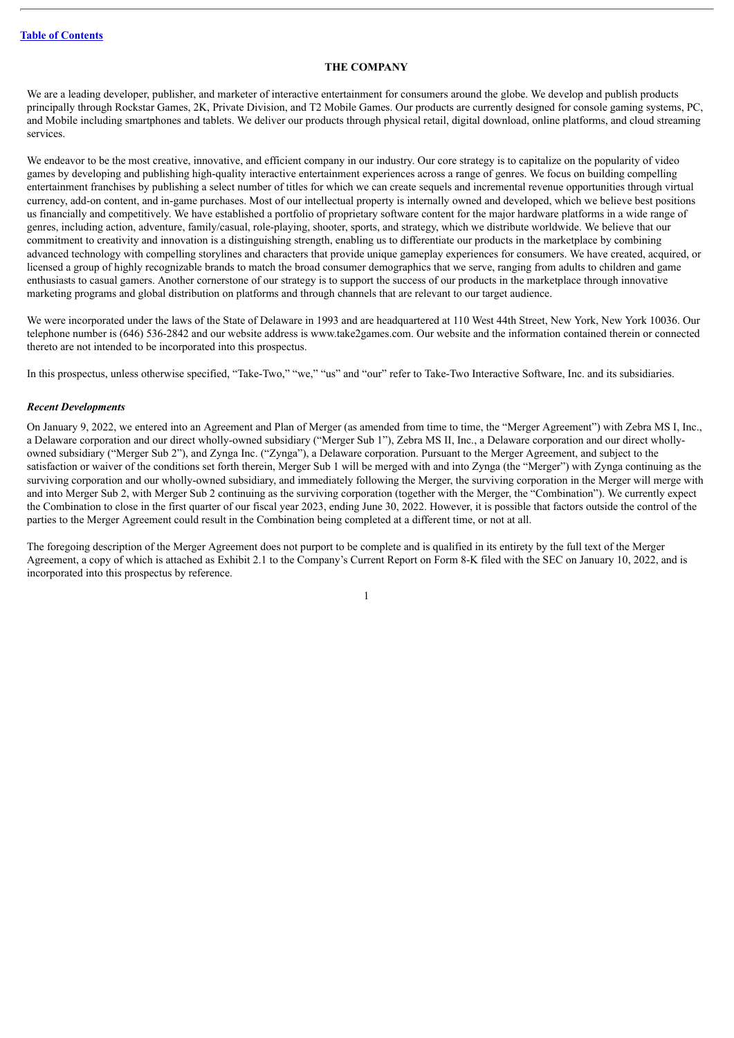#### **THE COMPANY**

<span id="page-5-0"></span>We are a leading developer, publisher, and marketer of interactive entertainment for consumers around the globe. We develop and publish products principally through Rockstar Games, 2K, Private Division, and T2 Mobile Games. Our products are currently designed for console gaming systems, PC, and Mobile including smartphones and tablets. We deliver our products through physical retail, digital download, online platforms, and cloud streaming services.

We endeavor to be the most creative, innovative, and efficient company in our industry. Our core strategy is to capitalize on the popularity of video games by developing and publishing high-quality interactive entertainment experiences across a range of genres. We focus on building compelling entertainment franchises by publishing a select number of titles for which we can create sequels and incremental revenue opportunities through virtual currency, add-on content, and in-game purchases. Most of our intellectual property is internally owned and developed, which we believe best positions us financially and competitively. We have established a portfolio of proprietary software content for the major hardware platforms in a wide range of genres, including action, adventure, family/casual, role-playing, shooter, sports, and strategy, which we distribute worldwide. We believe that our commitment to creativity and innovation is a distinguishing strength, enabling us to differentiate our products in the marketplace by combining advanced technology with compelling storylines and characters that provide unique gameplay experiences for consumers. We have created, acquired, or licensed a group of highly recognizable brands to match the broad consumer demographics that we serve, ranging from adults to children and game enthusiasts to casual gamers. Another cornerstone of our strategy is to support the success of our products in the marketplace through innovative marketing programs and global distribution on platforms and through channels that are relevant to our target audience.

We were incorporated under the laws of the State of Delaware in 1993 and are headquartered at 110 West 44th Street, New York, New York 10036. Our telephone number is (646) 536-2842 and our website address is www.take2games.com. Our website and the information contained therein or connected thereto are not intended to be incorporated into this prospectus.

In this prospectus, unless otherwise specified, "Take-Two," "we," "us" and "our" refer to Take-Two Interactive Software, Inc. and its subsidiaries.

#### *Recent Developments*

On January 9, 2022, we entered into an Agreement and Plan of Merger (as amended from time to time, the "Merger Agreement") with Zebra MS I, Inc., a Delaware corporation and our direct wholly-owned subsidiary ("Merger Sub 1"), Zebra MS II, Inc., a Delaware corporation and our direct whollyowned subsidiary ("Merger Sub 2"), and Zynga Inc. ("Zynga"), a Delaware corporation. Pursuant to the Merger Agreement, and subject to the satisfaction or waiver of the conditions set forth therein, Merger Sub 1 will be merged with and into Zynga (the "Merger") with Zynga continuing as the surviving corporation and our wholly-owned subsidiary, and immediately following the Merger, the surviving corporation in the Merger will merge with and into Merger Sub 2, with Merger Sub 2 continuing as the surviving corporation (together with the Merger, the "Combination"). We currently expect the Combination to close in the first quarter of our fiscal year 2023, ending June 30, 2022. However, it is possible that factors outside the control of the parties to the Merger Agreement could result in the Combination being completed at a different time, or not at all.

The foregoing description of the Merger Agreement does not purport to be complete and is qualified in its entirety by the full text of the Merger Agreement, a copy of which is attached as Exhibit 2.1 to the Company's Current Report on Form 8-K filed with the SEC on January 10, 2022, and is incorporated into this prospectus by reference.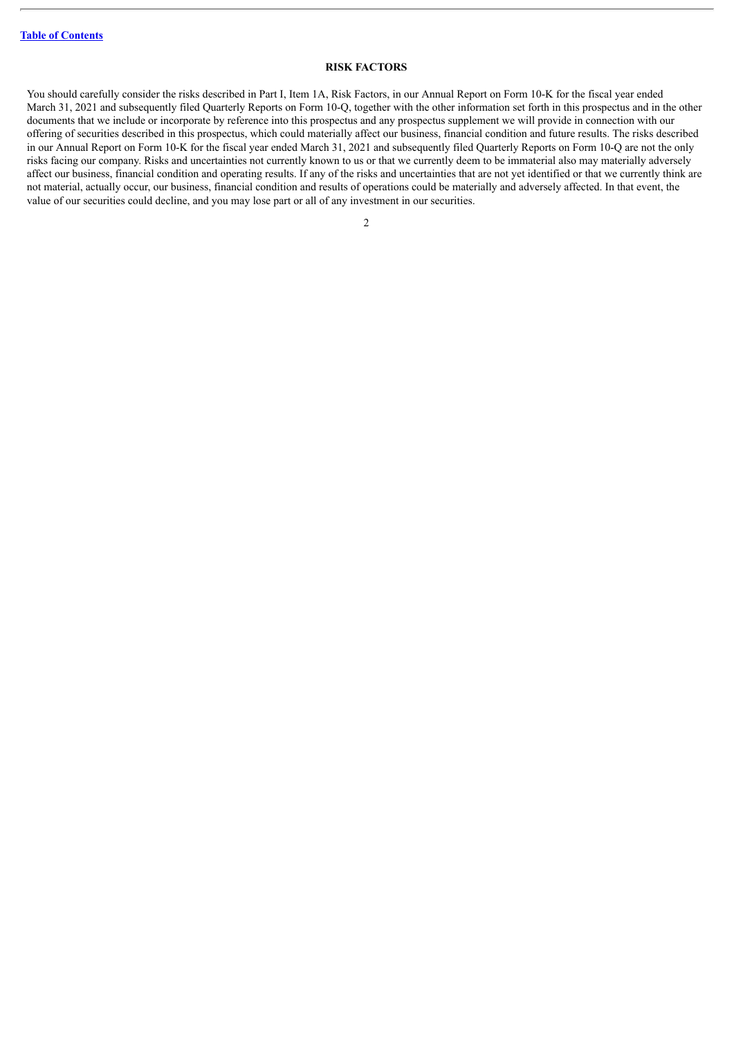#### **RISK FACTORS**

<span id="page-6-0"></span>You should carefully consider the risks described in Part I, Item 1A, Risk Factors, in our Annual Report on Form 10-K for the fiscal year ended March 31, 2021 and subsequently filed Quarterly Reports on Form 10-Q, together with the other information set forth in this prospectus and in the other documents that we include or incorporate by reference into this prospectus and any prospectus supplement we will provide in connection with our offering of securities described in this prospectus, which could materially affect our business, financial condition and future results. The risks described in our Annual Report on Form 10-K for the fiscal year ended March 31, 2021 and subsequently filed Quarterly Reports on Form 10-Q are not the only risks facing our company. Risks and uncertainties not currently known to us or that we currently deem to be immaterial also may materially adversely affect our business, financial condition and operating results. If any of the risks and uncertainties that are not yet identified or that we currently think are not material, actually occur, our business, financial condition and results of operations could be materially and adversely affected. In that event, the value of our securities could decline, and you may lose part or all of any investment in our securities.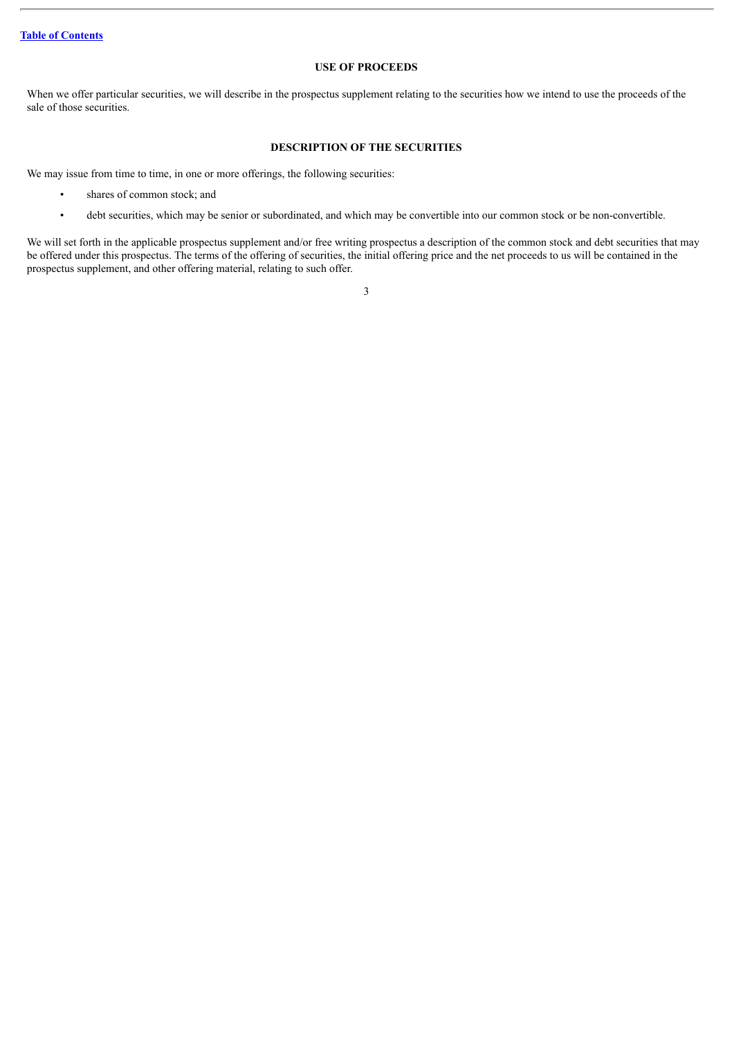#### **USE OF PROCEEDS**

<span id="page-7-0"></span>When we offer particular securities, we will describe in the prospectus supplement relating to the securities how we intend to use the proceeds of the sale of those securities.

#### **DESCRIPTION OF THE SECURITIES**

<span id="page-7-1"></span>We may issue from time to time, in one or more offerings, the following securities:

- shares of common stock; and
- debt securities, which may be senior or subordinated, and which may be convertible into our common stock or be non-convertible.

We will set forth in the applicable prospectus supplement and/or free writing prospectus a description of the common stock and debt securities that may be offered under this prospectus. The terms of the offering of securities, the initial offering price and the net proceeds to us will be contained in the prospectus supplement, and other offering material, relating to such offer.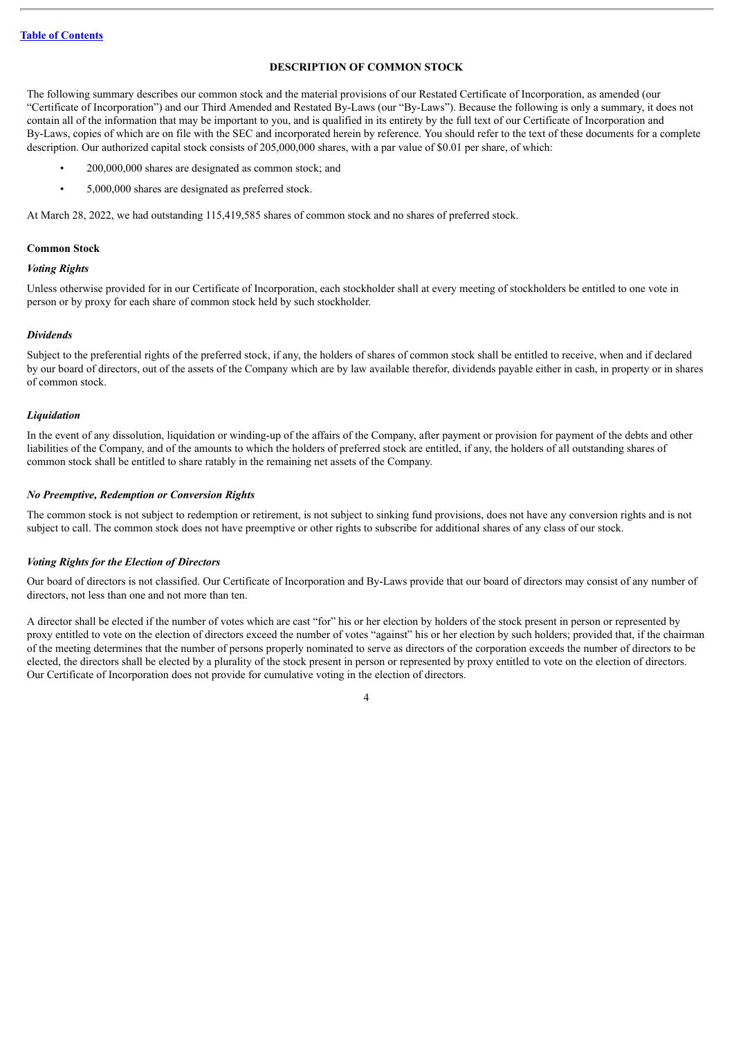#### **DESCRIPTION OF COMMON STOCK**

<span id="page-8-0"></span>The following summary describes our common stock and the material provisions of our Restated Certificate of Incorporation, as amended (our "Certificate of Incorporation") and our Third Amended and Restated By-Laws (our "By-Laws"). Because the following is only a summary, it does not contain all of the information that may be important to you, and is qualified in its entirety by the full text of our Certificate of Incorporation and By-Laws, copies of which are on file with the SEC and incorporated herein by reference. You should refer to the text of these documents for a complete description. Our authorized capital stock consists of 205,000,000 shares, with a par value of \$0.01 per share, of which:

- 200,000,000 shares are designated as common stock; and
- 5,000,000 shares are designated as preferred stock.

At March 28, 2022, we had outstanding 115,419,585 shares of common stock and no shares of preferred stock.

#### **Common Stock**

#### *Voting Rights*

Unless otherwise provided for in our Certificate of Incorporation, each stockholder shall at every meeting of stockholders be entitled to one vote in person or by proxy for each share of common stock held by such stockholder.

#### *Dividends*

Subject to the preferential rights of the preferred stock, if any, the holders of shares of common stock shall be entitled to receive, when and if declared by our board of directors, out of the assets of the Company which are by law available therefor, dividends payable either in cash, in property or in shares of common stock.

#### *Liquidation*

In the event of any dissolution, liquidation or winding-up of the affairs of the Company, after payment or provision for payment of the debts and other liabilities of the Company, and of the amounts to which the holders of preferred stock are entitled, if any, the holders of all outstanding shares of common stock shall be entitled to share ratably in the remaining net assets of the Company.

#### *No Preemptive, Redemption or Conversion Rights*

The common stock is not subject to redemption or retirement, is not subject to sinking fund provisions, does not have any conversion rights and is not subject to call. The common stock does not have preemptive or other rights to subscribe for additional shares of any class of our stock.

#### *Voting Rights for the Election of Directors*

Our board of directors is not classified. Our Certificate of Incorporation and By-Laws provide that our board of directors may consist of any number of directors, not less than one and not more than ten.

A director shall be elected if the number of votes which are cast "for" his or her election by holders of the stock present in person or represented by proxy entitled to vote on the election of directors exceed the number of votes "against" his or her election by such holders; provided that, if the chairman of the meeting determines that the number of persons properly nominated to serve as directors of the corporation exceeds the number of directors to be elected, the directors shall be elected by a plurality of the stock present in person or represented by proxy entitled to vote on the election of directors. Our Certificate of Incorporation does not provide for cumulative voting in the election of directors.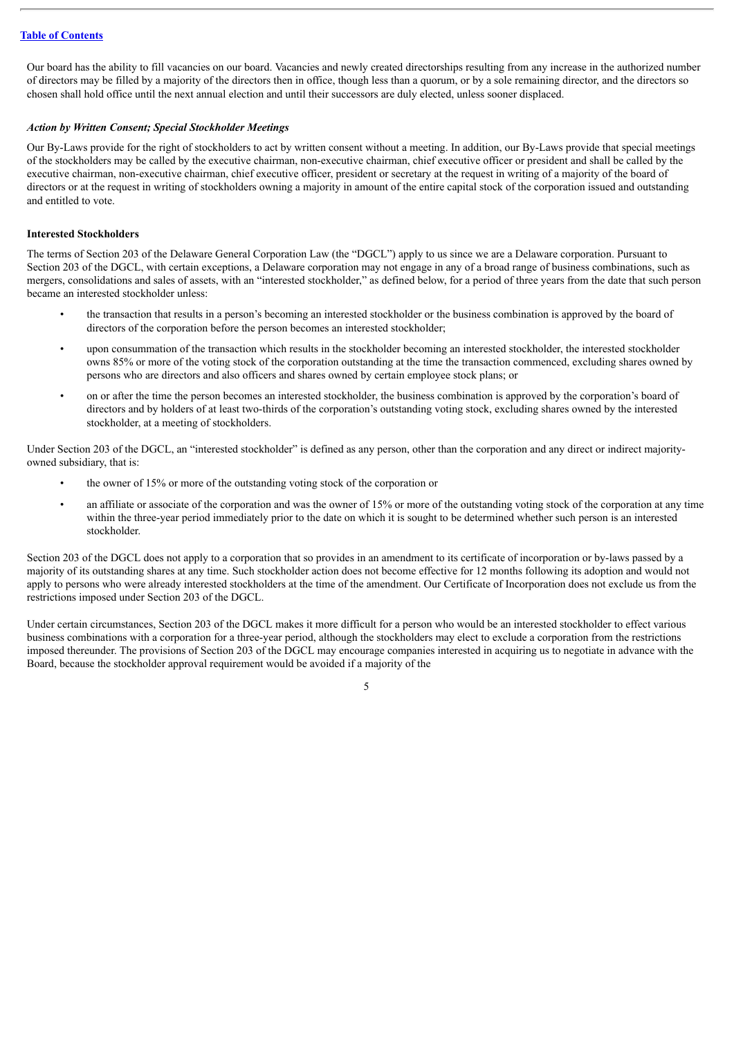Our board has the ability to fill vacancies on our board. Vacancies and newly created directorships resulting from any increase in the authorized number of directors may be filled by a majority of the directors then in office, though less than a quorum, or by a sole remaining director, and the directors so chosen shall hold office until the next annual election and until their successors are duly elected, unless sooner displaced.

#### *Action by Written Consent; Special Stockholder Meetings*

Our By-Laws provide for the right of stockholders to act by written consent without a meeting. In addition, our By-Laws provide that special meetings of the stockholders may be called by the executive chairman, non-executive chairman, chief executive officer or president and shall be called by the executive chairman, non-executive chairman, chief executive officer, president or secretary at the request in writing of a majority of the board of directors or at the request in writing of stockholders owning a majority in amount of the entire capital stock of the corporation issued and outstanding and entitled to vote.

#### **Interested Stockholders**

The terms of Section 203 of the Delaware General Corporation Law (the "DGCL") apply to us since we are a Delaware corporation. Pursuant to Section 203 of the DGCL, with certain exceptions, a Delaware corporation may not engage in any of a broad range of business combinations, such as mergers, consolidations and sales of assets, with an "interested stockholder," as defined below, for a period of three years from the date that such person became an interested stockholder unless:

- the transaction that results in a person's becoming an interested stockholder or the business combination is approved by the board of directors of the corporation before the person becomes an interested stockholder;
- upon consummation of the transaction which results in the stockholder becoming an interested stockholder, the interested stockholder owns 85% or more of the voting stock of the corporation outstanding at the time the transaction commenced, excluding shares owned by persons who are directors and also officers and shares owned by certain employee stock plans; or
- on or after the time the person becomes an interested stockholder, the business combination is approved by the corporation's board of directors and by holders of at least two-thirds of the corporation's outstanding voting stock, excluding shares owned by the interested stockholder, at a meeting of stockholders.

Under Section 203 of the DGCL, an "interested stockholder" is defined as any person, other than the corporation and any direct or indirect majorityowned subsidiary, that is:

- the owner of 15% or more of the outstanding voting stock of the corporation or
- an affiliate or associate of the corporation and was the owner of 15% or more of the outstanding voting stock of the corporation at any time within the three-year period immediately prior to the date on which it is sought to be determined whether such person is an interested stockholder.

Section 203 of the DGCL does not apply to a corporation that so provides in an amendment to its certificate of incorporation or by-laws passed by a majority of its outstanding shares at any time. Such stockholder action does not become effective for 12 months following its adoption and would not apply to persons who were already interested stockholders at the time of the amendment. Our Certificate of Incorporation does not exclude us from the restrictions imposed under Section 203 of the DGCL.

Under certain circumstances, Section 203 of the DGCL makes it more difficult for a person who would be an interested stockholder to effect various business combinations with a corporation for a three-year period, although the stockholders may elect to exclude a corporation from the restrictions imposed thereunder. The provisions of Section 203 of the DGCL may encourage companies interested in acquiring us to negotiate in advance with the Board, because the stockholder approval requirement would be avoided if a majority of the

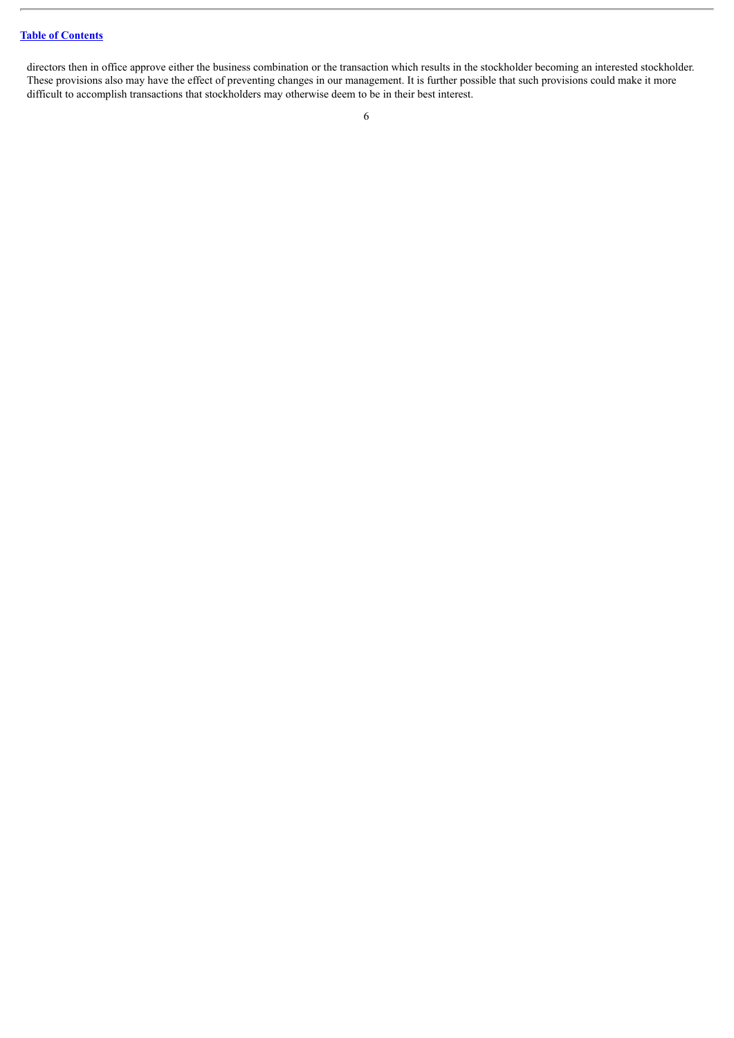directors then in office approve either the business combination or the transaction which results in the stockholder becoming an interested stockholder. These provisions also may have the effect of preventing changes in our management. It is further possible that such provisions could make it more difficult to accomplish transactions that stockholders may otherwise deem to be in their best interest.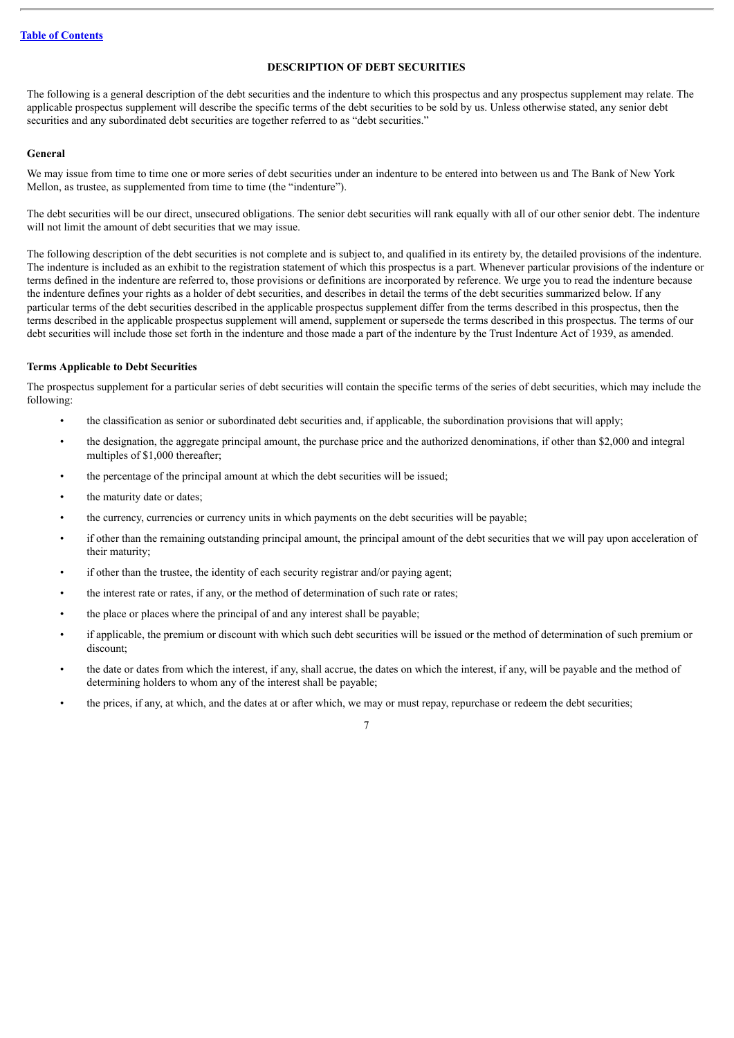#### **DESCRIPTION OF DEBT SECURITIES**

<span id="page-11-0"></span>The following is a general description of the debt securities and the indenture to which this prospectus and any prospectus supplement may relate. The applicable prospectus supplement will describe the specific terms of the debt securities to be sold by us. Unless otherwise stated, any senior debt securities and any subordinated debt securities are together referred to as "debt securities."

#### **General**

We may issue from time to time one or more series of debt securities under an indenture to be entered into between us and The Bank of New York Mellon, as trustee, as supplemented from time to time (the "indenture").

The debt securities will be our direct, unsecured obligations. The senior debt securities will rank equally with all of our other senior debt. The indenture will not limit the amount of debt securities that we may issue.

The following description of the debt securities is not complete and is subject to, and qualified in its entirety by, the detailed provisions of the indenture. The indenture is included as an exhibit to the registration statement of which this prospectus is a part. Whenever particular provisions of the indenture or terms defined in the indenture are referred to, those provisions or definitions are incorporated by reference. We urge you to read the indenture because the indenture defines your rights as a holder of debt securities, and describes in detail the terms of the debt securities summarized below. If any particular terms of the debt securities described in the applicable prospectus supplement differ from the terms described in this prospectus, then the terms described in the applicable prospectus supplement will amend, supplement or supersede the terms described in this prospectus. The terms of our debt securities will include those set forth in the indenture and those made a part of the indenture by the Trust Indenture Act of 1939, as amended.

#### **Terms Applicable to Debt Securities**

The prospectus supplement for a particular series of debt securities will contain the specific terms of the series of debt securities, which may include the following:

- the classification as senior or subordinated debt securities and, if applicable, the subordination provisions that will apply;
- the designation, the aggregate principal amount, the purchase price and the authorized denominations, if other than \$2,000 and integral multiples of \$1,000 thereafter;
- the percentage of the principal amount at which the debt securities will be issued;
- the maturity date or dates:
- the currency, currencies or currency units in which payments on the debt securities will be payable;
- if other than the remaining outstanding principal amount, the principal amount of the debt securities that we will pay upon acceleration of their maturity;
- if other than the trustee, the identity of each security registrar and/or paying agent;
- the interest rate or rates, if any, or the method of determination of such rate or rates;
- the place or places where the principal of and any interest shall be payable;
- if applicable, the premium or discount with which such debt securities will be issued or the method of determination of such premium or discount;
- the date or dates from which the interest, if any, shall accrue, the dates on which the interest, if any, will be payable and the method of determining holders to whom any of the interest shall be payable;
- the prices, if any, at which, and the dates at or after which, we may or must repay, repurchase or redeem the debt securities;

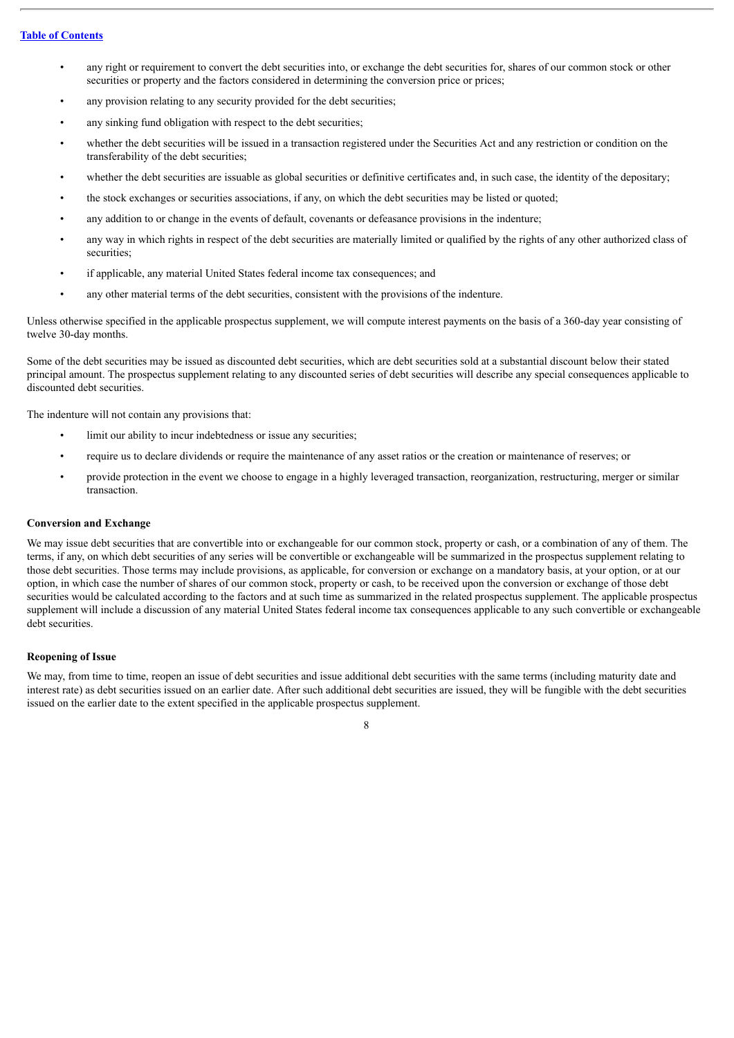- any right or requirement to convert the debt securities into, or exchange the debt securities for, shares of our common stock or other securities or property and the factors considered in determining the conversion price or prices;
- any provision relating to any security provided for the debt securities;
- any sinking fund obligation with respect to the debt securities:
- whether the debt securities will be issued in a transaction registered under the Securities Act and any restriction or condition on the transferability of the debt securities;
- whether the debt securities are issuable as global securities or definitive certificates and, in such case, the identity of the depositary;
- the stock exchanges or securities associations, if any, on which the debt securities may be listed or quoted;
- any addition to or change in the events of default, covenants or defeasance provisions in the indenture;
- any way in which rights in respect of the debt securities are materially limited or qualified by the rights of any other authorized class of securities;
- if applicable, any material United States federal income tax consequences; and
- any other material terms of the debt securities, consistent with the provisions of the indenture.

Unless otherwise specified in the applicable prospectus supplement, we will compute interest payments on the basis of a 360-day year consisting of twelve 30-day months.

Some of the debt securities may be issued as discounted debt securities, which are debt securities sold at a substantial discount below their stated principal amount. The prospectus supplement relating to any discounted series of debt securities will describe any special consequences applicable to discounted debt securities.

The indenture will not contain any provisions that:

- limit our ability to incur indebtedness or issue any securities;
- require us to declare dividends or require the maintenance of any asset ratios or the creation or maintenance of reserves; or
- provide protection in the event we choose to engage in a highly leveraged transaction, reorganization, restructuring, merger or similar transaction.

#### **Conversion and Exchange**

We may issue debt securities that are convertible into or exchangeable for our common stock, property or cash, or a combination of any of them. The terms, if any, on which debt securities of any series will be convertible or exchangeable will be summarized in the prospectus supplement relating to those debt securities. Those terms may include provisions, as applicable, for conversion or exchange on a mandatory basis, at your option, or at our option, in which case the number of shares of our common stock, property or cash, to be received upon the conversion or exchange of those debt securities would be calculated according to the factors and at such time as summarized in the related prospectus supplement. The applicable prospectus supplement will include a discussion of any material United States federal income tax consequences applicable to any such convertible or exchangeable debt securities.

#### **Reopening of Issue**

We may, from time to time, reopen an issue of debt securities and issue additional debt securities with the same terms (including maturity date and interest rate) as debt securities issued on an earlier date. After such additional debt securities are issued, they will be fungible with the debt securities issued on the earlier date to the extent specified in the applicable prospectus supplement.

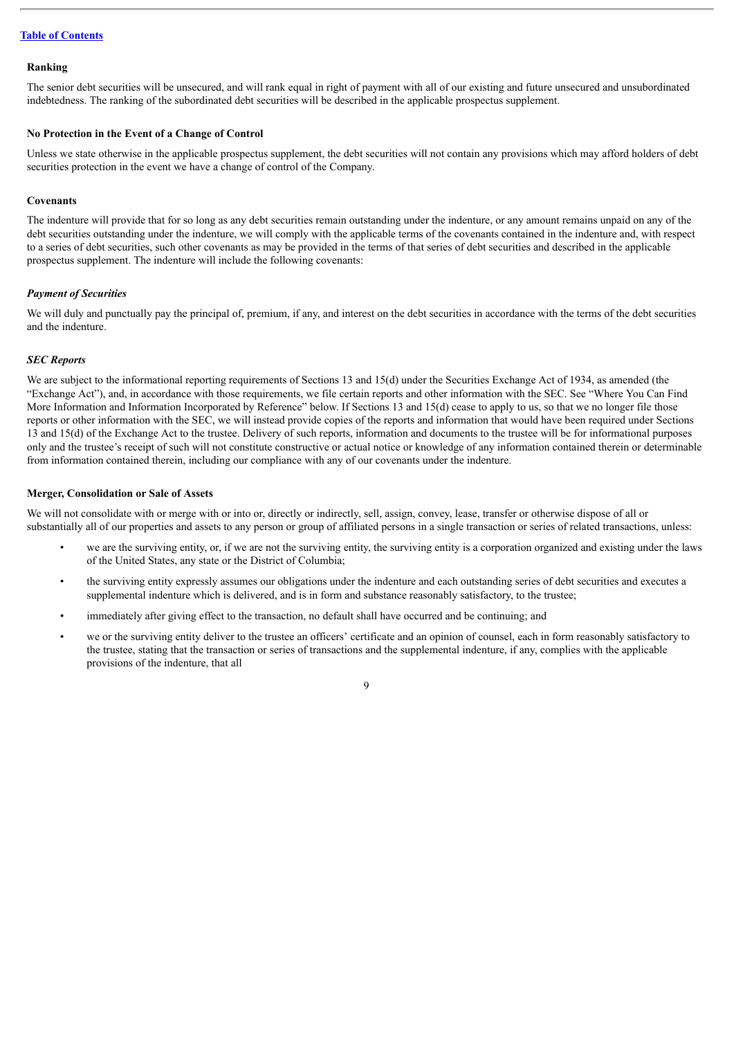#### **Ranking**

The senior debt securities will be unsecured, and will rank equal in right of payment with all of our existing and future unsecured and unsubordinated indebtedness. The ranking of the subordinated debt securities will be described in the applicable prospectus supplement.

#### **No Protection in the Event of a Change of Control**

Unless we state otherwise in the applicable prospectus supplement, the debt securities will not contain any provisions which may afford holders of debt securities protection in the event we have a change of control of the Company.

#### **Covenants**

The indenture will provide that for so long as any debt securities remain outstanding under the indenture, or any amount remains unpaid on any of the debt securities outstanding under the indenture, we will comply with the applicable terms of the covenants contained in the indenture and, with respect to a series of debt securities, such other covenants as may be provided in the terms of that series of debt securities and described in the applicable prospectus supplement. The indenture will include the following covenants:

#### *Payment of Securities*

We will duly and punctually pay the principal of, premium, if any, and interest on the debt securities in accordance with the terms of the debt securities and the indenture.

#### *SEC Reports*

We are subject to the informational reporting requirements of Sections 13 and 15(d) under the Securities Exchange Act of 1934, as amended (the "Exchange Act"), and, in accordance with those requirements, we file certain reports and other information with the SEC. See "Where You Can Find More Information and Information Incorporated by Reference" below. If Sections 13 and 15(d) cease to apply to us, so that we no longer file those reports or other information with the SEC, we will instead provide copies of the reports and information that would have been required under Sections 13 and 15(d) of the Exchange Act to the trustee. Delivery of such reports, information and documents to the trustee will be for informational purposes only and the trustee's receipt of such will not constitute constructive or actual notice or knowledge of any information contained therein or determinable from information contained therein, including our compliance with any of our covenants under the indenture.

#### **Merger, Consolidation or Sale of Assets**

We will not consolidate with or merge with or into or, directly or indirectly, sell, assign, convey, lease, transfer or otherwise dispose of all or substantially all of our properties and assets to any person or group of affiliated persons in a single transaction or series of related transactions, unless:

- we are the surviving entity, or, if we are not the surviving entity, the surviving entity is a corporation organized and existing under the laws of the United States, any state or the District of Columbia;
- the surviving entity expressly assumes our obligations under the indenture and each outstanding series of debt securities and executes a supplemental indenture which is delivered, and is in form and substance reasonably satisfactory, to the trustee;
- immediately after giving effect to the transaction, no default shall have occurred and be continuing; and
- we or the surviving entity deliver to the trustee an officers' certificate and an opinion of counsel, each in form reasonably satisfactory to the trustee, stating that the transaction or series of transactions and the supplemental indenture, if any, complies with the applicable provisions of the indenture, that all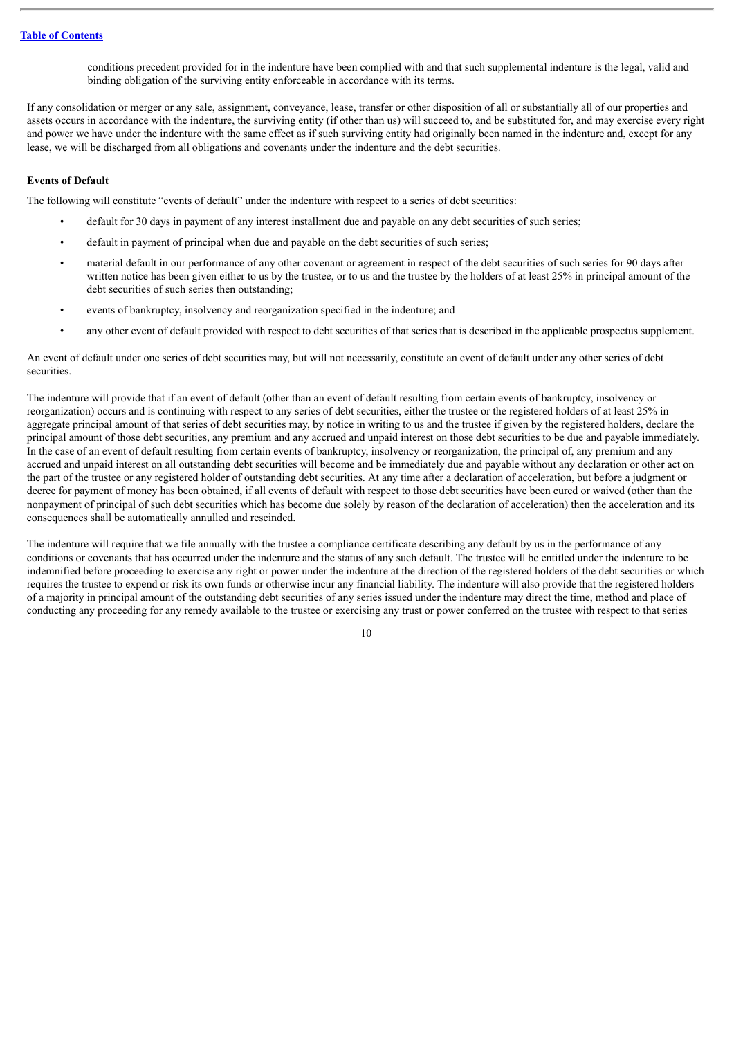conditions precedent provided for in the indenture have been complied with and that such supplemental indenture is the legal, valid and binding obligation of the surviving entity enforceable in accordance with its terms.

If any consolidation or merger or any sale, assignment, conveyance, lease, transfer or other disposition of all or substantially all of our properties and assets occurs in accordance with the indenture, the surviving entity (if other than us) will succeed to, and be substituted for, and may exercise every right and power we have under the indenture with the same effect as if such surviving entity had originally been named in the indenture and, except for any lease, we will be discharged from all obligations and covenants under the indenture and the debt securities.

#### **Events of Default**

The following will constitute "events of default" under the indenture with respect to a series of debt securities:

- default for 30 days in payment of any interest installment due and payable on any debt securities of such series;
- default in payment of principal when due and payable on the debt securities of such series;
- material default in our performance of any other covenant or agreement in respect of the debt securities of such series for 90 days after written notice has been given either to us by the trustee, or to us and the trustee by the holders of at least 25% in principal amount of the debt securities of such series then outstanding;
- events of bankruptcy, insolvency and reorganization specified in the indenture; and
- any other event of default provided with respect to debt securities of that series that is described in the applicable prospectus supplement.

An event of default under one series of debt securities may, but will not necessarily, constitute an event of default under any other series of debt securities.

The indenture will provide that if an event of default (other than an event of default resulting from certain events of bankruptcy, insolvency or reorganization) occurs and is continuing with respect to any series of debt securities, either the trustee or the registered holders of at least 25% in aggregate principal amount of that series of debt securities may, by notice in writing to us and the trustee if given by the registered holders, declare the principal amount of those debt securities, any premium and any accrued and unpaid interest on those debt securities to be due and payable immediately. In the case of an event of default resulting from certain events of bankruptcy, insolvency or reorganization, the principal of, any premium and any accrued and unpaid interest on all outstanding debt securities will become and be immediately due and payable without any declaration or other act on the part of the trustee or any registered holder of outstanding debt securities. At any time after a declaration of acceleration, but before a judgment or decree for payment of money has been obtained, if all events of default with respect to those debt securities have been cured or waived (other than the nonpayment of principal of such debt securities which has become due solely by reason of the declaration of acceleration) then the acceleration and its consequences shall be automatically annulled and rescinded.

The indenture will require that we file annually with the trustee a compliance certificate describing any default by us in the performance of any conditions or covenants that has occurred under the indenture and the status of any such default. The trustee will be entitled under the indenture to be indemnified before proceeding to exercise any right or power under the indenture at the direction of the registered holders of the debt securities or which requires the trustee to expend or risk its own funds or otherwise incur any financial liability. The indenture will also provide that the registered holders of a majority in principal amount of the outstanding debt securities of any series issued under the indenture may direct the time, method and place of conducting any proceeding for any remedy available to the trustee or exercising any trust or power conferred on the trustee with respect to that series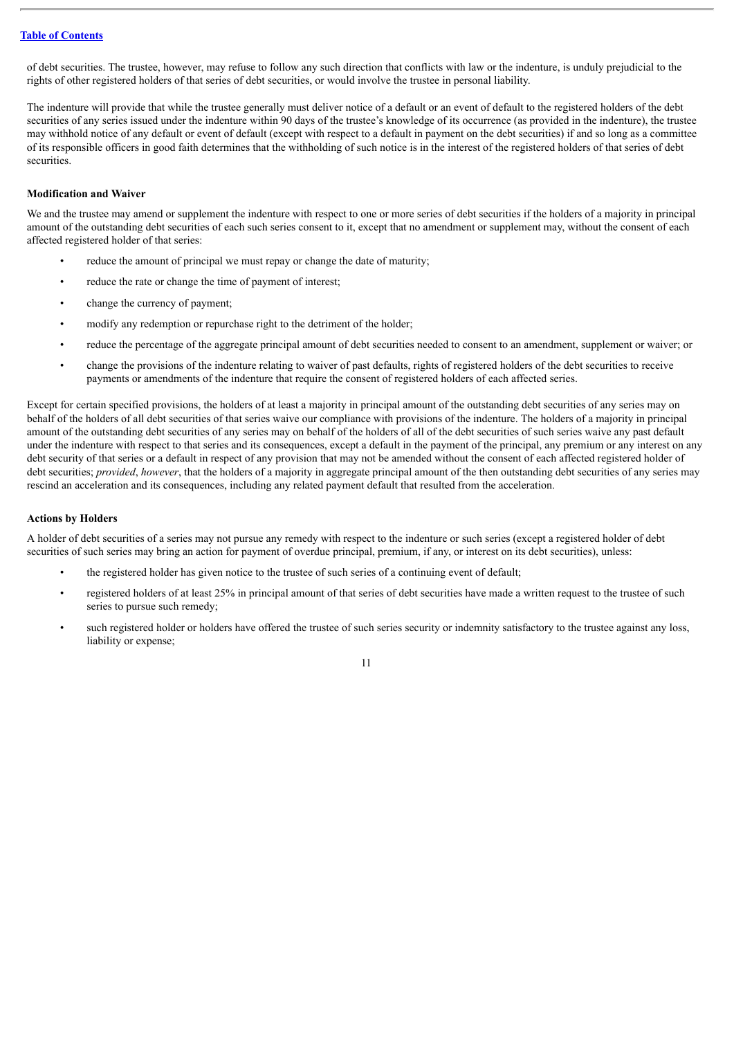of debt securities. The trustee, however, may refuse to follow any such direction that conflicts with law or the indenture, is unduly prejudicial to the rights of other registered holders of that series of debt securities, or would involve the trustee in personal liability.

The indenture will provide that while the trustee generally must deliver notice of a default or an event of default to the registered holders of the debt securities of any series issued under the indenture within 90 days of the trustee's knowledge of its occurrence (as provided in the indenture), the trustee may withhold notice of any default or event of default (except with respect to a default in payment on the debt securities) if and so long as a committee of its responsible officers in good faith determines that the withholding of such notice is in the interest of the registered holders of that series of debt securities.

#### **Modification and Waiver**

We and the trustee may amend or supplement the indenture with respect to one or more series of debt securities if the holders of a majority in principal amount of the outstanding debt securities of each such series consent to it, except that no amendment or supplement may, without the consent of each affected registered holder of that series:

- reduce the amount of principal we must repay or change the date of maturity;
- reduce the rate or change the time of payment of interest;
- change the currency of payment;
- modify any redemption or repurchase right to the detriment of the holder;
- reduce the percentage of the aggregate principal amount of debt securities needed to consent to an amendment, supplement or waiver; or
- change the provisions of the indenture relating to waiver of past defaults, rights of registered holders of the debt securities to receive payments or amendments of the indenture that require the consent of registered holders of each affected series.

Except for certain specified provisions, the holders of at least a majority in principal amount of the outstanding debt securities of any series may on behalf of the holders of all debt securities of that series waive our compliance with provisions of the indenture. The holders of a majority in principal amount of the outstanding debt securities of any series may on behalf of the holders of all of the debt securities of such series waive any past default under the indenture with respect to that series and its consequences, except a default in the payment of the principal, any premium or any interest on any debt security of that series or a default in respect of any provision that may not be amended without the consent of each affected registered holder of debt securities; *provided, however*, that the holders of a majority in aggregate principal amount of the then outstanding debt securities of any series may rescind an acceleration and its consequences, including any related payment default that resulted from the acceleration.

#### **Actions by Holders**

A holder of debt securities of a series may not pursue any remedy with respect to the indenture or such series (except a registered holder of debt securities of such series may bring an action for payment of overdue principal, premium, if any, or interest on its debt securities), unless:

- the registered holder has given notice to the trustee of such series of a continuing event of default;
- registered holders of at least 25% in principal amount of that series of debt securities have made a written request to the trustee of such series to pursue such remedy;
- such registered holder or holders have offered the trustee of such series security or indemnity satisfactory to the trustee against any loss, liability or expense;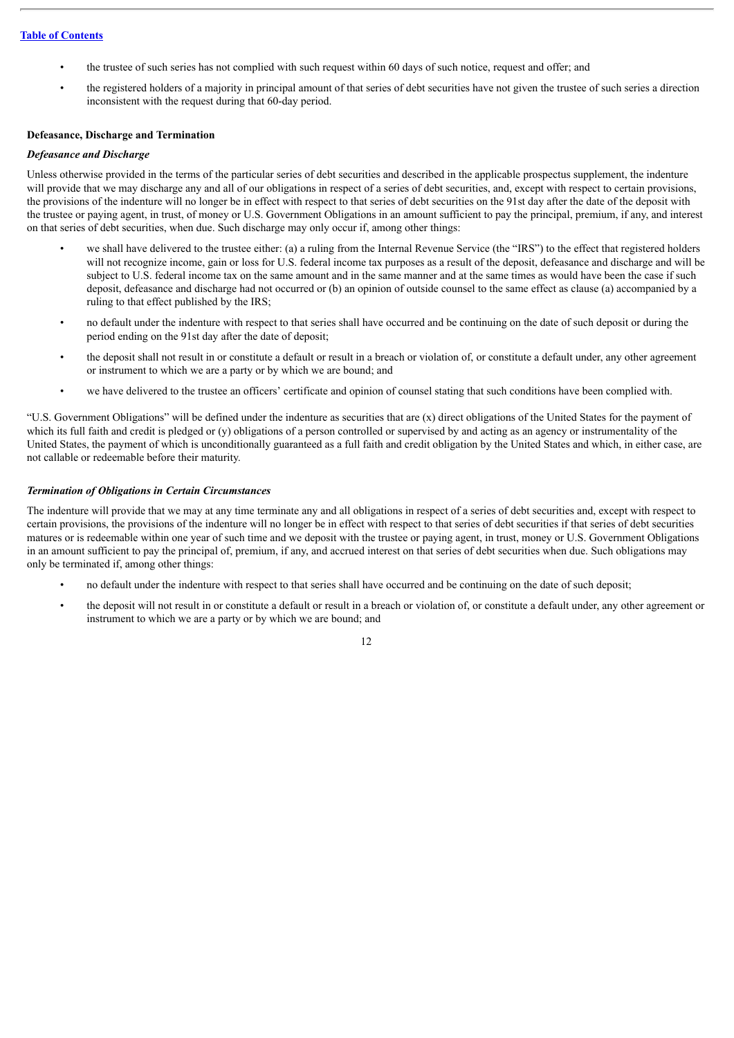- the trustee of such series has not complied with such request within 60 days of such notice, request and offer; and
- the registered holders of a majority in principal amount of that series of debt securities have not given the trustee of such series a direction inconsistent with the request during that 60-day period.

#### **Defeasance, Discharge and Termination**

#### *Defeasance and Discharge*

Unless otherwise provided in the terms of the particular series of debt securities and described in the applicable prospectus supplement, the indenture will provide that we may discharge any and all of our obligations in respect of a series of debt securities, and, except with respect to certain provisions, the provisions of the indenture will no longer be in effect with respect to that series of debt securities on the 91st day after the date of the deposit with the trustee or paying agent, in trust, of money or U.S. Government Obligations in an amount sufficient to pay the principal, premium, if any, and interest on that series of debt securities, when due. Such discharge may only occur if, among other things:

- we shall have delivered to the trustee either: (a) a ruling from the Internal Revenue Service (the "IRS") to the effect that registered holders will not recognize income, gain or loss for U.S. federal income tax purposes as a result of the deposit, defeasance and discharge and will be subject to U.S. federal income tax on the same amount and in the same manner and at the same times as would have been the case if such deposit, defeasance and discharge had not occurred or (b) an opinion of outside counsel to the same effect as clause (a) accompanied by a ruling to that effect published by the IRS;
- no default under the indenture with respect to that series shall have occurred and be continuing on the date of such deposit or during the period ending on the 91st day after the date of deposit;
- the deposit shall not result in or constitute a default or result in a breach or violation of, or constitute a default under, any other agreement or instrument to which we are a party or by which we are bound; and
- we have delivered to the trustee an officers' certificate and opinion of counsel stating that such conditions have been complied with.

"U.S. Government Obligations" will be defined under the indenture as securities that are (x) direct obligations of the United States for the payment of which its full faith and credit is pledged or (y) obligations of a person controlled or supervised by and acting as an agency or instrumentality of the United States, the payment of which is unconditionally guaranteed as a full faith and credit obligation by the United States and which, in either case, are not callable or redeemable before their maturity.

#### *Termination of Obligations in Certain Circumstances*

The indenture will provide that we may at any time terminate any and all obligations in respect of a series of debt securities and, except with respect to certain provisions, the provisions of the indenture will no longer be in effect with respect to that series of debt securities if that series of debt securities matures or is redeemable within one year of such time and we deposit with the trustee or paying agent, in trust, money or U.S. Government Obligations in an amount sufficient to pay the principal of, premium, if any, and accrued interest on that series of debt securities when due. Such obligations may only be terminated if, among other things:

- no default under the indenture with respect to that series shall have occurred and be continuing on the date of such deposit;
- the deposit will not result in or constitute a default or result in a breach or violation of, or constitute a default under, any other agreement or instrument to which we are a party or by which we are bound; and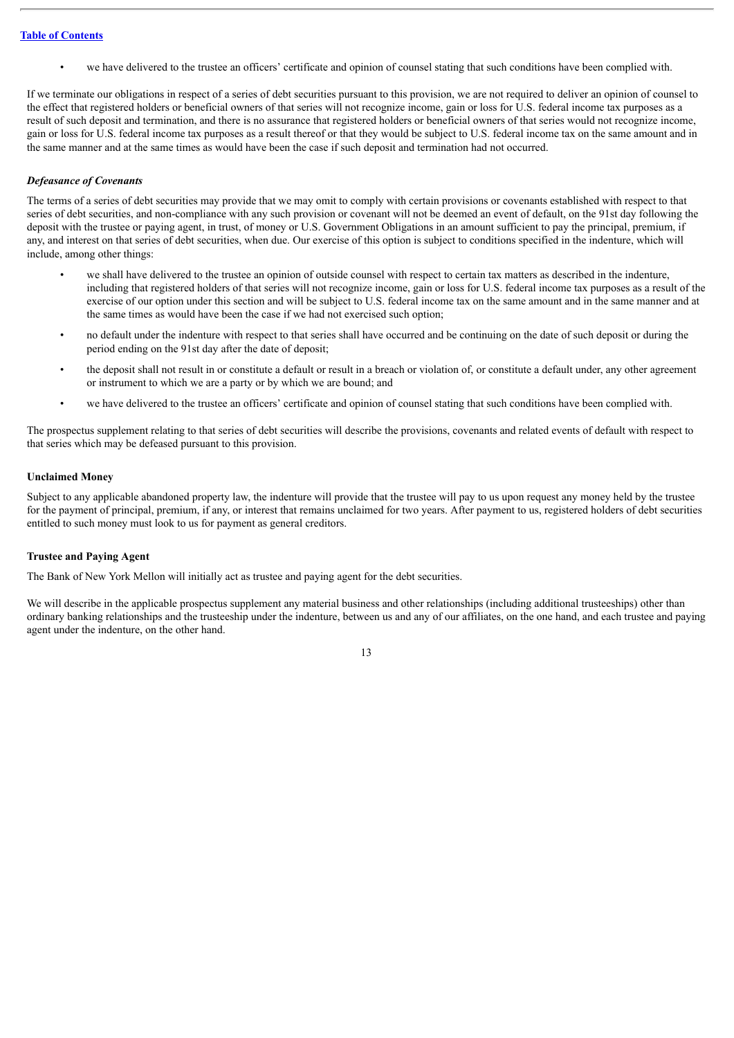• we have delivered to the trustee an officers' certificate and opinion of counsel stating that such conditions have been complied with.

If we terminate our obligations in respect of a series of debt securities pursuant to this provision, we are not required to deliver an opinion of counsel to the effect that registered holders or beneficial owners of that series will not recognize income, gain or loss for U.S. federal income tax purposes as a result of such deposit and termination, and there is no assurance that registered holders or beneficial owners of that series would not recognize income, gain or loss for U.S. federal income tax purposes as a result thereof or that they would be subject to U.S. federal income tax on the same amount and in the same manner and at the same times as would have been the case if such deposit and termination had not occurred.

#### *Defeasance of Covenants*

The terms of a series of debt securities may provide that we may omit to comply with certain provisions or covenants established with respect to that series of debt securities, and non-compliance with any such provision or covenant will not be deemed an event of default, on the 91st day following the deposit with the trustee or paying agent, in trust, of money or U.S. Government Obligations in an amount sufficient to pay the principal, premium, if any, and interest on that series of debt securities, when due. Our exercise of this option is subject to conditions specified in the indenture, which will include, among other things:

- we shall have delivered to the trustee an opinion of outside counsel with respect to certain tax matters as described in the indenture, including that registered holders of that series will not recognize income, gain or loss for U.S. federal income tax purposes as a result of the exercise of our option under this section and will be subject to U.S. federal income tax on the same amount and in the same manner and at the same times as would have been the case if we had not exercised such option;
- no default under the indenture with respect to that series shall have occurred and be continuing on the date of such deposit or during the period ending on the 91st day after the date of deposit;
- the deposit shall not result in or constitute a default or result in a breach or violation of, or constitute a default under, any other agreement or instrument to which we are a party or by which we are bound; and
- we have delivered to the trustee an officers' certificate and opinion of counsel stating that such conditions have been complied with.

The prospectus supplement relating to that series of debt securities will describe the provisions, covenants and related events of default with respect to that series which may be defeased pursuant to this provision.

#### **Unclaimed Money**

Subject to any applicable abandoned property law, the indenture will provide that the trustee will pay to us upon request any money held by the trustee for the payment of principal, premium, if any, or interest that remains unclaimed for two years. After payment to us, registered holders of debt securities entitled to such money must look to us for payment as general creditors.

#### **Trustee and Paying Agent**

The Bank of New York Mellon will initially act as trustee and paying agent for the debt securities.

We will describe in the applicable prospectus supplement any material business and other relationships (including additional trusteeships) other than ordinary banking relationships and the trusteeship under the indenture, between us and any of our affiliates, on the one hand, and each trustee and paying agent under the indenture, on the other hand.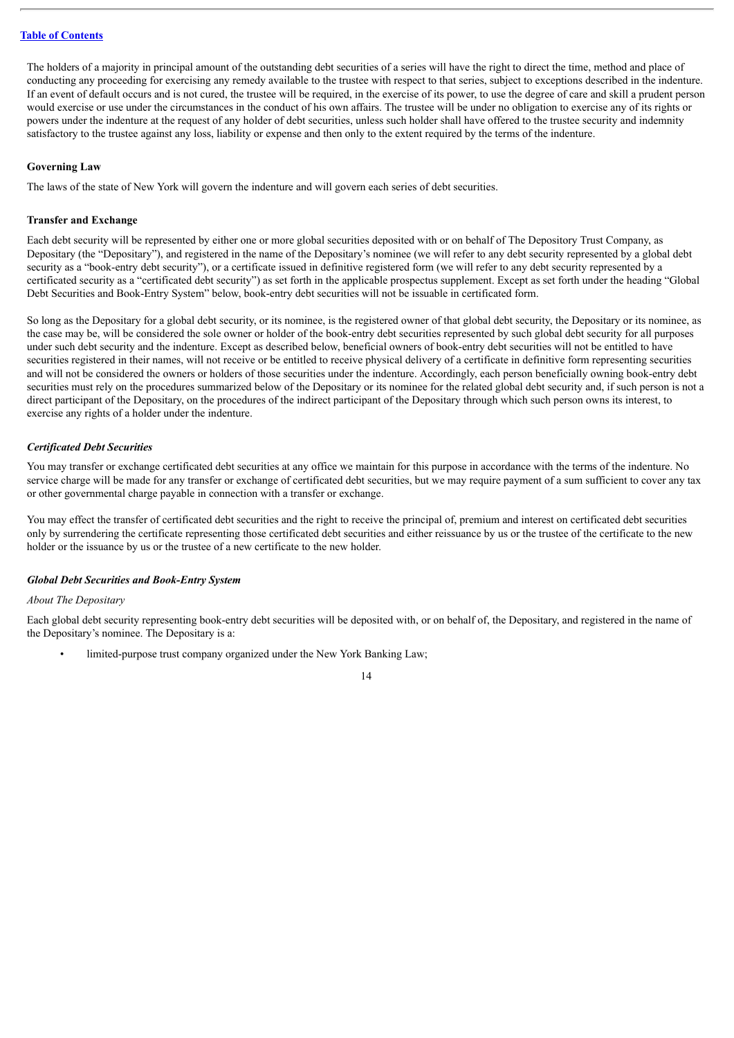The holders of a majority in principal amount of the outstanding debt securities of a series will have the right to direct the time, method and place of conducting any proceeding for exercising any remedy available to the trustee with respect to that series, subject to exceptions described in the indenture. If an event of default occurs and is not cured, the trustee will be required, in the exercise of its power, to use the degree of care and skill a prudent person would exercise or use under the circumstances in the conduct of his own affairs. The trustee will be under no obligation to exercise any of its rights or powers under the indenture at the request of any holder of debt securities, unless such holder shall have offered to the trustee security and indemnity satisfactory to the trustee against any loss, liability or expense and then only to the extent required by the terms of the indenture.

#### **Governing Law**

The laws of the state of New York will govern the indenture and will govern each series of debt securities.

#### **Transfer and Exchange**

Each debt security will be represented by either one or more global securities deposited with or on behalf of The Depository Trust Company, as Depositary (the "Depositary"), and registered in the name of the Depositary's nominee (we will refer to any debt security represented by a global debt security as a "book-entry debt security"), or a certificate issued in definitive registered form (we will refer to any debt security represented by a certificated security as a "certificated debt security") as set forth in the applicable prospectus supplement. Except as set forth under the heading "Global Debt Securities and Book-Entry System" below, book-entry debt securities will not be issuable in certificated form.

So long as the Depositary for a global debt security, or its nominee, is the registered owner of that global debt security, the Depositary or its nominee, as the case may be, will be considered the sole owner or holder of the book-entry debt securities represented by such global debt security for all purposes under such debt security and the indenture. Except as described below, beneficial owners of book-entry debt securities will not be entitled to have securities registered in their names, will not receive or be entitled to receive physical delivery of a certificate in definitive form representing securities and will not be considered the owners or holders of those securities under the indenture. Accordingly, each person beneficially owning book-entry debt securities must rely on the procedures summarized below of the Depositary or its nominee for the related global debt security and, if such person is not a direct participant of the Depositary, on the procedures of the indirect participant of the Depositary through which such person owns its interest, to exercise any rights of a holder under the indenture.

#### *Certificated Debt Securities*

You may transfer or exchange certificated debt securities at any office we maintain for this purpose in accordance with the terms of the indenture. No service charge will be made for any transfer or exchange of certificated debt securities, but we may require payment of a sum sufficient to cover any tax or other governmental charge payable in connection with a transfer or exchange.

You may effect the transfer of certificated debt securities and the right to receive the principal of, premium and interest on certificated debt securities only by surrendering the certificate representing those certificated debt securities and either reissuance by us or the trustee of the certificate to the new holder or the issuance by us or the trustee of a new certificate to the new holder.

#### *Global Debt Securities and Book-Entry System*

#### *About The Depositary*

Each global debt security representing book-entry debt securities will be deposited with, or on behalf of, the Depositary, and registered in the name of the Depositary's nominee. The Depositary is a:

limited-purpose trust company organized under the New York Banking Law;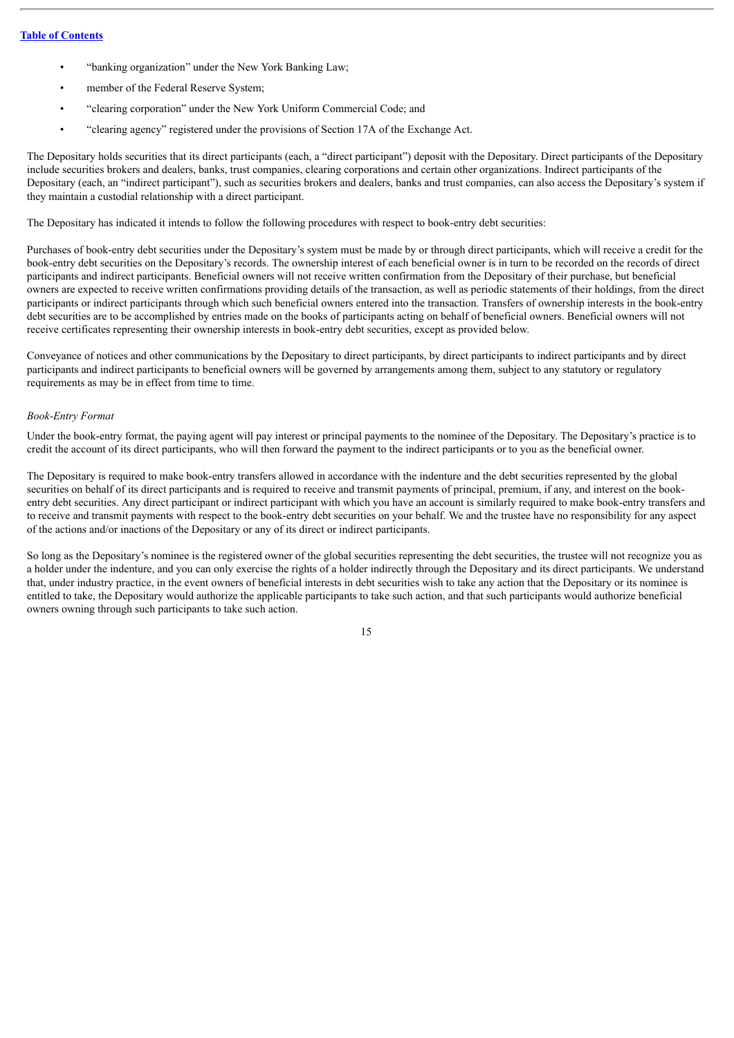- "banking organization" under the New York Banking Law;
- member of the Federal Reserve System:
- "clearing corporation" under the New York Uniform Commercial Code; and
- "clearing agency" registered under the provisions of Section 17A of the Exchange Act.

The Depositary holds securities that its direct participants (each, a "direct participant") deposit with the Depositary. Direct participants of the Depositary include securities brokers and dealers, banks, trust companies, clearing corporations and certain other organizations. Indirect participants of the Depositary (each, an "indirect participant"), such as securities brokers and dealers, banks and trust companies, can also access the Depositary's system if they maintain a custodial relationship with a direct participant.

The Depositary has indicated it intends to follow the following procedures with respect to book-entry debt securities:

Purchases of book-entry debt securities under the Depositary's system must be made by or through direct participants, which will receive a credit for the book-entry debt securities on the Depositary's records. The ownership interest of each beneficial owner is in turn to be recorded on the records of direct participants and indirect participants. Beneficial owners will not receive written confirmation from the Depositary of their purchase, but beneficial owners are expected to receive written confirmations providing details of the transaction, as well as periodic statements of their holdings, from the direct participants or indirect participants through which such beneficial owners entered into the transaction. Transfers of ownership interests in the book-entry debt securities are to be accomplished by entries made on the books of participants acting on behalf of beneficial owners. Beneficial owners will not receive certificates representing their ownership interests in book-entry debt securities, except as provided below.

Conveyance of notices and other communications by the Depositary to direct participants, by direct participants to indirect participants and by direct participants and indirect participants to beneficial owners will be governed by arrangements among them, subject to any statutory or regulatory requirements as may be in effect from time to time.

#### *Book-Entry Format*

Under the book-entry format, the paying agent will pay interest or principal payments to the nominee of the Depositary. The Depositary's practice is to credit the account of its direct participants, who will then forward the payment to the indirect participants or to you as the beneficial owner.

The Depositary is required to make book-entry transfers allowed in accordance with the indenture and the debt securities represented by the global securities on behalf of its direct participants and is required to receive and transmit payments of principal, premium, if any, and interest on the bookentry debt securities. Any direct participant or indirect participant with which you have an account is similarly required to make book-entry transfers and to receive and transmit payments with respect to the book-entry debt securities on your behalf. We and the trustee have no responsibility for any aspect of the actions and/or inactions of the Depositary or any of its direct or indirect participants.

So long as the Depositary's nominee is the registered owner of the global securities representing the debt securities, the trustee will not recognize you as a holder under the indenture, and you can only exercise the rights of a holder indirectly through the Depositary and its direct participants. We understand that, under industry practice, in the event owners of beneficial interests in debt securities wish to take any action that the Depositary or its nominee is entitled to take, the Depositary would authorize the applicable participants to take such action, and that such participants would authorize beneficial owners owning through such participants to take such action.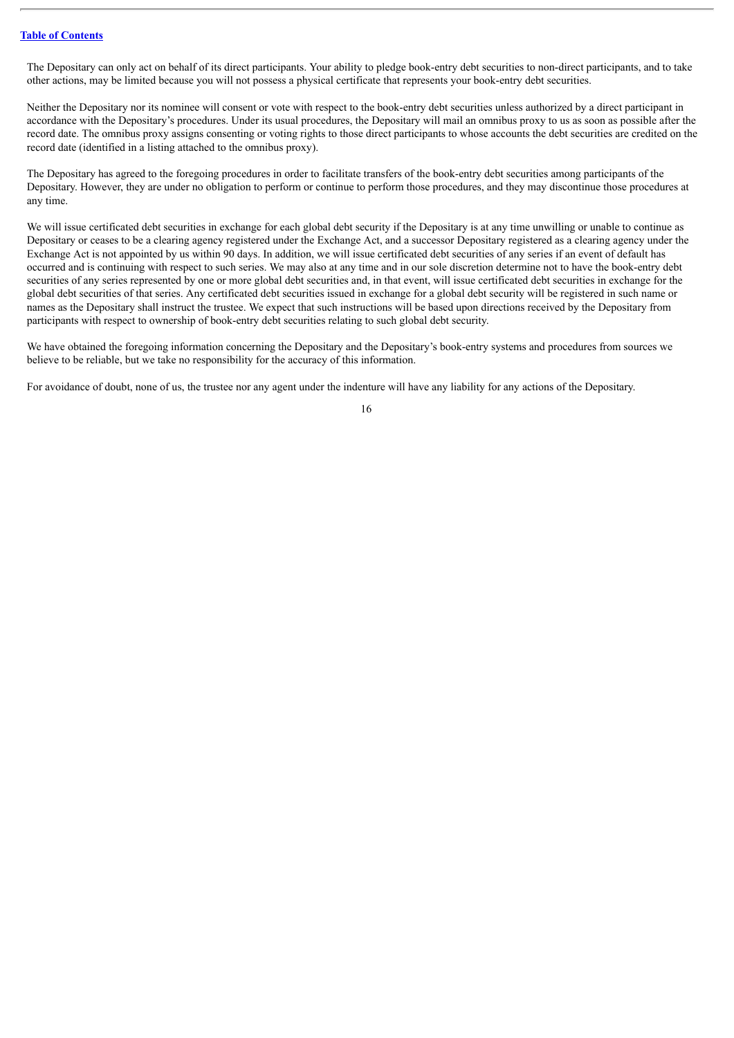The Depositary can only act on behalf of its direct participants. Your ability to pledge book-entry debt securities to non-direct participants, and to take other actions, may be limited because you will not possess a physical certificate that represents your book-entry debt securities.

Neither the Depositary nor its nominee will consent or vote with respect to the book-entry debt securities unless authorized by a direct participant in accordance with the Depositary's procedures. Under its usual procedures, the Depositary will mail an omnibus proxy to us as soon as possible after the record date. The omnibus proxy assigns consenting or voting rights to those direct participants to whose accounts the debt securities are credited on the record date (identified in a listing attached to the omnibus proxy).

The Depositary has agreed to the foregoing procedures in order to facilitate transfers of the book-entry debt securities among participants of the Depositary. However, they are under no obligation to perform or continue to perform those procedures, and they may discontinue those procedures at any time.

We will issue certificated debt securities in exchange for each global debt security if the Depositary is at any time unwilling or unable to continue as Depositary or ceases to be a clearing agency registered under the Exchange Act, and a successor Depositary registered as a clearing agency under the Exchange Act is not appointed by us within 90 days. In addition, we will issue certificated debt securities of any series if an event of default has occurred and is continuing with respect to such series. We may also at any time and in our sole discretion determine not to have the book-entry debt securities of any series represented by one or more global debt securities and, in that event, will issue certificated debt securities in exchange for the global debt securities of that series. Any certificated debt securities issued in exchange for a global debt security will be registered in such name or names as the Depositary shall instruct the trustee. We expect that such instructions will be based upon directions received by the Depositary from participants with respect to ownership of book-entry debt securities relating to such global debt security.

We have obtained the foregoing information concerning the Depositary and the Depositary's book-entry systems and procedures from sources we believe to be reliable, but we take no responsibility for the accuracy of this information.

For avoidance of doubt, none of us, the trustee nor any agent under the indenture will have any liability for any actions of the Depositary.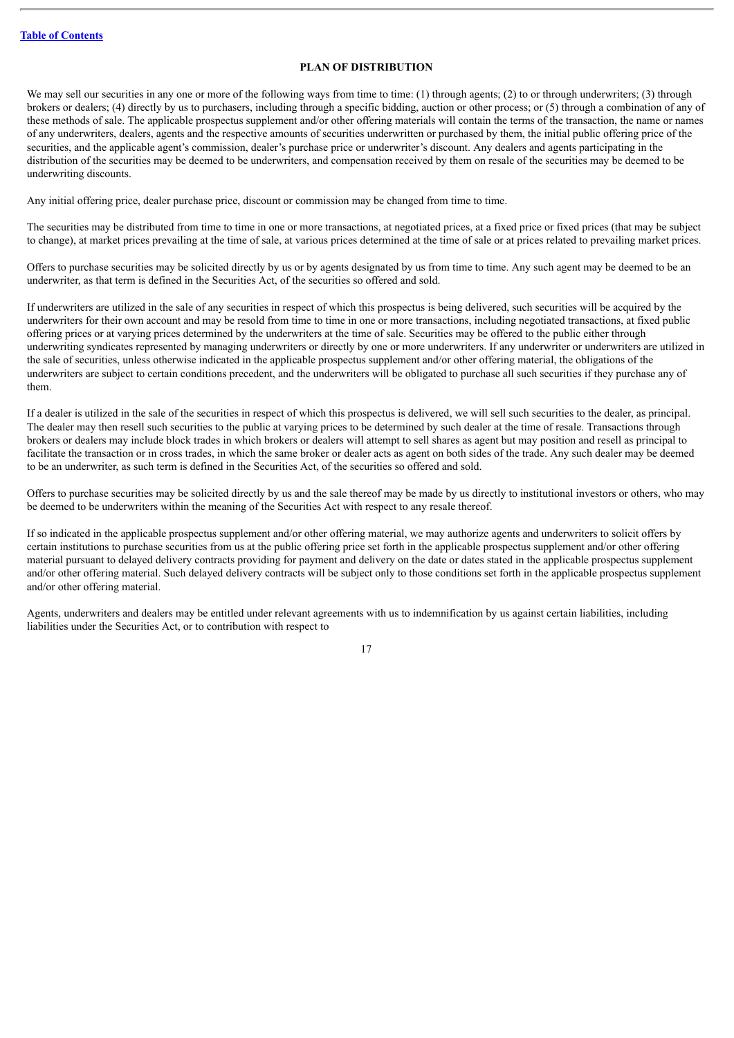#### **PLAN OF DISTRIBUTION**

<span id="page-21-0"></span>We may sell our securities in any one or more of the following ways from time to time: (1) through agents; (2) to or through underwriters; (3) through brokers or dealers; (4) directly by us to purchasers, including through a specific bidding, auction or other process; or (5) through a combination of any of these methods of sale. The applicable prospectus supplement and/or other offering materials will contain the terms of the transaction, the name or names of any underwriters, dealers, agents and the respective amounts of securities underwritten or purchased by them, the initial public offering price of the securities, and the applicable agent's commission, dealer's purchase price or underwriter's discount. Any dealers and agents participating in the distribution of the securities may be deemed to be underwriters, and compensation received by them on resale of the securities may be deemed to be underwriting discounts.

Any initial offering price, dealer purchase price, discount or commission may be changed from time to time.

The securities may be distributed from time to time in one or more transactions, at negotiated prices, at a fixed price or fixed prices (that may be subject to change), at market prices prevailing at the time of sale, at various prices determined at the time of sale or at prices related to prevailing market prices.

Offers to purchase securities may be solicited directly by us or by agents designated by us from time to time. Any such agent may be deemed to be an underwriter, as that term is defined in the Securities Act, of the securities so offered and sold.

If underwriters are utilized in the sale of any securities in respect of which this prospectus is being delivered, such securities will be acquired by the underwriters for their own account and may be resold from time to time in one or more transactions, including negotiated transactions, at fixed public offering prices or at varying prices determined by the underwriters at the time of sale. Securities may be offered to the public either through underwriting syndicates represented by managing underwriters or directly by one or more underwriters. If any underwriter or underwriters are utilized in the sale of securities, unless otherwise indicated in the applicable prospectus supplement and/or other offering material, the obligations of the underwriters are subject to certain conditions precedent, and the underwriters will be obligated to purchase all such securities if they purchase any of them.

If a dealer is utilized in the sale of the securities in respect of which this prospectus is delivered, we will sell such securities to the dealer, as principal. The dealer may then resell such securities to the public at varying prices to be determined by such dealer at the time of resale. Transactions through brokers or dealers may include block trades in which brokers or dealers will attempt to sell shares as agent but may position and resell as principal to facilitate the transaction or in cross trades, in which the same broker or dealer acts as agent on both sides of the trade. Any such dealer may be deemed to be an underwriter, as such term is defined in the Securities Act, of the securities so offered and sold.

Offers to purchase securities may be solicited directly by us and the sale thereof may be made by us directly to institutional investors or others, who may be deemed to be underwriters within the meaning of the Securities Act with respect to any resale thereof.

If so indicated in the applicable prospectus supplement and/or other offering material, we may authorize agents and underwriters to solicit offers by certain institutions to purchase securities from us at the public offering price set forth in the applicable prospectus supplement and/or other offering material pursuant to delayed delivery contracts providing for payment and delivery on the date or dates stated in the applicable prospectus supplement and/or other offering material. Such delayed delivery contracts will be subject only to those conditions set forth in the applicable prospectus supplement and/or other offering material.

Agents, underwriters and dealers may be entitled under relevant agreements with us to indemnification by us against certain liabilities, including liabilities under the Securities Act, or to contribution with respect to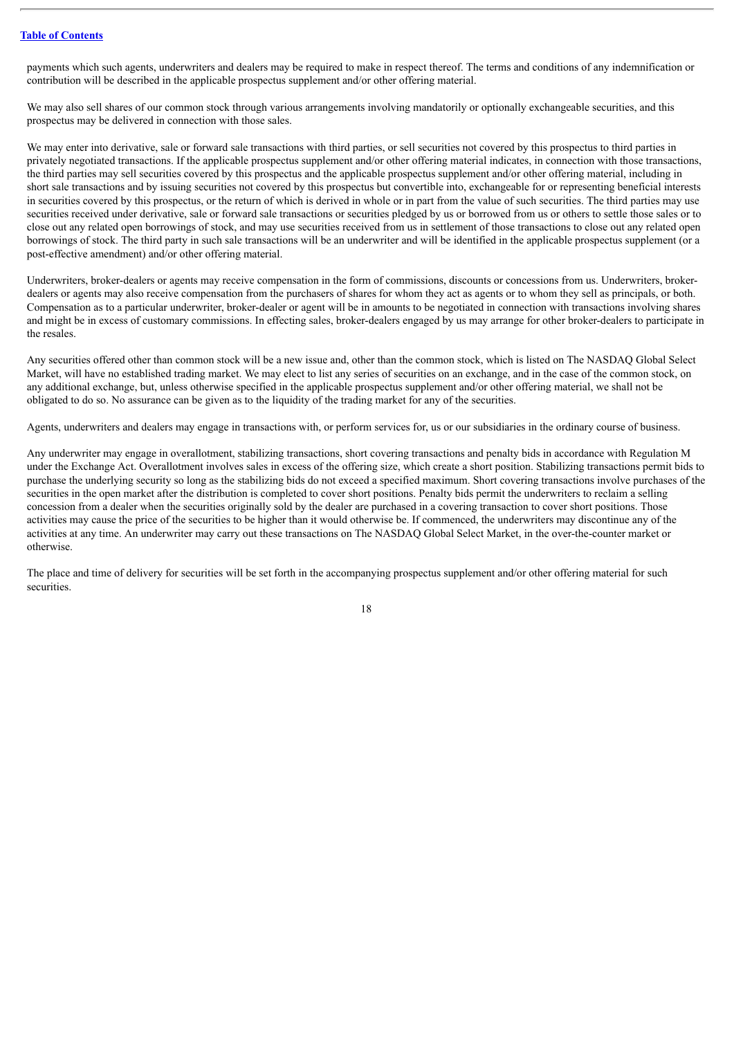payments which such agents, underwriters and dealers may be required to make in respect thereof. The terms and conditions of any indemnification or contribution will be described in the applicable prospectus supplement and/or other offering material.

We may also sell shares of our common stock through various arrangements involving mandatorily or optionally exchangeable securities, and this prospectus may be delivered in connection with those sales.

We may enter into derivative, sale or forward sale transactions with third parties, or sell securities not covered by this prospectus to third parties in privately negotiated transactions. If the applicable prospectus supplement and/or other offering material indicates, in connection with those transactions, the third parties may sell securities covered by this prospectus and the applicable prospectus supplement and/or other offering material, including in short sale transactions and by issuing securities not covered by this prospectus but convertible into, exchangeable for or representing beneficial interests in securities covered by this prospectus, or the return of which is derived in whole or in part from the value of such securities. The third parties may use securities received under derivative, sale or forward sale transactions or securities pledged by us or borrowed from us or others to settle those sales or to close out any related open borrowings of stock, and may use securities received from us in settlement of those transactions to close out any related open borrowings of stock. The third party in such sale transactions will be an underwriter and will be identified in the applicable prospectus supplement (or a post-effective amendment) and/or other offering material.

Underwriters, broker-dealers or agents may receive compensation in the form of commissions, discounts or concessions from us. Underwriters, brokerdealers or agents may also receive compensation from the purchasers of shares for whom they act as agents or to whom they sell as principals, or both. Compensation as to a particular underwriter, broker-dealer or agent will be in amounts to be negotiated in connection with transactions involving shares and might be in excess of customary commissions. In effecting sales, broker-dealers engaged by us may arrange for other broker-dealers to participate in the resales.

Any securities offered other than common stock will be a new issue and, other than the common stock, which is listed on The NASDAQ Global Select Market, will have no established trading market. We may elect to list any series of securities on an exchange, and in the case of the common stock, on any additional exchange, but, unless otherwise specified in the applicable prospectus supplement and/or other offering material, we shall not be obligated to do so. No assurance can be given as to the liquidity of the trading market for any of the securities.

Agents, underwriters and dealers may engage in transactions with, or perform services for, us or our subsidiaries in the ordinary course of business.

Any underwriter may engage in overallotment, stabilizing transactions, short covering transactions and penalty bids in accordance with Regulation M under the Exchange Act. Overallotment involves sales in excess of the offering size, which create a short position. Stabilizing transactions permit bids to purchase the underlying security so long as the stabilizing bids do not exceed a specified maximum. Short covering transactions involve purchases of the securities in the open market after the distribution is completed to cover short positions. Penalty bids permit the underwriters to reclaim a selling concession from a dealer when the securities originally sold by the dealer are purchased in a covering transaction to cover short positions. Those activities may cause the price of the securities to be higher than it would otherwise be. If commenced, the underwriters may discontinue any of the activities at any time. An underwriter may carry out these transactions on The NASDAQ Global Select Market, in the over-the-counter market or otherwise.

The place and time of delivery for securities will be set forth in the accompanying prospectus supplement and/or other offering material for such **securities**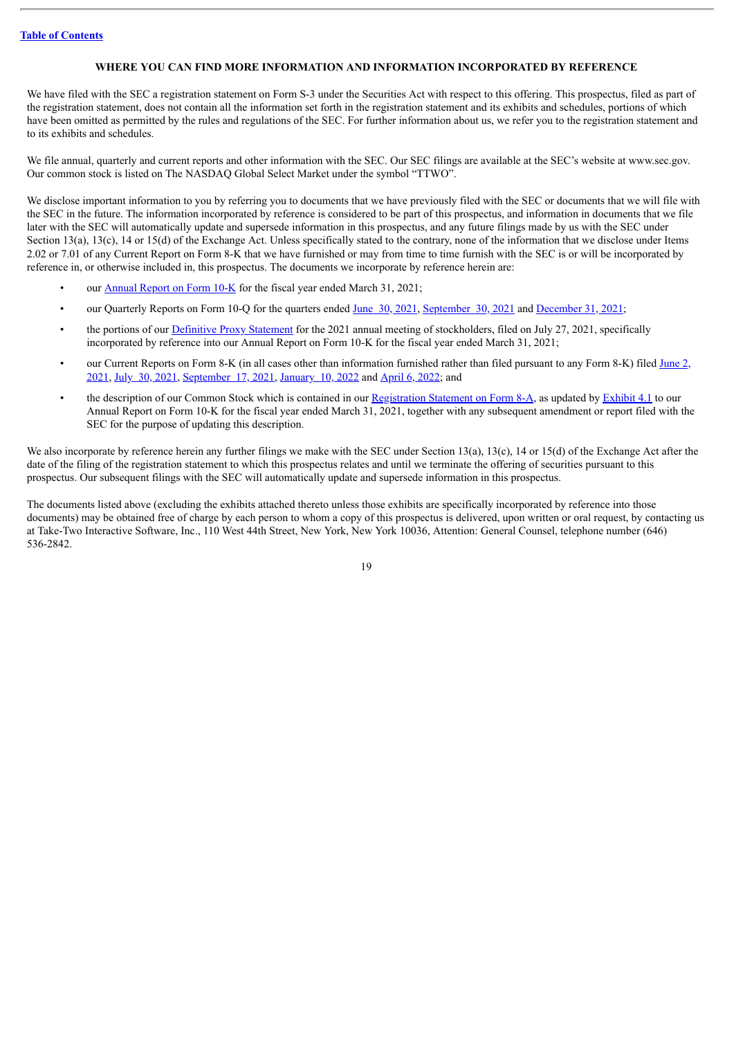#### **WHERE YOU CAN FIND MORE INFORMATION AND INFORMATION INCORPORATED BY REFERENCE**

<span id="page-23-0"></span>We have filed with the SEC a registration statement on Form S-3 under the Securities Act with respect to this offering. This prospectus, filed as part of the registration statement, does not contain all the information set forth in the registration statement and its exhibits and schedules, portions of which have been omitted as permitted by the rules and regulations of the SEC. For further information about us, we refer you to the registration statement and to its exhibits and schedules.

We file annual, quarterly and current reports and other information with the SEC. Our SEC filings are available at the SEC's website at www.sec.gov. Our common stock is listed on The NASDAQ Global Select Market under the symbol "TTWO".

We disclose important information to you by referring you to documents that we have previously filed with the SEC or documents that we will file with the SEC in the future. The information incorporated by reference is considered to be part of this prospectus, and information in documents that we file later with the SEC will automatically update and supersede information in this prospectus, and any future filings made by us with the SEC under Section 13(a), 13(c), 14 or 15(d) of the Exchange Act. Unless specifically stated to the contrary, none of the information that we disclose under Items 2.02 or 7.01 of any Current Report on Form 8-K that we have furnished or may from time to time furnish with the SEC is or will be incorporated by reference in, or otherwise included in, this prospectus. The documents we incorporate by reference herein are:

- our [Annual](http://www.sec.gov/ix?doc=/Archives/edgar/data/946581/000162828021010627/ttwo-20210331.htm) Report on Form 10-K for the fiscal year ended March 31, 2021;
- our Quarterly Reports on Form 10-Q for the quarters ended June 30, [2021](http://www.sec.gov/ix?doc=/Archives/edgar/data/946581/000162828021015202/ttwo-20210630.htm), [September](http://www.sec.gov/ix?doc=/Archives/edgar/data/946581/000162828021021561/ttwo-20210930.htm) 30, 2021 and [December](http://www.sec.gov/ix?doc=/Archives/edgar/data/946581/000162828022001929/ttwo-20211231.htm) 31, 2021;
- the portions of our [Definitive](http://www.sec.gov/Archives/edgar/data/946581/000119312521225858/d148254ddef14a.htm) Proxy Statement for the 2021 annual meeting of stockholders, filed on July 27, 2021, specifically incorporated by reference into our Annual Report on Form 10-K for the fiscal year ended March 31, 2021;
- our Current Reports on Form 8-K (in all cases other than [information](http://www.sec.gov/ix?doc=/Archives/edgar/data/0000946581/000110465921075414/tm2118183d1_8k.htm) furnished rather than filed pursuant to any Form 8-K) filed June 2, 2021, July 30, [2021,](http://www.sec.gov/ix?doc=/Archives/edgar/data/0000946581/000110465921098296/tm2123646d1_8k.htm) [September](http://www.sec.gov/ix?doc=/Archives/edgar/data/0000946581/000110465921116991/tm2127732d1_8k.htm) 17, 2021, [January](http://www.sec.gov/ix?doc=/Archives/edgar/data/0000946581/000119312522005771/d282059d8k.htm) 10, 2022 and [April](http://www.sec.gov/ix?doc=/Archives/edgar/data/946581/000119312522096547/d342728d8k.htm) 6, 2022; and
- the description of our Common Stock which is contained in our [Registration](http://www.sec.gov/Archives/edgar/data/0000946581/000110465908019702/a08-9031_28a12b.htm) Statement on Form 8-A, as updated by [Exhibit](http://www.sec.gov/Archives/edgar/data/946581/000162828020008291/ex-4103312020.htm) 4.1 to our Annual Report on Form 10-K for the fiscal year ended March 31, 2021, together with any subsequent amendment or report filed with the SEC for the purpose of updating this description.

We also incorporate by reference herein any further filings we make with the SEC under Section 13(a), 13(c), 14 or 15(d) of the Exchange Act after the date of the filing of the registration statement to which this prospectus relates and until we terminate the offering of securities pursuant to this prospectus. Our subsequent filings with the SEC will automatically update and supersede information in this prospectus.

The documents listed above (excluding the exhibits attached thereto unless those exhibits are specifically incorporated by reference into those documents) may be obtained free of charge by each person to whom a copy of this prospectus is delivered, upon written or oral request, by contacting us at Take-Two Interactive Software, Inc., 110 West 44th Street, New York, New York 10036, Attention: General Counsel, telephone number (646) 536-2842.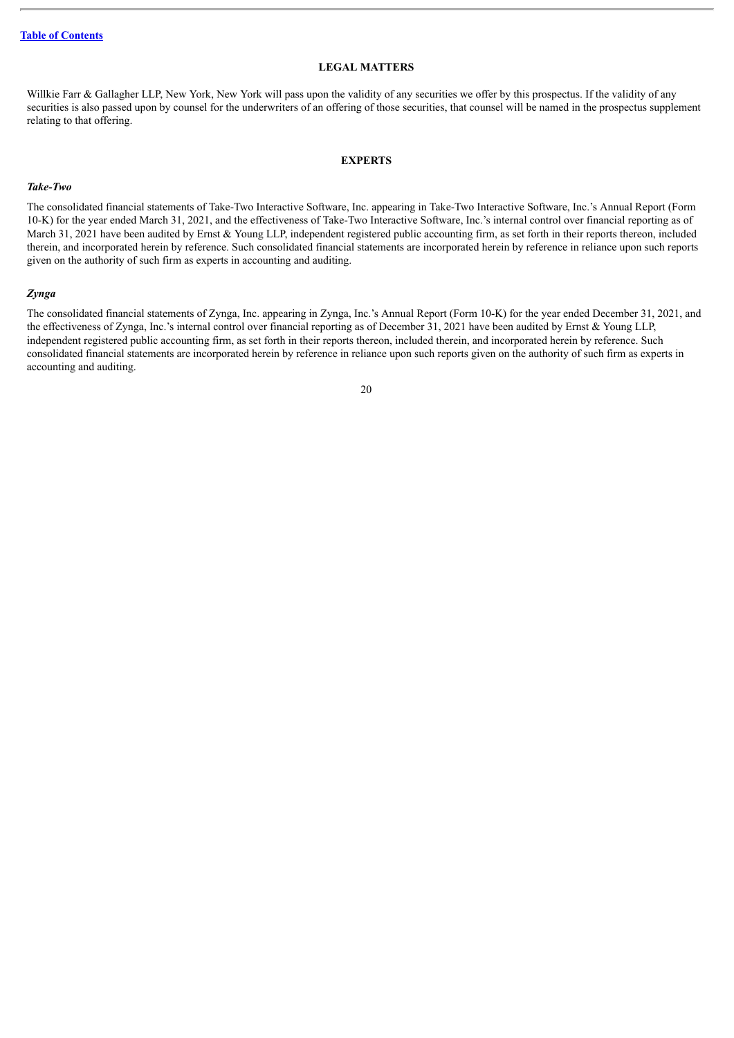#### **LEGAL MATTERS**

<span id="page-24-0"></span>Willkie Farr & Gallagher LLP, New York, New York will pass upon the validity of any securities we offer by this prospectus. If the validity of any securities is also passed upon by counsel for the underwriters of an offering of those securities, that counsel will be named in the prospectus supplement relating to that offering.

#### **EXPERTS**

#### <span id="page-24-1"></span>*Take-Two*

The consolidated financial statements of Take-Two Interactive Software, Inc. appearing in Take-Two Interactive Software, Inc.'s Annual Report (Form 10-K) for the year ended March 31, 2021, and the effectiveness of Take-Two Interactive Software, Inc.'s internal control over financial reporting as of March 31, 2021 have been audited by Ernst & Young LLP, independent registered public accounting firm, as set forth in their reports thereon, included therein, and incorporated herein by reference. Such consolidated financial statements are incorporated herein by reference in reliance upon such reports given on the authority of such firm as experts in accounting and auditing.

#### *Zynga*

The consolidated financial statements of Zynga, Inc. appearing in Zynga, Inc.'s Annual Report (Form 10-K) for the year ended December 31, 2021, and the effectiveness of Zynga, Inc.'s internal control over financial reporting as of December 31, 2021 have been audited by Ernst & Young LLP, independent registered public accounting firm, as set forth in their reports thereon, included therein, and incorporated herein by reference. Such consolidated financial statements are incorporated herein by reference in reliance upon such reports given on the authority of such firm as experts in accounting and auditing.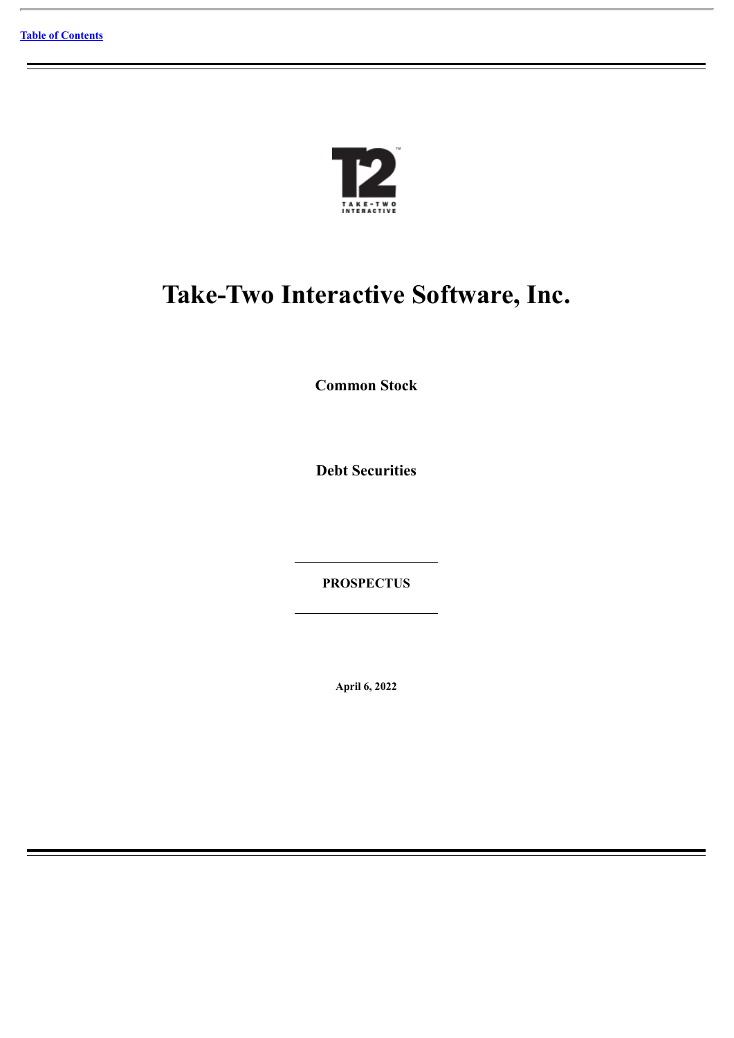

# **Take-Two Interactive Software, Inc.**

**Common Stock**

**Debt Securities**

**PROSPECTUS**

**April 6, 2022**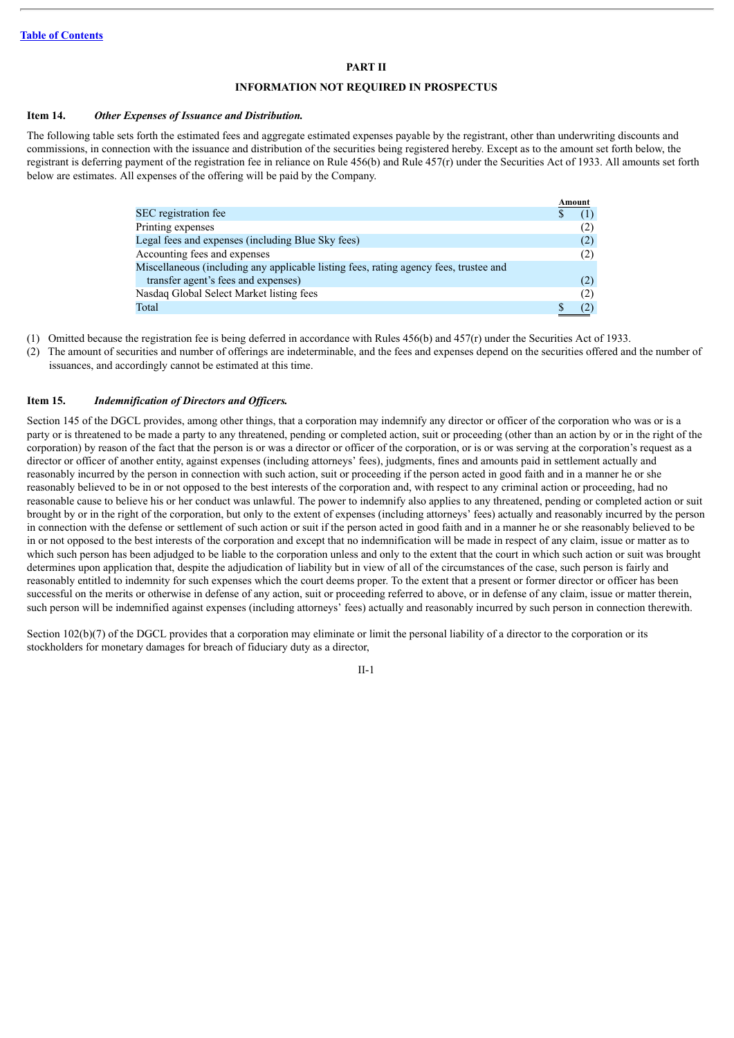#### **PART II**

#### **INFORMATION NOT REQUIRED IN PROSPECTUS**

#### **Item 14.** *Other Expenses of Issuance and Distribution.*

The following table sets forth the estimated fees and aggregate estimated expenses payable by the registrant, other than underwriting discounts and commissions, in connection with the issuance and distribution of the securities being registered hereby. Except as to the amount set forth below, the registrant is deferring payment of the registration fee in reliance on Rule 456(b) and Rule 457(r) under the Securities Act of 1933. All amounts set forth below are estimates. All expenses of the offering will be paid by the Company.

|                                                                                       | Amount |     |
|---------------------------------------------------------------------------------------|--------|-----|
| SEC registration fee                                                                  |        |     |
| Printing expenses                                                                     |        | (2) |
| Legal fees and expenses (including Blue Sky fees)                                     |        | (2) |
| Accounting fees and expenses                                                          |        | (2) |
| Miscellaneous (including any applicable listing fees, rating agency fees, trustee and |        |     |
| transfer agent's fees and expenses)                                                   |        | (2) |
| Nasdaq Global Select Market listing fees                                              |        | (2) |
| Total                                                                                 |        | (2) |

(1) Omitted because the registration fee is being deferred in accordance with Rules 456(b) and 457(r) under the Securities Act of 1933.

(2) The amount of securities and number of offerings are indeterminable, and the fees and expenses depend on the securities offered and the number of issuances, and accordingly cannot be estimated at this time.

#### **Item 15.** *Indemnification of Directors and Of icers.*

Section 145 of the DGCL provides, among other things, that a corporation may indemnify any director or officer of the corporation who was or is a party or is threatened to be made a party to any threatened, pending or completed action, suit or proceeding (other than an action by or in the right of the corporation) by reason of the fact that the person is or was a director or officer of the corporation, or is or was serving at the corporation's request as a director or officer of another entity, against expenses (including attorneys' fees), judgments, fines and amounts paid in settlement actually and reasonably incurred by the person in connection with such action, suit or proceeding if the person acted in good faith and in a manner he or she reasonably believed to be in or not opposed to the best interests of the corporation and, with respect to any criminal action or proceeding, had no reasonable cause to believe his or her conduct was unlawful. The power to indemnify also applies to any threatened, pending or completed action or suit brought by or in the right of the corporation, but only to the extent of expenses (including attorneys' fees) actually and reasonably incurred by the person in connection with the defense or settlement of such action or suit if the person acted in good faith and in a manner he or she reasonably believed to be in or not opposed to the best interests of the corporation and except that no indemnification will be made in respect of any claim, issue or matter as to which such person has been adjudged to be liable to the corporation unless and only to the extent that the court in which such action or suit was brought determines upon application that, despite the adjudication of liability but in view of all of the circumstances of the case, such person is fairly and reasonably entitled to indemnity for such expenses which the court deems proper. To the extent that a present or former director or officer has been successful on the merits or otherwise in defense of any action, suit or proceeding referred to above, or in defense of any claim, issue or matter therein, such person will be indemnified against expenses (including attorneys' fees) actually and reasonably incurred by such person in connection therewith.

Section 102(b)(7) of the DGCL provides that a corporation may eliminate or limit the personal liability of a director to the corporation or its stockholders for monetary damages for breach of fiduciary duty as a director,

II-1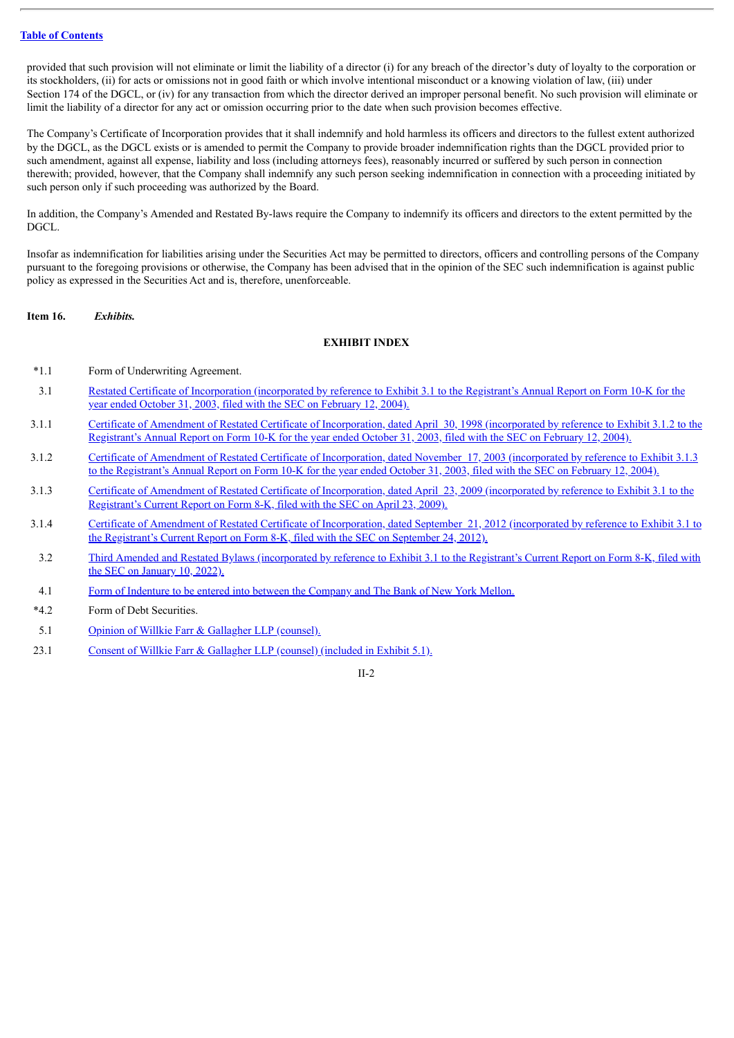provided that such provision will not eliminate or limit the liability of a director (i) for any breach of the director's duty of loyalty to the corporation or its stockholders, (ii) for acts or omissions not in good faith or which involve intentional misconduct or a knowing violation of law, (iii) under Section 174 of the DGCL, or (iv) for any transaction from which the director derived an improper personal benefit. No such provision will eliminate or limit the liability of a director for any act or omission occurring prior to the date when such provision becomes effective.

The Company's Certificate of Incorporation provides that it shall indemnify and hold harmless its officers and directors to the fullest extent authorized by the DGCL, as the DGCL exists or is amended to permit the Company to provide broader indemnification rights than the DGCL provided prior to such amendment, against all expense, liability and loss (including attorneys fees), reasonably incurred or suffered by such person in connection therewith; provided, however, that the Company shall indemnify any such person seeking indemnification in connection with a proceeding initiated by such person only if such proceeding was authorized by the Board.

In addition, the Company's Amended and Restated By-laws require the Company to indemnify its officers and directors to the extent permitted by the DGCL.

Insofar as indemnification for liabilities arising under the Securities Act may be permitted to directors, officers and controlling persons of the Company pursuant to the foregoing provisions or otherwise, the Company has been advised that in the opinion of the SEC such indemnification is against public policy as expressed in the Securities Act and is, therefore, unenforceable.

#### **Item 16.** *Exhibits.*

#### **EXHIBIT INDEX**

- \*1.1 Form of Underwriting Agreement.
- 3.1 Restated Certificate of [Incorporation](http://www.sec.gov/Archives/edgar/data/946581/000112528204000439/b330117ex3_1.txt) (incorporated by reference to Exhibit 3.1 to the Registrant's Annual Report on Form 10-K for the year ended October 31, 2003, filed with the SEC on February 12, 2004).
- 3.1.1 Certificate of Amendment of Restated Certificate of [Incorporation,](http://www.sec.gov/Archives/edgar/data/946581/000112528204000439/b330117ex3_1-2.txt) dated April 30, 1998 (incorporated by reference to Exhibit 3.1.2 to the Registrant's Annual Report on Form 10-K for the year ended October 31, 2003, filed with the SEC on February 12, 2004).
- 3.1.2 Certificate of Amendment of Restated Certificate of [Incorporation,](http://www.sec.gov/Archives/edgar/data/946581/000112528204000439/b330117ex3_1-3.txt) dated November 17, 2003 (incorporated by reference to Exhibit 3.1.3 to the Registrant's Annual Report on Form 10-K for the year ended October 31, 2003, filed with the SEC on February 12, 2004).
- 3.1.3 Certificate of Amendment of Restated Certificate of [Incorporation,](http://www.sec.gov/Archives/edgar/data/946581/000110465909025827/a09-10859_1ex3d1.htm) dated April 23, 2009 (incorporated by reference to Exhibit 3.1 to the Registrant's Current Report on Form 8-K, filed with the SEC on April 23, 2009).
- 3.1.4 Certificate of Amendment of Restated Certificate of [Incorporation,](http://www.sec.gov/Archives/edgar/data/946581/000110465912065069/a12-21962_1ex3d1.htm) dated September 21, 2012 (incorporated by reference to Exhibit 3.1 to the Registrant's Current Report on Form 8-K, filed with the SEC on September 24, 2012).
- 3.2 Third Amended and Restated Bylaws [\(incorporated](http://www.sec.gov/Archives/edgar/data/946581/000119312522005771/d282059dex31.htm) by reference to Exhibit 3.1 to the Registrant's Current Report on Form 8-K, filed with the SEC on January 10, 2022).
- 4.1 Form of Indenture to be entered into between the [Company](#page-32-0) and The Bank of New York Mellon.
- \*4.2 Form of Debt Securities.
- 5.1 Opinion of Willkie Farr & [Gallagher](#page-78-0) LLP (counsel).
- 23.1 Consent of Willkie Farr & [Gallagher](#page-78-0) LLP (counsel) (included in Exhibit 5.1).

 $II-2$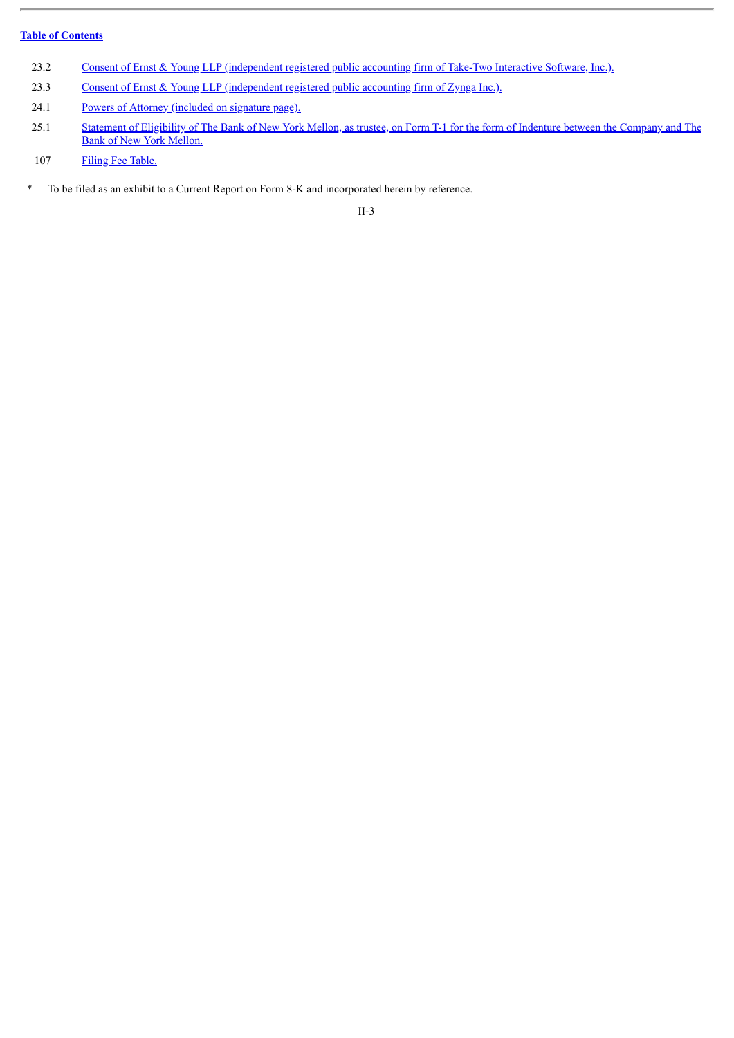- 23.2 Consent of Ernst & Young LLP [\(independent](#page-80-0) registered public accounting firm of Take-Two Interactive Software, Inc.).
- 23.3 Consent of Ernst & Young LLP [\(independent](#page-81-0) registered public accounting firm of Zynga Inc.).
- 24.1 Powers of Attorney [\(included](#page-31-0) on signature page).
- 25.1 Statement of [Eligibility](#page-82-0) of The Bank of New York Mellon, as trustee, on Form T-1 for the form of Indenture between the Company and The Bank of New York Mellon.
- 107 Filing Fee [Table.](#page-89-0)
- \* To be filed as an exhibit to a Current Report on Form 8-K and incorporated herein by reference.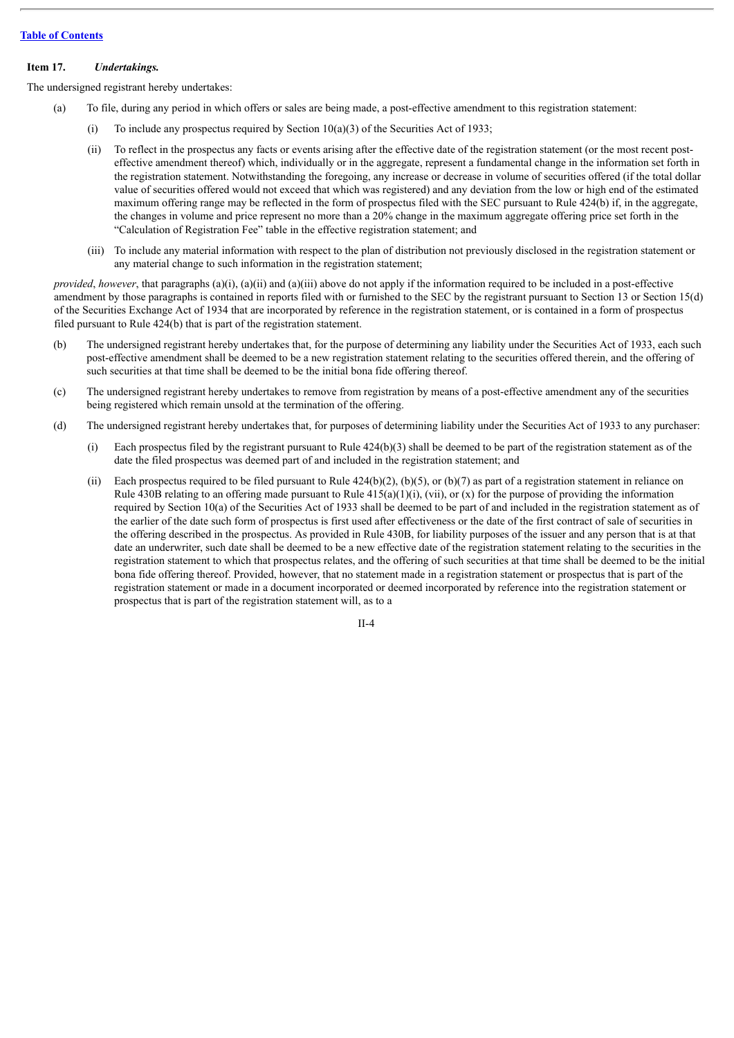#### **Item 17.** *Undertakings.*

The undersigned registrant hereby undertakes:

- (a) To file, during any period in which offers or sales are being made, a post-effective amendment to this registration statement:
	- (i) To include any prospectus required by Section  $10(a)(3)$  of the Securities Act of 1933;
	- (ii) To reflect in the prospectus any facts or events arising after the effective date of the registration statement (or the most recent posteffective amendment thereof) which, individually or in the aggregate, represent a fundamental change in the information set forth in the registration statement. Notwithstanding the foregoing, any increase or decrease in volume of securities offered (if the total dollar value of securities offered would not exceed that which was registered) and any deviation from the low or high end of the estimated maximum offering range may be reflected in the form of prospectus filed with the SEC pursuant to Rule 424(b) if, in the aggregate, the changes in volume and price represent no more than a 20% change in the maximum aggregate offering price set forth in the "Calculation of Registration Fee" table in the effective registration statement; and
	- (iii) To include any material information with respect to the plan of distribution not previously disclosed in the registration statement or any material change to such information in the registration statement;

*provided*, *however*, that paragraphs (a)(i), (a)(ii) and (a)(iii) above do not apply if the information required to be included in a post-effective amendment by those paragraphs is contained in reports filed with or furnished to the SEC by the registrant pursuant to Section 13 or Section 15(d) of the Securities Exchange Act of 1934 that are incorporated by reference in the registration statement, or is contained in a form of prospectus filed pursuant to Rule 424(b) that is part of the registration statement.

- (b) The undersigned registrant hereby undertakes that, for the purpose of determining any liability under the Securities Act of 1933, each such post-effective amendment shall be deemed to be a new registration statement relating to the securities offered therein, and the offering of such securities at that time shall be deemed to be the initial bona fide offering thereof.
- (c) The undersigned registrant hereby undertakes to remove from registration by means of a post-effective amendment any of the securities being registered which remain unsold at the termination of the offering.
- (d) The undersigned registrant hereby undertakes that, for purposes of determining liability under the Securities Act of 1933 to any purchaser:
	- (i) Each prospectus filed by the registrant pursuant to Rule 424(b)(3) shall be deemed to be part of the registration statement as of the date the filed prospectus was deemed part of and included in the registration statement; and
	- (ii) Each prospectus required to be filed pursuant to Rule  $424(b)(2)$ ,  $(b)(5)$ , or  $(b)(7)$  as part of a registration statement in reliance on Rule 430B relating to an offering made pursuant to Rule  $415(a)(1)(i)$ , (vii), or (x) for the purpose of providing the information required by Section 10(a) of the Securities Act of 1933 shall be deemed to be part of and included in the registration statement as of the earlier of the date such form of prospectus is first used after effectiveness or the date of the first contract of sale of securities in the offering described in the prospectus. As provided in Rule 430B, for liability purposes of the issuer and any person that is at that date an underwriter, such date shall be deemed to be a new effective date of the registration statement relating to the securities in the registration statement to which that prospectus relates, and the offering of such securities at that time shall be deemed to be the initial bona fide offering thereof. Provided, however, that no statement made in a registration statement or prospectus that is part of the registration statement or made in a document incorporated or deemed incorporated by reference into the registration statement or prospectus that is part of the registration statement will, as to a

 $II - 4$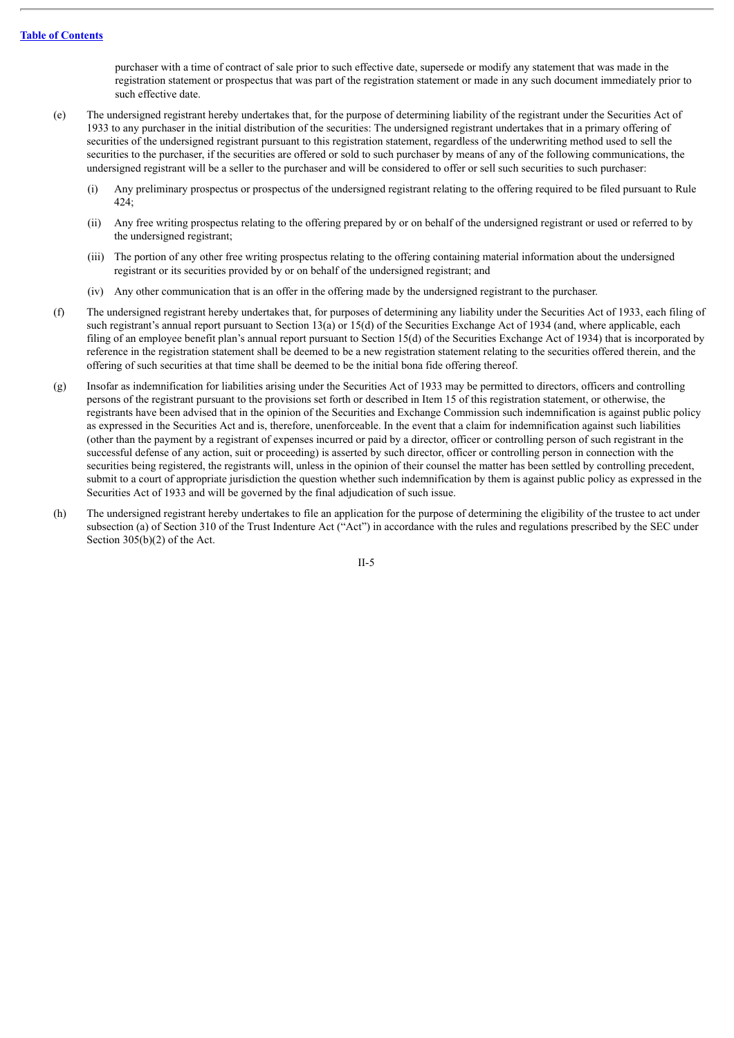purchaser with a time of contract of sale prior to such effective date, supersede or modify any statement that was made in the registration statement or prospectus that was part of the registration statement or made in any such document immediately prior to such effective date.

- (e) The undersigned registrant hereby undertakes that, for the purpose of determining liability of the registrant under the Securities Act of 1933 to any purchaser in the initial distribution of the securities: The undersigned registrant undertakes that in a primary offering of securities of the undersigned registrant pursuant to this registration statement, regardless of the underwriting method used to sell the securities to the purchaser, if the securities are offered or sold to such purchaser by means of any of the following communications, the undersigned registrant will be a seller to the purchaser and will be considered to offer or sell such securities to such purchaser:
	- (i) Any preliminary prospectus or prospectus of the undersigned registrant relating to the offering required to be filed pursuant to Rule 424;
	- (ii) Any free writing prospectus relating to the offering prepared by or on behalf of the undersigned registrant or used or referred to by the undersigned registrant;
	- (iii) The portion of any other free writing prospectus relating to the offering containing material information about the undersigned registrant or its securities provided by or on behalf of the undersigned registrant; and
	- (iv) Any other communication that is an offer in the offering made by the undersigned registrant to the purchaser.
- (f) The undersigned registrant hereby undertakes that, for purposes of determining any liability under the Securities Act of 1933, each filing of such registrant's annual report pursuant to Section 13(a) or 15(d) of the Securities Exchange Act of 1934 (and, where applicable, each filing of an employee benefit plan's annual report pursuant to Section 15(d) of the Securities Exchange Act of 1934) that is incorporated by reference in the registration statement shall be deemed to be a new registration statement relating to the securities offered therein, and the offering of such securities at that time shall be deemed to be the initial bona fide offering thereof.
- (g) Insofar as indemnification for liabilities arising under the Securities Act of 1933 may be permitted to directors, officers and controlling persons of the registrant pursuant to the provisions set forth or described in Item 15 of this registration statement, or otherwise, the registrants have been advised that in the opinion of the Securities and Exchange Commission such indemnification is against public policy as expressed in the Securities Act and is, therefore, unenforceable. In the event that a claim for indemnification against such liabilities (other than the payment by a registrant of expenses incurred or paid by a director, officer or controlling person of such registrant in the successful defense of any action, suit or proceeding) is asserted by such director, officer or controlling person in connection with the securities being registered, the registrants will, unless in the opinion of their counsel the matter has been settled by controlling precedent, submit to a court of appropriate jurisdiction the question whether such indemnification by them is against public policy as expressed in the Securities Act of 1933 and will be governed by the final adjudication of such issue.
- (h) The undersigned registrant hereby undertakes to file an application for the purpose of determining the eligibility of the trustee to act under subsection (a) of Section 310 of the Trust Indenture Act ("Act") in accordance with the rules and regulations prescribed by the SEC under Section 305(b)(2) of the Act.

II-5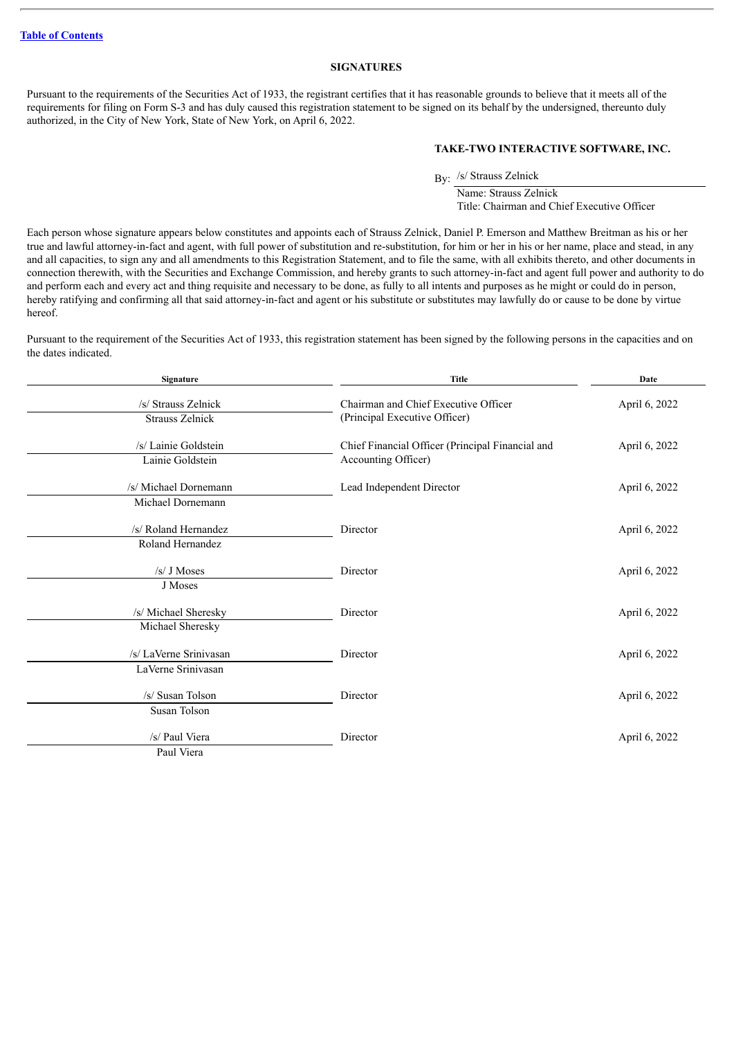#### **SIGNATURES**

<span id="page-31-0"></span>Pursuant to the requirements of the Securities Act of 1933, the registrant certifies that it has reasonable grounds to believe that it meets all of the requirements for filing on Form S-3 and has duly caused this registration statement to be signed on its behalf by the undersigned, thereunto duly authorized, in the City of New York, State of New York, on April 6, 2022.

#### **TAKE-TWO INTERACTIVE SOFTWARE, INC.**

By: /s/ Strauss Zelnick

Name: Strauss Zelnick Title: Chairman and Chief Executive Officer

Each person whose signature appears below constitutes and appoints each of Strauss Zelnick, Daniel P. Emerson and Matthew Breitman as his or her true and lawful attorney-in-fact and agent, with full power of substitution and re-substitution, for him or her in his or her name, place and stead, in any and all capacities, to sign any and all amendments to this Registration Statement, and to file the same, with all exhibits thereto, and other documents in connection therewith, with the Securities and Exchange Commission, and hereby grants to such attorney-in-fact and agent full power and authority to do and perform each and every act and thing requisite and necessary to be done, as fully to all intents and purposes as he might or could do in person, hereby ratifying and confirming all that said attorney-in-fact and agent or his substitute or substitutes may lawfully do or cause to be done by virtue hereof.

Pursuant to the requirement of the Securities Act of 1933, this registration statement has been signed by the following persons in the capacities and on the dates indicated.

| Signature                                     | <b>Title</b>                                                            | Date          |  |
|-----------------------------------------------|-------------------------------------------------------------------------|---------------|--|
| /s/ Strauss Zelnick<br><b>Strauss Zelnick</b> | Chairman and Chief Executive Officer<br>(Principal Executive Officer)   | April 6, 2022 |  |
| /s/ Lainie Goldstein<br>Lainie Goldstein      | Chief Financial Officer (Principal Financial and<br>Accounting Officer) | April 6, 2022 |  |
| /s/ Michael Dornemann<br>Michael Dornemann    | Lead Independent Director                                               | April 6, 2022 |  |
| /s/ Roland Hernandez<br>Roland Hernandez      | Director                                                                | April 6, 2022 |  |
| /s/ J Moses<br>J Moses                        | Director                                                                | April 6, 2022 |  |
| /s/ Michael Sheresky<br>Michael Sheresky      | Director                                                                | April 6, 2022 |  |
| /s/ LaVerne Srinivasan<br>LaVerne Srinivasan  | Director                                                                | April 6, 2022 |  |
| /s/ Susan Tolson<br>Susan Tolson              | Director                                                                | April 6, 2022 |  |
| /s/ Paul Viera<br>Paul Viera                  | Director                                                                | April 6, 2022 |  |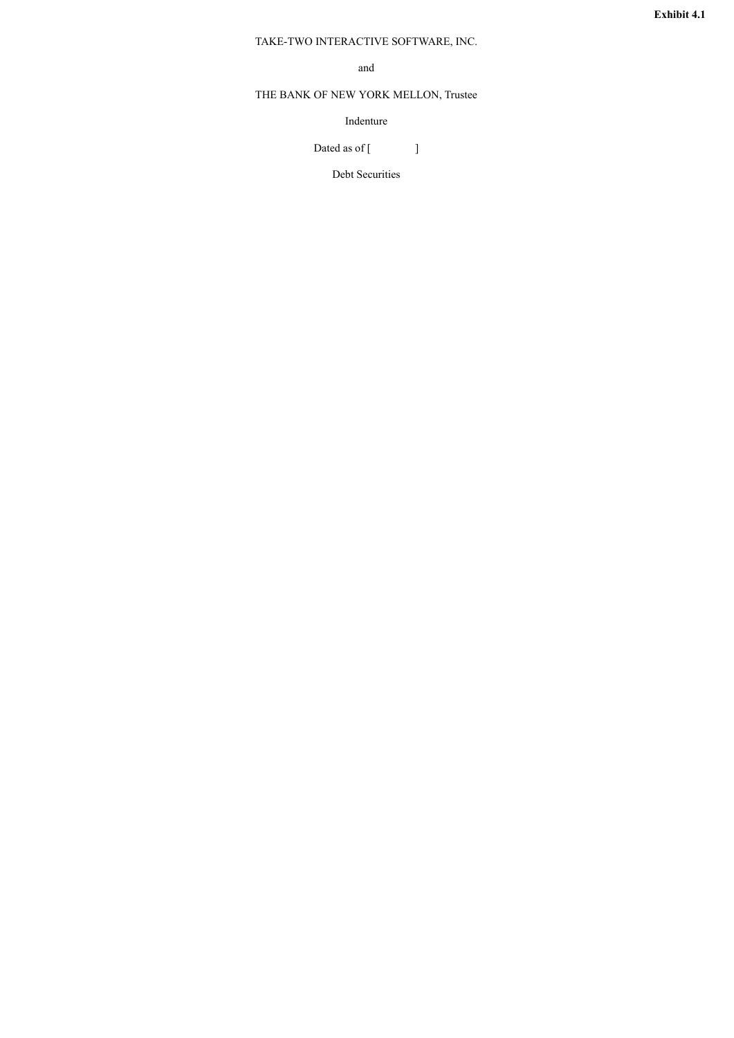### <span id="page-32-0"></span>TAKE-TWO INTERACTIVE SOFTWARE, INC.

and

## THE BANK OF NEW YORK MELLON, Trustee

Indenture

Dated as of  $[$   $]$ 

Debt Securities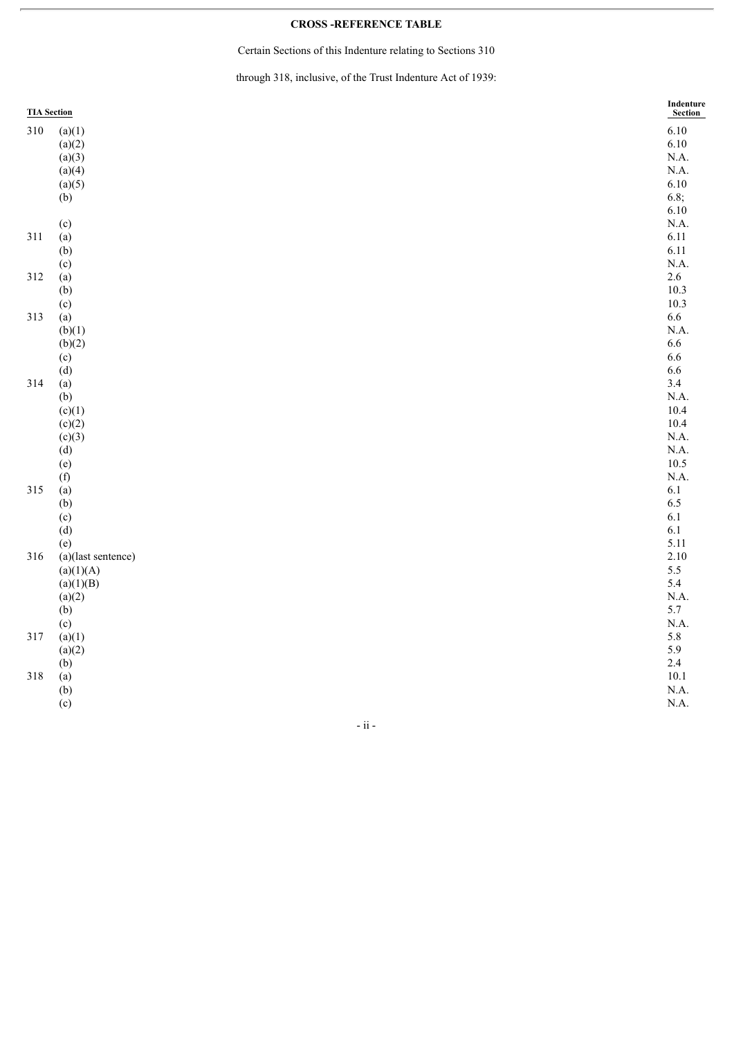#### **CROSS -REFERENCE TABLE**

Certain Sections of this Indenture relating to Sections 310

through 318, inclusive, of the Trust Indenture Act of 1939:

|     | <b>TIA Section</b> | Indenture<br>Section |
|-----|--------------------|----------------------|
| 310 | (a)(1)             | 6.10                 |
|     | (a)(2)             | 6.10                 |
|     | (a)(3)             | N.A.                 |
|     | (a)(4)             | N.A.                 |
|     | (a)(5)             | 6.10                 |
|     | (b)                | 6.8;                 |
|     |                    | 6.10                 |
|     | (c)                | N.A.                 |
| 311 | (a)                | 6.11                 |
|     | (b)                | 6.11                 |
|     | (c)                | N.A.                 |
| 312 | (a)                | $2.6\,$              |
|     | (b)                | 10.3                 |
|     | (c)                | 10.3                 |
| 313 | (a)                | 6.6                  |
|     | (b)(1)             | N.A.                 |
|     | (b)(2)             | 6.6                  |
|     | (c)                | 6.6                  |
|     | (d)                | 6.6                  |
| 314 | (a)                | 3.4                  |
|     | (b)                | N.A.                 |
|     | (c)(1)             | 10.4                 |
|     | (c)(2)             | 10.4                 |
|     | (c)(3)             | N.A.                 |
|     | (d)                | N.A.                 |
|     | (e)                | $10.5\,$             |
|     | (f)                | N.A.                 |
| 315 | (a)                | $6.1\,$              |
|     | (b)                | 6.5                  |
|     | (c)                | $6.1\,$              |
|     | (d)                | $6.1\,$              |
|     | (e)                | 5.11                 |
| 316 | (a)(last sentence) | 2.10                 |
|     | (a)(1)(A)          | 5.5                  |
|     | (a)(1)(B)          | 5.4                  |
|     | (a)(2)             | N.A.                 |
|     | (b)                | 5.7                  |
|     | (c)                | N.A.                 |
| 317 | (a)(1)             | 5.8                  |
|     | (a)(2)             | 5.9                  |
|     | (b)                | 2.4                  |
| 318 | (a)                | $10.1\,$             |
|     | (b)                | N.A.                 |
|     | (c)                | N.A.                 |

- ii -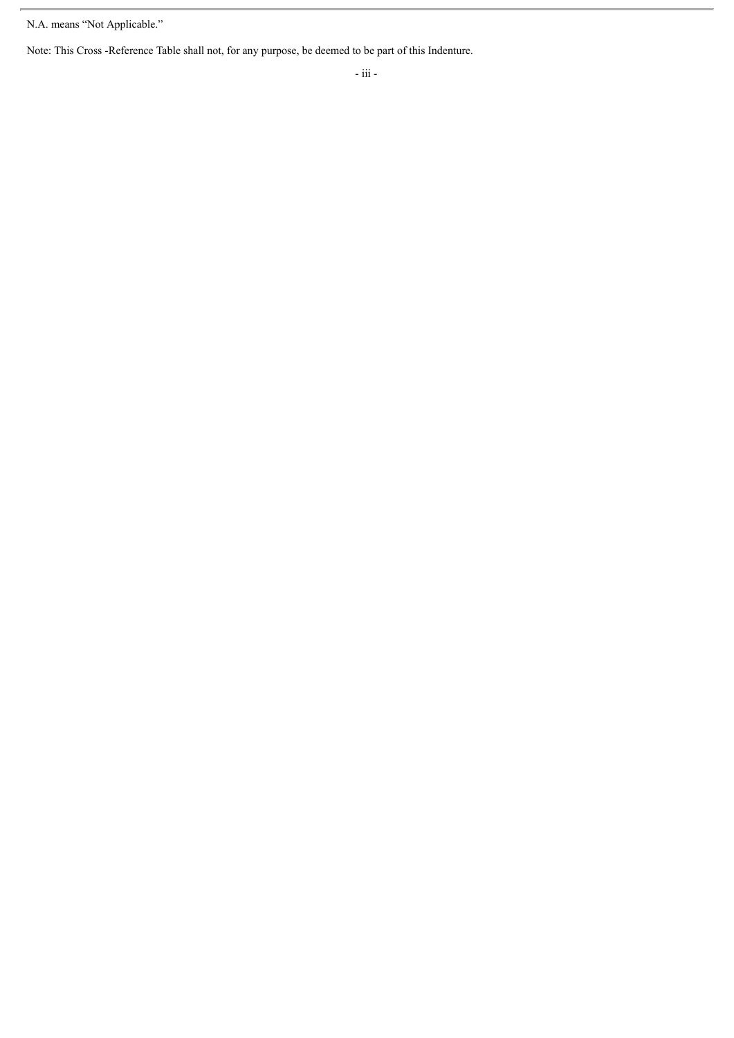Note: This Cross -Reference Table shall not, for any purpose, be deemed to be part of this Indenture.

N.A. means "Not Applicable."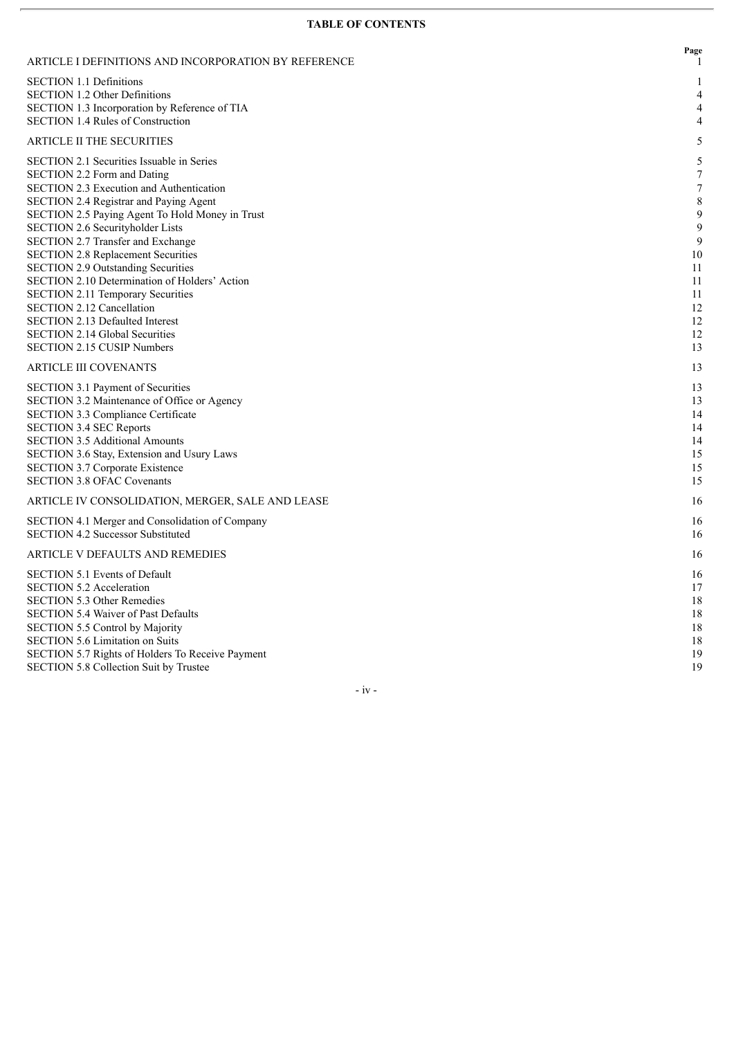### **TABLE OF CONTENTS**

| ARTICLE I DEFINITIONS AND INCORPORATION BY REFERENCE    | Page<br>-1       |
|---------------------------------------------------------|------------------|
| <b>SECTION 1.1 Definitions</b>                          | 1                |
| <b>SECTION 1.2 Other Definitions</b>                    | 4                |
| SECTION 1.3 Incorporation by Reference of TIA           | 4                |
| <b>SECTION 1.4 Rules of Construction</b>                | 4                |
| <b>ARTICLE II THE SECURITIES</b>                        | 5                |
| SECTION 2.1 Securities Issuable in Series               | 5                |
| <b>SECTION 2.2 Form and Dating</b>                      | $\boldsymbol{7}$ |
| SECTION 2.3 Execution and Authentication                | $\overline{7}$   |
| <b>SECTION 2.4 Registrar and Paying Agent</b>           | $\,$ 8 $\,$      |
| SECTION 2.5 Paying Agent To Hold Money in Trust         | 9                |
| SECTION 2.6 Securityholder Lists                        | 9                |
| SECTION 2.7 Transfer and Exchange                       | 9                |
| <b>SECTION 2.8 Replacement Securities</b>               | 10               |
| <b>SECTION 2.9 Outstanding Securities</b>               | 11               |
| SECTION 2.10 Determination of Holders' Action           | 11               |
| <b>SECTION 2.11 Temporary Securities</b>                | 11               |
| <b>SECTION 2.12 Cancellation</b>                        | 12               |
| <b>SECTION 2.13 Defaulted Interest</b>                  | 12               |
| <b>SECTION 2.14 Global Securities</b>                   | 12               |
| <b>SECTION 2.15 CUSIP Numbers</b>                       | 13               |
| <b>ARTICLE III COVENANTS</b>                            | 13               |
| SECTION 3.1 Payment of Securities                       | 13               |
| SECTION 3.2 Maintenance of Office or Agency             | 13               |
| SECTION 3.3 Compliance Certificate                      | 14               |
| <b>SECTION 3.4 SEC Reports</b>                          | 14               |
| <b>SECTION 3.5 Additional Amounts</b>                   | 14               |
| SECTION 3.6 Stay, Extension and Usury Laws              | 15               |
| <b>SECTION 3.7 Corporate Existence</b>                  | 15               |
| <b>SECTION 3.8 OFAC Covenants</b>                       | 15               |
| ARTICLE IV CONSOLIDATION, MERGER, SALE AND LEASE        | 16               |
| SECTION 4.1 Merger and Consolidation of Company         | 16               |
| <b>SECTION 4.2 Successor Substituted</b>                | 16               |
| ARTICLE V DEFAULTS AND REMEDIES                         | 16               |
| <b>SECTION 5.1 Events of Default</b>                    | 16               |
| <b>SECTION 5.2 Acceleration</b>                         | 17               |
| <b>SECTION 5.3 Other Remedies</b>                       | 18               |
| <b>SECTION 5.4 Waiver of Past Defaults</b>              | 18               |
| SECTION 5.5 Control by Majority                         | 18               |
| SECTION 5.6 Limitation on Suits                         | 18               |
| <b>SECTION 5.7 Rights of Holders To Receive Payment</b> | 19               |
| SECTION 5.8 Collection Suit by Trustee                  | 19               |

- iv -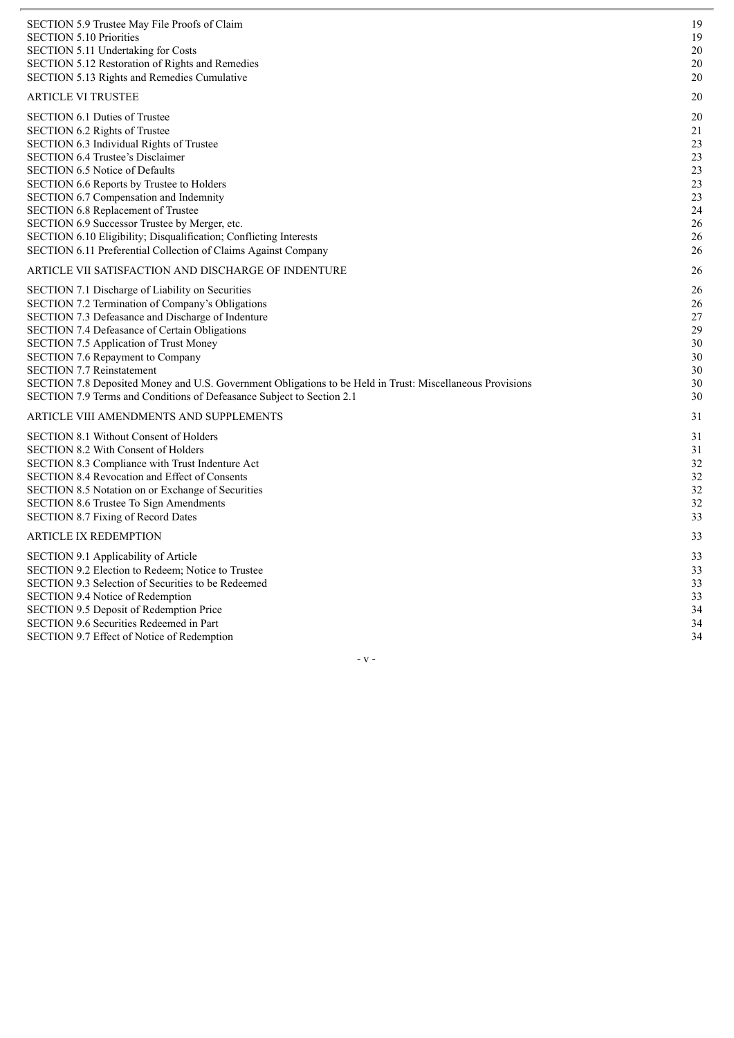| SECTION 5.9 Trustee May File Proofs of Claim<br><b>SECTION 5.10 Priorities</b><br>SECTION 5.11 Undertaking for Costs<br><b>SECTION 5.12 Restoration of Rights and Remedies</b><br>SECTION 5.13 Rights and Remedies Cumulative                                                                                                                                                                                                                                                                                                    | 19<br>19<br>20<br>20<br>20                                     |
|----------------------------------------------------------------------------------------------------------------------------------------------------------------------------------------------------------------------------------------------------------------------------------------------------------------------------------------------------------------------------------------------------------------------------------------------------------------------------------------------------------------------------------|----------------------------------------------------------------|
| <b>ARTICLE VI TRUSTEE</b>                                                                                                                                                                                                                                                                                                                                                                                                                                                                                                        | 20                                                             |
| SECTION 6.1 Duties of Trustee<br>SECTION 6.2 Rights of Trustee<br>SECTION 6.3 Individual Rights of Trustee<br><b>SECTION 6.4 Trustee's Disclaimer</b><br><b>SECTION 6.5 Notice of Defaults</b><br>SECTION 6.6 Reports by Trustee to Holders<br><b>SECTION 6.7 Compensation and Indemnity</b><br>SECTION 6.8 Replacement of Trustee<br>SECTION 6.9 Successor Trustee by Merger, etc.<br>SECTION 6.10 Eligibility; Disqualification; Conflicting Interests<br>SECTION 6.11 Preferential Collection of Claims Against Company       | 20<br>21<br>23<br>23<br>23<br>23<br>23<br>24<br>26<br>26<br>26 |
| ARTICLE VII SATISFACTION AND DISCHARGE OF INDENTURE                                                                                                                                                                                                                                                                                                                                                                                                                                                                              | 26                                                             |
| SECTION 7.1 Discharge of Liability on Securities<br>SECTION 7.2 Termination of Company's Obligations<br>SECTION 7.3 Defeasance and Discharge of Indenture<br>SECTION 7.4 Defeasance of Certain Obligations<br><b>SECTION 7.5 Application of Trust Money</b><br><b>SECTION 7.6 Repayment to Company</b><br><b>SECTION 7.7 Reinstatement</b><br>SECTION 7.8 Deposited Money and U.S. Government Obligations to be Held in Trust: Miscellaneous Provisions<br>SECTION 7.9 Terms and Conditions of Defeasance Subject to Section 2.1 | 26<br>26<br>27<br>29<br>30<br>30<br>30<br>30<br>30             |
| ARTICLE VIII AMENDMENTS AND SUPPLEMENTS                                                                                                                                                                                                                                                                                                                                                                                                                                                                                          | 31                                                             |
| SECTION 8.1 Without Consent of Holders<br><b>SECTION 8.2 With Consent of Holders</b><br>SECTION 8.3 Compliance with Trust Indenture Act<br><b>SECTION 8.4 Revocation and Effect of Consents</b><br><b>SECTION 8.5 Notation on or Exchange of Securities</b><br><b>SECTION 8.6 Trustee To Sign Amendments</b><br><b>SECTION 8.7 Fixing of Record Dates</b>                                                                                                                                                                        | 31<br>31<br>32<br>32<br>32<br>32<br>33                         |
| <b>ARTICLE IX REDEMPTION</b>                                                                                                                                                                                                                                                                                                                                                                                                                                                                                                     | 33                                                             |
| SECTION 9.1 Applicability of Article<br>SECTION 9.2 Election to Redeem; Notice to Trustee<br>SECTION 9.3 Selection of Securities to be Redeemed<br>SECTION 9.4 Notice of Redemption<br>SECTION 9.5 Deposit of Redemption Price<br>SECTION 9.6 Securities Redeemed in Part                                                                                                                                                                                                                                                        | 33<br>33<br>33<br>33<br>34<br>34                               |
| <b>SECTION 9.7 Effect of Notice of Redemption</b>                                                                                                                                                                                                                                                                                                                                                                                                                                                                                | 34                                                             |

- v -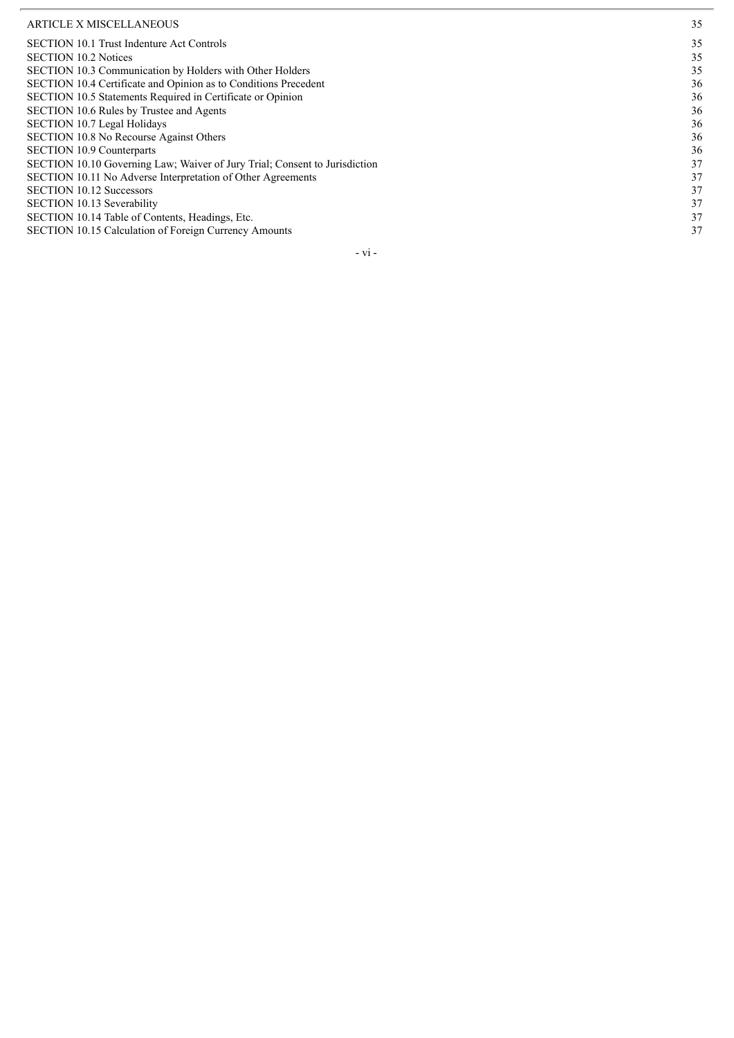#### ARTICLE X MISCELLANEOUS

| <b>ARTICLE X MISCELLANEOUS</b>                                             | 35 |
|----------------------------------------------------------------------------|----|
| <b>SECTION 10.1 Trust Indenture Act Controls</b>                           | 35 |
| <b>SECTION 10.2 Notices</b>                                                | 35 |
| SECTION 10.3 Communication by Holders with Other Holders                   | 35 |
| SECTION 10.4 Certificate and Opinion as to Conditions Precedent            | 36 |
| SECTION 10.5 Statements Required in Certificate or Opinion                 | 36 |
| SECTION 10.6 Rules by Trustee and Agents                                   | 36 |
| <b>SECTION 10.7 Legal Holidays</b>                                         | 36 |
| <b>SECTION 10.8 No Recourse Against Others</b>                             | 36 |
| <b>SECTION 10.9 Counterparts</b>                                           | 36 |
| SECTION 10.10 Governing Law; Waiver of Jury Trial; Consent to Jurisdiction | 37 |
| SECTION 10.11 No Adverse Interpretation of Other Agreements                | 37 |
| <b>SECTION 10.12 Successors</b>                                            | 37 |
| <b>SECTION 10.13 Severability</b>                                          | 37 |
| SECTION 10.14 Table of Contents, Headings, Etc.                            | 37 |
| SECTION 10.15 Calculation of Foreign Currency Amounts                      | 37 |
|                                                                            |    |

- v i -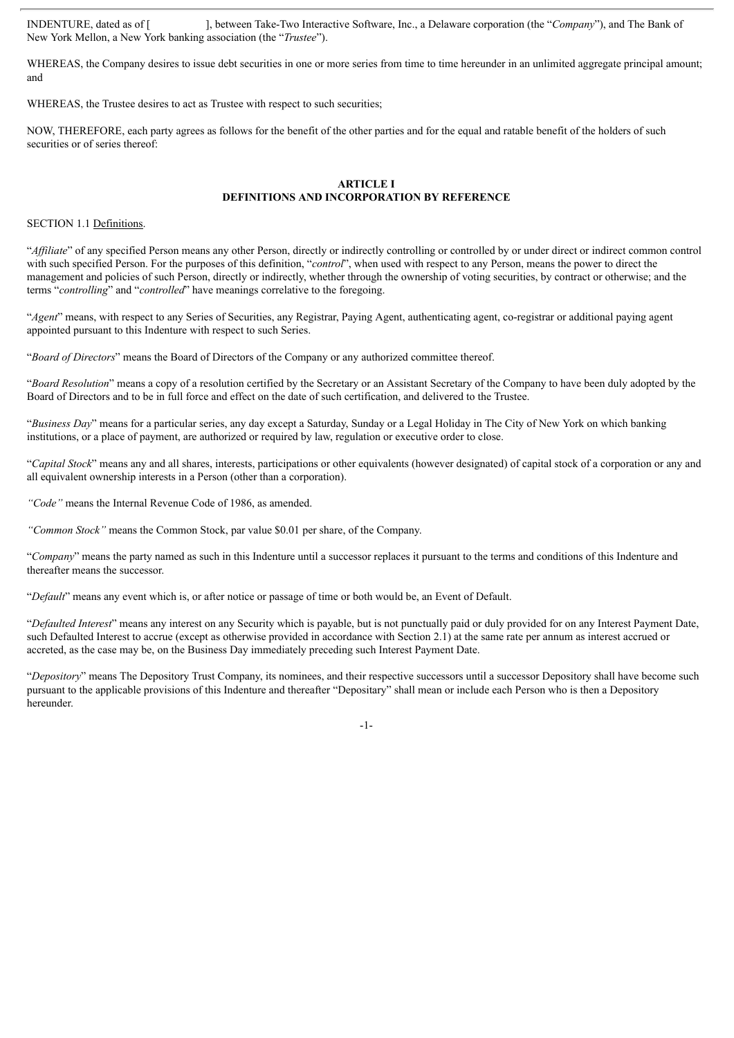INDENTURE, dated as of [ ], between Take-Two Interactive Software, Inc., a Delaware corporation (the "*Company*"), and The Bank of New York Mellon, a New York banking association (the "*Trustee*").

WHEREAS, the Company desires to issue debt securities in one or more series from time to time hereunder in an unlimited aggregate principal amount: and

WHEREAS, the Trustee desires to act as Trustee with respect to such securities:

NOW, THEREFORE, each party agrees as follows for the benefit of the other parties and for the equal and ratable benefit of the holders of such securities or of series thereof:

# **ARTICLE I DEFINITIONS AND INCORPORATION BY REFERENCE**

### SECTION 1.1 Definitions.

"Affiliate" of any specified Person means any other Person, directly or indirectly controlling or controlled by or under direct or indirect common control with such specified Person. For the purposes of this definition, "*control*", when used with respect to any Person, means the power to direct the management and policies of such Person, directly or indirectly, whether through the ownership of voting securities, by contract or otherwise; and the terms "*controlling*" and "*controlled*" have meanings correlative to the foregoing.

"*Agent*" means, with respect to any Series of Securities, any Registrar, Paying Agent, authenticating agent, co-registrar or additional paying agent appointed pursuant to this Indenture with respect to such Series.

"*Board of Directors*" means the Board of Directors of the Company or any authorized committee thereof.

"*Board Resolution*" means a copy of a resolution certified by the Secretary or an Assistant Secretary of the Company to have been duly adopted by the Board of Directors and to be in full force and effect on the date of such certification, and delivered to the Trustee.

"*Business Day*" means for a particular series, any day except a Saturday, Sunday or a Legal Holiday in The City of New York on which banking institutions, or a place of payment, are authorized or required by law, regulation or executive order to close.

"*Capital Stock*" means any and all shares, interests, participations or other equivalents (however designated) of capital stock of a corporation or any and all equivalent ownership interests in a Person (other than a corporation).

*"Code"* means the Internal Revenue Code of 1986, as amended.

*"Common Stock"* means the Common Stock, par value \$0.01 per share, of the Company.

"*Company*" means the party named as such in this Indenture until a successor replaces it pursuant to the terms and conditions of this Indenture and thereafter means the successor.

"*Default*" means any event which is, or after notice or passage of time or both would be, an Event of Default.

"*Defaulted Interest*" means any interest on any Security which is payable, but is not punctually paid or duly provided for on any Interest Payment Date, such Defaulted Interest to accrue (except as otherwise provided in accordance with Section 2.1) at the same rate per annum as interest accrued or accreted, as the case may be, on the Business Day immediately preceding such Interest Payment Date.

"*Depository*" means The Depository Trust Company, its nominees, and their respective successors until a successor Depository shall have become such pursuant to the applicable provisions of this Indenture and thereafter "Depositary" shall mean or include each Person who is then a Depository hereunder.

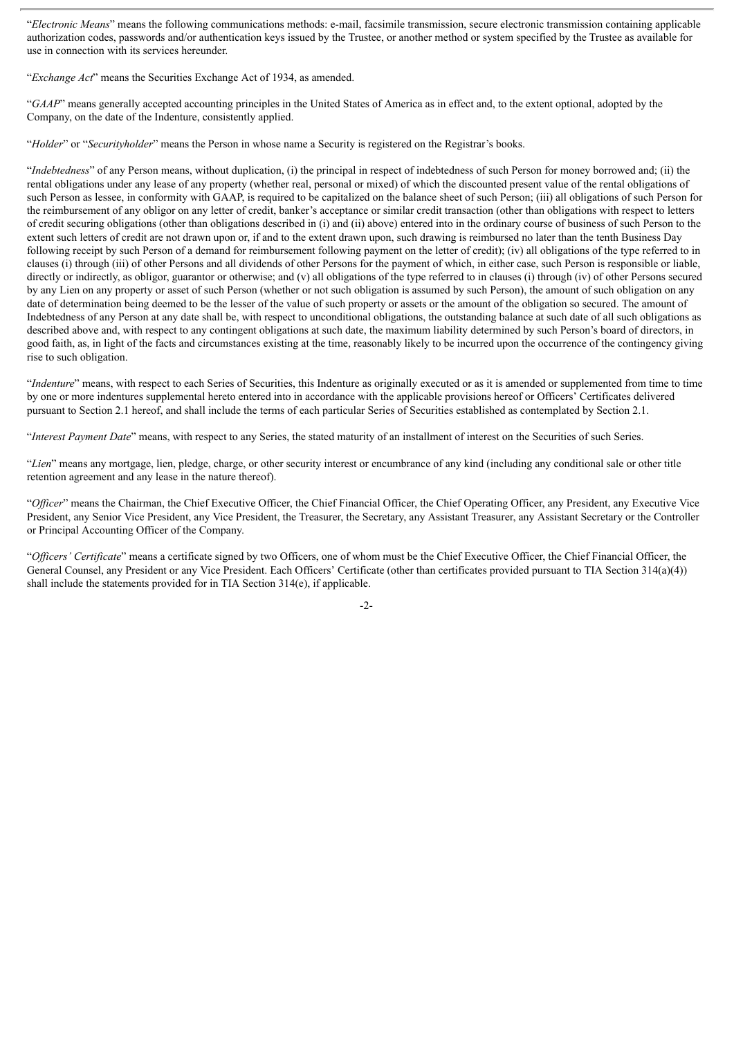"*Electronic Means*" means the following communications methods: e-mail, facsimile transmission, secure electronic transmission containing applicable authorization codes, passwords and/or authentication keys issued by the Trustee, or another method or system specified by the Trustee as available for use in connection with its services hereunder.

"*Exchange Act*" means the Securities Exchange Act of 1934, as amended.

"*GAAP*" means generally accepted accounting principles in the United States of America as in effect and, to the extent optional, adopted by the Company, on the date of the Indenture, consistently applied.

"*Holder*" or "*Securityholder*" means the Person in whose name a Security is registered on the Registrar's books.

"*Indebtedness*" of any Person means, without duplication, (i) the principal in respect of indebtedness of such Person for money borrowed and; (ii) the rental obligations under any lease of any property (whether real, personal or mixed) of which the discounted present value of the rental obligations of such Person as lessee, in conformity with GAAP, is required to be capitalized on the balance sheet of such Person; (iii) all obligations of such Person for the reimbursement of any obligor on any letter of credit, banker's acceptance or similar credit transaction (other than obligations with respect to letters of credit securing obligations (other than obligations described in (i) and (ii) above) entered into in the ordinary course of business of such Person to the extent such letters of credit are not drawn upon or, if and to the extent drawn upon, such drawing is reimbursed no later than the tenth Business Day following receipt by such Person of a demand for reimbursement following payment on the letter of credit); (iv) all obligations of the type referred to in clauses (i) through (iii) of other Persons and all dividends of other Persons for the payment of which, in either case, such Person is responsible or liable, directly or indirectly, as obligor, guarantor or otherwise; and (v) all obligations of the type referred to in clauses (i) through (iv) of other Persons secured by any Lien on any property or asset of such Person (whether or not such obligation is assumed by such Person), the amount of such obligation on any date of determination being deemed to be the lesser of the value of such property or assets or the amount of the obligation so secured. The amount of Indebtedness of any Person at any date shall be, with respect to unconditional obligations, the outstanding balance at such date of all such obligations as described above and, with respect to any contingent obligations at such date, the maximum liability determined by such Person's board of directors, in good faith, as, in light of the facts and circumstances existing at the time, reasonably likely to be incurred upon the occurrence of the contingency giving rise to such obligation.

"*Indenture*" means, with respect to each Series of Securities, this Indenture as originally executed or as it is amended or supplemented from time to time by one or more indentures supplemental hereto entered into in accordance with the applicable provisions hereof or Officers' Certificates delivered pursuant to Section 2.1 hereof, and shall include the terms of each particular Series of Securities established as contemplated by Section 2.1.

"*Interest Payment Date*" means, with respect to any Series, the stated maturity of an installment of interest on the Securities of such Series.

"*Lien*" means any mortgage, lien, pledge, charge, or other security interest or encumbrance of any kind (including any conditional sale or other title retention agreement and any lease in the nature thereof).

"*Of icer*" means the Chairman, the Chief Executive Officer, the Chief Financial Officer, the Chief Operating Officer, any President, any Executive Vice President, any Senior Vice President, any Vice President, the Treasurer, the Secretary, any Assistant Treasurer, any Assistant Secretary or the Controller or Principal Accounting Officer of the Company.

"*Of icers' Certificate*" means a certificate signed by two Officers, one of whom must be the Chief Executive Officer, the Chief Financial Officer, the General Counsel, any President or any Vice President. Each Officers' Certificate (other than certificates provided pursuant to TIA Section 314(a)(4)) shall include the statements provided for in TIA Section 314(e), if applicable.

-2-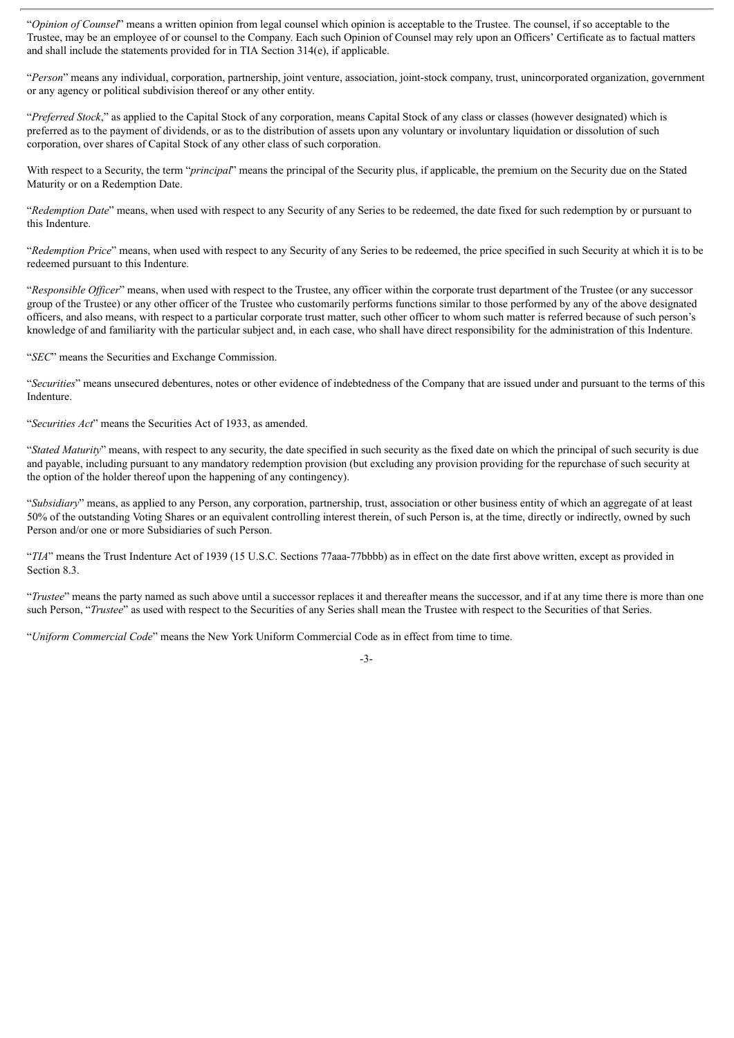"*Opinion of Counsel*" means a written opinion from legal counsel which opinion is acceptable to the Trustee. The counsel, if so acceptable to the Trustee, may be an employee of or counsel to the Company. Each such Opinion of Counsel may rely upon an Officers' Certificate as to factual matters and shall include the statements provided for in TIA Section 314(e), if applicable.

"*Person*" means any individual, corporation, partnership, joint venture, association, joint-stock company, trust, unincorporated organization, government or any agency or political subdivision thereof or any other entity.

"*Preferred Stock*," as applied to the Capital Stock of any corporation, means Capital Stock of any class or classes (however designated) which is preferred as to the payment of dividends, or as to the distribution of assets upon any voluntary or involuntary liquidation or dissolution of such corporation, over shares of Capital Stock of any other class of such corporation.

With respect to a Security, the term "*principal*" means the principal of the Security plus, if applicable, the premium on the Security due on the Stated Maturity or on a Redemption Date.

"*Redemption Date*" means, when used with respect to any Security of any Series to be redeemed, the date fixed for such redemption by or pursuant to this Indenture.

"*Redemption Price*" means, when used with respect to any Security of any Series to be redeemed, the price specified in such Security at which it is to be redeemed pursuant to this Indenture.

"*Responsible Of icer*" means, when used with respect to the Trustee, any officer within the corporate trust department of the Trustee (or any successor group of the Trustee) or any other officer of the Trustee who customarily performs functions similar to those performed by any of the above designated officers, and also means, with respect to a particular corporate trust matter, such other officer to whom such matter is referred because of such person's knowledge of and familiarity with the particular subject and, in each case, who shall have direct responsibility for the administration of this Indenture.

"*SEC*" means the Securities and Exchange Commission.

"*Securities*" means unsecured debentures, notes or other evidence of indebtedness of the Company that are issued under and pursuant to the terms of this Indenture.

"*Securities Act*" means the Securities Act of 1933, as amended.

"*Stated Maturity*" means, with respect to any security, the date specified in such security as the fixed date on which the principal of such security is due and payable, including pursuant to any mandatory redemption provision (but excluding any provision providing for the repurchase of such security at the option of the holder thereof upon the happening of any contingency).

"*Subsidiary*" means, as applied to any Person, any corporation, partnership, trust, association or other business entity of which an aggregate of at least 50% of the outstanding Voting Shares or an equivalent controlling interest therein, of such Person is, at the time, directly or indirectly, owned by such Person and/or one or more Subsidiaries of such Person.

"*TIA*" means the Trust Indenture Act of 1939 (15 U.S.C. Sections 77aaa-77bbbb) as in effect on the date first above written, except as provided in Section 8.3.

"*Trustee*" means the party named as such above until a successor replaces it and thereafter means the successor, and if at any time there is more than one such Person, "*Trustee*" as used with respect to the Securities of any Series shall mean the Trustee with respect to the Securities of that Series.

"*Uniform Commercial Code*" means the New York Uniform Commercial Code as in effect from time to time.

-3-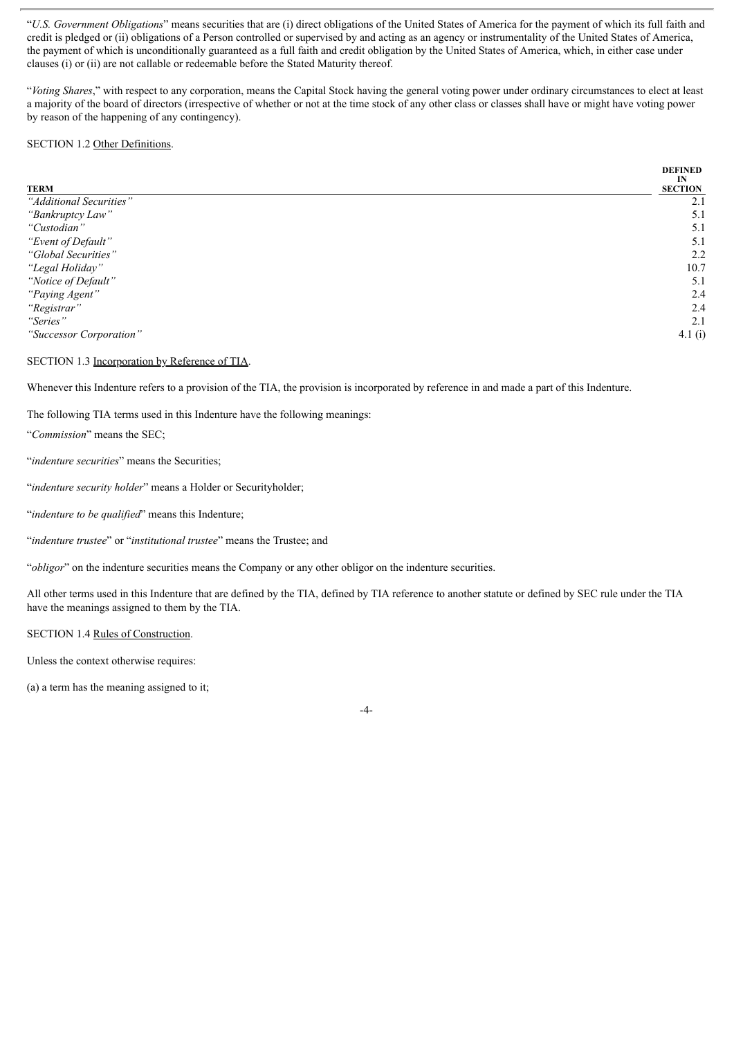"*U.S. Government Obligations*" means securities that are (i) direct obligations of the United States of America for the payment of which its full faith and credit is pledged or (ii) obligations of a Person controlled or supervised by and acting as an agency or instrumentality of the United States of America, the payment of which is unconditionally guaranteed as a full faith and credit obligation by the United States of America, which, in either case under clauses (i) or (ii) are not callable or redeemable before the Stated Maturity thereof.

"*Voting Shares*," with respect to any corporation, means the Capital Stock having the general voting power under ordinary circumstances to elect at least a majority of the board of directors (irrespective of whether or not at the time stock of any other class or classes shall have or might have voting power by reason of the happening of any contingency).

### SECTION 1.2 Other Definitions.

|                         | <b>DEFINED</b> |
|-------------------------|----------------|
|                         | IN             |
| <b>TERM</b>             | <b>SECTION</b> |
| "Additional Securities" | 2.1            |
| "Bankruptcy Law"        | 5.1            |
| "Custodian"             | 5.1            |
| "Event of Default"      | 5.1            |
| "Global Securities"     | 2.2            |
| "Legal Holiday"         | 10.7           |
| "Notice of Default"     | 5.1            |
| "Paying Agent"          | 2.4            |
| "Registrar"             | 2.4            |
| "Series"                | 2.1            |
| "Successor Corporation" | 4.1(i)         |

SECTION 1.3 Incorporation by Reference of TIA.

Whenever this Indenture refers to a provision of the TIA, the provision is incorporated by reference in and made a part of this Indenture.

The following TIA terms used in this Indenture have the following meanings:

"*Commission*" means the SEC;

"*indenture securities*" means the Securities;

"*indenture security holder*" means a Holder or Securityholder;

"*indenture to be qualified*" means this Indenture;

"*indenture trustee*" or "*institutional trustee*" means the Trustee; and

"*obligor*" on the indenture securities means the Company or any other obligor on the indenture securities.

All other terms used in this Indenture that are defined by the TIA, defined by TIA reference to another statute or defined by SEC rule under the TIA have the meanings assigned to them by the TIA.

SECTION 1.4 Rules of Construction.

Unless the context otherwise requires:

(a) a term has the meaning assigned to it;

-4-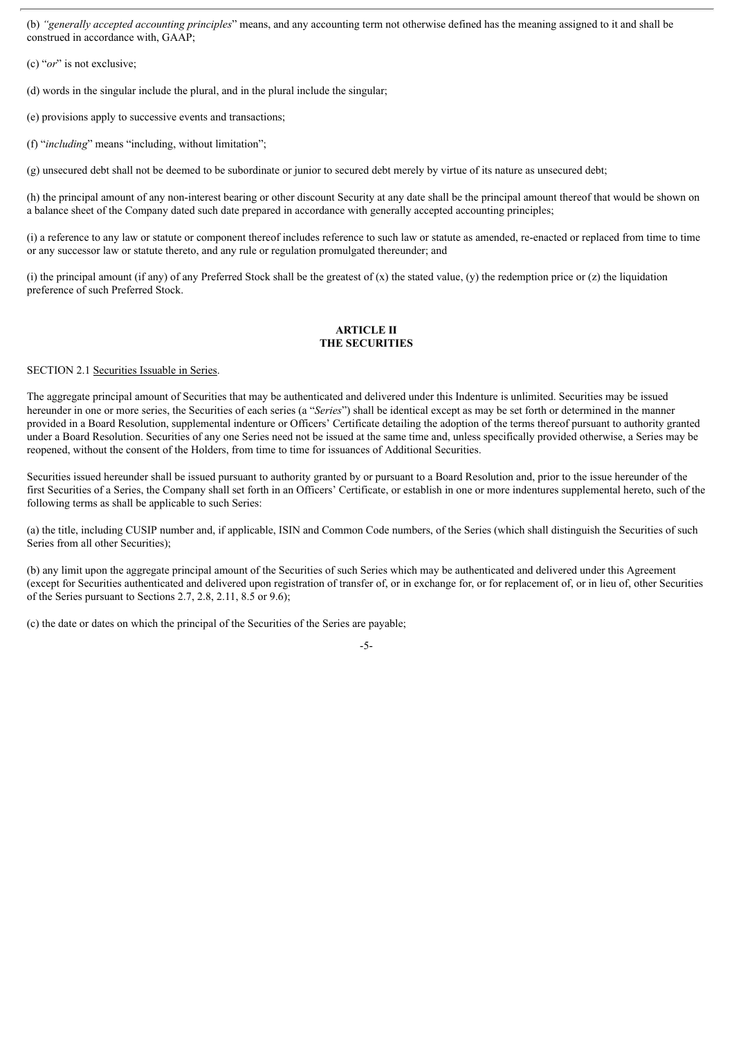(b) *"generally accepted accounting principles*" means, and any accounting term not otherwise defined has the meaning assigned to it and shall be construed in accordance with, GAAP;

(c) "*or*" is not exclusive;

(d) words in the singular include the plural, and in the plural include the singular;

(e) provisions apply to successive events and transactions;

(f) "*including*" means "including, without limitation";

(g) unsecured debt shall not be deemed to be subordinate or junior to secured debt merely by virtue of its nature as unsecured debt;

(h) the principal amount of any non-interest bearing or other discount Security at any date shall be the principal amount thereof that would be shown on a balance sheet of the Company dated such date prepared in accordance with generally accepted accounting principles;

(i) a reference to any law or statute or component thereof includes reference to such law or statute as amended, re-enacted or replaced from time to time or any successor law or statute thereto, and any rule or regulation promulgated thereunder; and

(i) the principal amount (if any) of any Preferred Stock shall be the greatest of (x) the stated value, (y) the redemption price or (z) the liquidation preference of such Preferred Stock.

# **ARTICLE II THE SECURITIES**

SECTION 2.1 Securities Issuable in Series.

The aggregate principal amount of Securities that may be authenticated and delivered under this Indenture is unlimited. Securities may be issued hereunder in one or more series, the Securities of each series (a "*Series*") shall be identical except as may be set forth or determined in the manner provided in a Board Resolution, supplemental indenture or Officers' Certificate detailing the adoption of the terms thereof pursuant to authority granted under a Board Resolution. Securities of any one Series need not be issued at the same time and, unless specifically provided otherwise, a Series may be reopened, without the consent of the Holders, from time to time for issuances of Additional Securities.

Securities issued hereunder shall be issued pursuant to authority granted by or pursuant to a Board Resolution and, prior to the issue hereunder of the first Securities of a Series, the Company shall set forth in an Officers' Certificate, or establish in one or more indentures supplemental hereto, such of the following terms as shall be applicable to such Series:

(a) the title, including CUSIP number and, if applicable, ISIN and Common Code numbers, of the Series (which shall distinguish the Securities of such Series from all other Securities);

(b) any limit upon the aggregate principal amount of the Securities of such Series which may be authenticated and delivered under this Agreement (except for Securities authenticated and delivered upon registration of transfer of, or in exchange for, or for replacement of, or in lieu of, other Securities of the Series pursuant to Sections 2.7, 2.8, 2.11, 8.5 or 9.6);

(c) the date or dates on which the principal of the Securities of the Series are payable;

<sup>-5-</sup>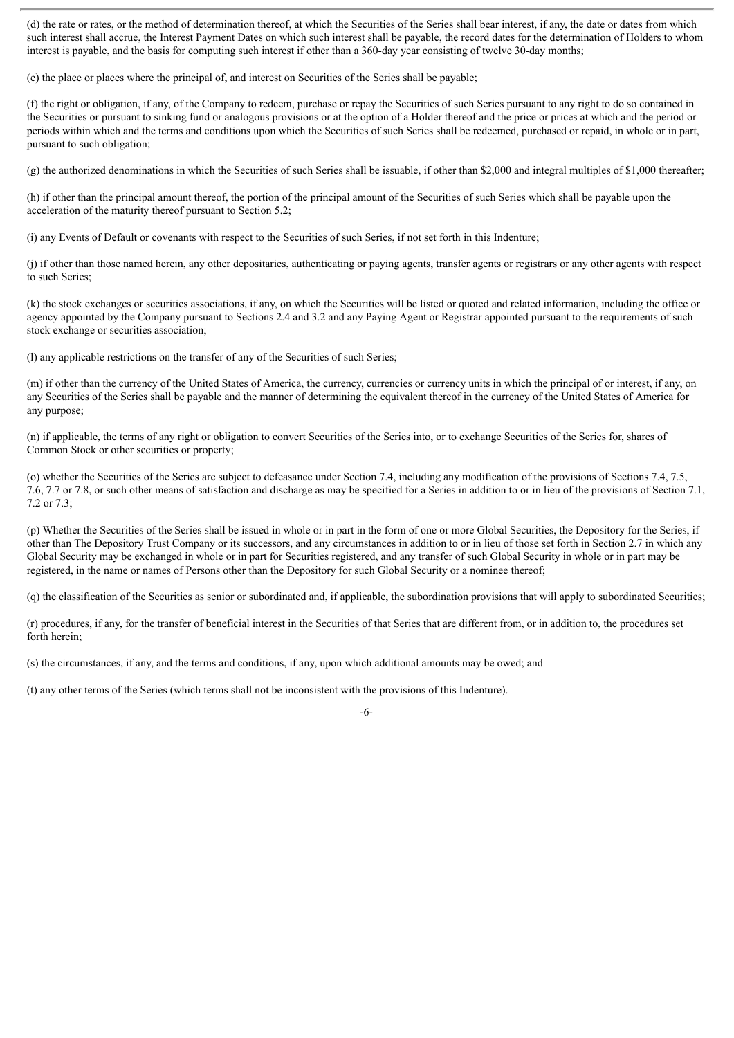(d) the rate or rates, or the method of determination thereof, at which the Securities of the Series shall bear interest, if any, the date or dates from which such interest shall accrue, the Interest Payment Dates on which such interest shall be payable, the record dates for the determination of Holders to whom interest is payable, and the basis for computing such interest if other than a 360-day year consisting of twelve 30-day months;

(e) the place or places where the principal of, and interest on Securities of the Series shall be payable;

(f) the right or obligation, if any, of the Company to redeem, purchase or repay the Securities of such Series pursuant to any right to do so contained in the Securities or pursuant to sinking fund or analogous provisions or at the option of a Holder thereof and the price or prices at which and the period or periods within which and the terms and conditions upon which the Securities of such Series shall be redeemed, purchased or repaid, in whole or in part, pursuant to such obligation;

(g) the authorized denominations in which the Securities of such Series shall be issuable, if other than \$2,000 and integral multiples of \$1,000 thereafter;

(h) if other than the principal amount thereof, the portion of the principal amount of the Securities of such Series which shall be payable upon the acceleration of the maturity thereof pursuant to Section 5.2;

(i) any Events of Default or covenants with respect to the Securities of such Series, if not set forth in this Indenture;

(j) if other than those named herein, any other depositaries, authenticating or paying agents, transfer agents or registrars or any other agents with respect to such Series;

(k) the stock exchanges or securities associations, if any, on which the Securities will be listed or quoted and related information, including the office or agency appointed by the Company pursuant to Sections 2.4 and 3.2 and any Paying Agent or Registrar appointed pursuant to the requirements of such stock exchange or securities association;

(l) any applicable restrictions on the transfer of any of the Securities of such Series;

(m) if other than the currency of the United States of America, the currency, currencies or currency units in which the principal of or interest, if any, on any Securities of the Series shall be payable and the manner of determining the equivalent thereof in the currency of the United States of America for any purpose;

(n) if applicable, the terms of any right or obligation to convert Securities of the Series into, or to exchange Securities of the Series for, shares of Common Stock or other securities or property;

(o) whether the Securities of the Series are subject to defeasance under Section 7.4, including any modification of the provisions of Sections 7.4, 7.5, 7.6, 7.7 or 7.8, or such other means of satisfaction and discharge as may be specified for a Series in addition to or in lieu of the provisions of Section 7.1, 7.2 or 7.3;

(p) Whether the Securities of the Series shall be issued in whole or in part in the form of one or more Global Securities, the Depository for the Series, if other than The Depository Trust Company or its successors, and any circumstances in addition to or in lieu of those set forth in Section 2.7 in which any Global Security may be exchanged in whole or in part for Securities registered, and any transfer of such Global Security in whole or in part may be registered, in the name or names of Persons other than the Depository for such Global Security or a nominee thereof;

(q) the classification of the Securities as senior or subordinated and, if applicable, the subordination provisions that will apply to subordinated Securities;

(r) procedures, if any, for the transfer of beneficial interest in the Securities of that Series that are different from, or in addition to, the procedures set forth herein;

(s) the circumstances, if any, and the terms and conditions, if any, upon which additional amounts may be owed; and

(t) any other terms of the Series (which terms shall not be inconsistent with the provisions of this Indenture).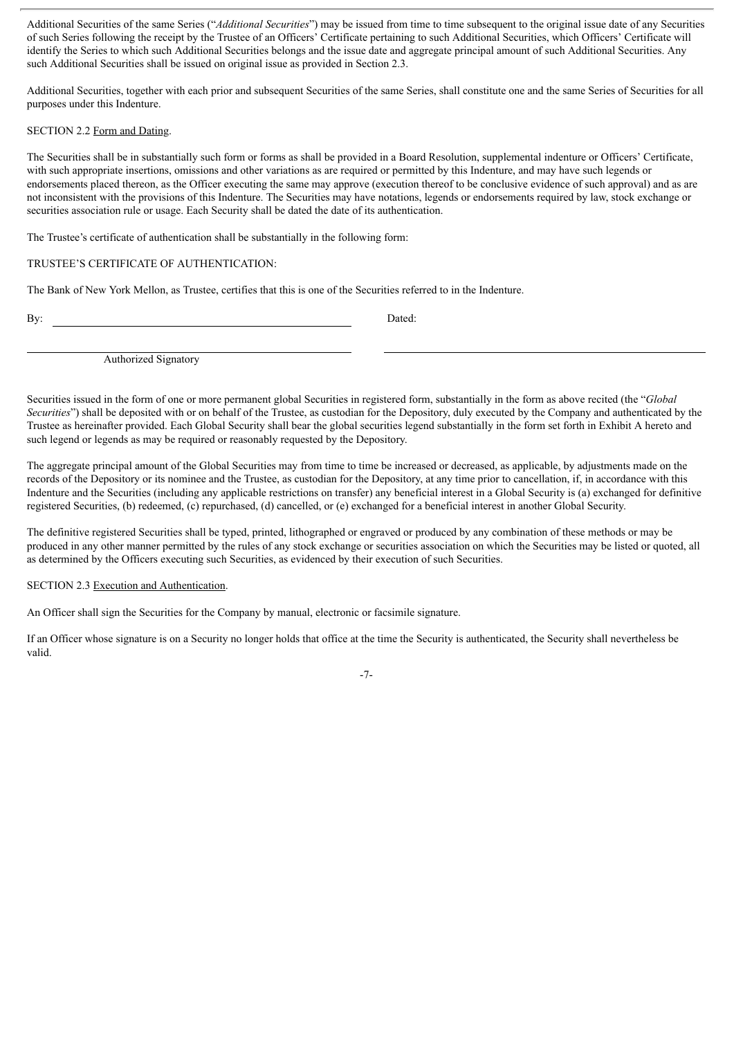Additional Securities of the same Series ("*Additional Securities*") may be issued from time to time subsequent to the original issue date of any Securities of such Series following the receipt by the Trustee of an Officers' Certificate pertaining to such Additional Securities, which Officers' Certificate will identify the Series to which such Additional Securities belongs and the issue date and aggregate principal amount of such Additional Securities. Any such Additional Securities shall be issued on original issue as provided in Section 2.3.

Additional Securities, together with each prior and subsequent Securities of the same Series, shall constitute one and the same Series of Securities for all purposes under this Indenture.

# SECTION 2.2 Form and Dating.

The Securities shall be in substantially such form or forms as shall be provided in a Board Resolution, supplemental indenture or Officers' Certificate, with such appropriate insertions, omissions and other variations as are required or permitted by this Indenture, and may have such legends or endorsements placed thereon, as the Officer executing the same may approve (execution thereof to be conclusive evidence of such approval) and as are not inconsistent with the provisions of this Indenture. The Securities may have notations, legends or endorsements required by law, stock exchange or securities association rule or usage. Each Security shall be dated the date of its authentication.

The Trustee's certificate of authentication shall be substantially in the following form:

# TRUSTEE'S CERTIFICATE OF AUTHENTICATION:

The Bank of New York Mellon, as Trustee, certifies that this is one of the Securities referred to in the Indenture.

By: Dated:

Authorized Signatory

Securities issued in the form of one or more permanent global Securities in registered form, substantially in the form as above recited (the "*Global Securities*") shall be deposited with or on behalf of the Trustee, as custodian for the Depository, duly executed by the Company and authenticated by the Trustee as hereinafter provided. Each Global Security shall bear the global securities legend substantially in the form set forth in Exhibit A hereto and such legend or legends as may be required or reasonably requested by the Depository.

The aggregate principal amount of the Global Securities may from time to time be increased or decreased, as applicable, by adjustments made on the records of the Depository or its nominee and the Trustee, as custodian for the Depository, at any time prior to cancellation, if, in accordance with this Indenture and the Securities (including any applicable restrictions on transfer) any beneficial interest in a Global Security is (a) exchanged for definitive registered Securities, (b) redeemed, (c) repurchased, (d) cancelled, or (e) exchanged for a beneficial interest in another Global Security.

The definitive registered Securities shall be typed, printed, lithographed or engraved or produced by any combination of these methods or may be produced in any other manner permitted by the rules of any stock exchange or securities association on which the Securities may be listed or quoted, all as determined by the Officers executing such Securities, as evidenced by their execution of such Securities.

SECTION 2.3 Execution and Authentication.

An Officer shall sign the Securities for the Company by manual, electronic or facsimile signature.

If an Officer whose signature is on a Security no longer holds that office at the time the Security is authenticated, the Security shall nevertheless be valid.

-7-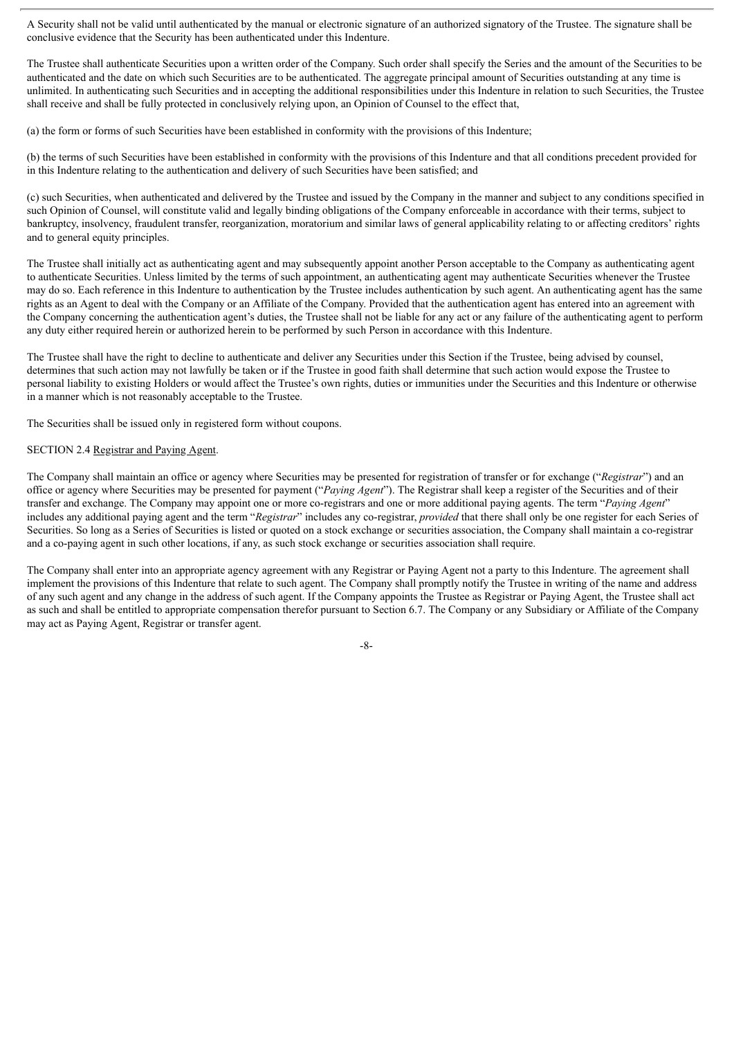A Security shall not be valid until authenticated by the manual or electronic signature of an authorized signatory of the Trustee. The signature shall be conclusive evidence that the Security has been authenticated under this Indenture.

The Trustee shall authenticate Securities upon a written order of the Company. Such order shall specify the Series and the amount of the Securities to be authenticated and the date on which such Securities are to be authenticated. The aggregate principal amount of Securities outstanding at any time is unlimited. In authenticating such Securities and in accepting the additional responsibilities under this Indenture in relation to such Securities, the Trustee shall receive and shall be fully protected in conclusively relying upon, an Opinion of Counsel to the effect that,

(a) the form or forms of such Securities have been established in conformity with the provisions of this Indenture;

(b) the terms of such Securities have been established in conformity with the provisions of this Indenture and that all conditions precedent provided for in this Indenture relating to the authentication and delivery of such Securities have been satisfied; and

(c) such Securities, when authenticated and delivered by the Trustee and issued by the Company in the manner and subject to any conditions specified in such Opinion of Counsel, will constitute valid and legally binding obligations of the Company enforceable in accordance with their terms, subject to bankruptcy, insolvency, fraudulent transfer, reorganization, moratorium and similar laws of general applicability relating to or affecting creditors' rights and to general equity principles.

The Trustee shall initially act as authenticating agent and may subsequently appoint another Person acceptable to the Company as authenticating agent to authenticate Securities. Unless limited by the terms of such appointment, an authenticating agent may authenticate Securities whenever the Trustee may do so. Each reference in this Indenture to authentication by the Trustee includes authentication by such agent. An authenticating agent has the same rights as an Agent to deal with the Company or an Affiliate of the Company. Provided that the authentication agent has entered into an agreement with the Company concerning the authentication agent's duties, the Trustee shall not be liable for any act or any failure of the authenticating agent to perform any duty either required herein or authorized herein to be performed by such Person in accordance with this Indenture.

The Trustee shall have the right to decline to authenticate and deliver any Securities under this Section if the Trustee, being advised by counsel, determines that such action may not lawfully be taken or if the Trustee in good faith shall determine that such action would expose the Trustee to personal liability to existing Holders or would affect the Trustee's own rights, duties or immunities under the Securities and this Indenture or otherwise in a manner which is not reasonably acceptable to the Trustee.

The Securities shall be issued only in registered form without coupons.

### SECTION 2.4 Registrar and Paying Agent.

The Company shall maintain an office or agency where Securities may be presented for registration of transfer or for exchange ("*Registrar*") and an office or agency where Securities may be presented for payment ("*Paying Agent*"). The Registrar shall keep a register of the Securities and of their transfer and exchange. The Company may appoint one or more co-registrars and one or more additional paying agents. The term "*Paying Agent*" includes any additional paying agent and the term "*Registrar*" includes any co-registrar, *provided* that there shall only be one register for each Series of Securities. So long as a Series of Securities is listed or quoted on a stock exchange or securities association, the Company shall maintain a co-registrar and a co-paying agent in such other locations, if any, as such stock exchange or securities association shall require.

The Company shall enter into an appropriate agency agreement with any Registrar or Paying Agent not a party to this Indenture. The agreement shall implement the provisions of this Indenture that relate to such agent. The Company shall promptly notify the Trustee in writing of the name and address of any such agent and any change in the address of such agent. If the Company appoints the Trustee as Registrar or Paying Agent, the Trustee shall act as such and shall be entitled to appropriate compensation therefor pursuant to Section 6.7. The Company or any Subsidiary or Affiliate of the Company may act as Paying Agent, Registrar or transfer agent.

-8-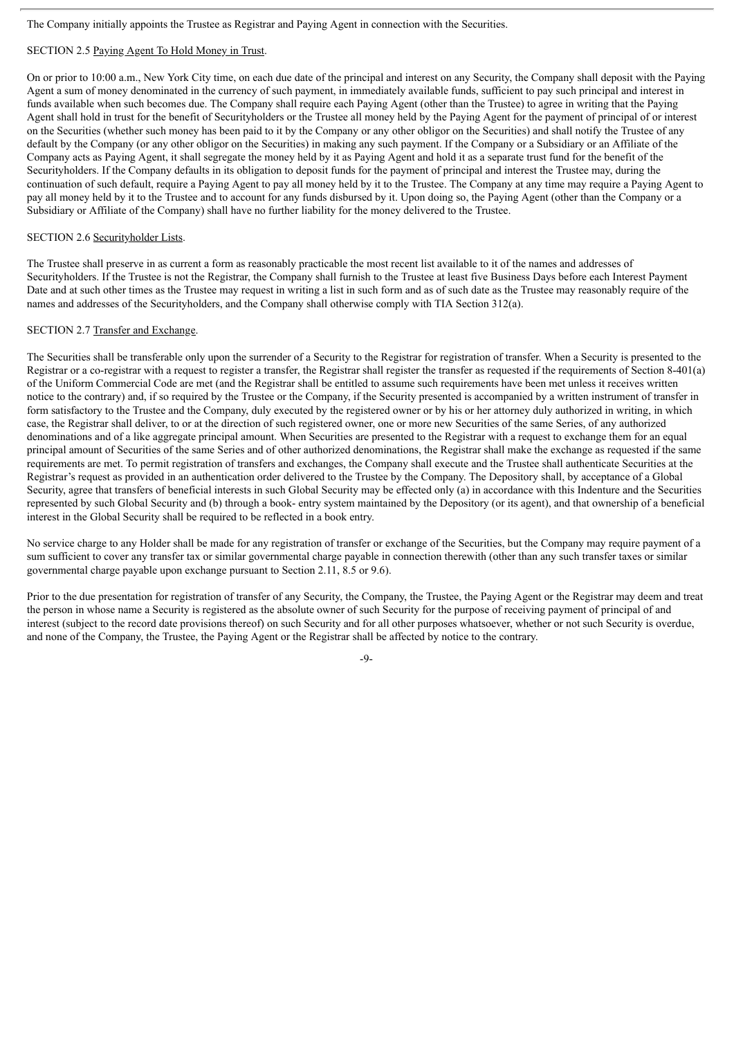The Company initially appoints the Trustee as Registrar and Paying Agent in connection with the Securities.

# SECTION 2.5 Paying Agent To Hold Money in Trust.

On or prior to 10:00 a.m., New York City time, on each due date of the principal and interest on any Security, the Company shall deposit with the Paying Agent a sum of money denominated in the currency of such payment, in immediately available funds, sufficient to pay such principal and interest in funds available when such becomes due. The Company shall require each Paying Agent (other than the Trustee) to agree in writing that the Paying Agent shall hold in trust for the benefit of Securityholders or the Trustee all money held by the Paying Agent for the payment of principal of or interest on the Securities (whether such money has been paid to it by the Company or any other obligor on the Securities) and shall notify the Trustee of any default by the Company (or any other obligor on the Securities) in making any such payment. If the Company or a Subsidiary or an Affiliate of the Company acts as Paying Agent, it shall segregate the money held by it as Paying Agent and hold it as a separate trust fund for the benefit of the Securityholders. If the Company defaults in its obligation to deposit funds for the payment of principal and interest the Trustee may, during the continuation of such default, require a Paying Agent to pay all money held by it to the Trustee. The Company at any time may require a Paying Agent to pay all money held by it to the Trustee and to account for any funds disbursed by it. Upon doing so, the Paying Agent (other than the Company or a Subsidiary or Affiliate of the Company) shall have no further liability for the money delivered to the Trustee.

### SECTION 2.6 Securityholder Lists.

The Trustee shall preserve in as current a form as reasonably practicable the most recent list available to it of the names and addresses of Securityholders. If the Trustee is not the Registrar, the Company shall furnish to the Trustee at least five Business Days before each Interest Payment Date and at such other times as the Trustee may request in writing a list in such form and as of such date as the Trustee may reasonably require of the names and addresses of the Securityholders, and the Company shall otherwise comply with TIA Section 312(a).

# SECTION 2.7 Transfer and Exchange.

The Securities shall be transferable only upon the surrender of a Security to the Registrar for registration of transfer. When a Security is presented to the Registrar or a co-registrar with a request to register a transfer, the Registrar shall register the transfer as requested if the requirements of Section 8-401(a) of the Uniform Commercial Code are met (and the Registrar shall be entitled to assume such requirements have been met unless it receives written notice to the contrary) and, if so required by the Trustee or the Company, if the Security presented is accompanied by a written instrument of transfer in form satisfactory to the Trustee and the Company, duly executed by the registered owner or by his or her attorney duly authorized in writing, in which case, the Registrar shall deliver, to or at the direction of such registered owner, one or more new Securities of the same Series, of any authorized denominations and of a like aggregate principal amount. When Securities are presented to the Registrar with a request to exchange them for an equal principal amount of Securities of the same Series and of other authorized denominations, the Registrar shall make the exchange as requested if the same requirements are met. To permit registration of transfers and exchanges, the Company shall execute and the Trustee shall authenticate Securities at the Registrar's request as provided in an authentication order delivered to the Trustee by the Company. The Depository shall, by acceptance of a Global Security, agree that transfers of beneficial interests in such Global Security may be effected only (a) in accordance with this Indenture and the Securities represented by such Global Security and (b) through a book- entry system maintained by the Depository (or its agent), and that ownership of a beneficial interest in the Global Security shall be required to be reflected in a book entry.

No service charge to any Holder shall be made for any registration of transfer or exchange of the Securities, but the Company may require payment of a sum sufficient to cover any transfer tax or similar governmental charge payable in connection therewith (other than any such transfer taxes or similar governmental charge payable upon exchange pursuant to Section 2.11, 8.5 or 9.6).

Prior to the due presentation for registration of transfer of any Security, the Company, the Trustee, the Paying Agent or the Registrar may deem and treat the person in whose name a Security is registered as the absolute owner of such Security for the purpose of receiving payment of principal of and interest (subject to the record date provisions thereof) on such Security and for all other purposes whatsoever, whether or not such Security is overdue, and none of the Company, the Trustee, the Paying Agent or the Registrar shall be affected by notice to the contrary.

 $\Omega$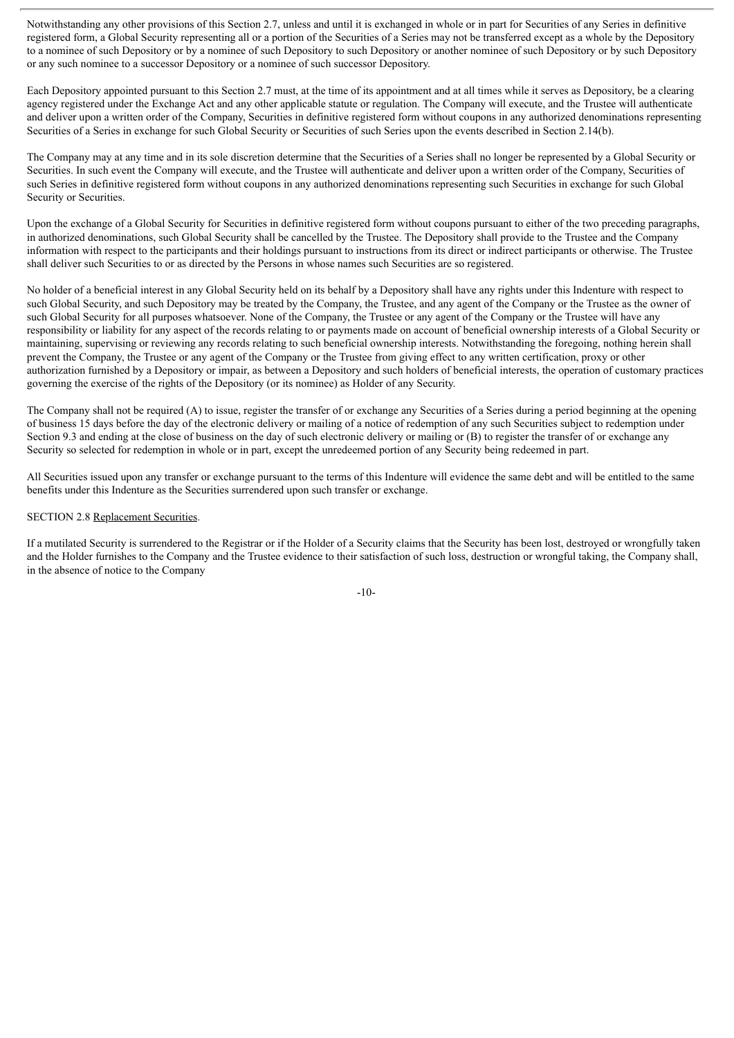Notwithstanding any other provisions of this Section 2.7, unless and until it is exchanged in whole or in part for Securities of any Series in definitive registered form, a Global Security representing all or a portion of the Securities of a Series may not be transferred except as a whole by the Depository to a nominee of such Depository or by a nominee of such Depository to such Depository or another nominee of such Depository or by such Depository or any such nominee to a successor Depository or a nominee of such successor Depository.

Each Depository appointed pursuant to this Section 2.7 must, at the time of its appointment and at all times while it serves as Depository, be a clearing agency registered under the Exchange Act and any other applicable statute or regulation. The Company will execute, and the Trustee will authenticate and deliver upon a written order of the Company, Securities in definitive registered form without coupons in any authorized denominations representing Securities of a Series in exchange for such Global Security or Securities of such Series upon the events described in Section 2.14(b).

The Company may at any time and in its sole discretion determine that the Securities of a Series shall no longer be represented by a Global Security or Securities. In such event the Company will execute, and the Trustee will authenticate and deliver upon a written order of the Company, Securities of such Series in definitive registered form without coupons in any authorized denominations representing such Securities in exchange for such Global Security or Securities.

Upon the exchange of a Global Security for Securities in definitive registered form without coupons pursuant to either of the two preceding paragraphs, in authorized denominations, such Global Security shall be cancelled by the Trustee. The Depository shall provide to the Trustee and the Company information with respect to the participants and their holdings pursuant to instructions from its direct or indirect participants or otherwise. The Trustee shall deliver such Securities to or as directed by the Persons in whose names such Securities are so registered.

No holder of a beneficial interest in any Global Security held on its behalf by a Depository shall have any rights under this Indenture with respect to such Global Security, and such Depository may be treated by the Company, the Trustee, and any agent of the Company or the Trustee as the owner of such Global Security for all purposes whatsoever. None of the Company, the Trustee or any agent of the Company or the Trustee will have any responsibility or liability for any aspect of the records relating to or payments made on account of beneficial ownership interests of a Global Security or maintaining, supervising or reviewing any records relating to such beneficial ownership interests. Notwithstanding the foregoing, nothing herein shall prevent the Company, the Trustee or any agent of the Company or the Trustee from giving effect to any written certification, proxy or other authorization furnished by a Depository or impair, as between a Depository and such holders of beneficial interests, the operation of customary practices governing the exercise of the rights of the Depository (or its nominee) as Holder of any Security.

The Company shall not be required (A) to issue, register the transfer of or exchange any Securities of a Series during a period beginning at the opening of business 15 days before the day of the electronic delivery or mailing of a notice of redemption of any such Securities subject to redemption under Section 9.3 and ending at the close of business on the day of such electronic delivery or mailing or (B) to register the transfer of or exchange any Security so selected for redemption in whole or in part, except the unredeemed portion of any Security being redeemed in part.

All Securities issued upon any transfer or exchange pursuant to the terms of this Indenture will evidence the same debt and will be entitled to the same benefits under this Indenture as the Securities surrendered upon such transfer or exchange.

### SECTION 2.8 Replacement Securities.

If a mutilated Security is surrendered to the Registrar or if the Holder of a Security claims that the Security has been lost, destroyed or wrongfully taken and the Holder furnishes to the Company and the Trustee evidence to their satisfaction of such loss, destruction or wrongful taking, the Company shall, in the absence of notice to the Company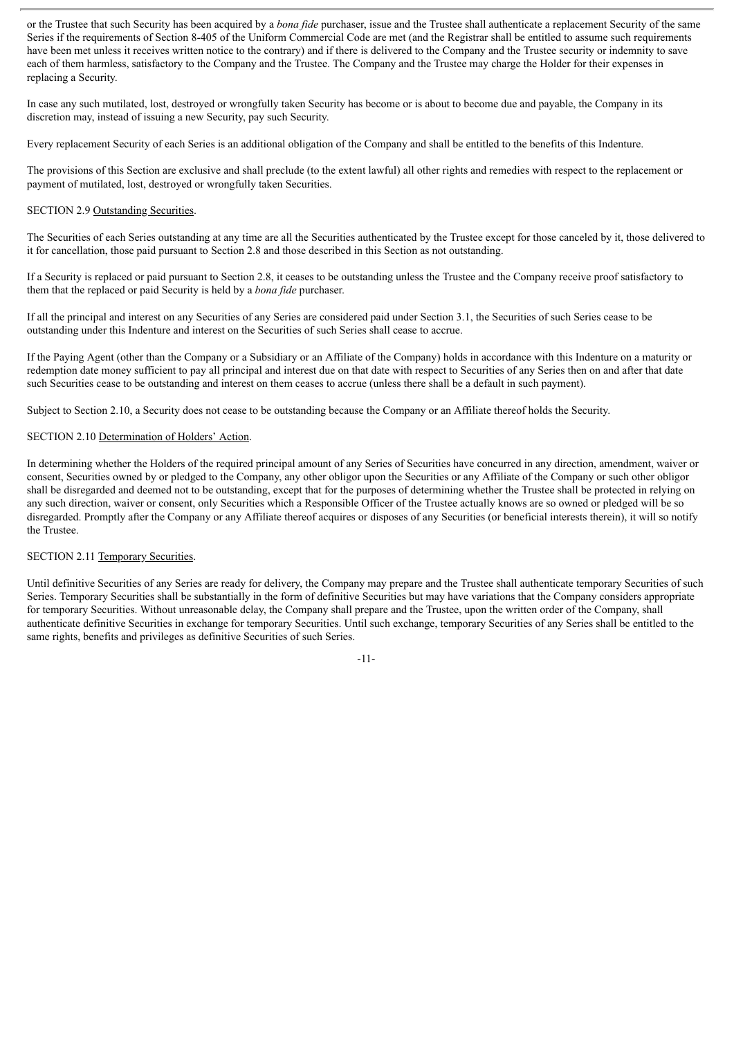or the Trustee that such Security has been acquired by a *bona fide* purchaser, issue and the Trustee shall authenticate a replacement Security of the same Series if the requirements of Section 8-405 of the Uniform Commercial Code are met (and the Registrar shall be entitled to assume such requirements have been met unless it receives written notice to the contrary) and if there is delivered to the Company and the Trustee security or indemnity to save each of them harmless, satisfactory to the Company and the Trustee. The Company and the Trustee may charge the Holder for their expenses in replacing a Security.

In case any such mutilated, lost, destroyed or wrongfully taken Security has become or is about to become due and payable, the Company in its discretion may, instead of issuing a new Security, pay such Security.

Every replacement Security of each Series is an additional obligation of the Company and shall be entitled to the benefits of this Indenture.

The provisions of this Section are exclusive and shall preclude (to the extent lawful) all other rights and remedies with respect to the replacement or payment of mutilated, lost, destroyed or wrongfully taken Securities.

## SECTION 2.9 Outstanding Securities.

The Securities of each Series outstanding at any time are all the Securities authenticated by the Trustee except for those canceled by it, those delivered to it for cancellation, those paid pursuant to Section 2.8 and those described in this Section as not outstanding.

If a Security is replaced or paid pursuant to Section 2.8, it ceases to be outstanding unless the Trustee and the Company receive proof satisfactory to them that the replaced or paid Security is held by a *bona fide* purchaser.

If all the principal and interest on any Securities of any Series are considered paid under Section 3.1, the Securities of such Series cease to be outstanding under this Indenture and interest on the Securities of such Series shall cease to accrue.

If the Paying Agent (other than the Company or a Subsidiary or an Affiliate of the Company) holds in accordance with this Indenture on a maturity or redemption date money sufficient to pay all principal and interest due on that date with respect to Securities of any Series then on and after that date such Securities cease to be outstanding and interest on them ceases to accrue (unless there shall be a default in such payment).

Subject to Section 2.10, a Security does not cease to be outstanding because the Company or an Affiliate thereof holds the Security.

### SECTION 2.10 Determination of Holders' Action.

In determining whether the Holders of the required principal amount of any Series of Securities have concurred in any direction, amendment, waiver or consent, Securities owned by or pledged to the Company, any other obligor upon the Securities or any Affiliate of the Company or such other obligor shall be disregarded and deemed not to be outstanding, except that for the purposes of determining whether the Trustee shall be protected in relying on any such direction, waiver or consent, only Securities which a Responsible Officer of the Trustee actually knows are so owned or pledged will be so disregarded. Promptly after the Company or any Affiliate thereof acquires or disposes of any Securities (or beneficial interests therein), it will so notify the Trustee.

#### SECTION 2.11 Temporary Securities.

Until definitive Securities of any Series are ready for delivery, the Company may prepare and the Trustee shall authenticate temporary Securities of such Series. Temporary Securities shall be substantially in the form of definitive Securities but may have variations that the Company considers appropriate for temporary Securities. Without unreasonable delay, the Company shall prepare and the Trustee, upon the written order of the Company, shall authenticate definitive Securities in exchange for temporary Securities. Until such exchange, temporary Securities of any Series shall be entitled to the same rights, benefits and privileges as definitive Securities of such Series.

-11-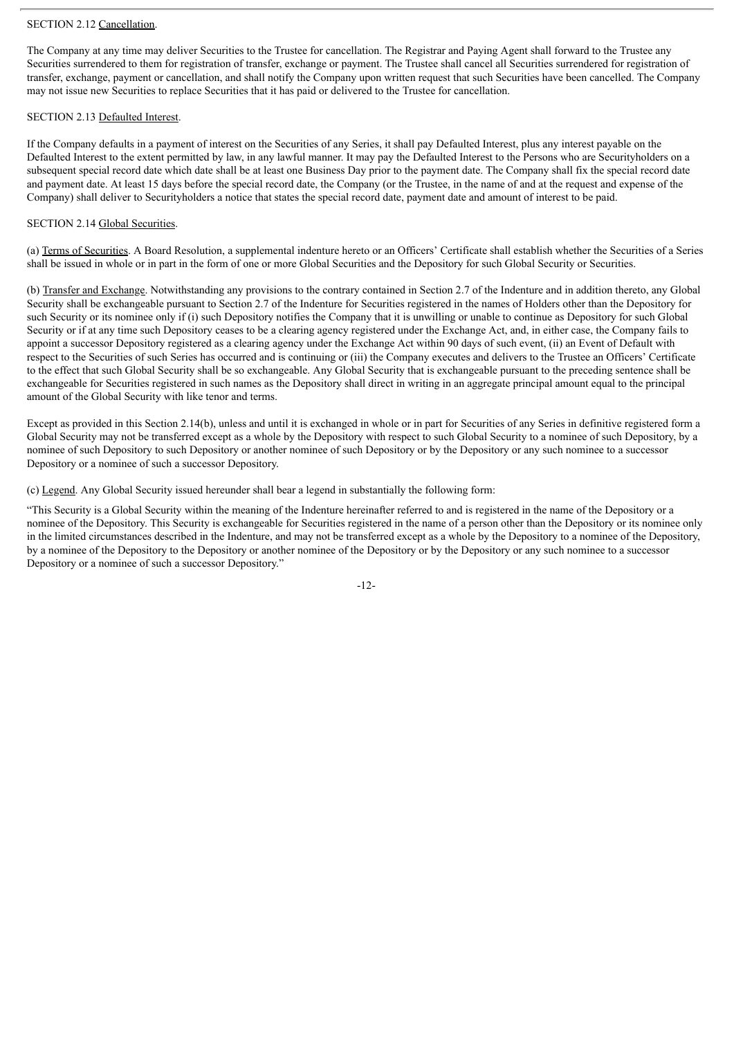### SECTION 2.12 Cancellation.

The Company at any time may deliver Securities to the Trustee for cancellation. The Registrar and Paying Agent shall forward to the Trustee any Securities surrendered to them for registration of transfer, exchange or payment. The Trustee shall cancel all Securities surrendered for registration of transfer, exchange, payment or cancellation, and shall notify the Company upon written request that such Securities have been cancelled. The Company may not issue new Securities to replace Securities that it has paid or delivered to the Trustee for cancellation.

### SECTION 2.13 Defaulted Interest.

If the Company defaults in a payment of interest on the Securities of any Series, it shall pay Defaulted Interest, plus any interest payable on the Defaulted Interest to the extent permitted by law, in any lawful manner. It may pay the Defaulted Interest to the Persons who are Securityholders on a subsequent special record date which date shall be at least one Business Day prior to the payment date. The Company shall fix the special record date and payment date. At least 15 days before the special record date, the Company (or the Trustee, in the name of and at the request and expense of the Company) shall deliver to Securityholders a notice that states the special record date, payment date and amount of interest to be paid.

### SECTION 2.14 Global Securities.

(a) Terms of Securities. A Board Resolution, a supplemental indenture hereto or an Officers' Certificate shall establish whether the Securities of a Series shall be issued in whole or in part in the form of one or more Global Securities and the Depository for such Global Security or Securities.

(b) Transfer and Exchange. Notwithstanding any provisions to the contrary contained in Section 2.7 of the Indenture and in addition thereto, any Global Security shall be exchangeable pursuant to Section 2.7 of the Indenture for Securities registered in the names of Holders other than the Depository for such Security or its nominee only if (i) such Depository notifies the Company that it is unwilling or unable to continue as Depository for such Global Security or if at any time such Depository ceases to be a clearing agency registered under the Exchange Act, and, in either case, the Company fails to appoint a successor Depository registered as a clearing agency under the Exchange Act within 90 days of such event, (ii) an Event of Default with respect to the Securities of such Series has occurred and is continuing or (iii) the Company executes and delivers to the Trustee an Officers' Certificate to the effect that such Global Security shall be so exchangeable. Any Global Security that is exchangeable pursuant to the preceding sentence shall be exchangeable for Securities registered in such names as the Depository shall direct in writing in an aggregate principal amount equal to the principal amount of the Global Security with like tenor and terms.

Except as provided in this Section 2.14(b), unless and until it is exchanged in whole or in part for Securities of any Series in definitive registered form a Global Security may not be transferred except as a whole by the Depository with respect to such Global Security to a nominee of such Depository, by a nominee of such Depository to such Depository or another nominee of such Depository or by the Depository or any such nominee to a successor Depository or a nominee of such a successor Depository.

(c) Legend. Any Global Security issued hereunder shall bear a legend in substantially the following form:

"This Security is a Global Security within the meaning of the Indenture hereinafter referred to and is registered in the name of the Depository or a nominee of the Depository. This Security is exchangeable for Securities registered in the name of a person other than the Depository or its nominee only in the limited circumstances described in the Indenture, and may not be transferred except as a whole by the Depository to a nominee of the Depository, by a nominee of the Depository to the Depository or another nominee of the Depository or by the Depository or any such nominee to a successor Depository or a nominee of such a successor Depository."

-12-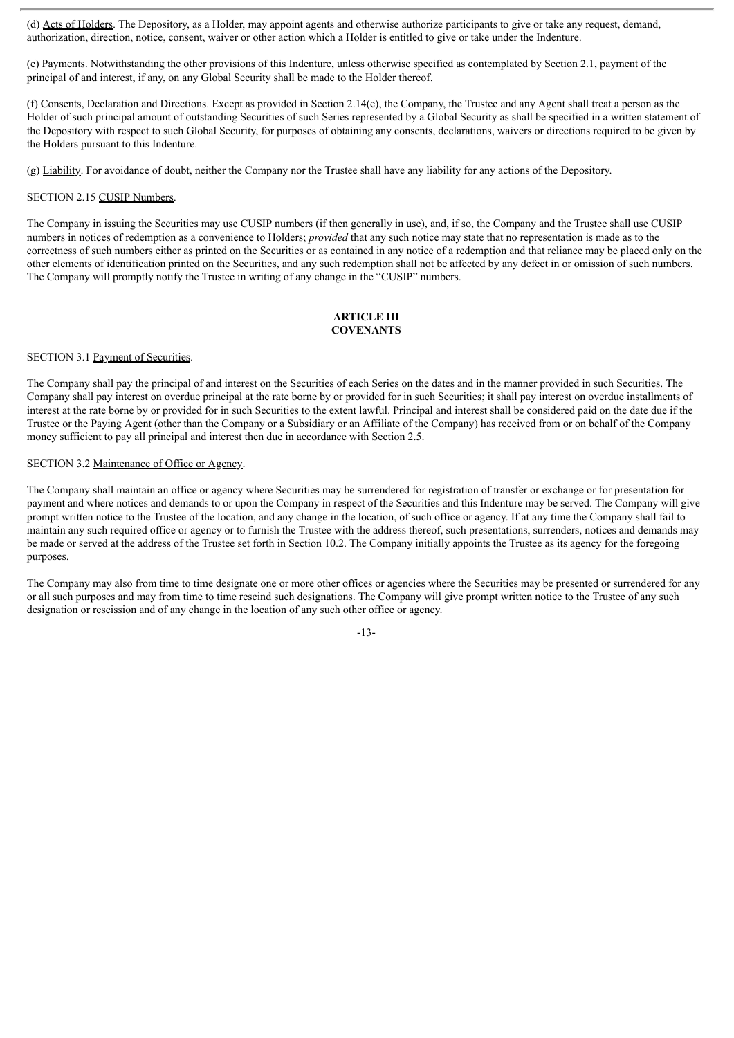(d) Acts of Holders. The Depository, as a Holder, may appoint agents and otherwise authorize participants to give or take any request, demand, authorization, direction, notice, consent, waiver or other action which a Holder is entitled to give or take under the Indenture.

(e) Payments. Notwithstanding the other provisions of this Indenture, unless otherwise specified as contemplated by Section 2.1, payment of the principal of and interest, if any, on any Global Security shall be made to the Holder thereof.

(f) Consents, Declaration and Directions. Except as provided in Section 2.14(e), the Company, the Trustee and any Agent shall treat a person as the Holder of such principal amount of outstanding Securities of such Series represented by a Global Security as shall be specified in a written statement of the Depository with respect to such Global Security, for purposes of obtaining any consents, declarations, waivers or directions required to be given by the Holders pursuant to this Indenture.

(g) Liability. For avoidance of doubt, neither the Company nor the Trustee shall have any liability for any actions of the Depository.

### SECTION 2.15 CUSIP Numbers.

The Company in issuing the Securities may use CUSIP numbers (if then generally in use), and, if so, the Company and the Trustee shall use CUSIP numbers in notices of redemption as a convenience to Holders; *provided* that any such notice may state that no representation is made as to the correctness of such numbers either as printed on the Securities or as contained in any notice of a redemption and that reliance may be placed only on the other elements of identification printed on the Securities, and any such redemption shall not be affected by any defect in or omission of such numbers. The Company will promptly notify the Trustee in writing of any change in the "CUSIP" numbers.

# **ARTICLE III COVENANTS**

## SECTION 3.1 Payment of Securities.

The Company shall pay the principal of and interest on the Securities of each Series on the dates and in the manner provided in such Securities. The Company shall pay interest on overdue principal at the rate borne by or provided for in such Securities; it shall pay interest on overdue installments of interest at the rate borne by or provided for in such Securities to the extent lawful. Principal and interest shall be considered paid on the date due if the Trustee or the Paying Agent (other than the Company or a Subsidiary or an Affiliate of the Company) has received from or on behalf of the Company money sufficient to pay all principal and interest then due in accordance with Section 2.5.

## SECTION 3.2 Maintenance of Office or Agency.

The Company shall maintain an office or agency where Securities may be surrendered for registration of transfer or exchange or for presentation for payment and where notices and demands to or upon the Company in respect of the Securities and this Indenture may be served. The Company will give prompt written notice to the Trustee of the location, and any change in the location, of such office or agency. If at any time the Company shall fail to maintain any such required office or agency or to furnish the Trustee with the address thereof, such presentations, surrenders, notices and demands may be made or served at the address of the Trustee set forth in Section 10.2. The Company initially appoints the Trustee as its agency for the foregoing purposes.

The Company may also from time to time designate one or more other offices or agencies where the Securities may be presented or surrendered for any or all such purposes and may from time to time rescind such designations. The Company will give prompt written notice to the Trustee of any such designation or rescission and of any change in the location of any such other office or agency.

-13-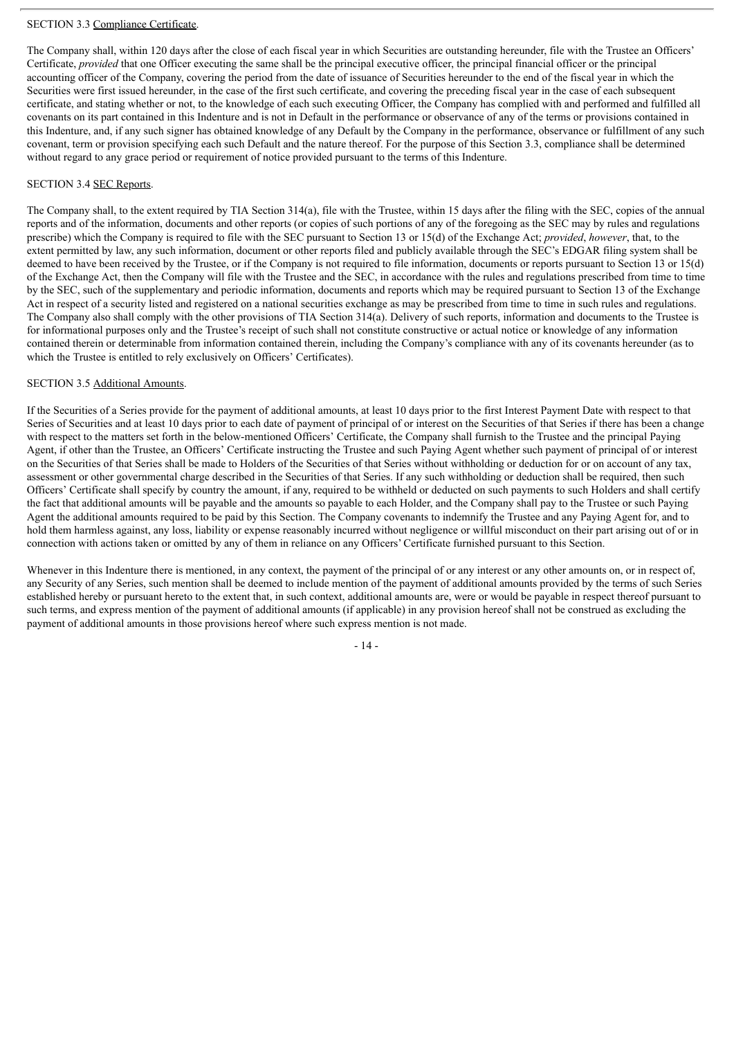# SECTION 3.3 Compliance Certificate.

The Company shall, within 120 days after the close of each fiscal year in which Securities are outstanding hereunder, file with the Trustee an Officers' Certificate, *provided* that one Officer executing the same shall be the principal executive officer, the principal financial officer or the principal accounting officer of the Company, covering the period from the date of issuance of Securities hereunder to the end of the fiscal year in which the Securities were first issued hereunder, in the case of the first such certificate, and covering the preceding fiscal year in the case of each subsequent certificate, and stating whether or not, to the knowledge of each such executing Officer, the Company has complied with and performed and fulfilled all covenants on its part contained in this Indenture and is not in Default in the performance or observance of any of the terms or provisions contained in this Indenture, and, if any such signer has obtained knowledge of any Default by the Company in the performance, observance or fulfillment of any such covenant, term or provision specifying each such Default and the nature thereof. For the purpose of this Section 3.3, compliance shall be determined without regard to any grace period or requirement of notice provided pursuant to the terms of this Indenture.

# SECTION 3.4 SEC Reports.

The Company shall, to the extent required by TIA Section 314(a), file with the Trustee, within 15 days after the filing with the SEC, copies of the annual reports and of the information, documents and other reports (or copies of such portions of any of the foregoing as the SEC may by rules and regulations prescribe) which the Company is required to file with the SEC pursuant to Section 13 or 15(d) of the Exchange Act; *provided*, *however*, that, to the extent permitted by law, any such information, document or other reports filed and publicly available through the SEC's EDGAR filing system shall be deemed to have been received by the Trustee, or if the Company is not required to file information, documents or reports pursuant to Section 13 or 15(d) of the Exchange Act, then the Company will file with the Trustee and the SEC, in accordance with the rules and regulations prescribed from time to time by the SEC, such of the supplementary and periodic information, documents and reports which may be required pursuant to Section 13 of the Exchange Act in respect of a security listed and registered on a national securities exchange as may be prescribed from time to time in such rules and regulations. The Company also shall comply with the other provisions of TIA Section 314(a). Delivery of such reports, information and documents to the Trustee is for informational purposes only and the Trustee's receipt of such shall not constitute constructive or actual notice or knowledge of any information contained therein or determinable from information contained therein, including the Company's compliance with any of its covenants hereunder (as to which the Trustee is entitled to rely exclusively on Officers' Certificates).

# SECTION 3.5 Additional Amounts.

If the Securities of a Series provide for the payment of additional amounts, at least 10 days prior to the first Interest Payment Date with respect to that Series of Securities and at least 10 days prior to each date of payment of principal of or interest on the Securities of that Series if there has been a change with respect to the matters set forth in the below-mentioned Officers' Certificate, the Company shall furnish to the Trustee and the principal Paying Agent, if other than the Trustee, an Officers' Certificate instructing the Trustee and such Paying Agent whether such payment of principal of or interest on the Securities of that Series shall be made to Holders of the Securities of that Series without withholding or deduction for or on account of any tax, assessment or other governmental charge described in the Securities of that Series. If any such withholding or deduction shall be required, then such Officers' Certificate shall specify by country the amount, if any, required to be withheld or deducted on such payments to such Holders and shall certify the fact that additional amounts will be payable and the amounts so payable to each Holder, and the Company shall pay to the Trustee or such Paying Agent the additional amounts required to be paid by this Section. The Company covenants to indemnify the Trustee and any Paying Agent for, and to hold them harmless against, any loss, liability or expense reasonably incurred without negligence or willful misconduct on their part arising out of or in connection with actions taken or omitted by any of them in reliance on any Officers' Certificate furnished pursuant to this Section.

Whenever in this Indenture there is mentioned, in any context, the payment of the principal of or any interest or any other amounts on, or in respect of, any Security of any Series, such mention shall be deemed to include mention of the payment of additional amounts provided by the terms of such Series established hereby or pursuant hereto to the extent that, in such context, additional amounts are, were or would be payable in respect thereof pursuant to such terms, and express mention of the payment of additional amounts (if applicable) in any provision hereof shall not be construed as excluding the payment of additional amounts in those provisions hereof where such express mention is not made.

- 14 -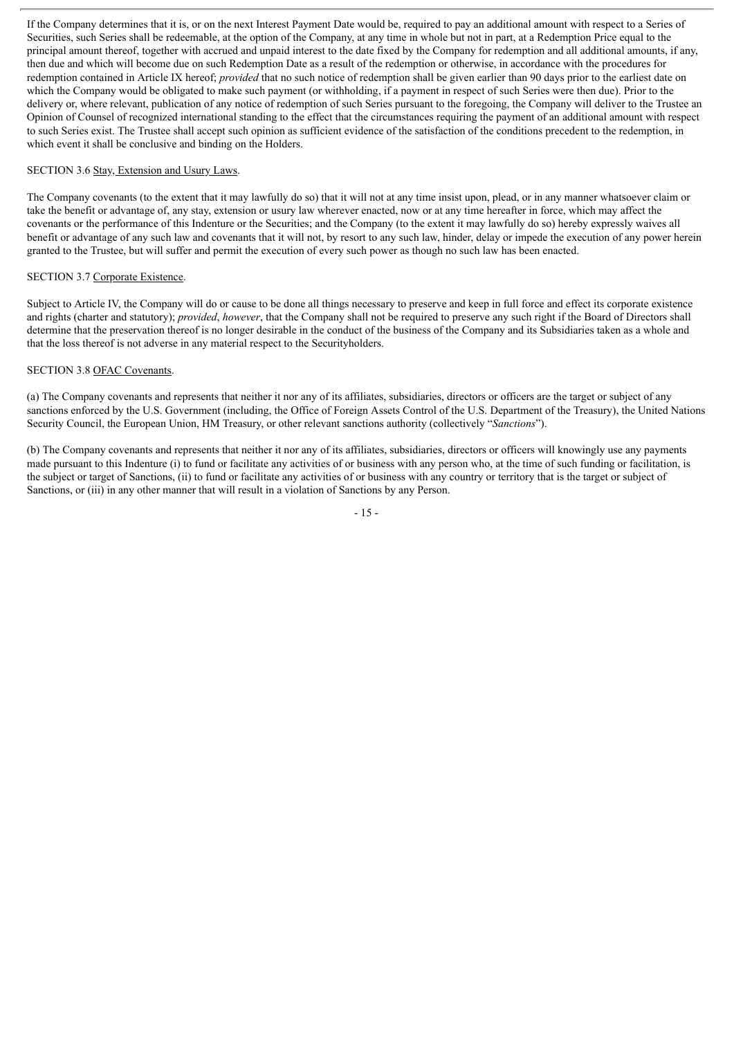If the Company determines that it is, or on the next Interest Payment Date would be, required to pay an additional amount with respect to a Series of Securities, such Series shall be redeemable, at the option of the Company, at any time in whole but not in part, at a Redemption Price equal to the principal amount thereof, together with accrued and unpaid interest to the date fixed by the Company for redemption and all additional amounts, if any, then due and which will become due on such Redemption Date as a result of the redemption or otherwise, in accordance with the procedures for redemption contained in Article IX hereof; *provided* that no such notice of redemption shall be given earlier than 90 days prior to the earliest date on which the Company would be obligated to make such payment (or withholding, if a payment in respect of such Series were then due). Prior to the delivery or, where relevant, publication of any notice of redemption of such Series pursuant to the foregoing, the Company will deliver to the Trustee an Opinion of Counsel of recognized international standing to the effect that the circumstances requiring the payment of an additional amount with respect to such Series exist. The Trustee shall accept such opinion as sufficient evidence of the satisfaction of the conditions precedent to the redemption, in which event it shall be conclusive and binding on the Holders.

### SECTION 3.6 Stay, Extension and Usury Laws.

The Company covenants (to the extent that it may lawfully do so) that it will not at any time insist upon, plead, or in any manner whatsoever claim or take the benefit or advantage of, any stay, extension or usury law wherever enacted, now or at any time hereafter in force, which may affect the covenants or the performance of this Indenture or the Securities; and the Company (to the extent it may lawfully do so) hereby expressly waives all benefit or advantage of any such law and covenants that it will not, by resort to any such law, hinder, delay or impede the execution of any power herein granted to the Trustee, but will suffer and permit the execution of every such power as though no such law has been enacted.

### SECTION 3.7 Corporate Existence.

Subject to Article IV, the Company will do or cause to be done all things necessary to preserve and keep in full force and effect its corporate existence and rights (charter and statutory); *provided*, *however*, that the Company shall not be required to preserve any such right if the Board of Directors shall determine that the preservation thereof is no longer desirable in the conduct of the business of the Company and its Subsidiaries taken as a whole and that the loss thereof is not adverse in any material respect to the Securityholders.

### SECTION 3.8 OFAC Covenants.

(a) The Company covenants and represents that neither it nor any of its affiliates, subsidiaries, directors or officers are the target or subject of any sanctions enforced by the U.S. Government (including, the Office of Foreign Assets Control of the U.S. Department of the Treasury), the United Nations Security Council, the European Union, HM Treasury, or other relevant sanctions authority (collectively "*Sanctions*").

(b) The Company covenants and represents that neither it nor any of its affiliates, subsidiaries, directors or officers will knowingly use any payments made pursuant to this Indenture (i) to fund or facilitate any activities of or business with any person who, at the time of such funding or facilitation, is the subject or target of Sanctions, (ii) to fund or facilitate any activities of or business with any country or territory that is the target or subject of Sanctions, or (iii) in any other manner that will result in a violation of Sanctions by any Person.

- 15 -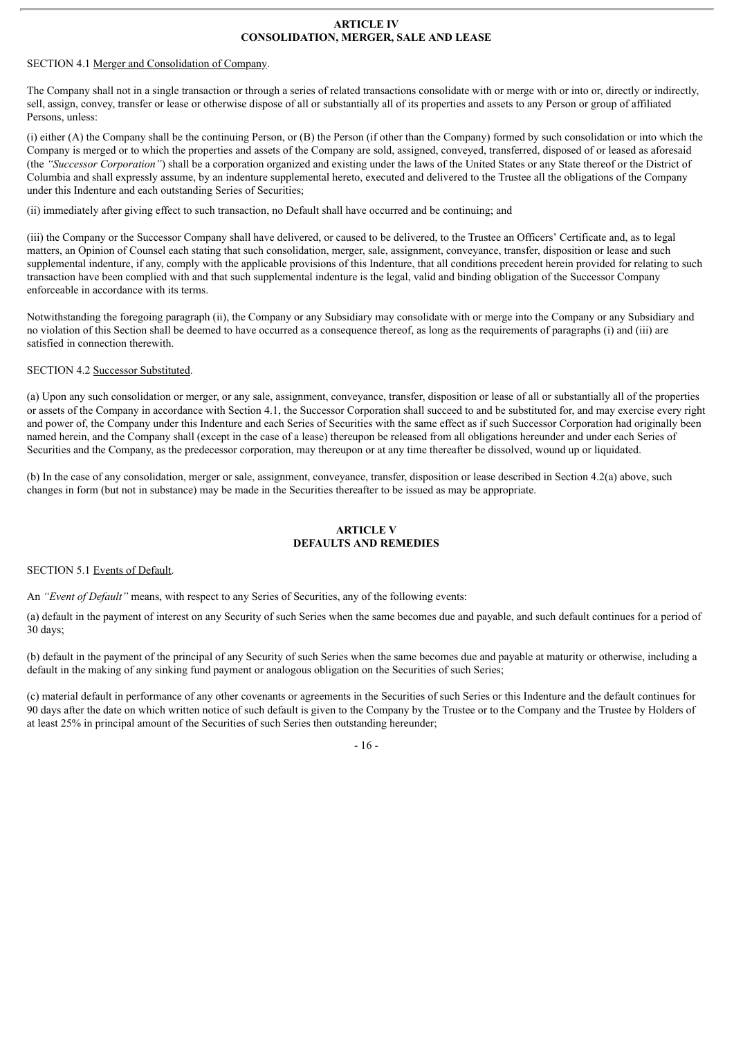### **ARTICLE IV CONSOLIDATION, MERGER, SALE AND LEASE**

## SECTION 4.1 Merger and Consolidation of Company.

The Company shall not in a single transaction or through a series of related transactions consolidate with or merge with or into or, directly or indirectly, sell, assign, convey, transfer or lease or otherwise dispose of all or substantially all of its properties and assets to any Person or group of affiliated Persons, unless:

(i) either (A) the Company shall be the continuing Person, or (B) the Person (if other than the Company) formed by such consolidation or into which the Company is merged or to which the properties and assets of the Company are sold, assigned, conveyed, transferred, disposed of or leased as aforesaid (the *"Successor Corporation"*) shall be a corporation organized and existing under the laws of the United States or any State thereof or the District of Columbia and shall expressly assume, by an indenture supplemental hereto, executed and delivered to the Trustee all the obligations of the Company under this Indenture and each outstanding Series of Securities;

(ii) immediately after giving effect to such transaction, no Default shall have occurred and be continuing; and

(iii) the Company or the Successor Company shall have delivered, or caused to be delivered, to the Trustee an Officers' Certificate and, as to legal matters, an Opinion of Counsel each stating that such consolidation, merger, sale, assignment, conveyance, transfer, disposition or lease and such supplemental indenture, if any, comply with the applicable provisions of this Indenture, that all conditions precedent herein provided for relating to such transaction have been complied with and that such supplemental indenture is the legal, valid and binding obligation of the Successor Company enforceable in accordance with its terms.

Notwithstanding the foregoing paragraph (ii), the Company or any Subsidiary may consolidate with or merge into the Company or any Subsidiary and no violation of this Section shall be deemed to have occurred as a consequence thereof, as long as the requirements of paragraphs (i) and (iii) are satisfied in connection therewith.

# SECTION 4.2 Successor Substituted.

(a) Upon any such consolidation or merger, or any sale, assignment, conveyance, transfer, disposition or lease of all or substantially all of the properties or assets of the Company in accordance with Section 4.1, the Successor Corporation shall succeed to and be substituted for, and may exercise every right and power of, the Company under this Indenture and each Series of Securities with the same effect as if such Successor Corporation had originally been named herein, and the Company shall (except in the case of a lease) thereupon be released from all obligations hereunder and under each Series of Securities and the Company, as the predecessor corporation, may thereupon or at any time thereafter be dissolved, wound up or liquidated.

(b) In the case of any consolidation, merger or sale, assignment, conveyance, transfer, disposition or lease described in Section 4.2(a) above, such changes in form (but not in substance) may be made in the Securities thereafter to be issued as may be appropriate.

# **ARTICLE V DEFAULTS AND REMEDIES**

#### SECTION 5.1 Events of Default.

An *"Event of Default"* means, with respect to any Series of Securities, any of the following events:

(a) default in the payment of interest on any Security of such Series when the same becomes due and payable, and such default continues for a period of 30 days;

(b) default in the payment of the principal of any Security of such Series when the same becomes due and payable at maturity or otherwise, including a default in the making of any sinking fund payment or analogous obligation on the Securities of such Series;

(c) material default in performance of any other covenants or agreements in the Securities of such Series or this Indenture and the default continues for 90 days after the date on which written notice of such default is given to the Company by the Trustee or to the Company and the Trustee by Holders of at least 25% in principal amount of the Securities of such Series then outstanding hereunder;

#### - 16 -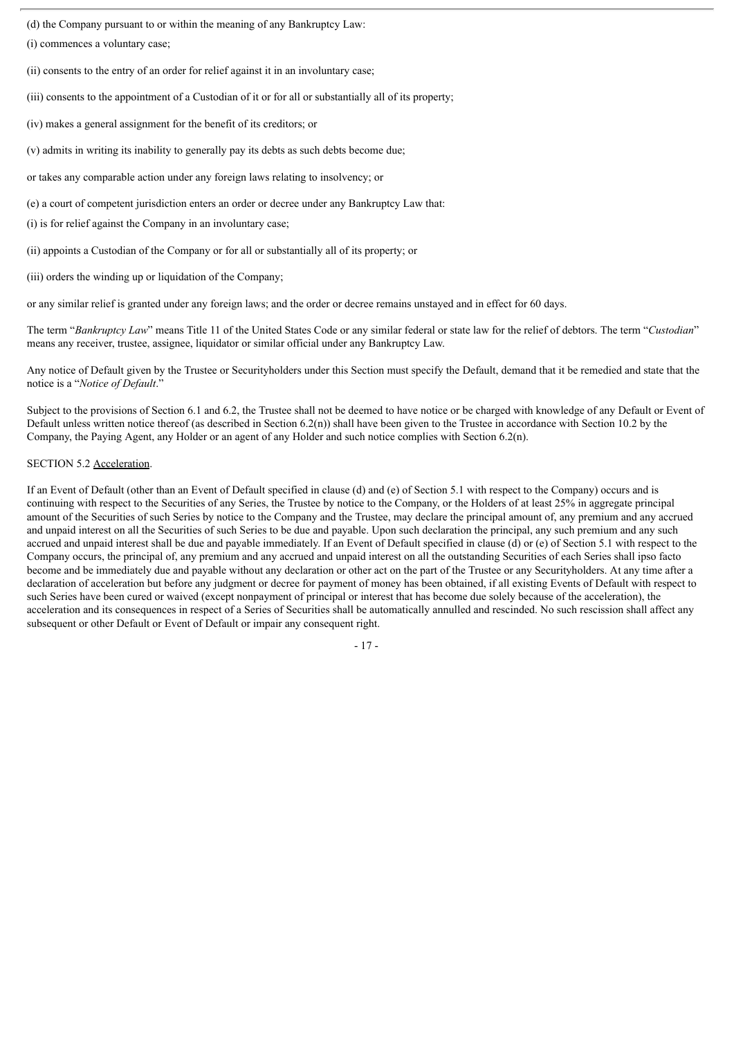(d) the Company pursuant to or within the meaning of any Bankruptcy Law:

(i) commences a voluntary case;

(ii) consents to the entry of an order for relief against it in an involuntary case;

(iii) consents to the appointment of a Custodian of it or for all or substantially all of its property;

(iv) makes a general assignment for the benefit of its creditors; or

(v) admits in writing its inability to generally pay its debts as such debts become due;

or takes any comparable action under any foreign laws relating to insolvency; or

(e) a court of competent jurisdiction enters an order or decree under any Bankruptcy Law that:

(i) is for relief against the Company in an involuntary case;

(ii) appoints a Custodian of the Company or for all or substantially all of its property; or

(iii) orders the winding up or liquidation of the Company;

or any similar relief is granted under any foreign laws; and the order or decree remains unstayed and in effect for 60 days.

The term "*Bankruptcy Law*" means Title 11 of the United States Code or any similar federal or state law for the relief of debtors. The term "*Custodian*" means any receiver, trustee, assignee, liquidator or similar official under any Bankruptcy Law.

Any notice of Default given by the Trustee or Securityholders under this Section must specify the Default, demand that it be remedied and state that the notice is a "*Notice of Default*."

Subject to the provisions of Section 6.1 and 6.2, the Trustee shall not be deemed to have notice or be charged with knowledge of any Default or Event of Default unless written notice thereof (as described in Section 6.2(n)) shall have been given to the Trustee in accordance with Section 10.2 by the Company, the Paying Agent, any Holder or an agent of any Holder and such notice complies with Section 6.2(n).

# SECTION 5.2 Acceleration.

If an Event of Default (other than an Event of Default specified in clause (d) and (e) of Section 5.1 with respect to the Company) occurs and is continuing with respect to the Securities of any Series, the Trustee by notice to the Company, or the Holders of at least 25% in aggregate principal amount of the Securities of such Series by notice to the Company and the Trustee, may declare the principal amount of, any premium and any accrued and unpaid interest on all the Securities of such Series to be due and payable. Upon such declaration the principal, any such premium and any such accrued and unpaid interest shall be due and payable immediately. If an Event of Default specified in clause (d) or (e) of Section 5.1 with respect to the Company occurs, the principal of, any premium and any accrued and unpaid interest on all the outstanding Securities of each Series shall ipso facto become and be immediately due and payable without any declaration or other act on the part of the Trustee or any Securityholders. At any time after a declaration of acceleration but before any judgment or decree for payment of money has been obtained, if all existing Events of Default with respect to such Series have been cured or waived (except nonpayment of principal or interest that has become due solely because of the acceleration), the acceleration and its consequences in respect of a Series of Securities shall be automatically annulled and rescinded. No such rescission shall affect any subsequent or other Default or Event of Default or impair any consequent right.

- 17 -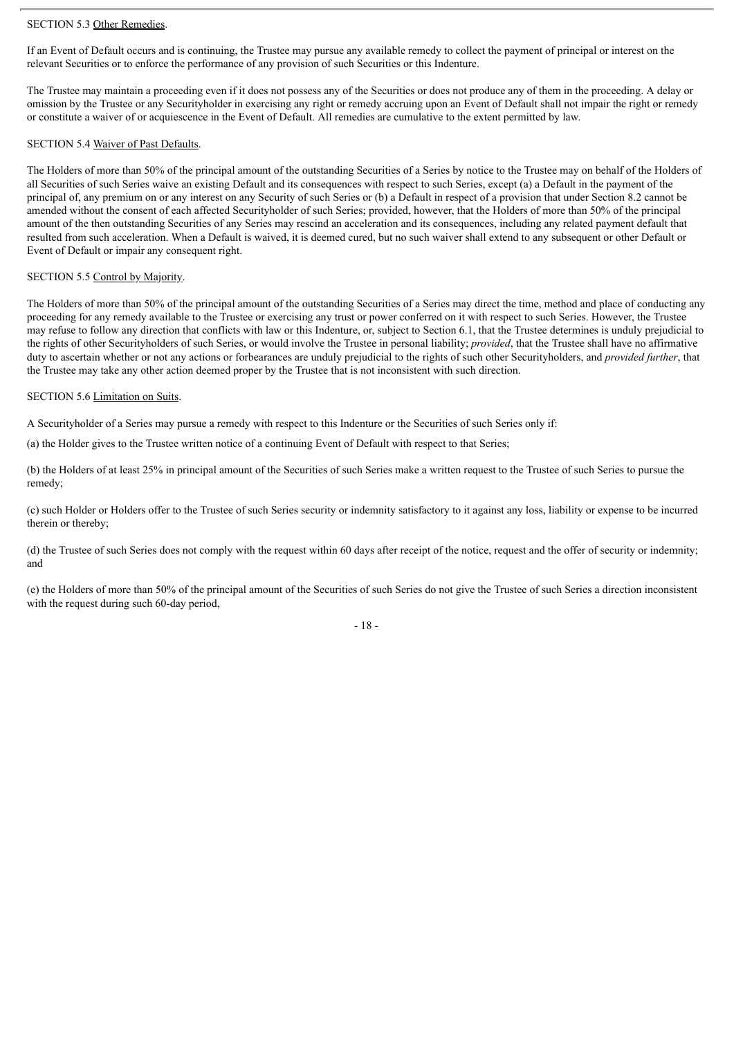### SECTION 5.3 Other Remedies.

If an Event of Default occurs and is continuing, the Trustee may pursue any available remedy to collect the payment of principal or interest on the relevant Securities or to enforce the performance of any provision of such Securities or this Indenture.

The Trustee may maintain a proceeding even if it does not possess any of the Securities or does not produce any of them in the proceeding. A delay or omission by the Trustee or any Securityholder in exercising any right or remedy accruing upon an Event of Default shall not impair the right or remedy or constitute a waiver of or acquiescence in the Event of Default. All remedies are cumulative to the extent permitted by law.

#### SECTION 5.4 Waiver of Past Defaults.

The Holders of more than 50% of the principal amount of the outstanding Securities of a Series by notice to the Trustee may on behalf of the Holders of all Securities of such Series waive an existing Default and its consequences with respect to such Series, except (a) a Default in the payment of the principal of, any premium on or any interest on any Security of such Series or (b) a Default in respect of a provision that under Section 8.2 cannot be amended without the consent of each affected Securityholder of such Series; provided, however, that the Holders of more than 50% of the principal amount of the then outstanding Securities of any Series may rescind an acceleration and its consequences, including any related payment default that resulted from such acceleration. When a Default is waived, it is deemed cured, but no such waiver shall extend to any subsequent or other Default or Event of Default or impair any consequent right.

### SECTION 5.5 Control by Majority.

The Holders of more than 50% of the principal amount of the outstanding Securities of a Series may direct the time, method and place of conducting any proceeding for any remedy available to the Trustee or exercising any trust or power conferred on it with respect to such Series. However, the Trustee may refuse to follow any direction that conflicts with law or this Indenture, or, subject to Section 6.1, that the Trustee determines is unduly prejudicial to the rights of other Securityholders of such Series, or would involve the Trustee in personal liability; *provided*, that the Trustee shall have no affirmative duty to ascertain whether or not any actions or forbearances are unduly prejudicial to the rights of such other Securityholders, and *provided further*, that the Trustee may take any other action deemed proper by the Trustee that is not inconsistent with such direction.

### SECTION 5.6 Limitation on Suits.

A Securityholder of a Series may pursue a remedy with respect to this Indenture or the Securities of such Series only if:

(a) the Holder gives to the Trustee written notice of a continuing Event of Default with respect to that Series;

(b) the Holders of at least 25% in principal amount of the Securities of such Series make a written request to the Trustee of such Series to pursue the remedy;

(c) such Holder or Holders offer to the Trustee of such Series security or indemnity satisfactory to it against any loss, liability or expense to be incurred therein or thereby;

(d) the Trustee of such Series does not comply with the request within 60 days after receipt of the notice, request and the offer of security or indemnity; and

(e) the Holders of more than 50% of the principal amount of the Securities of such Series do not give the Trustee of such Series a direction inconsistent with the request during such 60-day period,

 $-18 -$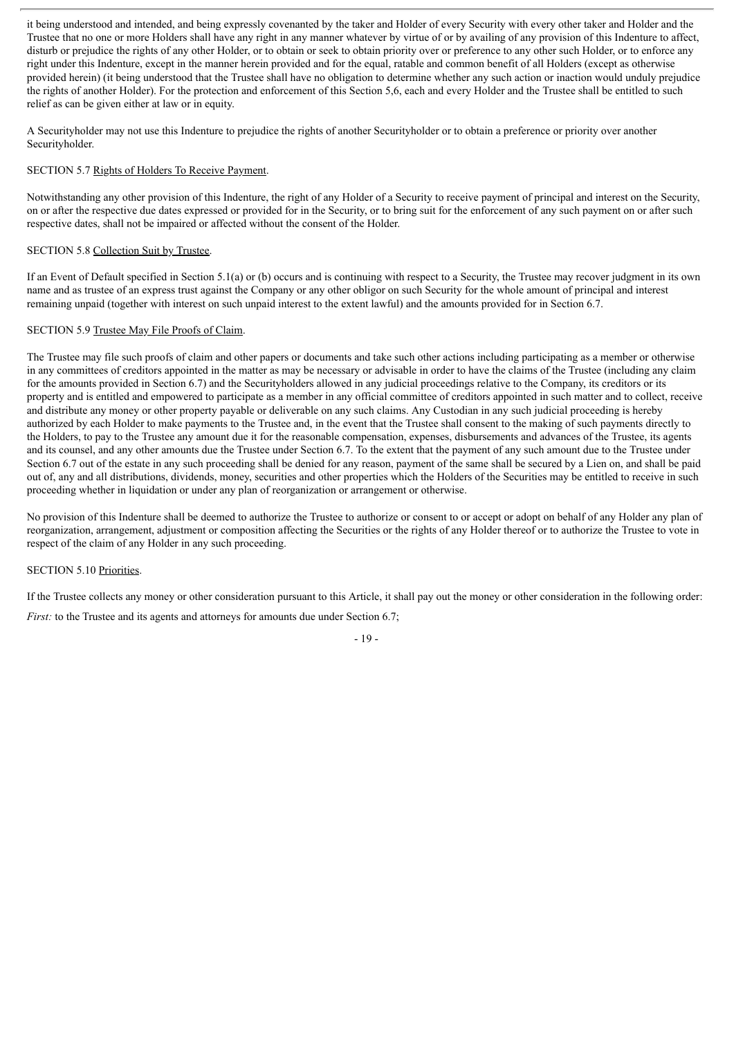it being understood and intended, and being expressly covenanted by the taker and Holder of every Security with every other taker and Holder and the Trustee that no one or more Holders shall have any right in any manner whatever by virtue of or by availing of any provision of this Indenture to affect, disturb or prejudice the rights of any other Holder, or to obtain or seek to obtain priority over or preference to any other such Holder, or to enforce any right under this Indenture, except in the manner herein provided and for the equal, ratable and common benefit of all Holders (except as otherwise provided herein) (it being understood that the Trustee shall have no obligation to determine whether any such action or inaction would unduly prejudice the rights of another Holder). For the protection and enforcement of this Section 5,6, each and every Holder and the Trustee shall be entitled to such relief as can be given either at law or in equity.

A Securityholder may not use this Indenture to prejudice the rights of another Securityholder or to obtain a preference or priority over another Securityholder.

# SECTION 5.7 Rights of Holders To Receive Payment.

Notwithstanding any other provision of this Indenture, the right of any Holder of a Security to receive payment of principal and interest on the Security, on or after the respective due dates expressed or provided for in the Security, or to bring suit for the enforcement of any such payment on or after such respective dates, shall not be impaired or affected without the consent of the Holder.

### SECTION 5.8 Collection Suit by Trustee.

If an Event of Default specified in Section 5.1(a) or (b) occurs and is continuing with respect to a Security, the Trustee may recover judgment in its own name and as trustee of an express trust against the Company or any other obligor on such Security for the whole amount of principal and interest remaining unpaid (together with interest on such unpaid interest to the extent lawful) and the amounts provided for in Section 6.7.

# SECTION 5.9 Trustee May File Proofs of Claim.

The Trustee may file such proofs of claim and other papers or documents and take such other actions including participating as a member or otherwise in any committees of creditors appointed in the matter as may be necessary or advisable in order to have the claims of the Trustee (including any claim for the amounts provided in Section 6.7) and the Securityholders allowed in any judicial proceedings relative to the Company, its creditors or its property and is entitled and empowered to participate as a member in any official committee of creditors appointed in such matter and to collect, receive and distribute any money or other property payable or deliverable on any such claims. Any Custodian in any such judicial proceeding is hereby authorized by each Holder to make payments to the Trustee and, in the event that the Trustee shall consent to the making of such payments directly to the Holders, to pay to the Trustee any amount due it for the reasonable compensation, expenses, disbursements and advances of the Trustee, its agents and its counsel, and any other amounts due the Trustee under Section 6.7. To the extent that the payment of any such amount due to the Trustee under Section 6.7 out of the estate in any such proceeding shall be denied for any reason, payment of the same shall be secured by a Lien on, and shall be paid out of, any and all distributions, dividends, money, securities and other properties which the Holders of the Securities may be entitled to receive in such proceeding whether in liquidation or under any plan of reorganization or arrangement or otherwise.

No provision of this Indenture shall be deemed to authorize the Trustee to authorize or consent to or accept or adopt on behalf of any Holder any plan of reorganization, arrangement, adjustment or composition affecting the Securities or the rights of any Holder thereof or to authorize the Trustee to vote in respect of the claim of any Holder in any such proceeding.

#### SECTION 5.10 Priorities.

If the Trustee collects any money or other consideration pursuant to this Article, it shall pay out the money or other consideration in the following order:

*First:* to the Trustee and its agents and attorneys for amounts due under Section 6.7;

 $-10 -$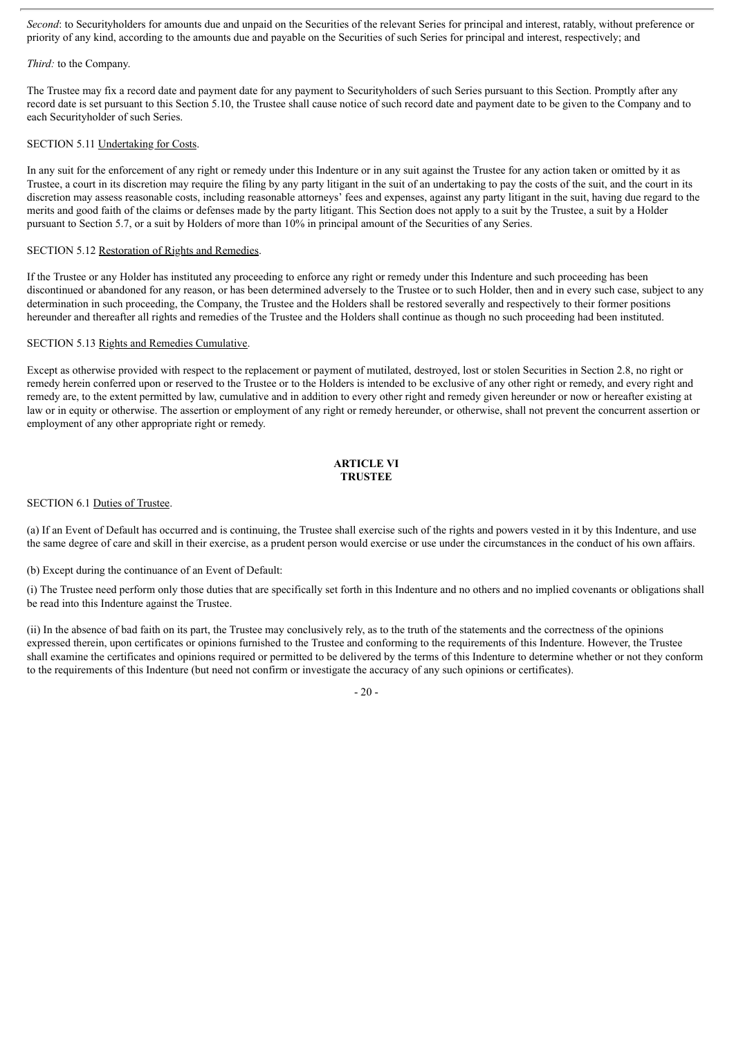*Second*: to Securityholders for amounts due and unpaid on the Securities of the relevant Series for principal and interest, ratably, without preference or priority of any kind, according to the amounts due and payable on the Securities of such Series for principal and interest, respectively; and

### *Third:* to the Company.

The Trustee may fix a record date and payment date for any payment to Securityholders of such Series pursuant to this Section. Promptly after any record date is set pursuant to this Section 5.10, the Trustee shall cause notice of such record date and payment date to be given to the Company and to each Securityholder of such Series.

## SECTION 5.11 Undertaking for Costs.

In any suit for the enforcement of any right or remedy under this Indenture or in any suit against the Trustee for any action taken or omitted by it as Trustee, a court in its discretion may require the filing by any party litigant in the suit of an undertaking to pay the costs of the suit, and the court in its discretion may assess reasonable costs, including reasonable attorneys' fees and expenses, against any party litigant in the suit, having due regard to the merits and good faith of the claims or defenses made by the party litigant. This Section does not apply to a suit by the Trustee, a suit by a Holder pursuant to Section 5.7, or a suit by Holders of more than 10% in principal amount of the Securities of any Series.

# SECTION 5.12 Restoration of Rights and Remedies.

If the Trustee or any Holder has instituted any proceeding to enforce any right or remedy under this Indenture and such proceeding has been discontinued or abandoned for any reason, or has been determined adversely to the Trustee or to such Holder, then and in every such case, subject to any determination in such proceeding, the Company, the Trustee and the Holders shall be restored severally and respectively to their former positions hereunder and thereafter all rights and remedies of the Trustee and the Holders shall continue as though no such proceeding had been instituted.

# SECTION 5.13 Rights and Remedies Cumulative.

Except as otherwise provided with respect to the replacement or payment of mutilated, destroyed, lost or stolen Securities in Section 2.8, no right or remedy herein conferred upon or reserved to the Trustee or to the Holders is intended to be exclusive of any other right or remedy, and every right and remedy are, to the extent permitted by law, cumulative and in addition to every other right and remedy given hereunder or now or hereafter existing at law or in equity or otherwise. The assertion or employment of any right or remedy hereunder, or otherwise, shall not prevent the concurrent assertion or employment of any other appropriate right or remedy.

# **ARTICLE VI TRUSTEE**

# SECTION 6.1 Duties of Trustee.

(a) If an Event of Default has occurred and is continuing, the Trustee shall exercise such of the rights and powers vested in it by this Indenture, and use the same degree of care and skill in their exercise, as a prudent person would exercise or use under the circumstances in the conduct of his own affairs.

(b) Except during the continuance of an Event of Default:

(i) The Trustee need perform only those duties that are specifically set forth in this Indenture and no others and no implied covenants or obligations shall be read into this Indenture against the Trustee.

(ii) In the absence of bad faith on its part, the Trustee may conclusively rely, as to the truth of the statements and the correctness of the opinions expressed therein, upon certificates or opinions furnished to the Trustee and conforming to the requirements of this Indenture. However, the Trustee shall examine the certificates and opinions required or permitted to be delivered by the terms of this Indenture to determine whether or not they conform to the requirements of this Indenture (but need not confirm or investigate the accuracy of any such opinions or certificates).

 $-20-$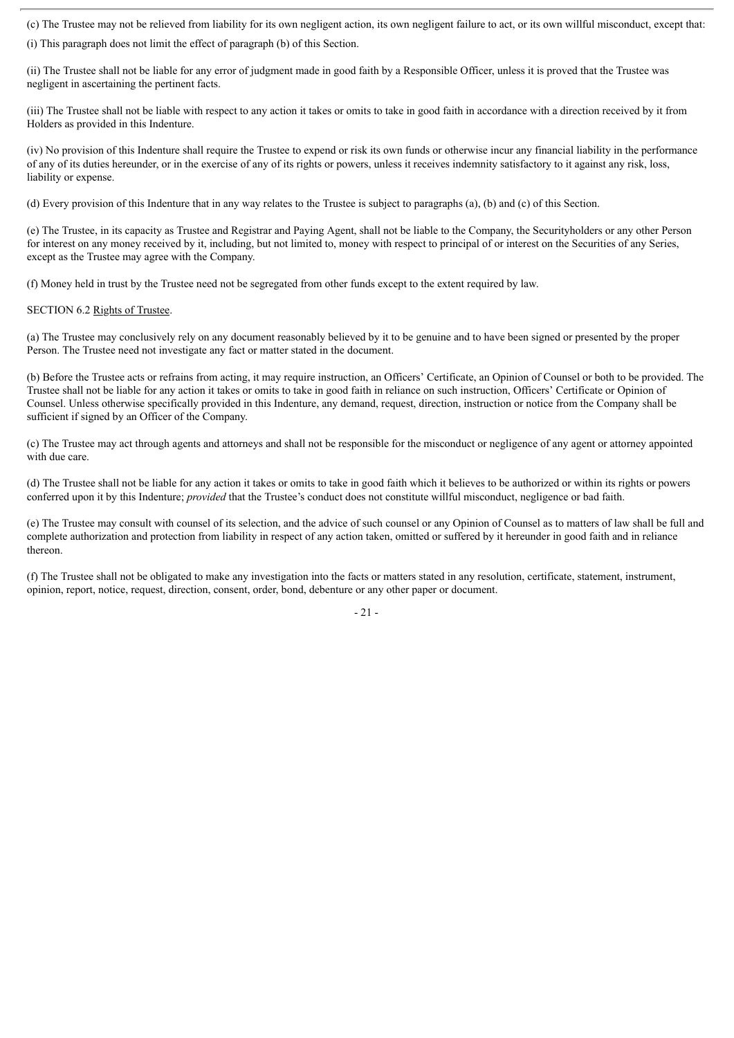(c) The Trustee may not be relieved from liability for its own negligent action, its own negligent failure to act, or its own willful misconduct, except that:

(i) This paragraph does not limit the effect of paragraph (b) of this Section.

(ii) The Trustee shall not be liable for any error of judgment made in good faith by a Responsible Officer, unless it is proved that the Trustee was negligent in ascertaining the pertinent facts.

(iii) The Trustee shall not be liable with respect to any action it takes or omits to take in good faith in accordance with a direction received by it from Holders as provided in this Indenture.

(iv) No provision of this Indenture shall require the Trustee to expend or risk its own funds or otherwise incur any financial liability in the performance of any of its duties hereunder, or in the exercise of any of its rights or powers, unless it receives indemnity satisfactory to it against any risk, loss, liability or expense.

(d) Every provision of this Indenture that in any way relates to the Trustee is subject to paragraphs (a), (b) and (c) of this Section.

(e) The Trustee, in its capacity as Trustee and Registrar and Paying Agent, shall not be liable to the Company, the Securityholders or any other Person for interest on any money received by it, including, but not limited to, money with respect to principal of or interest on the Securities of any Series, except as the Trustee may agree with the Company.

(f) Money held in trust by the Trustee need not be segregated from other funds except to the extent required by law.

### SECTION 6.2 Rights of Trustee.

(a) The Trustee may conclusively rely on any document reasonably believed by it to be genuine and to have been signed or presented by the proper Person. The Trustee need not investigate any fact or matter stated in the document.

(b) Before the Trustee acts or refrains from acting, it may require instruction, an Officers' Certificate, an Opinion of Counsel or both to be provided. The Trustee shall not be liable for any action it takes or omits to take in good faith in reliance on such instruction, Officers' Certificate or Opinion of Counsel. Unless otherwise specifically provided in this Indenture, any demand, request, direction, instruction or notice from the Company shall be sufficient if signed by an Officer of the Company.

(c) The Trustee may act through agents and attorneys and shall not be responsible for the misconduct or negligence of any agent or attorney appointed with due care.

(d) The Trustee shall not be liable for any action it takes or omits to take in good faith which it believes to be authorized or within its rights or powers conferred upon it by this Indenture; *provided* that the Trustee's conduct does not constitute willful misconduct, negligence or bad faith.

(e) The Trustee may consult with counsel of its selection, and the advice of such counsel or any Opinion of Counsel as to matters of law shall be full and complete authorization and protection from liability in respect of any action taken, omitted or suffered by it hereunder in good faith and in reliance thereon.

(f) The Trustee shall not be obligated to make any investigation into the facts or matters stated in any resolution, certificate, statement, instrument, opinion, report, notice, request, direction, consent, order, bond, debenture or any other paper or document.

- 21 -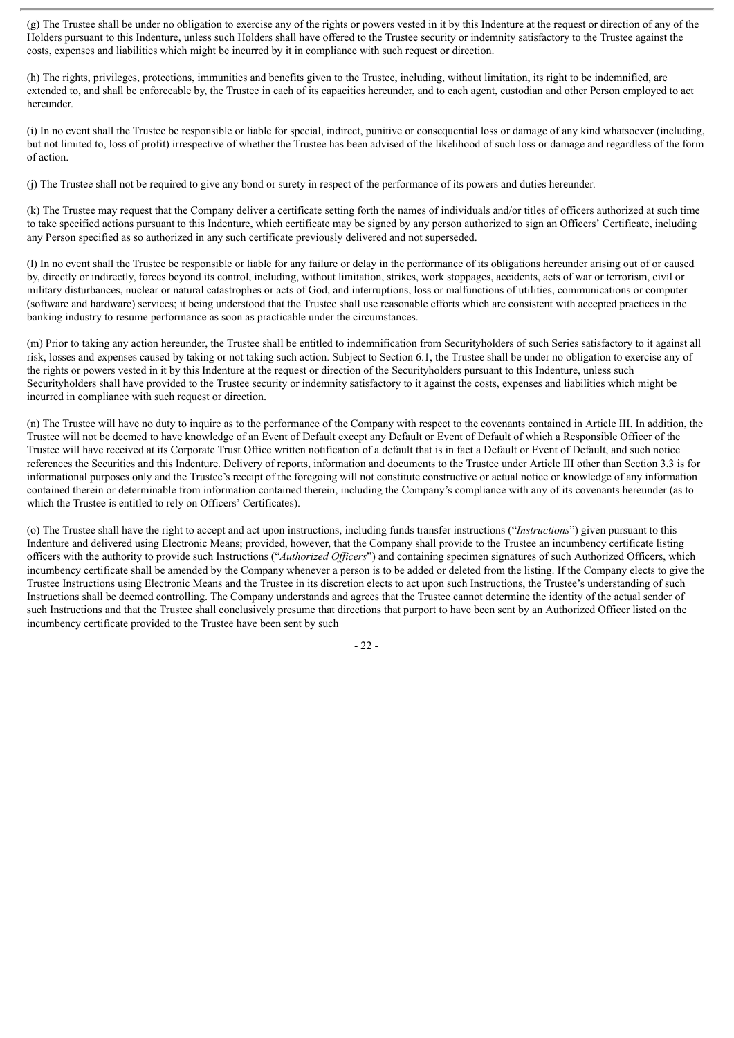(g) The Trustee shall be under no obligation to exercise any of the rights or powers vested in it by this Indenture at the request or direction of any of the Holders pursuant to this Indenture, unless such Holders shall have offered to the Trustee security or indemnity satisfactory to the Trustee against the costs, expenses and liabilities which might be incurred by it in compliance with such request or direction.

(h) The rights, privileges, protections, immunities and benefits given to the Trustee, including, without limitation, its right to be indemnified, are extended to, and shall be enforceable by, the Trustee in each of its capacities hereunder, and to each agent, custodian and other Person employed to act hereunder.

(i) In no event shall the Trustee be responsible or liable for special, indirect, punitive or consequential loss or damage of any kind whatsoever (including, but not limited to, loss of profit) irrespective of whether the Trustee has been advised of the likelihood of such loss or damage and regardless of the form of action.

(j) The Trustee shall not be required to give any bond or surety in respect of the performance of its powers and duties hereunder.

(k) The Trustee may request that the Company deliver a certificate setting forth the names of individuals and/or titles of officers authorized at such time to take specified actions pursuant to this Indenture, which certificate may be signed by any person authorized to sign an Officers' Certificate, including any Person specified as so authorized in any such certificate previously delivered and not superseded.

(l) In no event shall the Trustee be responsible or liable for any failure or delay in the performance of its obligations hereunder arising out of or caused by, directly or indirectly, forces beyond its control, including, without limitation, strikes, work stoppages, accidents, acts of war or terrorism, civil or military disturbances, nuclear or natural catastrophes or acts of God, and interruptions, loss or malfunctions of utilities, communications or computer (software and hardware) services; it being understood that the Trustee shall use reasonable efforts which are consistent with accepted practices in the banking industry to resume performance as soon as practicable under the circumstances.

(m) Prior to taking any action hereunder, the Trustee shall be entitled to indemnification from Securityholders of such Series satisfactory to it against all risk, losses and expenses caused by taking or not taking such action. Subject to Section 6.1, the Trustee shall be under no obligation to exercise any of the rights or powers vested in it by this Indenture at the request or direction of the Securityholders pursuant to this Indenture, unless such Securityholders shall have provided to the Trustee security or indemnity satisfactory to it against the costs, expenses and liabilities which might be incurred in compliance with such request or direction.

(n) The Trustee will have no duty to inquire as to the performance of the Company with respect to the covenants contained in Article III. In addition, the Trustee will not be deemed to have knowledge of an Event of Default except any Default or Event of Default of which a Responsible Officer of the Trustee will have received at its Corporate Trust Office written notification of a default that is in fact a Default or Event of Default, and such notice references the Securities and this Indenture. Delivery of reports, information and documents to the Trustee under Article III other than Section 3.3 is for informational purposes only and the Trustee's receipt of the foregoing will not constitute constructive or actual notice or knowledge of any information contained therein or determinable from information contained therein, including the Company's compliance with any of its covenants hereunder (as to which the Trustee is entitled to rely on Officers' Certificates).

(o) The Trustee shall have the right to accept and act upon instructions, including funds transfer instructions ("*Instructions*") given pursuant to this Indenture and delivered using Electronic Means; provided, however, that the Company shall provide to the Trustee an incumbency certificate listing officers with the authority to provide such Instructions ("*Authorized Of icers*") and containing specimen signatures of such Authorized Officers, which incumbency certificate shall be amended by the Company whenever a person is to be added or deleted from the listing. If the Company elects to give the Trustee Instructions using Electronic Means and the Trustee in its discretion elects to act upon such Instructions, the Trustee's understanding of such Instructions shall be deemed controlling. The Company understands and agrees that the Trustee cannot determine the identity of the actual sender of such Instructions and that the Trustee shall conclusively presume that directions that purport to have been sent by an Authorized Officer listed on the incumbency certificate provided to the Trustee have been sent by such

 $-22-$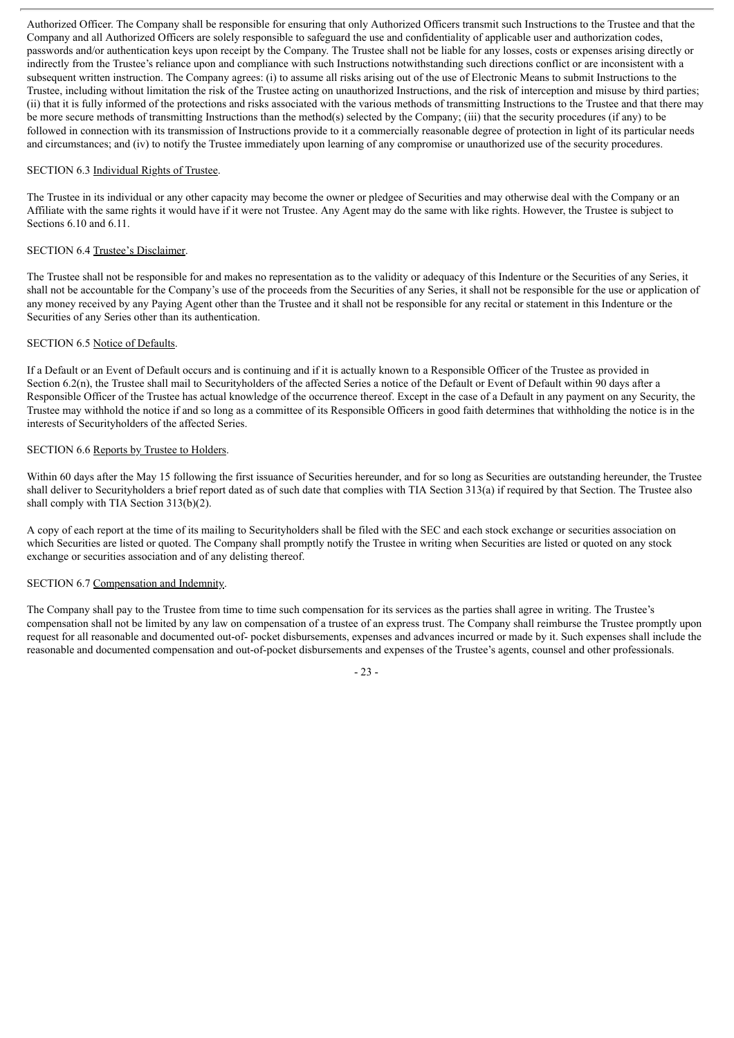Authorized Officer. The Company shall be responsible for ensuring that only Authorized Officers transmit such Instructions to the Trustee and that the Company and all Authorized Officers are solely responsible to safeguard the use and confidentiality of applicable user and authorization codes, passwords and/or authentication keys upon receipt by the Company. The Trustee shall not be liable for any losses, costs or expenses arising directly or indirectly from the Trustee's reliance upon and compliance with such Instructions notwithstanding such directions conflict or are inconsistent with a subsequent written instruction. The Company agrees: (i) to assume all risks arising out of the use of Electronic Means to submit Instructions to the Trustee, including without limitation the risk of the Trustee acting on unauthorized Instructions, and the risk of interception and misuse by third parties; (ii) that it is fully informed of the protections and risks associated with the various methods of transmitting Instructions to the Trustee and that there may be more secure methods of transmitting Instructions than the method(s) selected by the Company; (iii) that the security procedures (if any) to be followed in connection with its transmission of Instructions provide to it a commercially reasonable degree of protection in light of its particular needs and circumstances; and (iv) to notify the Trustee immediately upon learning of any compromise or unauthorized use of the security procedures.

### SECTION 6.3 Individual Rights of Trustee.

The Trustee in its individual or any other capacity may become the owner or pledgee of Securities and may otherwise deal with the Company or an Affiliate with the same rights it would have if it were not Trustee. Any Agent may do the same with like rights. However, the Trustee is subject to Sections 6.10 and 6.11.

## SECTION 6.4 Trustee's Disclaimer.

The Trustee shall not be responsible for and makes no representation as to the validity or adequacy of this Indenture or the Securities of any Series, it shall not be accountable for the Company's use of the proceeds from the Securities of any Series, it shall not be responsible for the use or application of any money received by any Paying Agent other than the Trustee and it shall not be responsible for any recital or statement in this Indenture or the Securities of any Series other than its authentication.

## SECTION 6.5 Notice of Defaults.

If a Default or an Event of Default occurs and is continuing and if it is actually known to a Responsible Officer of the Trustee as provided in Section 6.2(n), the Trustee shall mail to Securityholders of the affected Series a notice of the Default or Event of Default within 90 days after a Responsible Officer of the Trustee has actual knowledge of the occurrence thereof. Except in the case of a Default in any payment on any Security, the Trustee may withhold the notice if and so long as a committee of its Responsible Officers in good faith determines that withholding the notice is in the interests of Securityholders of the affected Series.

# SECTION 6.6 Reports by Trustee to Holders.

Within 60 days after the May 15 following the first issuance of Securities hereunder, and for so long as Securities are outstanding hereunder, the Trustee shall deliver to Securityholders a brief report dated as of such date that complies with TIA Section 313(a) if required by that Section. The Trustee also shall comply with TIA Section 313(b)(2).

A copy of each report at the time of its mailing to Securityholders shall be filed with the SEC and each stock exchange or securities association on which Securities are listed or quoted. The Company shall promptly notify the Trustee in writing when Securities are listed or quoted on any stock exchange or securities association and of any delisting thereof.

## SECTION 6.7 Compensation and Indemnity.

The Company shall pay to the Trustee from time to time such compensation for its services as the parties shall agree in writing. The Trustee's compensation shall not be limited by any law on compensation of a trustee of an express trust. The Company shall reimburse the Trustee promptly upon request for all reasonable and documented out-of- pocket disbursements, expenses and advances incurred or made by it. Such expenses shall include the reasonable and documented compensation and out-of-pocket disbursements and expenses of the Trustee's agents, counsel and other professionals.

- 23 -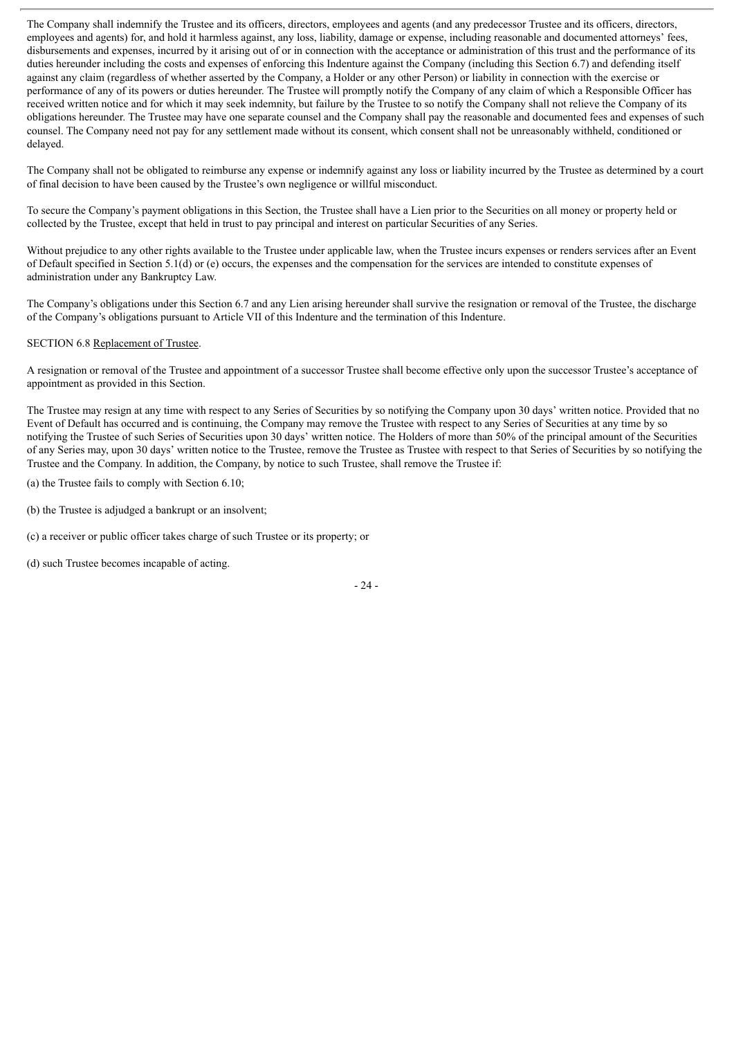The Company shall indemnify the Trustee and its officers, directors, employees and agents (and any predecessor Trustee and its officers, directors, employees and agents) for, and hold it harmless against, any loss, liability, damage or expense, including reasonable and documented attorneys' fees, disbursements and expenses, incurred by it arising out of or in connection with the acceptance or administration of this trust and the performance of its duties hereunder including the costs and expenses of enforcing this Indenture against the Company (including this Section 6.7) and defending itself against any claim (regardless of whether asserted by the Company, a Holder or any other Person) or liability in connection with the exercise or performance of any of its powers or duties hereunder. The Trustee will promptly notify the Company of any claim of which a Responsible Officer has received written notice and for which it may seek indemnity, but failure by the Trustee to so notify the Company shall not relieve the Company of its obligations hereunder. The Trustee may have one separate counsel and the Company shall pay the reasonable and documented fees and expenses of such counsel. The Company need not pay for any settlement made without its consent, which consent shall not be unreasonably withheld, conditioned or delayed.

The Company shall not be obligated to reimburse any expense or indemnify against any loss or liability incurred by the Trustee as determined by a court of final decision to have been caused by the Trustee's own negligence or willful misconduct.

To secure the Company's payment obligations in this Section, the Trustee shall have a Lien prior to the Securities on all money or property held or collected by the Trustee, except that held in trust to pay principal and interest on particular Securities of any Series.

Without prejudice to any other rights available to the Trustee under applicable law, when the Trustee incurs expenses or renders services after an Event of Default specified in Section 5.1(d) or (e) occurs, the expenses and the compensation for the services are intended to constitute expenses of administration under any Bankruptcy Law.

The Company's obligations under this Section 6.7 and any Lien arising hereunder shall survive the resignation or removal of the Trustee, the discharge of the Company's obligations pursuant to Article VII of this Indenture and the termination of this Indenture.

# SECTION 6.8 Replacement of Trustee.

A resignation or removal of the Trustee and appointment of a successor Trustee shall become effective only upon the successor Trustee's acceptance of appointment as provided in this Section.

The Trustee may resign at any time with respect to any Series of Securities by so notifying the Company upon 30 days' written notice. Provided that no Event of Default has occurred and is continuing, the Company may remove the Trustee with respect to any Series of Securities at any time by so notifying the Trustee of such Series of Securities upon 30 days' written notice. The Holders of more than 50% of the principal amount of the Securities of any Series may, upon 30 days' written notice to the Trustee, remove the Trustee as Trustee with respect to that Series of Securities by so notifying the Trustee and the Company. In addition, the Company, by notice to such Trustee, shall remove the Trustee if:

(a) the Trustee fails to comply with Section 6.10;

(b) the Trustee is adjudged a bankrupt or an insolvent;

(c) a receiver or public officer takes charge of such Trustee or its property; or

(d) such Trustee becomes incapable of acting.

- 24 -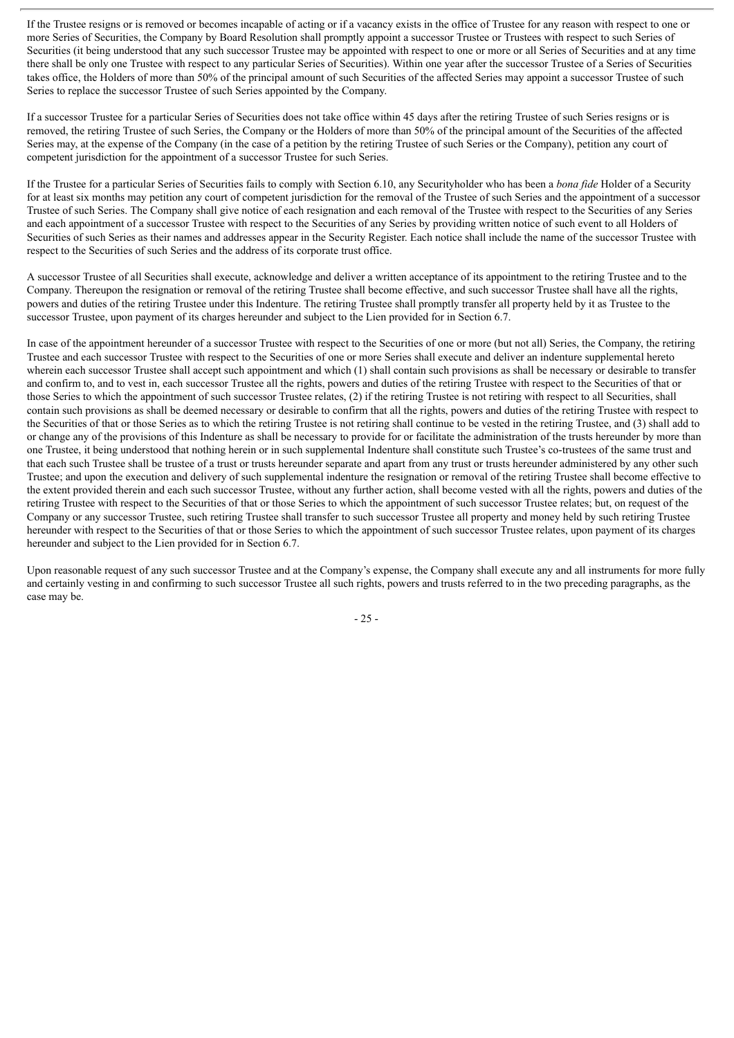If the Trustee resigns or is removed or becomes incapable of acting or if a vacancy exists in the office of Trustee for any reason with respect to one or more Series of Securities, the Company by Board Resolution shall promptly appoint a successor Trustee or Trustees with respect to such Series of Securities (it being understood that any such successor Trustee may be appointed with respect to one or more or all Series of Securities and at any time there shall be only one Trustee with respect to any particular Series of Securities). Within one year after the successor Trustee of a Series of Securities takes office, the Holders of more than 50% of the principal amount of such Securities of the affected Series may appoint a successor Trustee of such Series to replace the successor Trustee of such Series appointed by the Company.

If a successor Trustee for a particular Series of Securities does not take office within 45 days after the retiring Trustee of such Series resigns or is removed, the retiring Trustee of such Series, the Company or the Holders of more than 50% of the principal amount of the Securities of the affected Series may, at the expense of the Company (in the case of a petition by the retiring Trustee of such Series or the Company), petition any court of competent jurisdiction for the appointment of a successor Trustee for such Series.

If the Trustee for a particular Series of Securities fails to comply with Section 6.10, any Securityholder who has been a *bona fide* Holder of a Security for at least six months may petition any court of competent jurisdiction for the removal of the Trustee of such Series and the appointment of a successor Trustee of such Series. The Company shall give notice of each resignation and each removal of the Trustee with respect to the Securities of any Series and each appointment of a successor Trustee with respect to the Securities of any Series by providing written notice of such event to all Holders of Securities of such Series as their names and addresses appear in the Security Register. Each notice shall include the name of the successor Trustee with respect to the Securities of such Series and the address of its corporate trust office.

A successor Trustee of all Securities shall execute, acknowledge and deliver a written acceptance of its appointment to the retiring Trustee and to the Company. Thereupon the resignation or removal of the retiring Trustee shall become effective, and such successor Trustee shall have all the rights, powers and duties of the retiring Trustee under this Indenture. The retiring Trustee shall promptly transfer all property held by it as Trustee to the successor Trustee, upon payment of its charges hereunder and subject to the Lien provided for in Section 6.7.

In case of the appointment hereunder of a successor Trustee with respect to the Securities of one or more (but not all) Series, the Company, the retiring Trustee and each successor Trustee with respect to the Securities of one or more Series shall execute and deliver an indenture supplemental hereto wherein each successor Trustee shall accept such appointment and which (1) shall contain such provisions as shall be necessary or desirable to transfer and confirm to, and to vest in, each successor Trustee all the rights, powers and duties of the retiring Trustee with respect to the Securities of that or those Series to which the appointment of such successor Trustee relates, (2) if the retiring Trustee is not retiring with respect to all Securities, shall contain such provisions as shall be deemed necessary or desirable to confirm that all the rights, powers and duties of the retiring Trustee with respect to the Securities of that or those Series as to which the retiring Trustee is not retiring shall continue to be vested in the retiring Trustee, and (3) shall add to or change any of the provisions of this Indenture as shall be necessary to provide for or facilitate the administration of the trusts hereunder by more than one Trustee, it being understood that nothing herein or in such supplemental Indenture shall constitute such Trustee's co-trustees of the same trust and that each such Trustee shall be trustee of a trust or trusts hereunder separate and apart from any trust or trusts hereunder administered by any other such Trustee; and upon the execution and delivery of such supplemental indenture the resignation or removal of the retiring Trustee shall become effective to the extent provided therein and each such successor Trustee, without any further action, shall become vested with all the rights, powers and duties of the retiring Trustee with respect to the Securities of that or those Series to which the appointment of such successor Trustee relates; but, on request of the Company or any successor Trustee, such retiring Trustee shall transfer to such successor Trustee all property and money held by such retiring Trustee hereunder with respect to the Securities of that or those Series to which the appointment of such successor Trustee relates, upon payment of its charges hereunder and subject to the Lien provided for in Section 6.7.

Upon reasonable request of any such successor Trustee and at the Company's expense, the Company shall execute any and all instruments for more fully and certainly vesting in and confirming to such successor Trustee all such rights, powers and trusts referred to in the two preceding paragraphs, as the case may be.

- 25 -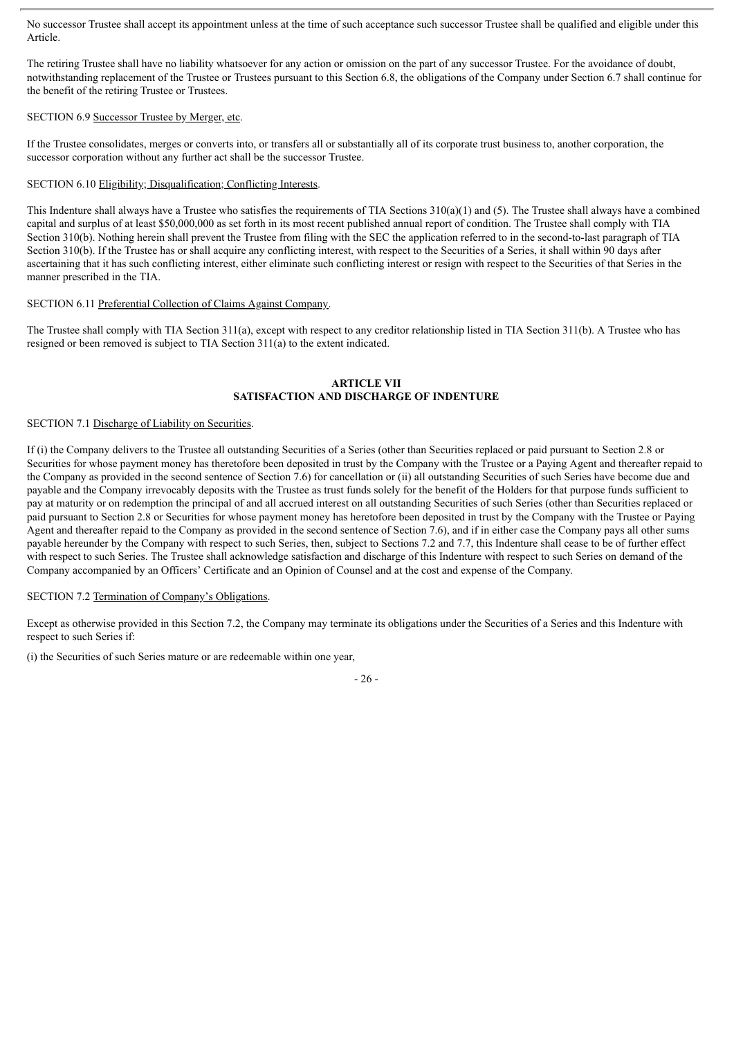No successor Trustee shall accept its appointment unless at the time of such acceptance such successor Trustee shall be qualified and eligible under this Article.

The retiring Trustee shall have no liability whatsoever for any action or omission on the part of any successor Trustee. For the avoidance of doubt, notwithstanding replacement of the Trustee or Trustees pursuant to this Section 6.8, the obligations of the Company under Section 6.7 shall continue for the benefit of the retiring Trustee or Trustees.

# SECTION 6.9 Successor Trustee by Merger, etc.

If the Trustee consolidates, merges or converts into, or transfers all or substantially all of its corporate trust business to, another corporation, the successor corporation without any further act shall be the successor Trustee.

# SECTION 6.10 Eligibility; Disqualification; Conflicting Interests.

This Indenture shall always have a Trustee who satisfies the requirements of TIA Sections  $310(a)(1)$  and (5). The Trustee shall always have a combined capital and surplus of at least \$50,000,000 as set forth in its most recent published annual report of condition. The Trustee shall comply with TIA Section 310(b). Nothing herein shall prevent the Trustee from filing with the SEC the application referred to in the second-to-last paragraph of TIA Section 310(b). If the Trustee has or shall acquire any conflicting interest, with respect to the Securities of a Series, it shall within 90 days after ascertaining that it has such conflicting interest, either eliminate such conflicting interest or resign with respect to the Securities of that Series in the manner prescribed in the TIA.

# SECTION 6.11 Preferential Collection of Claims Against Company.

The Trustee shall comply with TIA Section 311(a), except with respect to any creditor relationship listed in TIA Section 311(b). A Trustee who has resigned or been removed is subject to TIA Section 311(a) to the extent indicated.

# **ARTICLE VII SATISFACTION AND DISCHARGE OF INDENTURE**

## SECTION 7.1 Discharge of Liability on Securities.

If (i) the Company delivers to the Trustee all outstanding Securities of a Series (other than Securities replaced or paid pursuant to Section 2.8 or Securities for whose payment money has theretofore been deposited in trust by the Company with the Trustee or a Paying Agent and thereafter repaid to the Company as provided in the second sentence of Section 7.6) for cancellation or (ii) all outstanding Securities of such Series have become due and payable and the Company irrevocably deposits with the Trustee as trust funds solely for the benefit of the Holders for that purpose funds sufficient to pay at maturity or on redemption the principal of and all accrued interest on all outstanding Securities of such Series (other than Securities replaced or paid pursuant to Section 2.8 or Securities for whose payment money has heretofore been deposited in trust by the Company with the Trustee or Paying Agent and thereafter repaid to the Company as provided in the second sentence of Section 7.6), and if in either case the Company pays all other sums payable hereunder by the Company with respect to such Series, then, subject to Sections 7.2 and 7.7, this Indenture shall cease to be of further effect with respect to such Series. The Trustee shall acknowledge satisfaction and discharge of this Indenture with respect to such Series on demand of the Company accompanied by an Officers' Certificate and an Opinion of Counsel and at the cost and expense of the Company.

## SECTION 7.2 Termination of Company's Obligations.

Except as otherwise provided in this Section 7.2, the Company may terminate its obligations under the Securities of a Series and this Indenture with respect to such Series if:

(i) the Securities of such Series mature or are redeemable within one year,

- 26 -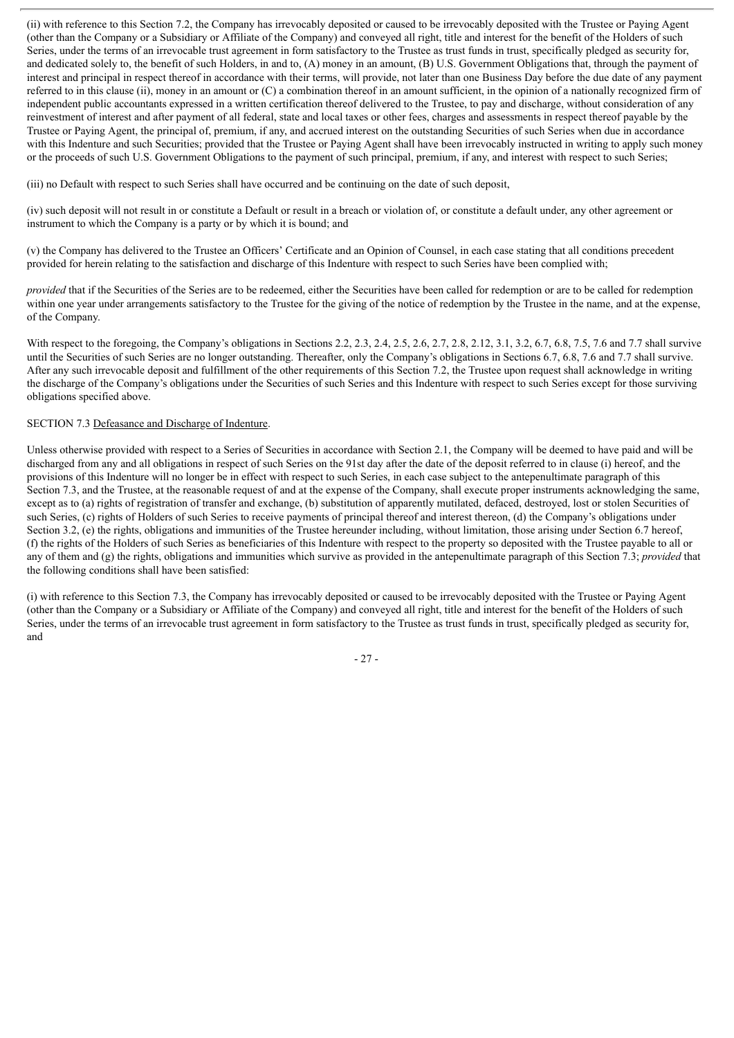(ii) with reference to this Section 7.2, the Company has irrevocably deposited or caused to be irrevocably deposited with the Trustee or Paying Agent (other than the Company or a Subsidiary or Affiliate of the Company) and conveyed all right, title and interest for the benefit of the Holders of such Series, under the terms of an irrevocable trust agreement in form satisfactory to the Trustee as trust funds in trust, specifically pledged as security for, and dedicated solely to, the benefit of such Holders, in and to, (A) money in an amount, (B) U.S. Government Obligations that, through the payment of interest and principal in respect thereof in accordance with their terms, will provide, not later than one Business Day before the due date of any payment referred to in this clause (ii), money in an amount or (C) a combination thereof in an amount sufficient, in the opinion of a nationally recognized firm of independent public accountants expressed in a written certification thereof delivered to the Trustee, to pay and discharge, without consideration of any reinvestment of interest and after payment of all federal, state and local taxes or other fees, charges and assessments in respect thereof payable by the Trustee or Paying Agent, the principal of, premium, if any, and accrued interest on the outstanding Securities of such Series when due in accordance with this Indenture and such Securities; provided that the Trustee or Paying Agent shall have been irrevocably instructed in writing to apply such money or the proceeds of such U.S. Government Obligations to the payment of such principal, premium, if any, and interest with respect to such Series;

(iii) no Default with respect to such Series shall have occurred and be continuing on the date of such deposit,

(iv) such deposit will not result in or constitute a Default or result in a breach or violation of, or constitute a default under, any other agreement or instrument to which the Company is a party or by which it is bound; and

(v) the Company has delivered to the Trustee an Officers' Certificate and an Opinion of Counsel, in each case stating that all conditions precedent provided for herein relating to the satisfaction and discharge of this Indenture with respect to such Series have been complied with;

*provided* that if the Securities of the Series are to be redeemed, either the Securities have been called for redemption or are to be called for redemption within one year under arrangements satisfactory to the Trustee for the giving of the notice of redemption by the Trustee in the name, and at the expense, of the Company.

With respect to the foregoing, the Company's obligations in Sections 2.2, 2.3, 2.4, 2.5, 2.6, 2.7, 2.8, 2.12, 3.1, 3.2, 6.7, 6.8, 7.5, 7.6 and 7.7 shall survive until the Securities of such Series are no longer outstanding. Thereafter, only the Company's obligations in Sections 6.7, 6.8, 7.6 and 7.7 shall survive. After any such irrevocable deposit and fulfillment of the other requirements of this Section 7.2, the Trustee upon request shall acknowledge in writing the discharge of the Company's obligations under the Securities of such Series and this Indenture with respect to such Series except for those surviving obligations specified above.

## SECTION 7.3 Defeasance and Discharge of Indenture.

Unless otherwise provided with respect to a Series of Securities in accordance with Section 2.1, the Company will be deemed to have paid and will be discharged from any and all obligations in respect of such Series on the 91st day after the date of the deposit referred to in clause (i) hereof, and the provisions of this Indenture will no longer be in effect with respect to such Series, in each case subject to the antepenultimate paragraph of this Section 7.3, and the Trustee, at the reasonable request of and at the expense of the Company, shall execute proper instruments acknowledging the same, except as to (a) rights of registration of transfer and exchange, (b) substitution of apparently mutilated, defaced, destroyed, lost or stolen Securities of such Series, (c) rights of Holders of such Series to receive payments of principal thereof and interest thereon, (d) the Company's obligations under Section 3.2, (e) the rights, obligations and immunities of the Trustee hereunder including, without limitation, those arising under Section 6.7 hereof, (f) the rights of the Holders of such Series as beneficiaries of this Indenture with respect to the property so deposited with the Trustee payable to all or any of them and (g) the rights, obligations and immunities which survive as provided in the antepenultimate paragraph of this Section 7.3; *provided* that the following conditions shall have been satisfied:

(i) with reference to this Section 7.3, the Company has irrevocably deposited or caused to be irrevocably deposited with the Trustee or Paying Agent (other than the Company or a Subsidiary or Affiliate of the Company) and conveyed all right, title and interest for the benefit of the Holders of such Series, under the terms of an irrevocable trust agreement in form satisfactory to the Trustee as trust funds in trust, specifically pledged as security for, and

- 27 -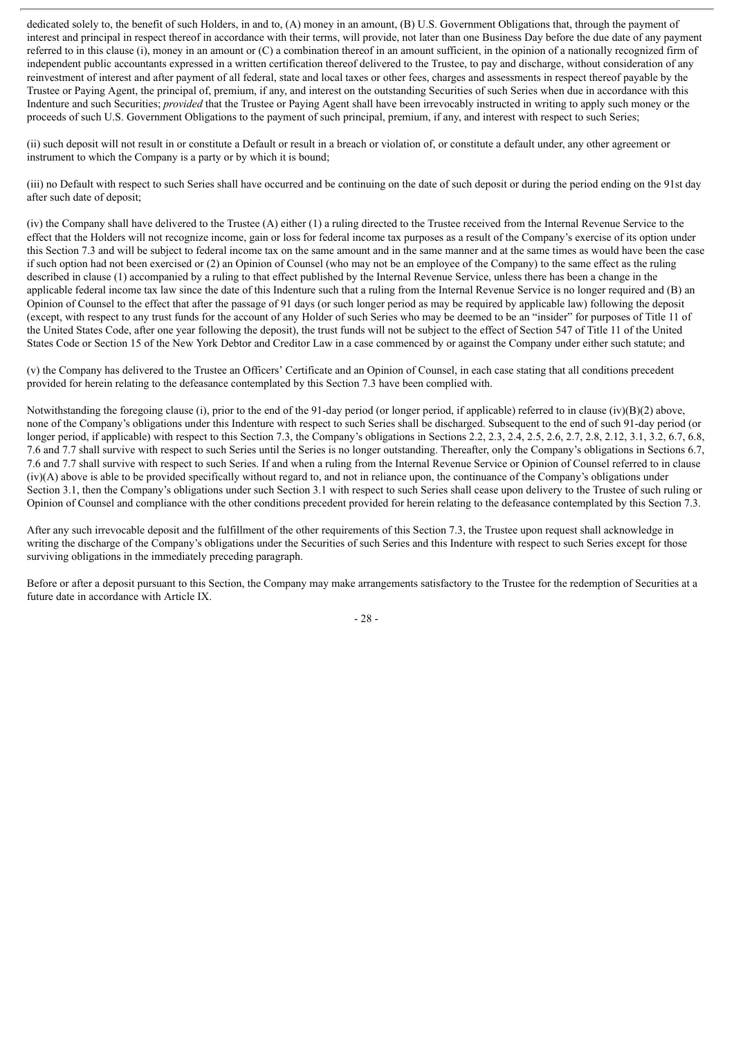dedicated solely to, the benefit of such Holders, in and to, (A) money in an amount, (B) U.S. Government Obligations that, through the payment of interest and principal in respect thereof in accordance with their terms, will provide, not later than one Business Day before the due date of any payment referred to in this clause (i), money in an amount or (C) a combination thereof in an amount sufficient, in the opinion of a nationally recognized firm of independent public accountants expressed in a written certification thereof delivered to the Trustee, to pay and discharge, without consideration of any reinvestment of interest and after payment of all federal, state and local taxes or other fees, charges and assessments in respect thereof payable by the Trustee or Paying Agent, the principal of, premium, if any, and interest on the outstanding Securities of such Series when due in accordance with this Indenture and such Securities; *provided* that the Trustee or Paying Agent shall have been irrevocably instructed in writing to apply such money or the proceeds of such U.S. Government Obligations to the payment of such principal, premium, if any, and interest with respect to such Series;

(ii) such deposit will not result in or constitute a Default or result in a breach or violation of, or constitute a default under, any other agreement or instrument to which the Company is a party or by which it is bound;

(iii) no Default with respect to such Series shall have occurred and be continuing on the date of such deposit or during the period ending on the 91st day after such date of deposit;

(iv) the Company shall have delivered to the Trustee (A) either (1) a ruling directed to the Trustee received from the Internal Revenue Service to the effect that the Holders will not recognize income, gain or loss for federal income tax purposes as a result of the Company's exercise of its option under this Section 7.3 and will be subject to federal income tax on the same amount and in the same manner and at the same times as would have been the case if such option had not been exercised or (2) an Opinion of Counsel (who may not be an employee of the Company) to the same effect as the ruling described in clause (1) accompanied by a ruling to that effect published by the Internal Revenue Service, unless there has been a change in the applicable federal income tax law since the date of this Indenture such that a ruling from the Internal Revenue Service is no longer required and (B) an Opinion of Counsel to the effect that after the passage of 91 days (or such longer period as may be required by applicable law) following the deposit (except, with respect to any trust funds for the account of any Holder of such Series who may be deemed to be an "insider" for purposes of Title 11 of the United States Code, after one year following the deposit), the trust funds will not be subject to the effect of Section 547 of Title 11 of the United States Code or Section 15 of the New York Debtor and Creditor Law in a case commenced by or against the Company under either such statute; and

(v) the Company has delivered to the Trustee an Officers' Certificate and an Opinion of Counsel, in each case stating that all conditions precedent provided for herein relating to the defeasance contemplated by this Section 7.3 have been complied with.

Notwithstanding the foregoing clause (i), prior to the end of the 91-day period (or longer period, if applicable) referred to in clause  $(iv)(B)(2)$  above, none of the Company's obligations under this Indenture with respect to such Series shall be discharged. Subsequent to the end of such 91-day period (or longer period, if applicable) with respect to this Section 7.3, the Company's obligations in Sections 2.2, 2.3, 2.4, 2.5, 2.6, 2.7, 2.8, 2.12, 3.1, 3.2, 6.7, 6.8, 7.6 and 7.7 shall survive with respect to such Series until the Series is no longer outstanding. Thereafter, only the Company's obligations in Sections 6.7, 7.6 and 7.7 shall survive with respect to such Series. If and when a ruling from the Internal Revenue Service or Opinion of Counsel referred to in clause (iv)(A) above is able to be provided specifically without regard to, and not in reliance upon, the continuance of the Company's obligations under Section 3.1, then the Company's obligations under such Section 3.1 with respect to such Series shall cease upon delivery to the Trustee of such ruling or Opinion of Counsel and compliance with the other conditions precedent provided for herein relating to the defeasance contemplated by this Section 7.3.

After any such irrevocable deposit and the fulfillment of the other requirements of this Section 7.3, the Trustee upon request shall acknowledge in writing the discharge of the Company's obligations under the Securities of such Series and this Indenture with respect to such Series except for those surviving obligations in the immediately preceding paragraph.

Before or after a deposit pursuant to this Section, the Company may make arrangements satisfactory to the Trustee for the redemption of Securities at a future date in accordance with Article IX.

- 28 -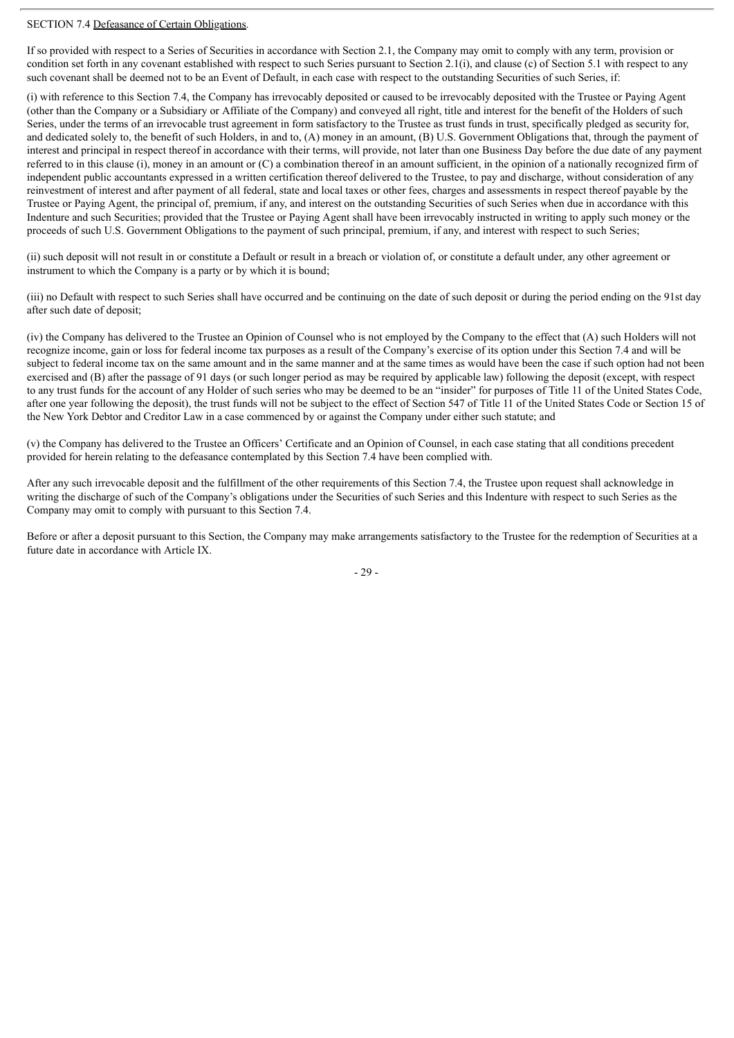## SECTION 7.4 Defeasance of Certain Obligations.

If so provided with respect to a Series of Securities in accordance with Section 2.1, the Company may omit to comply with any term, provision or condition set forth in any covenant established with respect to such Series pursuant to Section 2.1(i), and clause (c) of Section 5.1 with respect to any such covenant shall be deemed not to be an Event of Default, in each case with respect to the outstanding Securities of such Series, if:

(i) with reference to this Section 7.4, the Company has irrevocably deposited or caused to be irrevocably deposited with the Trustee or Paying Agent (other than the Company or a Subsidiary or Affiliate of the Company) and conveyed all right, title and interest for the benefit of the Holders of such Series, under the terms of an irrevocable trust agreement in form satisfactory to the Trustee as trust funds in trust, specifically pledged as security for, and dedicated solely to, the benefit of such Holders, in and to, (A) money in an amount, (B) U.S. Government Obligations that, through the payment of interest and principal in respect thereof in accordance with their terms, will provide, not later than one Business Day before the due date of any payment referred to in this clause (i), money in an amount or (C) a combination thereof in an amount sufficient, in the opinion of a nationally recognized firm of independent public accountants expressed in a written certification thereof delivered to the Trustee, to pay and discharge, without consideration of any reinvestment of interest and after payment of all federal, state and local taxes or other fees, charges and assessments in respect thereof payable by the Trustee or Paying Agent, the principal of, premium, if any, and interest on the outstanding Securities of such Series when due in accordance with this Indenture and such Securities; provided that the Trustee or Paying Agent shall have been irrevocably instructed in writing to apply such money or the proceeds of such U.S. Government Obligations to the payment of such principal, premium, if any, and interest with respect to such Series;

(ii) such deposit will not result in or constitute a Default or result in a breach or violation of, or constitute a default under, any other agreement or instrument to which the Company is a party or by which it is bound;

(iii) no Default with respect to such Series shall have occurred and be continuing on the date of such deposit or during the period ending on the 91st day after such date of deposit;

(iv) the Company has delivered to the Trustee an Opinion of Counsel who is not employed by the Company to the effect that (A) such Holders will not recognize income, gain or loss for federal income tax purposes as a result of the Company's exercise of its option under this Section 7.4 and will be subject to federal income tax on the same amount and in the same manner and at the same times as would have been the case if such option had not been exercised and (B) after the passage of 91 days (or such longer period as may be required by applicable law) following the deposit (except, with respect to any trust funds for the account of any Holder of such series who may be deemed to be an "insider" for purposes of Title 11 of the United States Code, after one year following the deposit), the trust funds will not be subject to the effect of Section 547 of Title 11 of the United States Code or Section 15 of the New York Debtor and Creditor Law in a case commenced by or against the Company under either such statute; and

(v) the Company has delivered to the Trustee an Officers' Certificate and an Opinion of Counsel, in each case stating that all conditions precedent provided for herein relating to the defeasance contemplated by this Section 7.4 have been complied with.

After any such irrevocable deposit and the fulfillment of the other requirements of this Section 7.4, the Trustee upon request shall acknowledge in writing the discharge of such of the Company's obligations under the Securities of such Series and this Indenture with respect to such Series as the Company may omit to comply with pursuant to this Section 7.4.

Before or after a deposit pursuant to this Section, the Company may make arrangements satisfactory to the Trustee for the redemption of Securities at a future date in accordance with Article IX.

- 29 -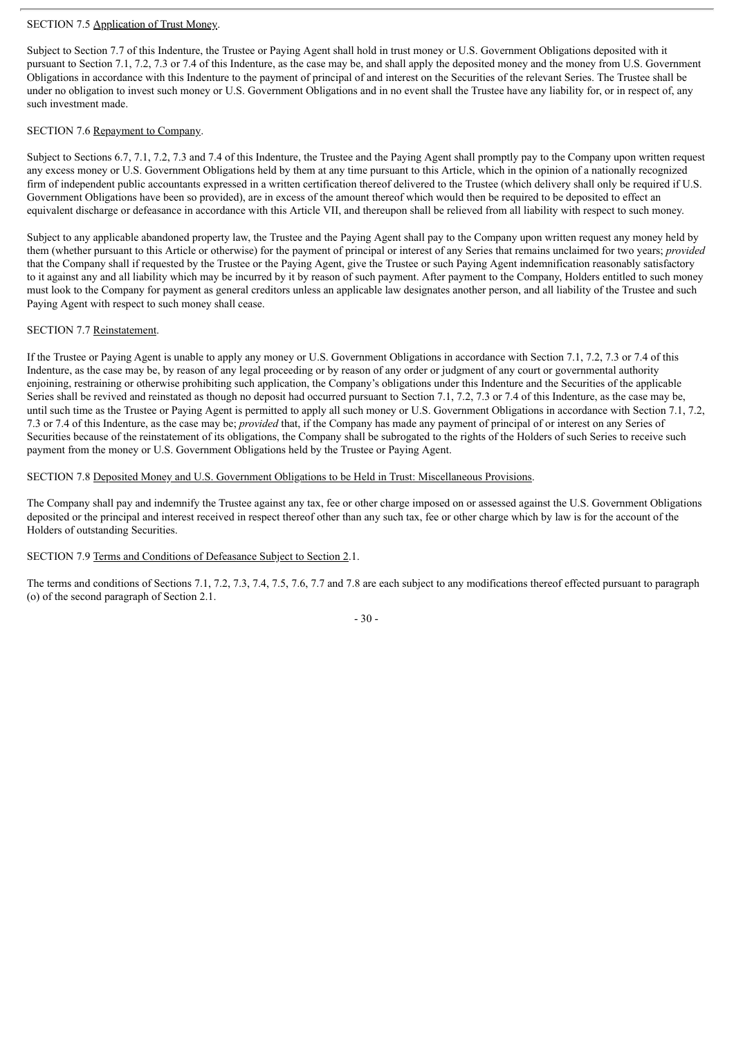# SECTION 7.5 Application of Trust Money.

Subject to Section 7.7 of this Indenture, the Trustee or Paying Agent shall hold in trust money or U.S. Government Obligations deposited with it pursuant to Section 7.1, 7.2, 7.3 or 7.4 of this Indenture, as the case may be, and shall apply the deposited money and the money from U.S. Government Obligations in accordance with this Indenture to the payment of principal of and interest on the Securities of the relevant Series. The Trustee shall be under no obligation to invest such money or U.S. Government Obligations and in no event shall the Trustee have any liability for, or in respect of, any such investment made.

# SECTION 7.6 Repayment to Company.

Subject to Sections 6.7, 7.1, 7.2, 7.3 and 7.4 of this Indenture, the Trustee and the Paying Agent shall promptly pay to the Company upon written request any excess money or U.S. Government Obligations held by them at any time pursuant to this Article, which in the opinion of a nationally recognized firm of independent public accountants expressed in a written certification thereof delivered to the Trustee (which delivery shall only be required if U.S. Government Obligations have been so provided), are in excess of the amount thereof which would then be required to be deposited to effect an equivalent discharge or defeasance in accordance with this Article VII, and thereupon shall be relieved from all liability with respect to such money.

Subject to any applicable abandoned property law, the Trustee and the Paying Agent shall pay to the Company upon written request any money held by them (whether pursuant to this Article or otherwise) for the payment of principal or interest of any Series that remains unclaimed for two years; *provided* that the Company shall if requested by the Trustee or the Paying Agent, give the Trustee or such Paying Agent indemnification reasonably satisfactory to it against any and all liability which may be incurred by it by reason of such payment. After payment to the Company, Holders entitled to such money must look to the Company for payment as general creditors unless an applicable law designates another person, and all liability of the Trustee and such Paying Agent with respect to such money shall cease.

# SECTION 7.7 Reinstatement.

If the Trustee or Paying Agent is unable to apply any money or U.S. Government Obligations in accordance with Section 7.1, 7.2, 7.3 or 7.4 of this Indenture, as the case may be, by reason of any legal proceeding or by reason of any order or judgment of any court or governmental authority enjoining, restraining or otherwise prohibiting such application, the Company's obligations under this Indenture and the Securities of the applicable Series shall be revived and reinstated as though no deposit had occurred pursuant to Section 7.1, 7.2, 7.3 or 7.4 of this Indenture, as the case may be, until such time as the Trustee or Paying Agent is permitted to apply all such money or U.S. Government Obligations in accordance with Section 7.1, 7.2, 7.3 or 7.4 of this Indenture, as the case may be; *provided* that, if the Company has made any payment of principal of or interest on any Series of Securities because of the reinstatement of its obligations, the Company shall be subrogated to the rights of the Holders of such Series to receive such payment from the money or U.S. Government Obligations held by the Trustee or Paying Agent.

## SECTION 7.8 Deposited Money and U.S. Government Obligations to be Held in Trust: Miscellaneous Provisions.

The Company shall pay and indemnify the Trustee against any tax, fee or other charge imposed on or assessed against the U.S. Government Obligations deposited or the principal and interest received in respect thereof other than any such tax, fee or other charge which by law is for the account of the Holders of outstanding Securities.

## SECTION 7.9 Terms and Conditions of Defeasance Subject to Section 2.1.

The terms and conditions of Sections 7.1, 7.2, 7.3, 7.4, 7.5, 7.6, 7.7 and 7.8 are each subject to any modifications thereof effected pursuant to paragraph (o) of the second paragraph of Section 2.1.

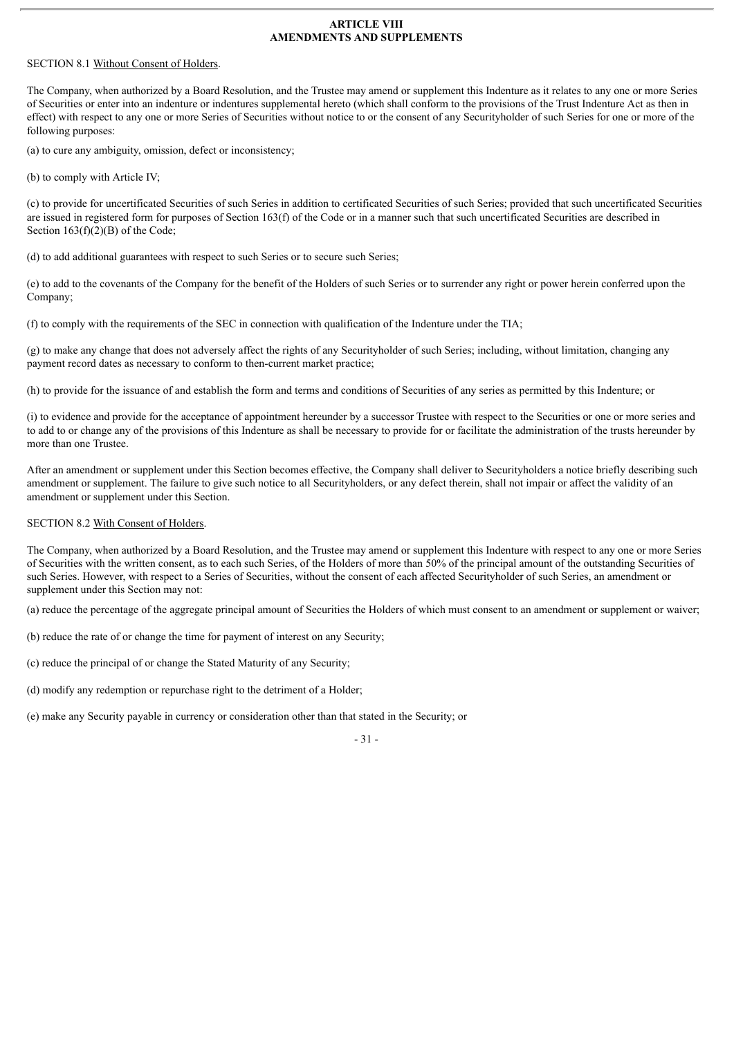### **ARTICLE VIII AMENDMENTS AND SUPPLEMENTS**

# SECTION 8.1 Without Consent of Holders.

The Company, when authorized by a Board Resolution, and the Trustee may amend or supplement this Indenture as it relates to any one or more Series of Securities or enter into an indenture or indentures supplemental hereto (which shall conform to the provisions of the Trust Indenture Act as then in effect) with respect to any one or more Series of Securities without notice to or the consent of any Securityholder of such Series for one or more of the following purposes:

(a) to cure any ambiguity, omission, defect or inconsistency;

(b) to comply with Article IV;

(c) to provide for uncertificated Securities of such Series in addition to certificated Securities of such Series; provided that such uncertificated Securities are issued in registered form for purposes of Section 163(f) of the Code or in a manner such that such uncertificated Securities are described in Section 163(f)(2)(B) of the Code;

(d) to add additional guarantees with respect to such Series or to secure such Series;

(e) to add to the covenants of the Company for the benefit of the Holders of such Series or to surrender any right or power herein conferred upon the Company;

(f) to comply with the requirements of the SEC in connection with qualification of the Indenture under the TIA;

(g) to make any change that does not adversely affect the rights of any Securityholder of such Series; including, without limitation, changing any payment record dates as necessary to conform to then-current market practice;

(h) to provide for the issuance of and establish the form and terms and conditions of Securities of any series as permitted by this Indenture; or

(i) to evidence and provide for the acceptance of appointment hereunder by a successor Trustee with respect to the Securities or one or more series and to add to or change any of the provisions of this Indenture as shall be necessary to provide for or facilitate the administration of the trusts hereunder by more than one Trustee.

After an amendment or supplement under this Section becomes effective, the Company shall deliver to Securityholders a notice briefly describing such amendment or supplement. The failure to give such notice to all Securityholders, or any defect therein, shall not impair or affect the validity of an amendment or supplement under this Section.

# SECTION 8.2 With Consent of Holders.

The Company, when authorized by a Board Resolution, and the Trustee may amend or supplement this Indenture with respect to any one or more Series of Securities with the written consent, as to each such Series, of the Holders of more than 50% of the principal amount of the outstanding Securities of such Series. However, with respect to a Series of Securities, without the consent of each affected Securityholder of such Series, an amendment or supplement under this Section may not:

(a) reduce the percentage of the aggregate principal amount of Securities the Holders of which must consent to an amendment or supplement or waiver;

(b) reduce the rate of or change the time for payment of interest on any Security;

(c) reduce the principal of or change the Stated Maturity of any Security;

(d) modify any redemption or repurchase right to the detriment of a Holder;

(e) make any Security payable in currency or consideration other than that stated in the Security; or

 $-31 -$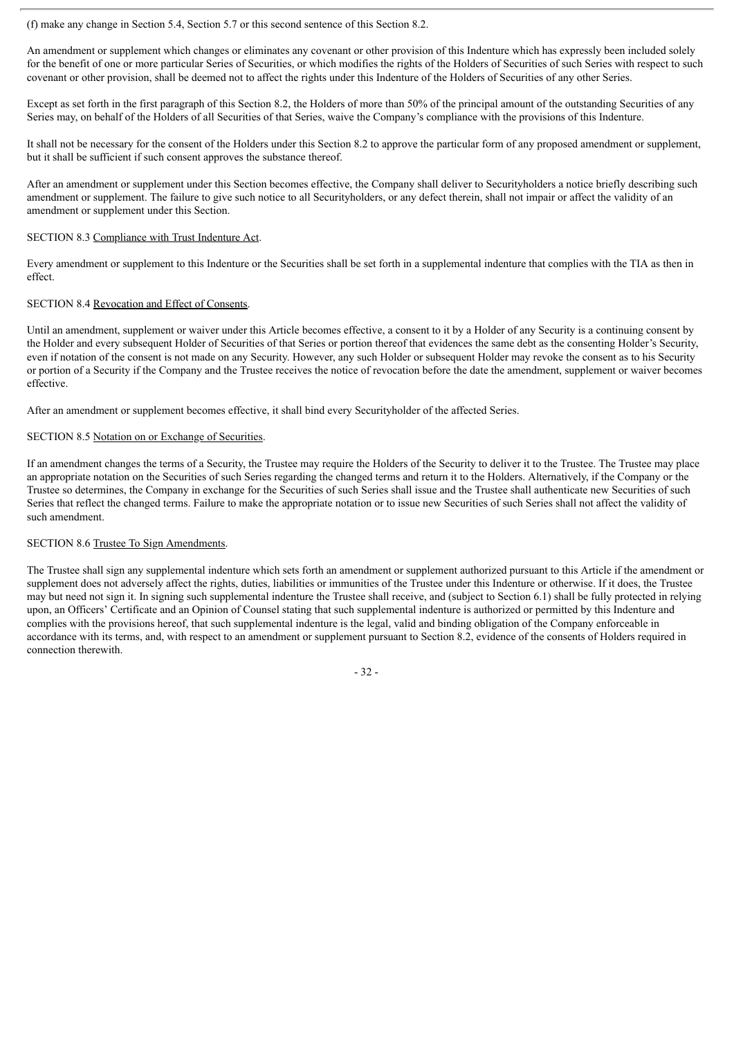(f) make any change in Section 5.4, Section 5.7 or this second sentence of this Section 8.2.

An amendment or supplement which changes or eliminates any covenant or other provision of this Indenture which has expressly been included solely for the benefit of one or more particular Series of Securities, or which modifies the rights of the Holders of Securities of such Series with respect to such covenant or other provision, shall be deemed not to affect the rights under this Indenture of the Holders of Securities of any other Series.

Except as set forth in the first paragraph of this Section 8.2, the Holders of more than 50% of the principal amount of the outstanding Securities of any Series may, on behalf of the Holders of all Securities of that Series, waive the Company's compliance with the provisions of this Indenture.

It shall not be necessary for the consent of the Holders under this Section 8.2 to approve the particular form of any proposed amendment or supplement, but it shall be sufficient if such consent approves the substance thereof.

After an amendment or supplement under this Section becomes effective, the Company shall deliver to Securityholders a notice briefly describing such amendment or supplement. The failure to give such notice to all Securityholders, or any defect therein, shall not impair or affect the validity of an amendment or supplement under this Section.

### SECTION 8.3 Compliance with Trust Indenture Act.

Every amendment or supplement to this Indenture or the Securities shall be set forth in a supplemental indenture that complies with the TIA as then in effect.

### SECTION 8.4 Revocation and Effect of Consents.

Until an amendment, supplement or waiver under this Article becomes effective, a consent to it by a Holder of any Security is a continuing consent by the Holder and every subsequent Holder of Securities of that Series or portion thereof that evidences the same debt as the consenting Holder's Security, even if notation of the consent is not made on any Security. However, any such Holder or subsequent Holder may revoke the consent as to his Security or portion of a Security if the Company and the Trustee receives the notice of revocation before the date the amendment, supplement or waiver becomes effective.

After an amendment or supplement becomes effective, it shall bind every Securityholder of the affected Series.

### SECTION 8.5 Notation on or Exchange of Securities.

If an amendment changes the terms of a Security, the Trustee may require the Holders of the Security to deliver it to the Trustee. The Trustee may place an appropriate notation on the Securities of such Series regarding the changed terms and return it to the Holders. Alternatively, if the Company or the Trustee so determines, the Company in exchange for the Securities of such Series shall issue and the Trustee shall authenticate new Securities of such Series that reflect the changed terms. Failure to make the appropriate notation or to issue new Securities of such Series shall not affect the validity of such amendment.

# SECTION 8.6 Trustee To Sign Amendments.

The Trustee shall sign any supplemental indenture which sets forth an amendment or supplement authorized pursuant to this Article if the amendment or supplement does not adversely affect the rights, duties, liabilities or immunities of the Trustee under this Indenture or otherwise. If it does, the Trustee may but need not sign it. In signing such supplemental indenture the Trustee shall receive, and (subject to Section 6.1) shall be fully protected in relying upon, an Officers' Certificate and an Opinion of Counsel stating that such supplemental indenture is authorized or permitted by this Indenture and complies with the provisions hereof, that such supplemental indenture is the legal, valid and binding obligation of the Company enforceable in accordance with its terms, and, with respect to an amendment or supplement pursuant to Section 8.2, evidence of the consents of Holders required in connection therewith.

- 32 -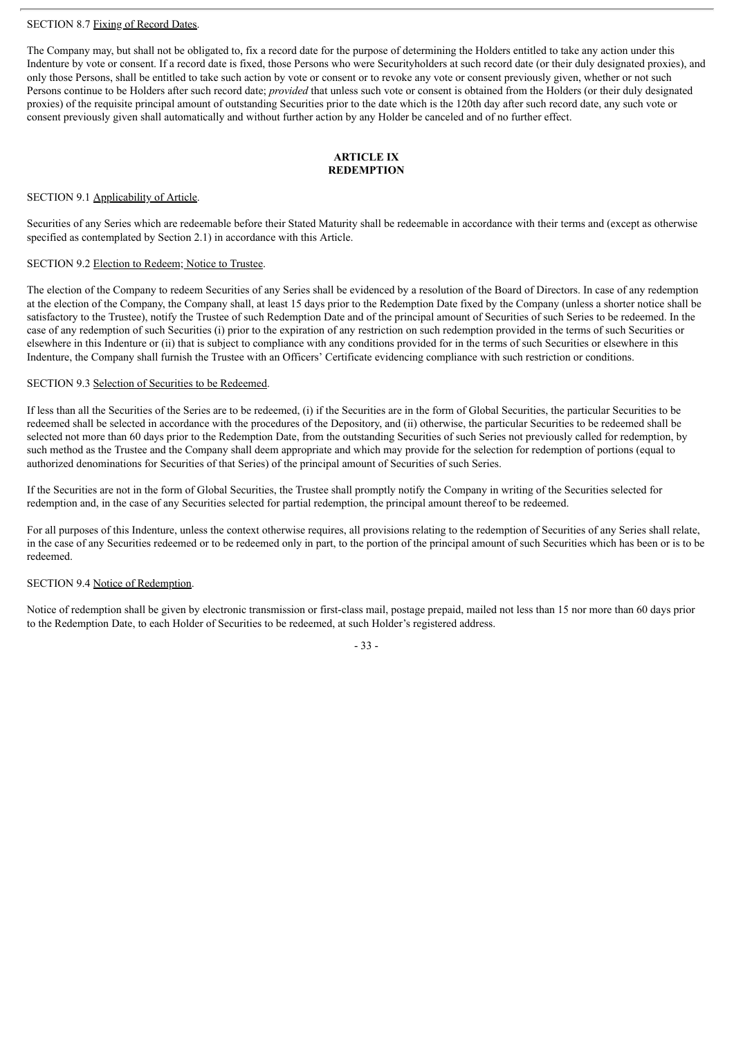## SECTION 8.7 Fixing of Record Dates.

The Company may, but shall not be obligated to, fix a record date for the purpose of determining the Holders entitled to take any action under this Indenture by vote or consent. If a record date is fixed, those Persons who were Securityholders at such record date (or their duly designated proxies), and only those Persons, shall be entitled to take such action by vote or consent or to revoke any vote or consent previously given, whether or not such Persons continue to be Holders after such record date; *provided* that unless such vote or consent is obtained from the Holders (or their duly designated proxies) of the requisite principal amount of outstanding Securities prior to the date which is the 120th day after such record date, any such vote or consent previously given shall automatically and without further action by any Holder be canceled and of no further effect.

## **ARTICLE IX REDEMPTION**

#### SECTION 9.1 Applicability of Article.

Securities of any Series which are redeemable before their Stated Maturity shall be redeemable in accordance with their terms and (except as otherwise specified as contemplated by Section 2.1) in accordance with this Article.

# SECTION 9.2 Election to Redeem; Notice to Trustee.

The election of the Company to redeem Securities of any Series shall be evidenced by a resolution of the Board of Directors. In case of any redemption at the election of the Company, the Company shall, at least 15 days prior to the Redemption Date fixed by the Company (unless a shorter notice shall be satisfactory to the Trustee), notify the Trustee of such Redemption Date and of the principal amount of Securities of such Series to be redeemed. In the case of any redemption of such Securities (i) prior to the expiration of any restriction on such redemption provided in the terms of such Securities or elsewhere in this Indenture or (ii) that is subject to compliance with any conditions provided for in the terms of such Securities or elsewhere in this Indenture, the Company shall furnish the Trustee with an Officers' Certificate evidencing compliance with such restriction or conditions.

### SECTION 9.3 Selection of Securities to be Redeemed.

If less than all the Securities of the Series are to be redeemed, (i) if the Securities are in the form of Global Securities, the particular Securities to be redeemed shall be selected in accordance with the procedures of the Depository, and (ii) otherwise, the particular Securities to be redeemed shall be selected not more than 60 days prior to the Redemption Date, from the outstanding Securities of such Series not previously called for redemption, by such method as the Trustee and the Company shall deem appropriate and which may provide for the selection for redemption of portions (equal to authorized denominations for Securities of that Series) of the principal amount of Securities of such Series.

If the Securities are not in the form of Global Securities, the Trustee shall promptly notify the Company in writing of the Securities selected for redemption and, in the case of any Securities selected for partial redemption, the principal amount thereof to be redeemed.

For all purposes of this Indenture, unless the context otherwise requires, all provisions relating to the redemption of Securities of any Series shall relate, in the case of any Securities redeemed or to be redeemed only in part, to the portion of the principal amount of such Securities which has been or is to be redeemed.

#### SECTION 9.4 Notice of Redemption.

Notice of redemption shall be given by electronic transmission or first-class mail, postage prepaid, mailed not less than 15 nor more than 60 days prior to the Redemption Date, to each Holder of Securities to be redeemed, at such Holder's registered address.

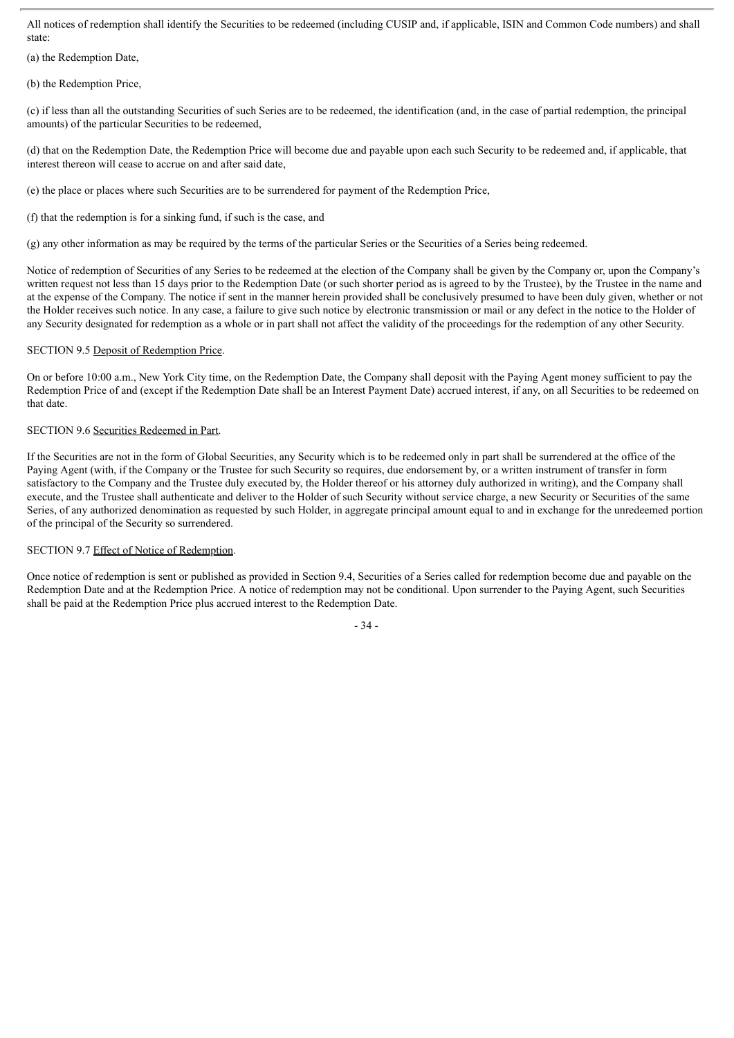All notices of redemption shall identify the Securities to be redeemed (including CUSIP and, if applicable, ISIN and Common Code numbers) and shall state:

(a) the Redemption Date,

(b) the Redemption Price,

(c) if less than all the outstanding Securities of such Series are to be redeemed, the identification (and, in the case of partial redemption, the principal amounts) of the particular Securities to be redeemed,

(d) that on the Redemption Date, the Redemption Price will become due and payable upon each such Security to be redeemed and, if applicable, that interest thereon will cease to accrue on and after said date,

(e) the place or places where such Securities are to be surrendered for payment of the Redemption Price,

(f) that the redemption is for a sinking fund, if such is the case, and

(g) any other information as may be required by the terms of the particular Series or the Securities of a Series being redeemed.

Notice of redemption of Securities of any Series to be redeemed at the election of the Company shall be given by the Company or, upon the Company's written request not less than 15 days prior to the Redemption Date (or such shorter period as is agreed to by the Trustee), by the Trustee in the name and at the expense of the Company. The notice if sent in the manner herein provided shall be conclusively presumed to have been duly given, whether or not the Holder receives such notice. In any case, a failure to give such notice by electronic transmission or mail or any defect in the notice to the Holder of any Security designated for redemption as a whole or in part shall not affect the validity of the proceedings for the redemption of any other Security.

### SECTION 9.5 Deposit of Redemption Price.

On or before 10:00 a.m., New York City time, on the Redemption Date, the Company shall deposit with the Paying Agent money sufficient to pay the Redemption Price of and (except if the Redemption Date shall be an Interest Payment Date) accrued interest, if any, on all Securities to be redeemed on that date.

# SECTION 9.6 Securities Redeemed in Part.

If the Securities are not in the form of Global Securities, any Security which is to be redeemed only in part shall be surrendered at the office of the Paying Agent (with, if the Company or the Trustee for such Security so requires, due endorsement by, or a written instrument of transfer in form satisfactory to the Company and the Trustee duly executed by, the Holder thereof or his attorney duly authorized in writing), and the Company shall execute, and the Trustee shall authenticate and deliver to the Holder of such Security without service charge, a new Security or Securities of the same Series, of any authorized denomination as requested by such Holder, in aggregate principal amount equal to and in exchange for the unredeemed portion of the principal of the Security so surrendered.

## SECTION 9.7 Effect of Notice of Redemption.

Once notice of redemption is sent or published as provided in Section 9.4, Securities of a Series called for redemption become due and payable on the Redemption Date and at the Redemption Price. A notice of redemption may not be conditional. Upon surrender to the Paying Agent, such Securities shall be paid at the Redemption Price plus accrued interest to the Redemption Date.

- 34 -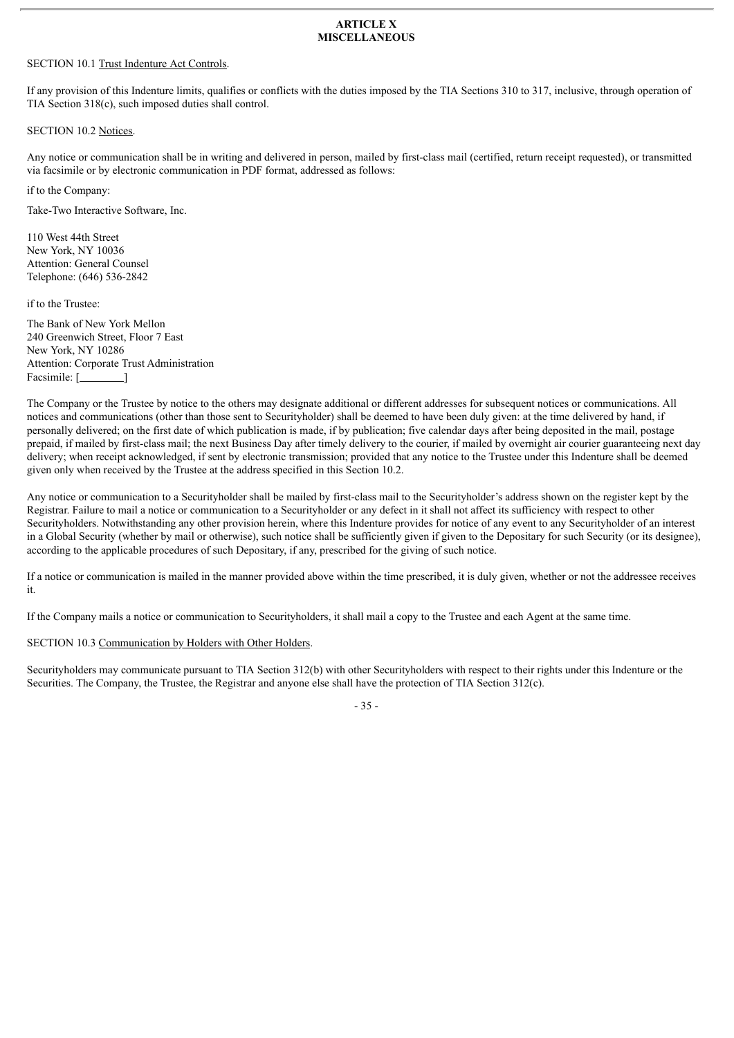#### **ARTICLE X MISCELLANEOUS**

#### SECTION 10.1 Trust Indenture Act Controls.

If any provision of this Indenture limits, qualifies or conflicts with the duties imposed by the TIA Sections 310 to 317, inclusive, through operation of TIA Section 318(c), such imposed duties shall control.

SECTION 10.2 Notices.

Any notice or communication shall be in writing and delivered in person, mailed by first-class mail (certified, return receipt requested), or transmitted via facsimile or by electronic communication in PDF format, addressed as follows:

if to the Company:

Take-Two Interactive Software, Inc.

110 West 44th Street New York, NY 10036 Attention: General Counsel Telephone: (646) 536-2842

if to the Trustee:

The Bank of New York Mellon 240 Greenwich Street, Floor 7 East New York, NY 10286 Attention: Corporate Trust Administration Facsimile: [*i* ]

The Company or the Trustee by notice to the others may designate additional or different addresses for subsequent notices or communications. All notices and communications (other than those sent to Securityholder) shall be deemed to have been duly given: at the time delivered by hand, if personally delivered; on the first date of which publication is made, if by publication; five calendar days after being deposited in the mail, postage prepaid, if mailed by first-class mail; the next Business Day after timely delivery to the courier, if mailed by overnight air courier guaranteeing next day delivery; when receipt acknowledged, if sent by electronic transmission; provided that any notice to the Trustee under this Indenture shall be deemed given only when received by the Trustee at the address specified in this Section 10.2.

Any notice or communication to a Securityholder shall be mailed by first-class mail to the Securityholder's address shown on the register kept by the Registrar. Failure to mail a notice or communication to a Securityholder or any defect in it shall not affect its sufficiency with respect to other Securityholders. Notwithstanding any other provision herein, where this Indenture provides for notice of any event to any Securityholder of an interest in a Global Security (whether by mail or otherwise), such notice shall be sufficiently given if given to the Depositary for such Security (or its designee), according to the applicable procedures of such Depositary, if any, prescribed for the giving of such notice.

If a notice or communication is mailed in the manner provided above within the time prescribed, it is duly given, whether or not the addressee receives it.

If the Company mails a notice or communication to Securityholders, it shall mail a copy to the Trustee and each Agent at the same time.

SECTION 10.3 Communication by Holders with Other Holders.

Securityholders may communicate pursuant to TIA Section 312(b) with other Securityholders with respect to their rights under this Indenture or the Securities. The Company, the Trustee, the Registrar and anyone else shall have the protection of TIA Section 312(c).

- 35 -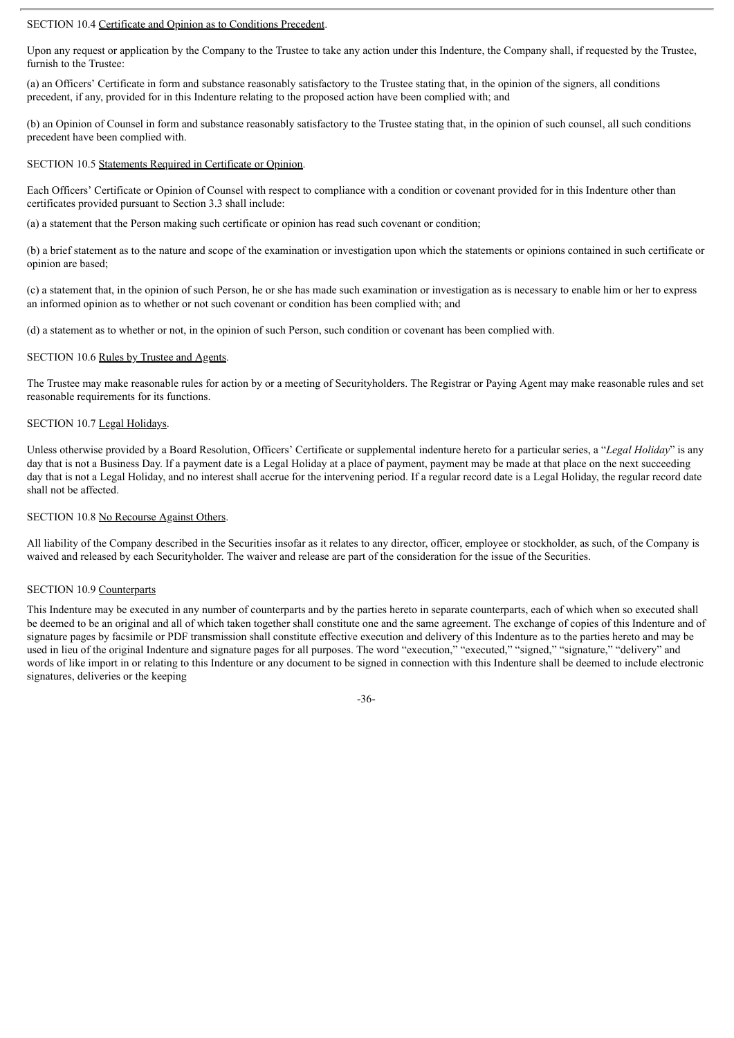#### SECTION 10.4 Certificate and Opinion as to Conditions Precedent.

Upon any request or application by the Company to the Trustee to take any action under this Indenture, the Company shall, if requested by the Trustee, furnish to the Trustee:

(a) an Officers' Certificate in form and substance reasonably satisfactory to the Trustee stating that, in the opinion of the signers, all conditions precedent, if any, provided for in this Indenture relating to the proposed action have been complied with; and

(b) an Opinion of Counsel in form and substance reasonably satisfactory to the Trustee stating that, in the opinion of such counsel, all such conditions precedent have been complied with.

#### SECTION 10.5 Statements Required in Certificate or Opinion.

Each Officers' Certificate or Opinion of Counsel with respect to compliance with a condition or covenant provided for in this Indenture other than certificates provided pursuant to Section 3.3 shall include:

(a) a statement that the Person making such certificate or opinion has read such covenant or condition;

(b) a brief statement as to the nature and scope of the examination or investigation upon which the statements or opinions contained in such certificate or opinion are based;

(c) a statement that, in the opinion of such Person, he or she has made such examination or investigation as is necessary to enable him or her to express an informed opinion as to whether or not such covenant or condition has been complied with; and

(d) a statement as to whether or not, in the opinion of such Person, such condition or covenant has been complied with.

#### SECTION 10.6 Rules by Trustee and Agents.

The Trustee may make reasonable rules for action by or a meeting of Securityholders. The Registrar or Paying Agent may make reasonable rules and set reasonable requirements for its functions.

#### SECTION 10.7 Legal Holidays.

Unless otherwise provided by a Board Resolution, Officers' Certificate or supplemental indenture hereto for a particular series, a "*Legal Holiday*" is any day that is not a Business Day. If a payment date is a Legal Holiday at a place of payment, payment may be made at that place on the next succeeding day that is not a Legal Holiday, and no interest shall accrue for the intervening period. If a regular record date is a Legal Holiday, the regular record date shall not be affected.

#### SECTION 10.8 No Recourse Against Others.

All liability of the Company described in the Securities insofar as it relates to any director, officer, employee or stockholder, as such, of the Company is waived and released by each Securityholder. The waiver and release are part of the consideration for the issue of the Securities.

#### SECTION 10.9 Counterparts

This Indenture may be executed in any number of counterparts and by the parties hereto in separate counterparts, each of which when so executed shall be deemed to be an original and all of which taken together shall constitute one and the same agreement. The exchange of copies of this Indenture and of signature pages by facsimile or PDF transmission shall constitute effective execution and delivery of this Indenture as to the parties hereto and may be used in lieu of the original Indenture and signature pages for all purposes. The word "execution," "executed," "signed," "signature," "delivery" and words of like import in or relating to this Indenture or any document to be signed in connection with this Indenture shall be deemed to include electronic signatures, deliveries or the keeping

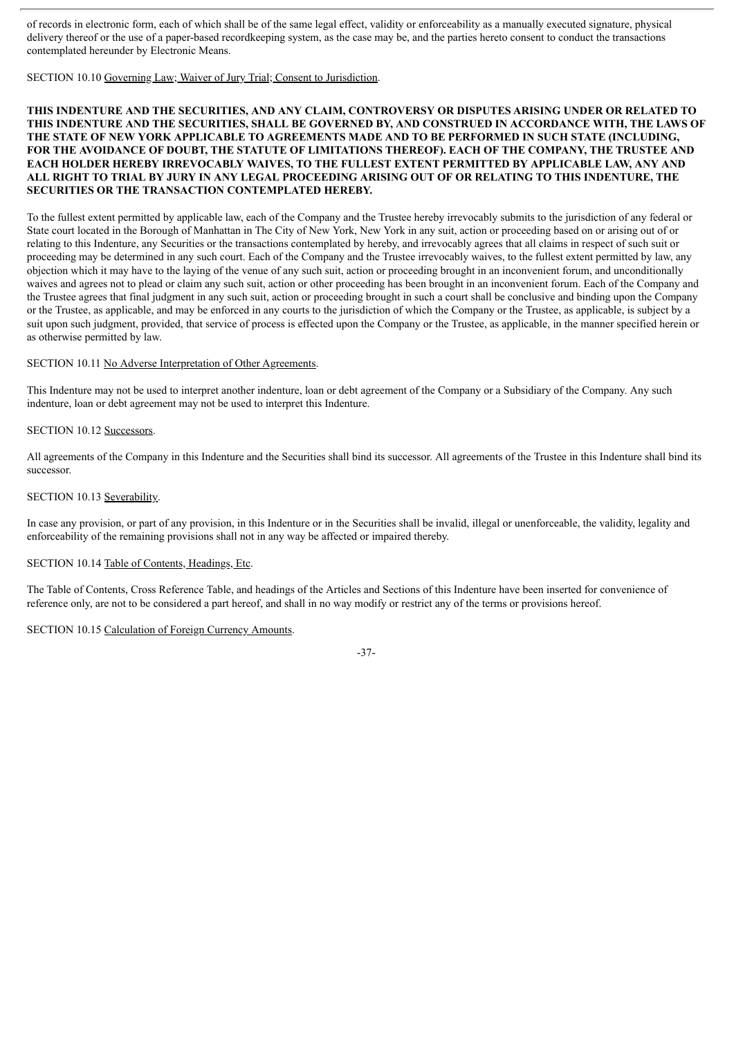of records in electronic form, each of which shall be of the same legal effect, validity or enforceability as a manually executed signature, physical delivery thereof or the use of a paper-based recordkeeping system, as the case may be, and the parties hereto consent to conduct the transactions contemplated hereunder by Electronic Means.

SECTION 10.10 Governing Law; Waiver of Jury Trial; Consent to Jurisdiction.

#### **THIS INDENTURE AND THE SECURITIES, AND ANY CLAIM, CONTROVERSY OR DISPUTES ARISING UNDER OR RELATED TO THIS INDENTURE AND THE SECURITIES, SHALL BE GOVERNED BY, AND CONSTRUED IN ACCORDANCE WITH, THE LAWS OF THE STATE OF NEW YORK APPLICABLE TO AGREEMENTS MADE AND TO BE PERFORMED IN SUCH STATE (INCLUDING, FOR THE AVOIDANCE OF DOUBT, THE STATUTE OF LIMITATIONS THEREOF). EACH OF THE COMPANY, THE TRUSTEE AND EACH HOLDER HEREBY IRREVOCABLY WAIVES, TO THE FULLEST EXTENT PERMITTED BY APPLICABLE LAW, ANY AND** ALL RIGHT TO TRIAL BY JURY IN ANY LEGAL PROCEEDING ARISING OUT OF OR RELATING TO THIS INDENTURE, THE **SECURITIES OR THE TRANSACTION CONTEMPLATED HEREBY.**

To the fullest extent permitted by applicable law, each of the Company and the Trustee hereby irrevocably submits to the jurisdiction of any federal or State court located in the Borough of Manhattan in The City of New York, New York in any suit, action or proceeding based on or arising out of or relating to this Indenture, any Securities or the transactions contemplated by hereby, and irrevocably agrees that all claims in respect of such suit or proceeding may be determined in any such court. Each of the Company and the Trustee irrevocably waives, to the fullest extent permitted by law, any objection which it may have to the laying of the venue of any such suit, action or proceeding brought in an inconvenient forum, and unconditionally waives and agrees not to plead or claim any such suit, action or other proceeding has been brought in an inconvenient forum. Each of the Company and the Trustee agrees that final judgment in any such suit, action or proceeding brought in such a court shall be conclusive and binding upon the Company or the Trustee, as applicable, and may be enforced in any courts to the jurisdiction of which the Company or the Trustee, as applicable, is subject by a suit upon such judgment, provided, that service of process is effected upon the Company or the Trustee, as applicable, in the manner specified herein or as otherwise permitted by law.

#### SECTION 10.11 No Adverse Interpretation of Other Agreements.

This Indenture may not be used to interpret another indenture, loan or debt agreement of the Company or a Subsidiary of the Company. Any such indenture, loan or debt agreement may not be used to interpret this Indenture.

#### SECTION 10.12 Successors.

All agreements of the Company in this Indenture and the Securities shall bind its successor. All agreements of the Trustee in this Indenture shall bind its successor.

#### SECTION 10.13 Severability.

In case any provision, or part of any provision, in this Indenture or in the Securities shall be invalid, illegal or unenforceable, the validity, legality and enforceability of the remaining provisions shall not in any way be affected or impaired thereby.

#### SECTION 10.14 Table of Contents, Headings, Etc.

The Table of Contents, Cross Reference Table, and headings of the Articles and Sections of this Indenture have been inserted for convenience of reference only, are not to be considered a part hereof, and shall in no way modify or restrict any of the terms or provisions hereof.

#### SECTION 10.15 Calculation of Foreign Currency Amounts.

-37-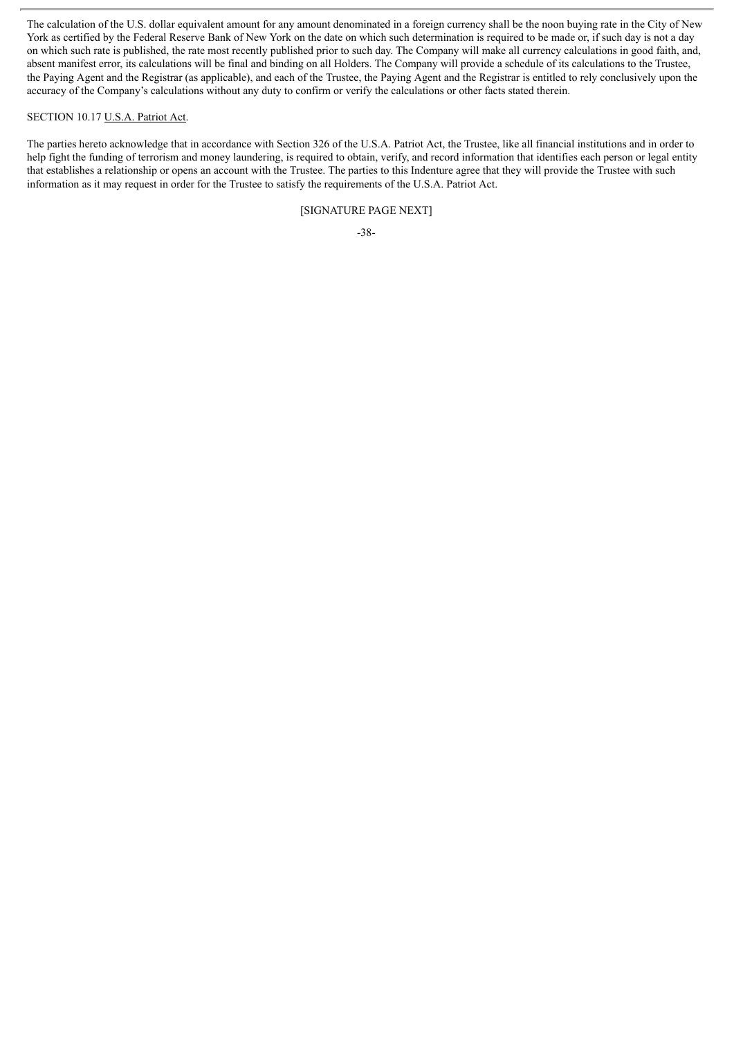The calculation of the U.S. dollar equivalent amount for any amount denominated in a foreign currency shall be the noon buying rate in the City of New York as certified by the Federal Reserve Bank of New York on the date on which such determination is required to be made or, if such day is not a day on which such rate is published, the rate most recently published prior to such day. The Company will make all currency calculations in good faith, and, absent manifest error, its calculations will be final and binding on all Holders. The Company will provide a schedule of its calculations to the Trustee, the Paying Agent and the Registrar (as applicable), and each of the Trustee, the Paying Agent and the Registrar is entitled to rely conclusively upon the accuracy of the Company's calculations without any duty to confirm or verify the calculations or other facts stated therein.

#### SECTION 10.17 U.S.A. Patriot Act.

The parties hereto acknowledge that in accordance with Section 326 of the U.S.A. Patriot Act, the Trustee, like all financial institutions and in order to help fight the funding of terrorism and money laundering, is required to obtain, verify, and record information that identifies each person or legal entity that establishes a relationship or opens an account with the Trustee. The parties to this Indenture agree that they will provide the Trustee with such information as it may request in order for the Trustee to satisfy the requirements of the U.S.A. Patriot Act.

#### [SIGNATURE PAGE NEXT]

-38-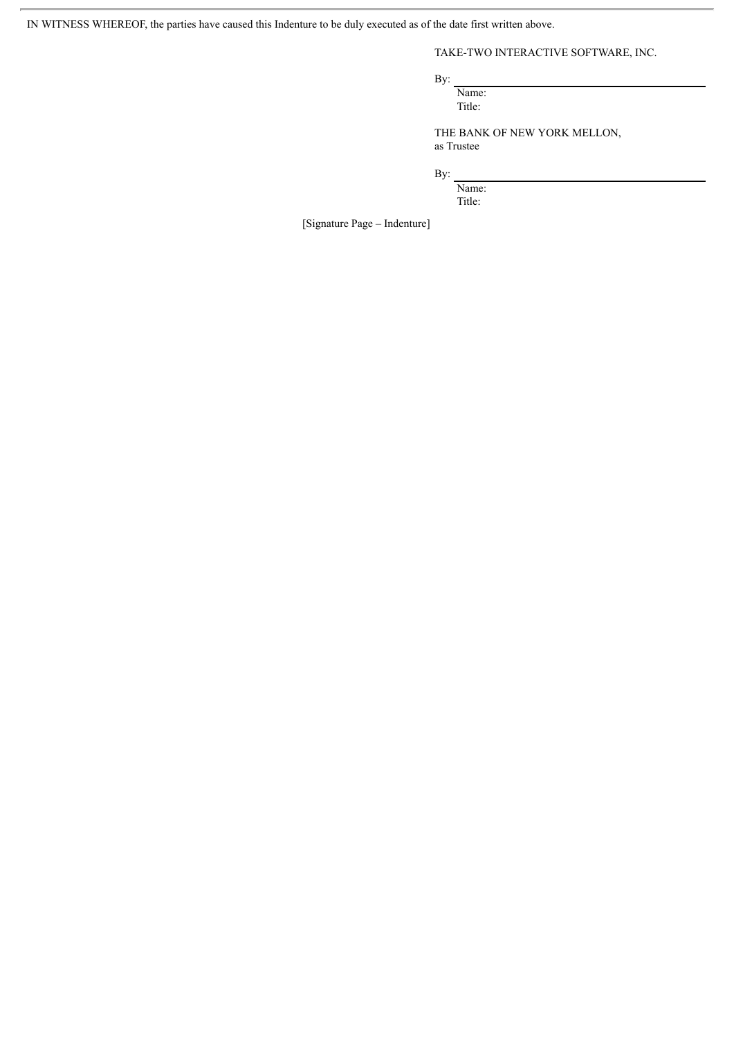IN WITNESS WHEREOF, the parties have caused this Indenture to be duly executed as of the date first written above.

TAKE-TWO INTERACTIVE SOFTWARE, INC.

By:

Name: Title:

THE BANK OF NEW YORK MELLON, as Trustee

By:

Name: Title:

[Signature Page – Indenture]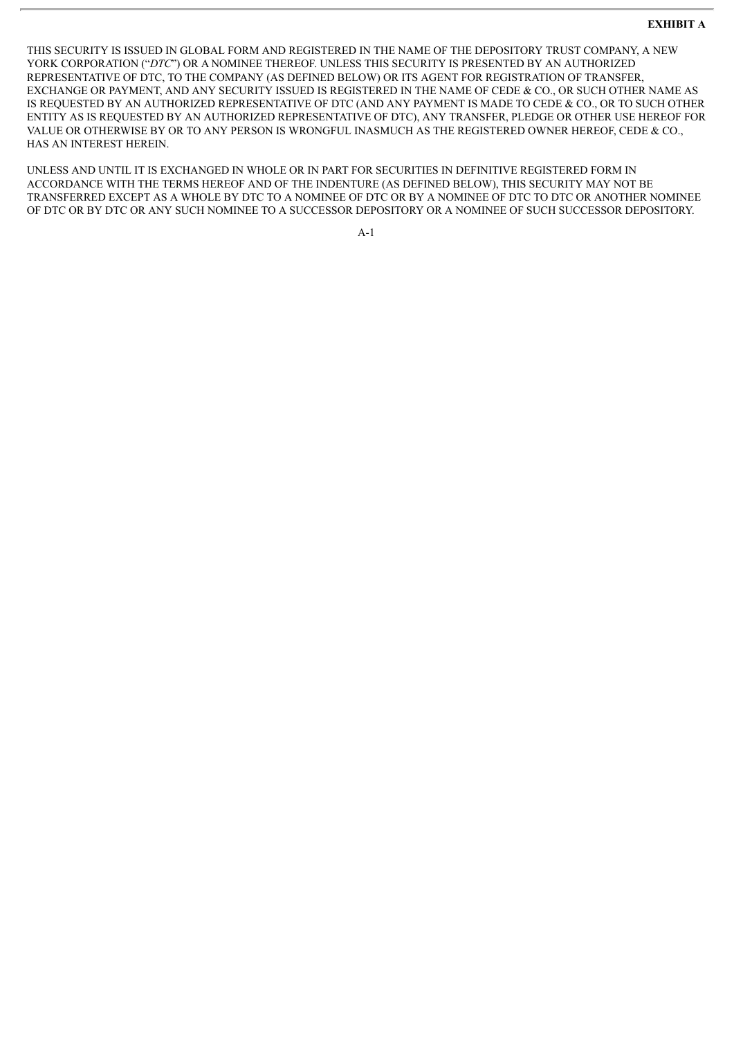#### **EXHIBIT A**

THIS SECURITY IS ISSUED IN GLOBAL FORM AND REGISTERED IN THE NAME OF THE DEPOSITORY TRUST COMPANY, A NEW YORK CORPORATION ("*DTC*") OR A NOMINEE THEREOF. UNLESS THIS SECURITY IS PRESENTED BY AN AUTHORIZED REPRESENTATIVE OF DTC, TO THE COMPANY (AS DEFINED BELOW) OR ITS AGENT FOR REGISTRATION OF TRANSFER, EXCHANGE OR PAYMENT, AND ANY SECURITY ISSUED IS REGISTERED IN THE NAME OF CEDE & CO., OR SUCH OTHER NAME AS IS REQUESTED BY AN AUTHORIZED REPRESENTATIVE OF DTC (AND ANY PAYMENT IS MADE TO CEDE & CO., OR TO SUCH OTHER ENTITY AS IS REQUESTED BY AN AUTHORIZED REPRESENTATIVE OF DTC), ANY TRANSFER, PLEDGE OR OTHER USE HEREOF FOR VALUE OR OTHERWISE BY OR TO ANY PERSON IS WRONGFUL INASMUCH AS THE REGISTERED OWNER HEREOF, CEDE & CO., HAS AN INTEREST HEREIN.

UNLESS AND UNTIL IT IS EXCHANGED IN WHOLE OR IN PART FOR SECURITIES IN DEFINITIVE REGISTERED FORM IN ACCORDANCE WITH THE TERMS HEREOF AND OF THE INDENTURE (AS DEFINED BELOW), THIS SECURITY MAY NOT BE TRANSFERRED EXCEPT AS A WHOLE BY DTC TO A NOMINEE OF DTC OR BY A NOMINEE OF DTC TO DTC OR ANOTHER NOMINEE OF DTC OR BY DTC OR ANY SUCH NOMINEE TO A SUCCESSOR DEPOSITORY OR A NOMINEE OF SUCH SUCCESSOR DEPOSITORY.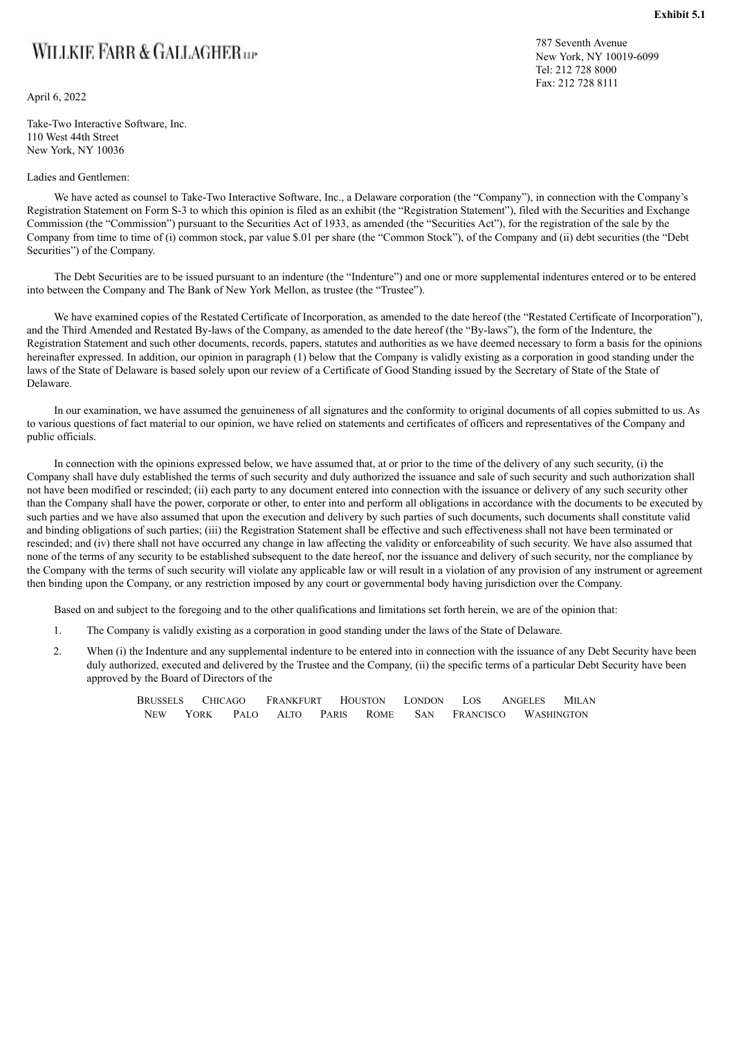## WILLKIE FARR & GALLAGHER

April 6, 2022

Take-Two Interactive Software, Inc. 110 West 44th Street New York, NY 10036

#### Ladies and Gentlemen:

787 Seventh Avenue New York, NY 10019-6099 Tel: 212 728 8000 Fax: 212 728 8111

We have acted as counsel to Take-Two Interactive Software, Inc., a Delaware corporation (the "Company"), in connection with the Company's Registration Statement on Form S-3 to which this opinion is filed as an exhibit (the "Registration Statement"), filed with the Securities and Exchange Commission (the "Commission") pursuant to the Securities Act of 1933, as amended (the "Securities Act"), for the registration of the sale by the Company from time to time of (i) common stock, par value \$.01 per share (the "Common Stock"), of the Company and (ii) debt securities (the "Debt Securities") of the Company.

The Debt Securities are to be issued pursuant to an indenture (the "Indenture") and one or more supplemental indentures entered or to be entered into between the Company and The Bank of New York Mellon, as trustee (the "Trustee").

We have examined copies of the Restated Certificate of Incorporation, as amended to the date hereof (the "Restated Certificate of Incorporation"), and the Third Amended and Restated By-laws of the Company, as amended to the date hereof (the "By-laws"), the form of the Indenture, the Registration Statement and such other documents, records, papers, statutes and authorities as we have deemed necessary to form a basis for the opinions hereinafter expressed. In addition, our opinion in paragraph (1) below that the Company is validly existing as a corporation in good standing under the laws of the State of Delaware is based solely upon our review of a Certificate of Good Standing issued by the Secretary of State of the State of Delaware.

In our examination, we have assumed the genuineness of all signatures and the conformity to original documents of all copies submitted to us. As to various questions of fact material to our opinion, we have relied on statements and certificates of officers and representatives of the Company and public officials.

In connection with the opinions expressed below, we have assumed that, at or prior to the time of the delivery of any such security, (i) the Company shall have duly established the terms of such security and duly authorized the issuance and sale of such security and such authorization shall not have been modified or rescinded; (ii) each party to any document entered into connection with the issuance or delivery of any such security other than the Company shall have the power, corporate or other, to enter into and perform all obligations in accordance with the documents to be executed by such parties and we have also assumed that upon the execution and delivery by such parties of such documents, such documents shall constitute valid and binding obligations of such parties; (iii) the Registration Statement shall be effective and such effectiveness shall not have been terminated or rescinded; and (iv) there shall not have occurred any change in law affecting the validity or enforceability of such security. We have also assumed that none of the terms of any security to be established subsequent to the date hereof, nor the issuance and delivery of such security, nor the compliance by the Company with the terms of such security will violate any applicable law or will result in a violation of any provision of any instrument or agreement then binding upon the Company, or any restriction imposed by any court or governmental body having jurisdiction over the Company.

Based on and subject to the foregoing and to the other qualifications and limitations set forth herein, we are of the opinion that:

- 1. The Company is validly existing as a corporation in good standing under the laws of the State of Delaware.
- 2. When (i) the Indenture and any supplemental indenture to be entered into in connection with the issuance of any Debt Security have been duly authorized, executed and delivered by the Trustee and the Company, (ii) the specific terms of a particular Debt Security have been approved by the Board of Directors of the

|            | BRUSSELS CHICAGO | FRANKFURT HOUSTON LONDON LOS ANGELES |  |  |                          | MILAN |
|------------|------------------|--------------------------------------|--|--|--------------------------|-------|
| <b>NEW</b> | <b>YORK</b>      | PALO ALTO PARIS ROME                 |  |  | SAN FRANCISCO WASHINGTON |       |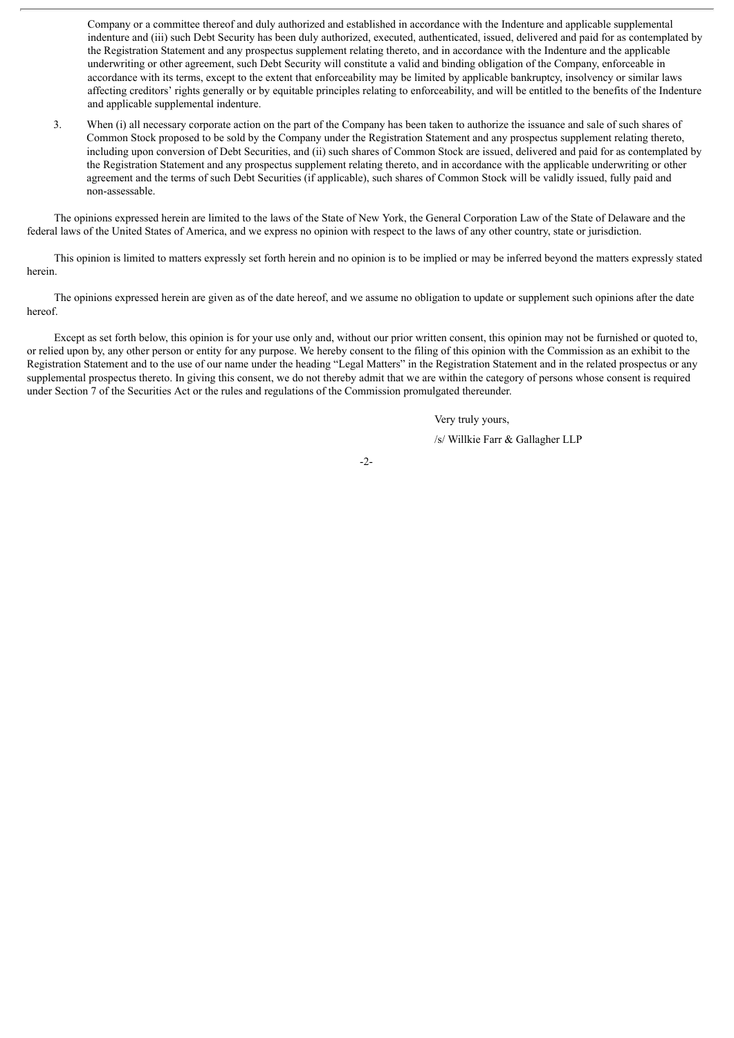Company or a committee thereof and duly authorized and established in accordance with the Indenture and applicable supplemental indenture and (iii) such Debt Security has been duly authorized, executed, authenticated, issued, delivered and paid for as contemplated by the Registration Statement and any prospectus supplement relating thereto, and in accordance with the Indenture and the applicable underwriting or other agreement, such Debt Security will constitute a valid and binding obligation of the Company, enforceable in accordance with its terms, except to the extent that enforceability may be limited by applicable bankruptcy, insolvency or similar laws affecting creditors' rights generally or by equitable principles relating to enforceability, and will be entitled to the benefits of the Indenture and applicable supplemental indenture.

3. When (i) all necessary corporate action on the part of the Company has been taken to authorize the issuance and sale of such shares of Common Stock proposed to be sold by the Company under the Registration Statement and any prospectus supplement relating thereto, including upon conversion of Debt Securities, and (ii) such shares of Common Stock are issued, delivered and paid for as contemplated by the Registration Statement and any prospectus supplement relating thereto, and in accordance with the applicable underwriting or other agreement and the terms of such Debt Securities (if applicable), such shares of Common Stock will be validly issued, fully paid and non-assessable.

The opinions expressed herein are limited to the laws of the State of New York, the General Corporation Law of the State of Delaware and the federal laws of the United States of America, and we express no opinion with respect to the laws of any other country, state or jurisdiction.

This opinion is limited to matters expressly set forth herein and no opinion is to be implied or may be inferred beyond the matters expressly stated herein.

The opinions expressed herein are given as of the date hereof, and we assume no obligation to update or supplement such opinions after the date hereof.

Except as set forth below, this opinion is for your use only and, without our prior written consent, this opinion may not be furnished or quoted to, or relied upon by, any other person or entity for any purpose. We hereby consent to the filing of this opinion with the Commission as an exhibit to the Registration Statement and to the use of our name under the heading "Legal Matters" in the Registration Statement and in the related prospectus or any supplemental prospectus thereto. In giving this consent, we do not thereby admit that we are within the category of persons whose consent is required under Section 7 of the Securities Act or the rules and regulations of the Commission promulgated thereunder.

Very truly yours,

/s/ Willkie Farr & Gallagher LLP

-2-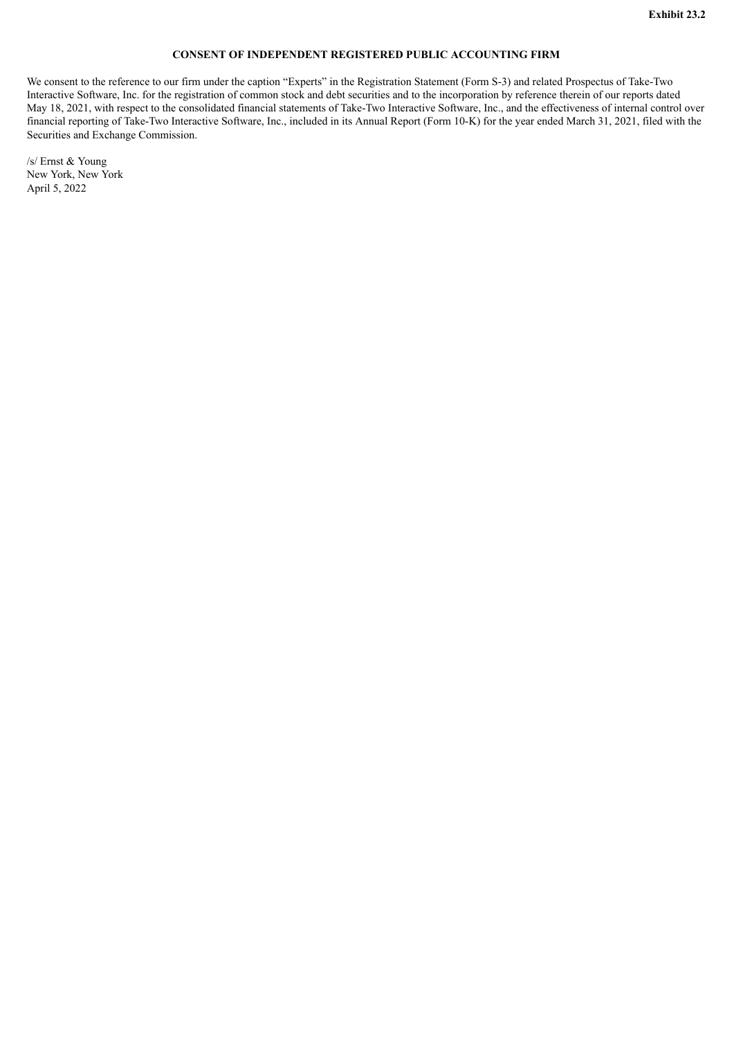#### **CONSENT OF INDEPENDENT REGISTERED PUBLIC ACCOUNTING FIRM**

We consent to the reference to our firm under the caption "Experts" in the Registration Statement (Form S-3) and related Prospectus of Take-Two Interactive Software, Inc. for the registration of common stock and debt securities and to the incorporation by reference therein of our reports dated May 18, 2021, with respect to the consolidated financial statements of Take-Two Interactive Software, Inc., and the effectiveness of internal control over financial reporting of Take-Two Interactive Software, Inc., included in its Annual Report (Form 10-K) for the year ended March 31, 2021, filed with the Securities and Exchange Commission.

/s/ Ernst & Young New York, New York April 5, 2022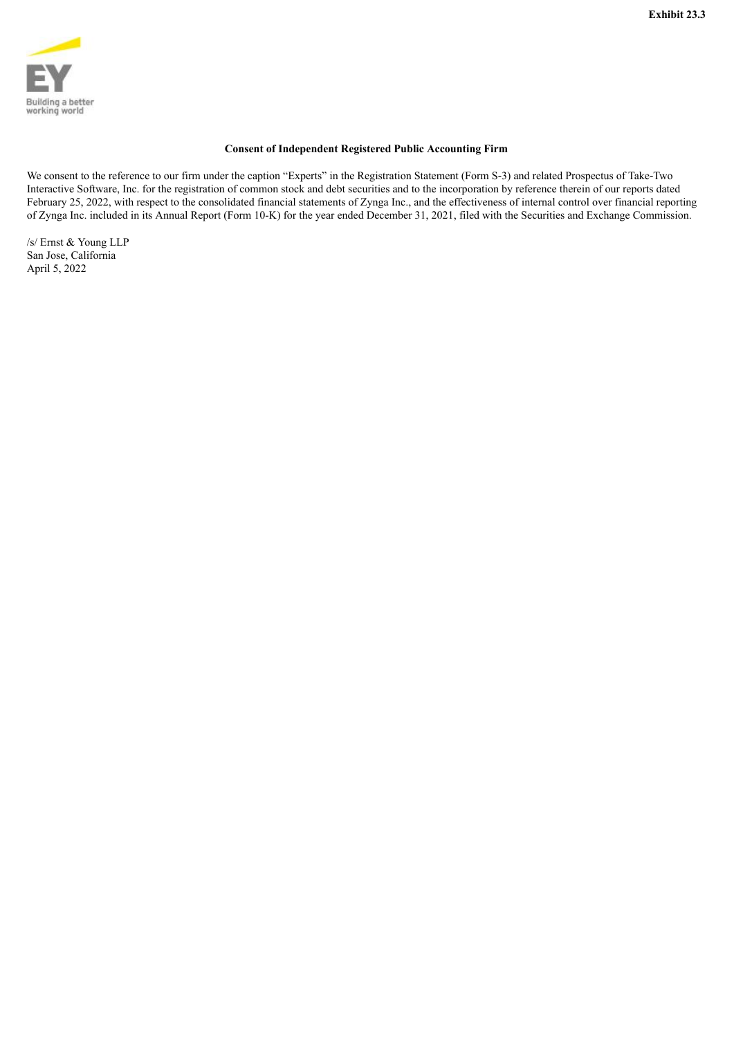

#### **Consent of Independent Registered Public Accounting Firm**

We consent to the reference to our firm under the caption "Experts" in the Registration Statement (Form S-3) and related Prospectus of Take-Two Interactive Software, Inc. for the registration of common stock and debt securities and to the incorporation by reference therein of our reports dated February 25, 2022, with respect to the consolidated financial statements of Zynga Inc., and the effectiveness of internal control over financial reporting of Zynga Inc. included in its Annual Report (Form 10-K) for the year ended December 31, 2021, filed with the Securities and Exchange Commission.

/s/ Ernst & Young LLP San Jose, California April 5, 2022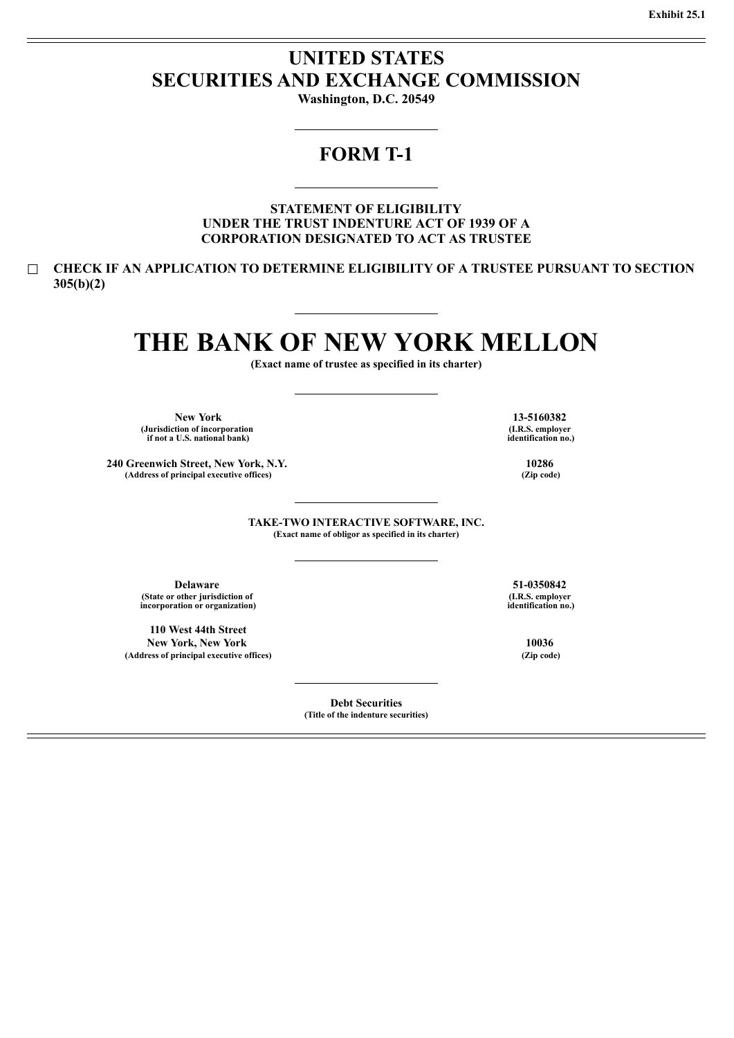### **UNITED STATES SECURITIES AND EXCHANGE COMMISSION**

**Washington, D.C. 20549**

### **FORM T-1**

**STATEMENT OF ELIGIBILITY UNDER THE TRUST INDENTURE ACT OF 1939 OF A CORPORATION DESIGNATED TO ACT AS TRUSTEE**

☐ **CHECK IF AN APPLICATION TO DETERMINE ELIGIBILITY OF A TRUSTEE PURSUANT TO SECTION 305(b)(2)**

# **THE BANK OF NEW YORK MELLON**

**(Exact name of trustee as specified in its charter)**

**New York 13-5160382 (Jurisdiction of incorporation if not a U.S. national bank)**

**240 Greenwich Street, New York, N.Y. 10286 (Address of principal executive offices) (Zip code)**

**(I.R.S. employer identification no.)**

**TAKE-TWO INTERACTIVE SOFTWARE, INC. (Exact name of obligor as specified in its charter)**

**Delaware 51-0350842 (State or other jurisdiction of incorporation or organization)**

**110 West 44th Street New York, New York 10036 (Address of principal executive offices) (Zip code)**

> **Debt Securities (Title of the indenture securities)**

**(I.R.S. employer identification no.)**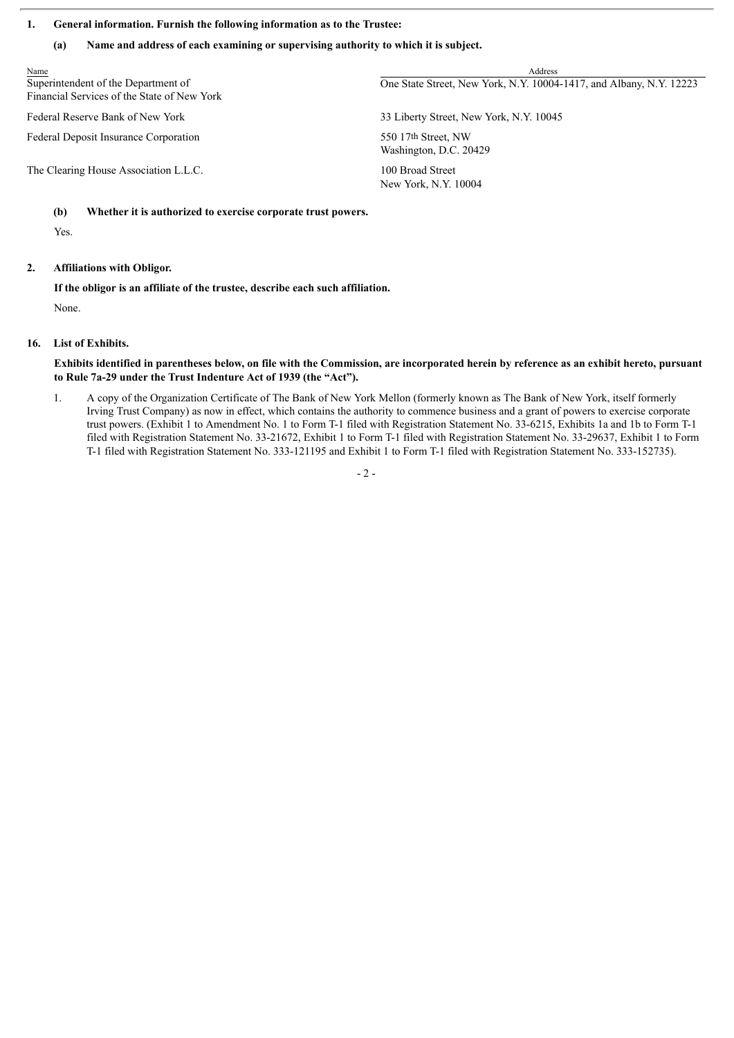#### **1. General information. Furnish the following information as to the Trustee:**

#### **(a) Name and address of each examining or supervising authority to which it is subject.**

| Address                                                             |
|---------------------------------------------------------------------|
| One State Street, New York, N.Y. 10004-1417, and Albany, N.Y. 12223 |
| 33 Liberty Street, New York, N.Y. 10045                             |
| 550 17th Street, NW<br>Washington, D.C. 20429                       |
| 100 Broad Street<br>New York, N.Y. 10004                            |
|                                                                     |

#### **(b) Whether it is authorized to exercise corporate trust powers.**

Yes.

#### **2. Affiliations with Obligor.**

**If the obligor is an affiliate of the trustee, describe each such affiliation.**

None.

#### **16. List of Exhibits.**

Exhibits identified in parentheses below, on file with the Commission, are incorporated herein by reference as an exhibit hereto, pursuant **to Rule 7a-29 under the Trust Indenture Act of 1939 (the "Act").**

1. A copy of the Organization Certificate of The Bank of New York Mellon (formerly known as The Bank of New York, itself formerly Irving Trust Company) as now in effect, which contains the authority to commence business and a grant of powers to exercise corporate trust powers. (Exhibit 1 to Amendment No. 1 to Form T-1 filed with Registration Statement No. 33-6215, Exhibits 1a and 1b to Form T-1 filed with Registration Statement No. 33-21672, Exhibit 1 to Form T-1 filed with Registration Statement No. 33-29637, Exhibit 1 to Form T-1 filed with Registration Statement No. 333-121195 and Exhibit 1 to Form T-1 filed with Registration Statement No. 333-152735).

- 2 -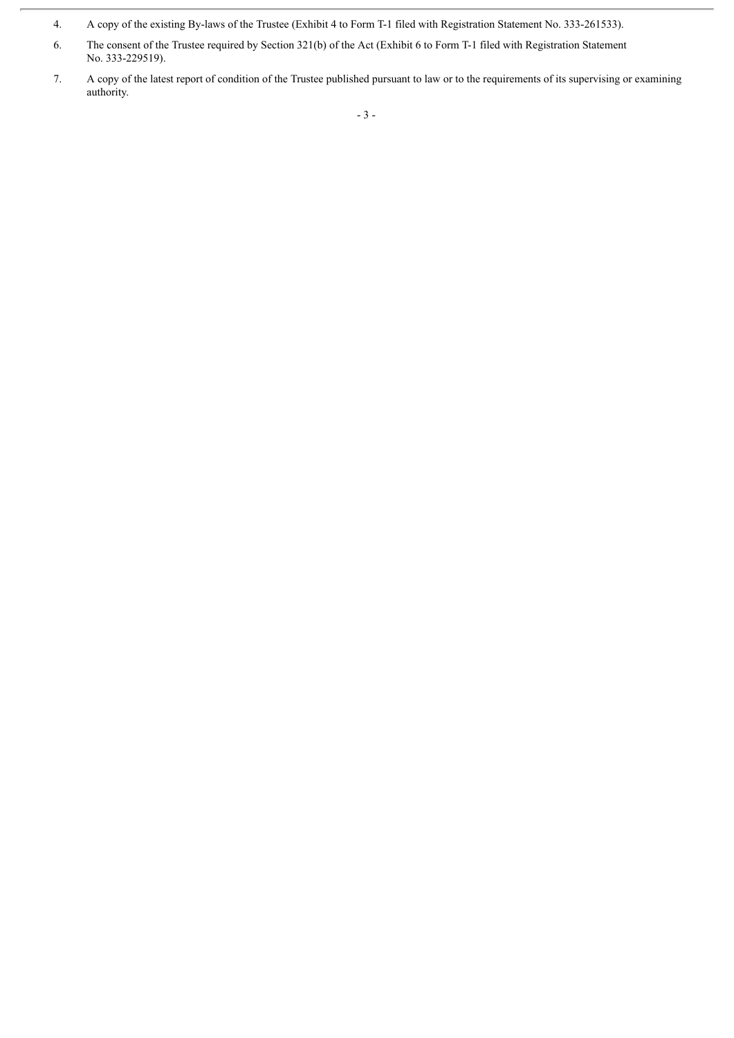<sup>4.</sup> A copy of the existing By-laws of the Trustee (Exhibit 4 to Form T-1 filed with Registration Statement No. 333-261533).

<sup>6.</sup> The consent of the Trustee required by Section 321(b) of the Act (Exhibit 6 to Form T-1 filed with Registration Statement No. 333-229519).

<sup>7.</sup> A copy of the latest report of condition of the Trustee published pursuant to law or to the requirements of its supervising or examining authority.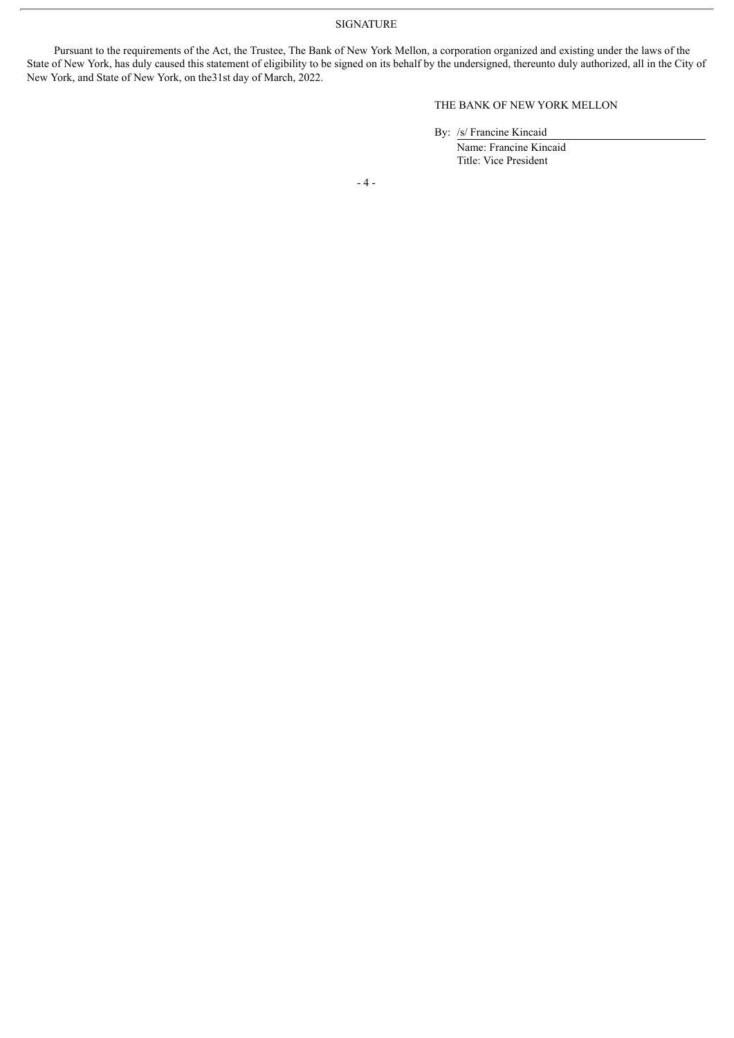SIGNATURE

Pursuant to the requirements of the Act, the Trustee, The Bank of New York Mellon, a corporation organized and existing under the laws of the State of New York, has duly caused this statement of eligibility to be signed on its behalf by the undersigned, thereunto duly authorized, all in the City of New York, and State of New York, on the31st day of March, 2022.

THE BANK OF NEW YORK MELLON

By: /s/ Francine Kincaid

Name: Francine Kincaid Title: Vice President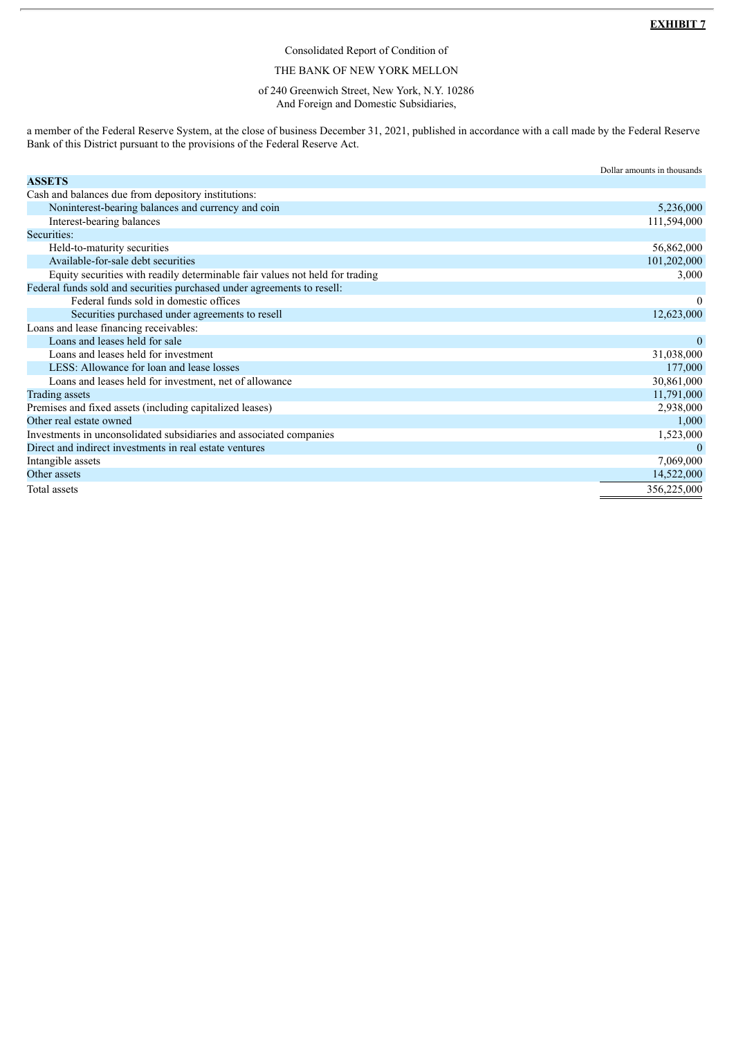#### Consolidated Report of Condition of

#### THE BANK OF NEW YORK MELLON

#### of 240 Greenwich Street, New York, N.Y. 10286 And Foreign and Domestic Subsidiaries,

a member of the Federal Reserve System, at the close of business December 31, 2021, published in accordance with a call made by the Federal Reserve Bank of this District pursuant to the provisions of the Federal Reserve Act.

|                                                                              | Dollar amounts in thousands |
|------------------------------------------------------------------------------|-----------------------------|
| <b>ASSETS</b>                                                                |                             |
| Cash and balances due from depository institutions:                          |                             |
| Noninterest-bearing balances and currency and coin                           | 5,236,000                   |
| Interest-bearing balances                                                    | 111,594,000                 |
| Securities:                                                                  |                             |
| Held-to-maturity securities                                                  | 56,862,000                  |
| Available-for-sale debt securities                                           | 101,202,000                 |
| Equity securities with readily determinable fair values not held for trading | 3,000                       |
| Federal funds sold and securities purchased under agreements to resell:      |                             |
| Federal funds sold in domestic offices                                       | $\theta$                    |
| Securities purchased under agreements to resell                              | 12,623,000                  |
| Loans and lease financing receivables:                                       |                             |
| Loans and leases held for sale                                               | $\theta$                    |
| Loans and leases held for investment                                         | 31,038,000                  |
| LESS: Allowance for loan and lease losses                                    | 177,000                     |
| Loans and leases held for investment, net of allowance                       | 30,861,000                  |
| <b>Trading assets</b>                                                        | 11,791,000                  |
| Premises and fixed assets (including capitalized leases)                     | 2,938,000                   |
| Other real estate owned                                                      | 1,000                       |
| Investments in unconsolidated subsidiaries and associated companies          | 1,523,000                   |
| Direct and indirect investments in real estate ventures                      | $\theta$                    |
| Intangible assets                                                            | 7,069,000                   |
| Other assets                                                                 | 14,522,000                  |
| Total assets                                                                 | 356,225,000                 |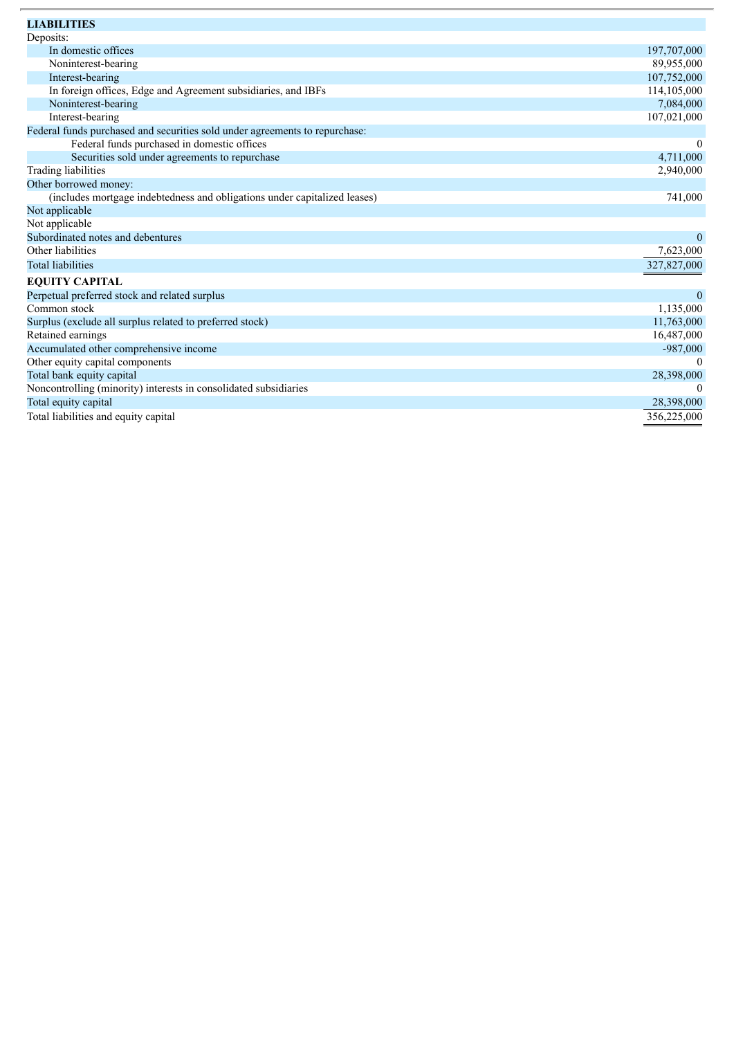| <b>LIABILITIES</b>                                                          |              |
|-----------------------------------------------------------------------------|--------------|
| Deposits:                                                                   |              |
| In domestic offices                                                         | 197,707,000  |
| Noninterest-bearing                                                         | 89,955,000   |
| Interest-bearing                                                            | 107,752,000  |
| In foreign offices, Edge and Agreement subsidiaries, and IBFs               | 114,105,000  |
| Noninterest-bearing                                                         | 7,084,000    |
| Interest-bearing                                                            | 107,021,000  |
| Federal funds purchased and securities sold under agreements to repurchase: |              |
| Federal funds purchased in domestic offices                                 | $\theta$     |
| Securities sold under agreements to repurchase                              | 4,711,000    |
| Trading liabilities                                                         | 2,940,000    |
| Other borrowed money:                                                       |              |
| (includes mortgage indebtedness and obligations under capitalized leases)   | 741,000      |
| Not applicable                                                              |              |
| Not applicable                                                              |              |
| Subordinated notes and debentures                                           | $\mathbf{0}$ |
| Other liabilities                                                           | 7,623,000    |
| <b>Total liabilities</b>                                                    | 327,827,000  |
| <b>EQUITY CAPITAL</b>                                                       |              |
| Perpetual preferred stock and related surplus                               | $\Omega$     |
| Common stock                                                                | 1,135,000    |
| Surplus (exclude all surplus related to preferred stock)                    | 11,763,000   |
| Retained earnings                                                           | 16,487,000   |
| Accumulated other comprehensive income                                      | $-987,000$   |
| Other equity capital components                                             |              |
| Total bank equity capital                                                   | 28,398,000   |
| Noncontrolling (minority) interests in consolidated subsidiaries            | $\theta$     |
| Total equity capital                                                        | 28,398,000   |
| Total liabilities and equity capital                                        | 356,225,000  |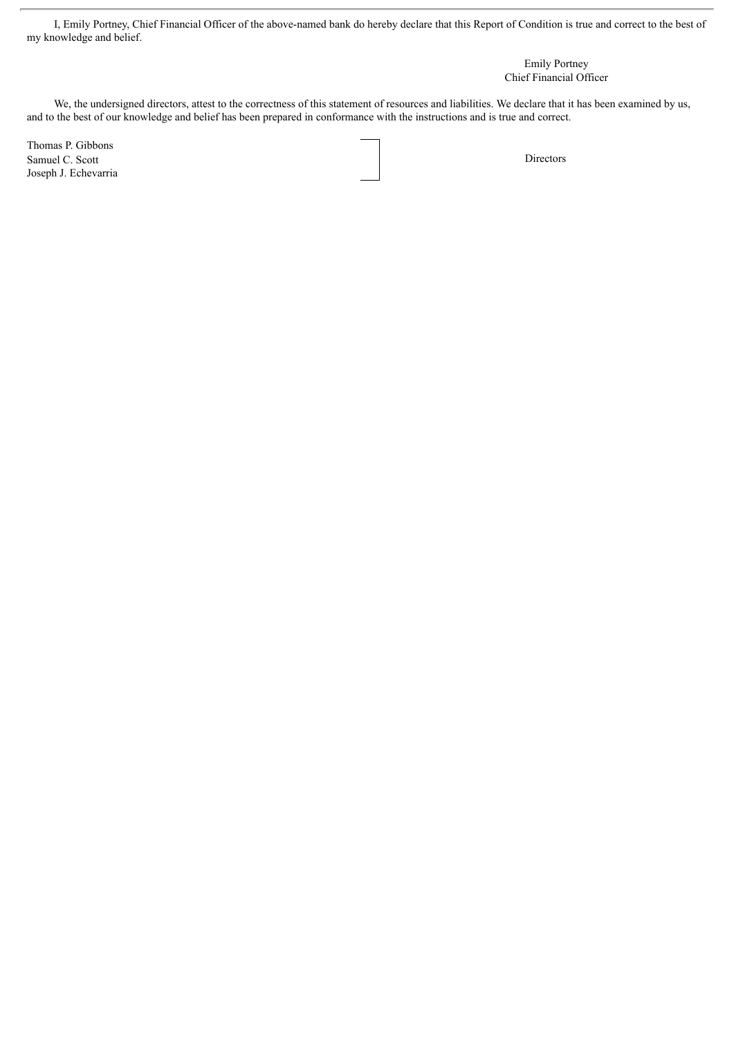I, Emily Portney, Chief Financial Officer of the above-named bank do hereby declare that this Report of Condition is true and correct to the best of my knowledge and belief.

> Emily Portney Chief Financial Officer

We, the undersigned directors, attest to the correctness of this statement of resources and liabilities. We declare that it has been examined by us, and to the best of our knowledge and belief has been prepared in conformance with the instructions and is true and correct.

Thomas P. Gibbons Samuel C. Scott Directors Joseph J. Echevarria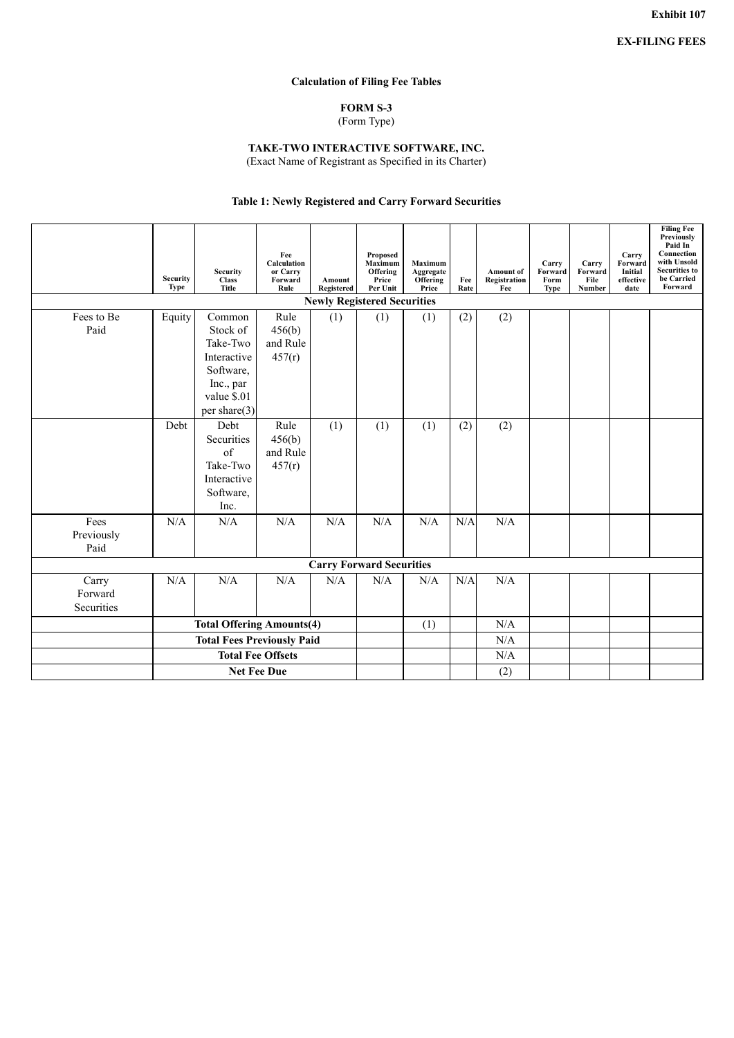#### **Calculation of Filing Fee Tables**

#### **FORM S-3** (Form Type)

#### **TAKE-TWO INTERACTIVE SOFTWARE, INC.**

(Exact Name of Registrant as Specified in its Charter)

#### **Table 1: Newly Registered and Carry Forward Securities**

|                                    | <b>Security</b><br><b>Type</b>    | <b>Security</b><br><b>Class</b><br><b>Title</b>                                                           | Fee<br>Calculation<br>or Carry<br>Forward<br>Rule | Amount<br>Registered | <b>Proposed</b><br>Maximum<br>Offering<br>Price<br>Per Unit | <b>Maximum</b><br>Aggregate<br>Offering<br>Price | Fee<br>Rate | <b>Amount</b> of<br>Registration<br>Fee | Carry<br>Forward<br>Form<br><b>Type</b> | Carry<br>Forward<br>File<br>Number | Carry<br>Forward<br>Initial<br>effective<br>date | <b>Filing Fee</b><br><b>Previously</b><br>Paid In<br>Connection<br>with Unsold<br><b>Securities to</b><br>be Carried<br>Forward |
|------------------------------------|-----------------------------------|-----------------------------------------------------------------------------------------------------------|---------------------------------------------------|----------------------|-------------------------------------------------------------|--------------------------------------------------|-------------|-----------------------------------------|-----------------------------------------|------------------------------------|--------------------------------------------------|---------------------------------------------------------------------------------------------------------------------------------|
| <b>Newly Registered Securities</b> |                                   |                                                                                                           |                                                   |                      |                                                             |                                                  |             |                                         |                                         |                                    |                                                  |                                                                                                                                 |
| Fees to Be<br>Paid                 | Equity                            | Common<br>Stock of<br>Take-Two<br>Interactive<br>Software,<br>Inc., par<br>value \$.01<br>per share $(3)$ | Rule<br>456(b)<br>and Rule<br>457(r)              | (1)                  | (1)                                                         | (1)                                              | (2)         | (2)                                     |                                         |                                    |                                                  |                                                                                                                                 |
|                                    | Debt                              | Debt<br>Securities<br>of<br>Take-Two<br>Interactive<br>Software,<br>Inc.                                  | Rule<br>456(b)<br>and Rule<br>457(r)              | (1)                  | (1)                                                         | (1)                                              | (2)         | (2)                                     |                                         |                                    |                                                  |                                                                                                                                 |
| Fees<br>Previously<br>Paid         | N/A                               | N/A                                                                                                       | N/A                                               | N/A                  | N/A                                                         | N/A                                              | N/A         | N/A                                     |                                         |                                    |                                                  |                                                                                                                                 |
|                                    |                                   |                                                                                                           |                                                   |                      | <b>Carry Forward Securities</b>                             |                                                  |             |                                         |                                         |                                    |                                                  |                                                                                                                                 |
| Carry<br>Forward<br>Securities     | N/A                               | N/A                                                                                                       | N/A                                               | N/A                  | N/A                                                         | N/A                                              | N/A         | N/A                                     |                                         |                                    |                                                  |                                                                                                                                 |
|                                    |                                   | <b>Total Offering Amounts(4)</b>                                                                          |                                                   | (1)                  |                                                             | N/A                                              |             |                                         |                                         |                                    |                                                  |                                                                                                                                 |
|                                    | <b>Total Fees Previously Paid</b> |                                                                                                           |                                                   |                      |                                                             |                                                  |             | N/A                                     |                                         |                                    |                                                  |                                                                                                                                 |
|                                    | <b>Total Fee Offsets</b>          |                                                                                                           |                                                   |                      |                                                             |                                                  |             | N/A                                     |                                         |                                    |                                                  |                                                                                                                                 |
|                                    | <b>Net Fee Due</b>                |                                                                                                           |                                                   |                      |                                                             |                                                  |             | (2)                                     |                                         |                                    |                                                  |                                                                                                                                 |